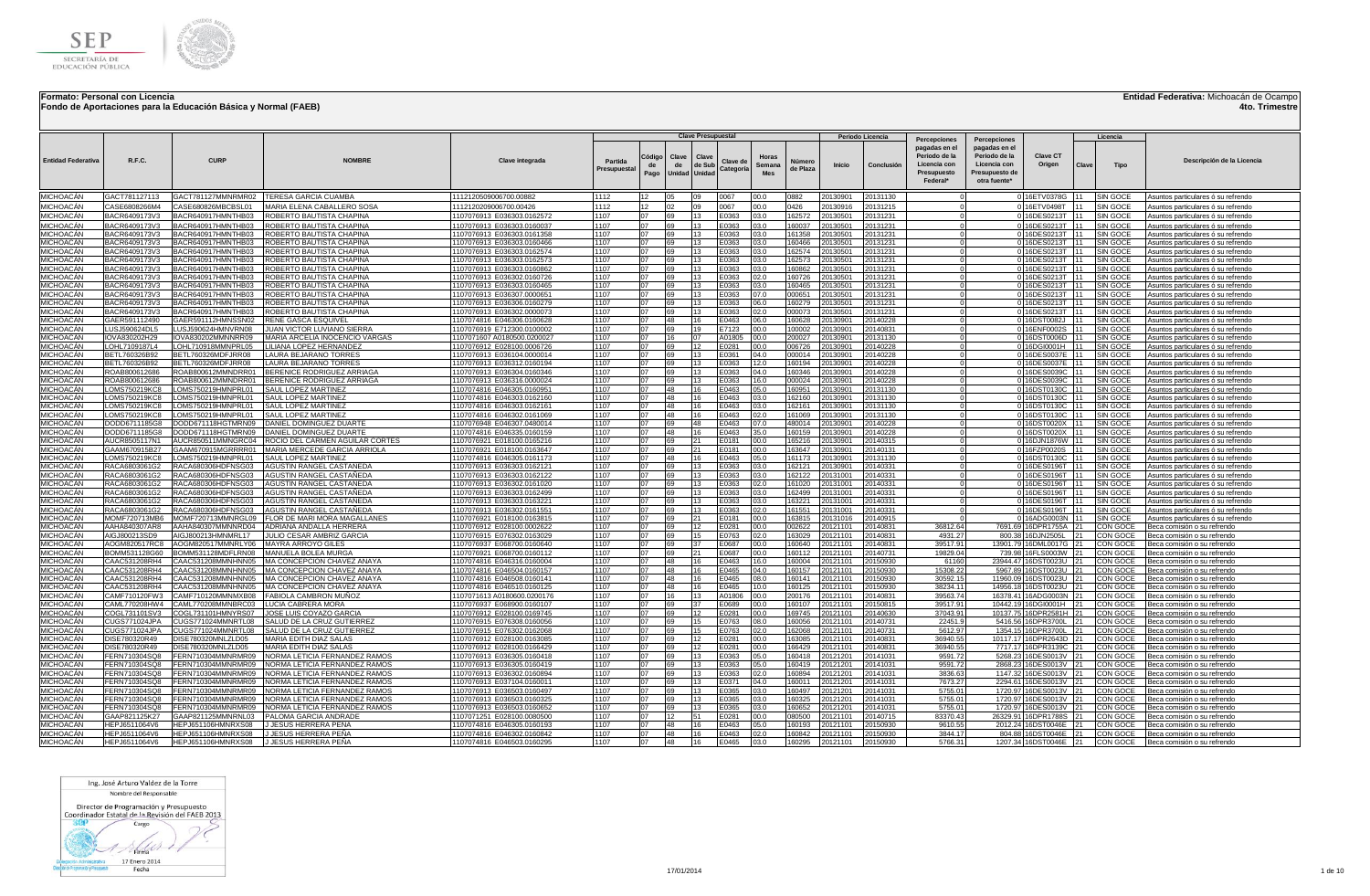

**Fondo de Aportaciones para la Educación Básica y Normal (FAEB)**

## **Entidad Federativa:** Michoacán de Ocampo

**4to. Trimestre**

|                               |                                 |                                          |                                                                                          |                                                           |                        |                      |                       | <b>Clave Presupuestal</b> |                       |                        |                    |                                | Periodo Licencia     |                                                                                                  |                                                                                                  |                                                 |       | Licencia                           |                                                                          |
|-------------------------------|---------------------------------|------------------------------------------|------------------------------------------------------------------------------------------|-----------------------------------------------------------|------------------------|----------------------|-----------------------|---------------------------|-----------------------|------------------------|--------------------|--------------------------------|----------------------|--------------------------------------------------------------------------------------------------|--------------------------------------------------------------------------------------------------|-------------------------------------------------|-------|------------------------------------|--------------------------------------------------------------------------|
| <b>Entidad Federativa</b>     | R.F.C.                          | <b>CURP</b>                              | <b>NOMRRE</b>                                                                            | <b>Clave integrada</b>                                    | Partida<br>Presupuesta | Código<br>de<br>Pago | Clave<br>de<br>Unidad | Clave<br>de Sub<br>Unidad | Clave de<br>Categoria | Horas<br>Semana<br>Mes | Númerc<br>de Plaza | <b>Inicio</b>                  | Conclusió            | <b>Percepciones</b><br>pagadas en el<br>Periodo de la<br>Licencia con<br>Presupuesto<br>Federal* | Percepciones<br>pagadas en el<br>Periodo de la<br>Licencia con<br>Presupuesto de<br>otra fuente* | <b>Clave CT</b><br>Origen                       | Clave | Tipo                               | Descripción de la Licencia                                               |
| MICHOACÁN                     | GACT781127113                   | GACT781127MMNRMR02                       | TERESA GARCIA CUAMBA                                                                     | 1112120509006700.00882                                    | 1112                   | 12                   | 05                    | nq                        | 0067                  | 00.0                   | 0882               | 20130901                       | 20131130             |                                                                                                  |                                                                                                  | 0 16ETV0378G                                    |       | SIN GOCE                           | Asuntos particulares ó su refrendo                                       |
| MICHOACÁN                     | CASE6808266M4                   | CASE680826MBCBSL01                       | MARIA ELENA CABALLERO SOSA                                                               | 1112120209006700.00426                                    | 1112                   | 12 <sup>12</sup>     | 02                    | 09                        | 0067                  | 00.0                   | 0426               | 20130916                       | 20131215             |                                                                                                  |                                                                                                  | 0 16ETV0498T                                    | 111   | SIN GOCE                           | Asuntos particulares ó su refrendo                                       |
| MICHOACÁN<br>MICHOACÁN        | BACR6409173V3<br>BACR6409173V3  | BACR640917HMNTHB03<br>BACR640917HMNTHB03 | ROBERTO BAUTISTA CHAPINA<br>ROBERTO BAUTISTA CHAPINA                                     | 1107076913 E036303.0162572<br>1107076913 E036303.0160037  | 1107<br>1107           | 07<br>07             | 69<br>69              | 13<br>13                  | E0363<br>E0363        | 03.0<br>03.0           | 162572<br>160037   | 20130501<br>20130501           | 20131231<br>20131231 |                                                                                                  |                                                                                                  | 0 16DES0213T 11<br>0 16DES0213T                 |       | SIN GOCE<br><b>SIN GOCE</b>        | Asuntos particulares ó su refrendo<br>Asuntos particulares ó su refrendo |
| MICHOACÁN                     | BACR6409173V3                   | BACR640917HMNTHB03                       | ROBERTO BAUTISTA CHAPINA                                                                 | 1107076913 E036303.0161358                                | 1107                   | 07                   | 69                    | 13                        | E0363                 | 03.0                   | 161358             | 20130501                       | 20131231             |                                                                                                  |                                                                                                  | 0 16DES0213T                                    | 11    | SIN GOCE                           | Asuntos particulares ó su refrendo                                       |
| MICHOACÁN                     | BACR6409173V3                   | BACR640917HMNTHB03                       | ROBERTO BAUTISTA CHAPINA                                                                 | 1107076913 E036303.0160466                                | 1107                   | 07                   | 69                    | 13                        | E0363                 | 03.0                   | 160466             | 20130501                       | 20131231             | $\Omega$                                                                                         |                                                                                                  | 0 16DES0213T 11                                 |       | SIN GOCE                           | Asuntos particulares ó su refrendo                                       |
| MICHOACÁN                     | BACR6409173V3                   | BACR640917HMNTHB03                       | ROBERTO BAUTISTA CHAPINA                                                                 | 1107076913 E036303.0162574                                | 1107<br>1107           | 07<br>07             | 69<br>69              | 13<br>13                  | E0363                 | 03.0                   | 62574              | 0130501                        | 20131231             |                                                                                                  |                                                                                                  | 0 16DES0213T 11                                 | 111   | SIN GOCE                           | Asuntos particulares ó su refrendo                                       |
| MICHOACÁN<br>MICHOACÁN        | BACR6409173V3<br>BACR6409173V3  | BACR640917HMNTHB03<br>BACR640917HMNTHB03 | ROBERTO BAUTISTA CHAPINA<br>ROBERTO BAUTISTA CHAPINA                                     | 1107076913 E036303.0162573<br>1107076913 E036303.0160862  | 1107                   | 07                   | 69                    | 13                        | E0363<br>E0363        | 03.0<br>03.0           | 162573<br>160862   | )13050 <sup>-</sup><br>0130501 | 20131231<br>20131231 |                                                                                                  |                                                                                                  | 0 16DES0213T<br>0 16DES0213T                    | 111   | SIN GOCE<br>SIN GOCE               | Asuntos particulares ó su refrendo<br>Asuntos particulares ó su refrendo |
| MICHOACÁN                     | BACR6409173V3                   | BACR640917HMNTHB03                       | ROBERTO BAUTISTA CHAPINA                                                                 | 1107076913 E036302.0160726                                | 1107                   | 07                   | 69                    | 13                        | E0363                 | 02.0                   | 160726             | 130501                         | 20131231             |                                                                                                  |                                                                                                  | 0 16DES0213T 11                                 |       | SIN GOCE                           | Asuntos particulares ó su refrendo                                       |
| MICHOACÁN<br>MICHOACÁN        | BACR6409173V3<br>BACR6409173V3  | BACR640917HMNTHB03<br>BACR640917HMNTHB03 | ROBERTO BAUTISTA CHAPINA<br>ROBERTO BAUTISTA CHAPINA                                     | 1107076913 E036303.0160465<br>1107076913 E036307.0000651  | 1107<br>1107           | 07<br>07             | 69<br>69              | 13<br>13                  | E0363<br>E0363        | 03.0<br>07.0           | 60465<br>000651    | 0130501<br>20130501            | 20131231<br>20131231 | $\Omega$                                                                                         |                                                                                                  | 0 16DES0213T 11<br>016DES0213T 11               |       | SIN GOCE<br>SIN GOCE               | Asuntos particulares ó su refrendo                                       |
| MICHOACÁN                     | BACR6409173V3                   | BACR640917HMNTHB03                       | ROBERTO BAUTISTA CHAPINA                                                                 | 1107076913 E036306.0160279                                | 1107                   | 07                   | 69                    | 13                        | E0363                 | 06.0                   | 60279              | 20130501                       | 20131231             |                                                                                                  |                                                                                                  | 0 16DES0213T 11                                 |       | SIN GOCE                           | Asuntos particulares ó su refrendo<br>Asuntos particulares ó su refrendo |
| MICHOACÁN                     | BACR6409173V3                   | BACR640917HMNTHB03                       | ROBERTO BAUTISTA CHAPINA                                                                 | 1107076913 E036302.0000073                                | 1107                   | 07                   | 69                    | 13                        | E0363                 | 02.0                   | 000073             | 0130501                        | 20131231             |                                                                                                  |                                                                                                  | 0 16DES0213T 11                                 |       | <b>SIN GOCE</b>                    | Asuntos particulares ó su refrendo                                       |
| MICHOACÁN<br>MICHOACÁN        | GAER591112490<br>LUSJ590624DL5  | GAER591112HMNSSN02<br>LUSJ590624HMNVRN08 | RENE GASCA ESQUIVEL<br><b>JUAN VICTOR LUVIANO SIERRA</b>                                 | 1107074816 E046306.0160628                                | 1107<br>1107           | 07                   | 48                    | 16<br>19                  | E0463                 | 06.0                   | 60628              | 0130901<br>20130901            | 20140228<br>20140831 |                                                                                                  |                                                                                                  | 0 16DST0082J<br>0 16ENF0002S 11                 | 111   | SIN GOCE                           | Asuntos particulares ó su refrendo                                       |
| MICHOACÁN                     | IOVA830202H29                   | IOVA830202MMNNRR09                       | MARIA ARCELIA INOCENCIO VARGAS                                                           | 1107076919 E712300.0100002<br>1107071607 A0180500.0200027 | 1107                   | 07<br>07             | 69<br>16              | 07                        | E7123<br>A01805       | 100.0<br>00.0          | 100002<br>200027   | 20130901                       | 20131130             |                                                                                                  |                                                                                                  | 0 16DST0006D 11                                 |       | SIN GOCE<br>SIN GOCE               | Asuntos particulares ó su refrendo<br>Asuntos particulares ó su refrendo |
| MICHOACÁN                     | LOHL7109187L4                   | LOHL710918MMNPRL05                       | LILIANA LOPEZ HERNANDEZ                                                                  | 1107076912 E028100.0006726                                | 1107                   | 07                   | 69                    | 12                        | E0281                 | 00.0                   | 006726             | 20130901                       | 20140228             |                                                                                                  |                                                                                                  | 0 16DGI0001H                                    |       | SIN GOCE                           | Asuntos particulares ó su refrendo                                       |
| MICHOACÁN                     | BETL760326B92                   | BETL760326MDFJRR08                       | LAURA BEJARANO TORRES                                                                    | 1107076913 E036104.0000014                                | 1107                   | 07                   | 69                    | 13                        | E0361                 | 04.0                   | 000014             | 20130901                       | 20140228             |                                                                                                  |                                                                                                  | 0 16DES0037E 11                                 |       | SIN GOCE                           | Asuntos particulares ó su refrendo                                       |
| <b>MICHOACÁN</b><br>MICHOACÁN | BETL760326B92<br>ROAB800612686  | BETL760326MDFJRR08<br>ROAB800612MMNDRR01 | LAURA BEJARANO TORRES<br>BERENICE RODRIGUEZ ARRIAG/                                      | 1107076913 E036312.0160194<br>1107076913 E036304.0160346  | 1107<br>1107           | 07<br>07             | 69<br>69              | 13<br>13                  | E0363<br>E0363        | 12.0<br>04.0           | 160194<br>160346   | 0130901<br>0130901             | 20140228<br>20140228 |                                                                                                  |                                                                                                  | 0 16DES0037E 11<br>0 16DES0039C                 |       | <b>SIN GOCE</b><br>SIN GOCE        | Asuntos particulares ó su refrendo<br>Asuntos particulares ó su refrendo |
| MICHOACAN                     | ROAB800612686                   | ROAB800612MMNDRR01                       | BERENICE RODRIGUEZ ARRIAGA                                                               | 1107076913 E036316.0000024                                | 1107                   | 07                   | 69                    | 13                        | E0363                 | 16.0                   | 000024             | 20130901                       | 20140228             |                                                                                                  |                                                                                                  | 0 16DES0039C                                    | 11    | SIN GOCE                           | Asuntos particulares ó su refrendo                                       |
| MICHOACÁN                     | LOMS750219KC8                   | LOMS750219HMNPRL01                       | SAUL LOPEZ MARTINEZ                                                                      | 1107074816 E046305.0160951                                | 1107                   | 07                   | 48                    | 16                        | E0463                 | 05.0                   | 160951             | 013090 <sup>.</sup>            | 20131130             |                                                                                                  |                                                                                                  | 0 16DST0130C 11                                 |       | SIN GOCE                           | Asuntos particulares ó su refrendo                                       |
| MICHOACÁN<br>MICHOACÁN        | LOMS750219KC8<br>LOMS750219KC8  | LOMS750219HMNPRL01<br>LOMS750219HMNPRL01 | SAUL LOPEZ MARTINEZ<br>SAUL LOPEZ MARTINEZ                                               | 1107074816 E046303.0162160<br>1107074816 E046303.0162161  | 1107<br>1107           | 07<br>07             | 48<br>48              | 16<br>16                  | E0463<br>E0463        | 03.0<br>03.0           | 62160<br>162161    | 0130901<br>20130901            | 20131130<br>20131130 |                                                                                                  |                                                                                                  | 0 16DST0130C<br>016DST0130C 11                  | 111   | SIN GOCE<br>SIN GOCE               | Asuntos particulares ó su refrendo<br>Asuntos particulares ó su refrendo |
| MICHOACÁN                     | <b>_OMS750219KC8</b>            | LOMS750219HMNPRL01                       | SAUL LOPEZ MARTINEZ                                                                      | 1107074816 E046302.0161069                                | 1107                   | 07                   | 48                    | 16                        | $-0463$               | 02.0                   | 61069              | 0130901                        | 20131130             |                                                                                                  |                                                                                                  | 0 16DST0130C 11                                 |       | SIN GOCE                           | Asuntos particulares ó su refrendo                                       |
| MICHOACÁN                     | DODD6711185G8                   | DODD671118HGTMRN09                       | DANIEL DOMINGUEZ DUARTE                                                                  | 1107076948 E046307.0480014                                | 1107                   | ሰ7                   | 69                    | 48                        | E0463                 | 07.0                   | 480014             | 20130901                       | 20140228             |                                                                                                  |                                                                                                  | 0 16DST0020X 11                                 |       | SIN GOCE                           | Asuntos particulares ó su refrendo                                       |
| MICHOACÁN<br>MICHOACÁN        | DODD6711185G8<br>AUCR8505117N1  | DODD671118HGTMRN09                       | DANIEL DOMINGUEZ DUART<br>AUCR850511MMNGRC04 ROCIO DEL CARMEN AGUILAR CORTES             | 1107074816 E046335.0160159<br>1107076921 E018100.0165216  | 1107<br>1107           | 07<br>07             | 48<br>69              | 16<br>21                  | E0463<br>E0181        | 35.0<br>00.0           | 160159<br>165216   | 20130901<br>20130901           | 20140228<br>20140315 |                                                                                                  |                                                                                                  | 0 16DST0020X 11<br>0 16DJN1876W 11              |       | SIN GOCE<br>SIN GOCE               | Asuntos particulares ó su refrendo<br>Asuntos particulares ó su refrendo |
| MICHOACÁN                     | GAAM670915B27                   | GAAM670915MGRRRR01                       | MARIA MERCEDE GARCIA ARRIOLA                                                             | 1107076921 E018100.0163647                                | 1107                   | 07                   | 69                    | 21                        | F0181                 | 00.0                   | 163647             | 20130901                       | 20140131             |                                                                                                  |                                                                                                  | 0 16FZP0020S 11                                 |       | SIN GOCE                           | Asuntos particulares ó su refrendo                                       |
| MICHOACÁN                     | LOMS750219KC8                   | LOMS750219HMNPRL01                       | SAUL LOPEZ MARTINEZ                                                                      | 1107074816 E046305.0161173                                | 1107                   | 07                   | 48                    | 16                        | E0463                 | 05.0                   | 161173             | 20130901                       | 20131130             |                                                                                                  |                                                                                                  | 0 16DST0130C 11                                 |       | SIN GOCE                           | Asuntos particulares ó su refrendo                                       |
| MICHOACÁN<br>MICHOACÁN        | RACA6803061G2<br>RACA6803061G2  | RACA680306HDFNSG03<br>RACA680306HDFNSG03 | AGUSTIN RANGEL CASTAÑEDA<br>AGUSTIN RANGEL CASTAÑEDA                                     | 1107076913 E036303.0162121<br>1107076913 E036303.0162122  | 1107<br>1107           | 07<br>07             | <b>RQ</b><br>69       | 13<br>13                  | E0363<br>E0363        | 03.0<br>03.0           | 62121<br>62122     | 0130901<br>0131001             | 20140331<br>20140331 |                                                                                                  |                                                                                                  | 0 16DES0196T 11<br>0 16DES0196T 11              |       | SIN GOCE<br>SIN GOCE               | Asuntos particulares ó su refrendo                                       |
| MICHOACÁN                     | RACA6803061G2                   | RACA680306HDFNSG03                       | AGUSTIN RANGEL CASTANEDA                                                                 | 1107076913 E036302.0161020                                | 1107                   | 07                   | 69                    | 13                        | E0363                 | 02.0                   | 161020             | 20131001                       | 20140331             |                                                                                                  |                                                                                                  | 0 16DES0196T                                    | 11    | <b>SIN GOCE</b>                    | Asuntos particulares ó su refrendo<br>Asuntos particulares ó su refrendo |
| MICHOACÁN                     | RACA6803061G                    | RACA680306HDFNSG03                       | AGUSTIN RANGEL CASTAÑEDA                                                                 | 1107076913 E036303.0162499                                | 1107                   | 07                   | 69                    | 13                        | E0363                 | 03.0                   | 162499             | 20131001                       | 20140331             |                                                                                                  |                                                                                                  | 0 16DES0196T 11                                 |       | <b>SIN GOCE</b>                    | Asuntos particulares ó su refrendo                                       |
| MICHOACÁN<br>MICHOACÁN        | RACA6803061G2<br>RACA6803061G2  | RACA680306HDFNSG03<br>RACA680306HDFNSG03 | AGUSTIN RANGEL CASTAÑEDA<br>AGUSTIN RANGEL CASTAÑEDA                                     | 1107076913 E036303.0163221                                | 1107<br>1107           | 07<br>07             | 69<br>69              | 13<br>13                  | E0363<br>E0363        | 03.0<br>02.0           | 163221<br>161551   | 20131001<br>0131001            | 20140331<br>20140331 |                                                                                                  |                                                                                                  | 0 16DES0196T<br>016DES0196T 11                  | 111   | SIN GOCE<br>SIN GOCE               | Asuntos particulares ó su refrendo                                       |
| MICHOACÁN                     | MOMF720713MB6                   |                                          | MOMF720713MMNRGL09   FLOR DE MARI MORA MAGALLANES                                        | 1107076913 E036302.0161551<br>1107076921 E018100.0163815  | 1107                   | 07                   | 69                    | 21                        | E0181                 | 00.0                   | 163815             | 20131016                       | 20140915             |                                                                                                  |                                                                                                  | 0 16ADG0003N 11                                 |       | SIN GOCE                           | Asuntos particulares ó su refrendo<br>Asuntos particulares ó su refrendo |
| MICHOACÁN                     | AAHA840307AR8                   |                                          | AAHA840307MMNNRD04 ADRIANA ANDALLA HERRERA                                               | 1107076912 E028100.0002622                                | 1107                   | 07                   | 69                    | 12                        | E0281                 | 00.0                   | 002622             | 0121101                        | 20140831             | 36812.64                                                                                         |                                                                                                  | 7691.69 16DPR1755A 21                           |       | CON GOCE                           | Beca comisión o su refrendo                                              |
| MICHOACÁN<br>MICHOACÁN        | AIGJ800213SD9<br>AOGM820517RC8  | AIGJ800213HMNMRL17<br>AOGM820517MMNRLY06 | JULIO CESAR AMBRIZ GARCIA<br>IMAYRA ARROYO GILES                                         | 1107076915 E076302.0163029                                | 1107<br>1107           | 07<br>07             | 69<br>69              | 15<br>37                  | E0763<br>E0687        | 02.0<br>100.0          | 63029<br>160640    | 20121101<br>20121101           | 20140831<br>20140831 | 4931.27<br>39517.91                                                                              |                                                                                                  | 800.38 16DJN2505L<br>13901.79 16DML0017G 21     | 21    | CON GOCE<br>CON GOCE               | Beca comisión o su refrendo                                              |
| MICHOACÁN                     | BOMM531128G60                   | BOMM531128MDFLRN08                       | MANUELA BOLEA MURGA                                                                      | 1107076937 E068700.0160640<br>1107076921 E068700.0160112  | 1107                   | 07                   | 69                    | 21                        | E0687                 | 00.0                   | 160112             | 20121101                       | 20140731             | 19829.04                                                                                         |                                                                                                  | 739.98 16FLS0003W 21                            |       | CON GOCE                           | Beca comisión o su refrendo<br>Beca comisión o su refrendo               |
| MICHOACÁN                     | CAAC531208RH4                   | CAAC531208MMNHNN05                       | MA CONCEPCION CHAVEZ ANAYA                                                               | 1107074816 E046316.0160004                                | 1107                   | 07                   | 48                    | 16                        | E0463                 | 16.0                   | 160004             | 20121101                       | 20150930             | 61160                                                                                            |                                                                                                  | 23944.47 16DST0023U 21                          |       | CON GOCE                           | Beca comisión o su refrendo                                              |
| MICHOACÁN<br>MICHOACÁN        | CAAC531208RH4<br>CAAC531208RH4  |                                          | CAAC531208MMNHNN05   MA CONCEPCION CHAVEZ ANAYA                                          | 1107074816 E046504.0160157<br>1107074816 E046508.0160141  | 1107<br>1107           | 07<br>07             | 48<br>48              | 16<br>16                  | E0465<br>E0465        | 04.0<br>08.0           | 160157<br>60141    | 20121101<br>20121101           | 20150930<br>20150930 | 15308.22                                                                                         |                                                                                                  | 5967.89 16DST0023U 21<br>11960.09 16DST0023U 21 |       | CON GOCE<br>CON GOCE               | Beca comisión o su refrendo                                              |
| MICHOACÁN                     | CAAC531208RH4                   | CAAC531208MMNHNN05                       | CAAC531208MMNHNN05 MA CONCEPCION CHAVEZ ANAYA<br>MA CONCEPCION CHAVEZ ANAYA              | 1107074816 E046510.0160125                                | 1107                   | 07                   | 48                    | 16                        | E0465                 | 10.0                   | 60125              | 0121101                        | 20150930             | 30592.15<br>38234.11                                                                             |                                                                                                  | 14956.18 16DST0023U                             |       | CON GOCE                           | Beca comisión o su refrendo<br>Beca comisión o su refrendo               |
| MICHOACÁN                     | CAMF710120FW3                   | CAMF710120MMNMXB08                       | <b>FABIOLA CAMBRON MUNOZ</b>                                                             | 1107071613 A0180600.0200176                               | 1107                   | 07                   | 16                    | 13                        | A01806                | 00.0                   | 200176             | 20121101                       | 20140831             | 39563.74                                                                                         |                                                                                                  | 16378.41 16ADG0003N 21                          |       | CON GOCE                           | Beca comisión o su refrendo                                              |
| <b>MICHOACAN</b>              | CAML770208HW4                   | CAML770208MMNBRC03                       | LUCIA CABRERA MORA                                                                       | 1107076937 E068900.0160107                                | 1107<br>1107           | 07<br>07             | 69                    | 37<br>12                  | E0689                 | 00.0                   | 160107             | 20121101                       | 20150815             | 39517.91                                                                                         |                                                                                                  | 10442.19 16DGI0001H                             |       | CON GOCE                           | Beca comisión o su refrendo                                              |
| MICHOACÁN<br>MICHOACÁN        | COGL731101SV3<br>CUGS771024.JPA | COGL731101HMNYRS07<br>CUGS771024MMNRTL08 | JOSE LUIS COYAZO GARCIA<br>SALUD DE LA CRUZ GUTIERREZ                                    | 1107076912 E028100.0169745<br>1107076915 E076308.0160056  | 1107                   | 07                   | 69<br>69              | 15                        | E0281<br>F0763        | 00.0<br>08.0           | 169745<br>160056   | 20121101<br>20121101           | 20140630<br>20140731 | 37043.91<br>22451.9                                                                              |                                                                                                  | 10137.75 16DPR2581H<br>5416.56 16DPR3700L       | 21    | <b>CON GOCE</b><br><b>CON GOCE</b> | Beca comisión o su refrendo<br>Beca comisión o su refrendo               |
| MICHOACÁN                     | CUGS771024JPA                   | CUGS771024MMNRTL08                       | SALUD DE LA CRUZ GUTIERREZ                                                               | 1107076915 E076302.0162068                                | 1107                   | 07                   | 69                    | 15                        | E0763                 | 02.0                   | 62068              | 0121101                        | 20140731             | 5612.97                                                                                          |                                                                                                  | 1354.15 16DPR3700L                              | 21    | CON GOCE                           | Beca comisión o su refrendo                                              |
| MICHOACÁN                     | DISE780320R49                   | DISE780320MNLZLD05                       | MARIA EDITH DIAZ SALAS                                                                   | 1107076912 E028100.0163085                                | 1107                   | 07                   | 69                    | 12                        | E0281                 | 00.0                   | 63085              | 0121101                        | 20140831             | 36940.55                                                                                         |                                                                                                  | 10117.17 16DPR2643D 21                          |       | CON GOCE                           | Beca comisión o su refrendo                                              |
| MICHOACÁN<br>MICHOACÁN        | DISE780320R49<br>FERN710304SQ8  | DISE780320MNLZLD05<br>FERN710304MMNRMR09 | MARIA EDITH DIAZ SALAS<br>NORMA LETICIA FERNANDEZ RAMOS                                  | 1107076912 E028100.0166429<br>1107076913 E036305.0160418  | 1107<br>1107           | 07<br>07             | 69<br>69              | 12<br>13                  | E0281<br>E0363        | 00.0<br>05.0           | 66429<br>160418    | 0121101<br>20121201            | 20140831<br>20141031 | 36940.55<br>9591.72                                                                              |                                                                                                  | 7717.17 16DPR3139C 21<br>5268.23 16DES0013V 21  |       | CON GOCE<br>CON GOCE               | Beca comisión o su refrendo<br>Beca comisión o su refrendo               |
| MICHOACÁN                     | FERN710304SQ8                   | FERN710304MMNRMR09                       | NORMA LETICIA FERNANDEZ RAMOS                                                            | 1107076913 E036305.0160419                                | 1107                   | 07                   | 69                    | 13                        | E0363                 | 05.0                   | 160419             | 20121201                       | 20141031             | 9591.72                                                                                          |                                                                                                  | 2868.23 16DES0013V 21                           |       | CON GOCE                           | Beca comisión o su refrendo                                              |
| MICHOACÁN                     | FERN710304SO8                   | FERN710304MMNRMR09                       | NORMA LETICIA FERNANDEZ RAMOS                                                            | 1107076913 E036302.0160894                                | 1107                   | 07                   | 69                    | 13                        | E0363                 | 02.0                   | 160894             | 20121201                       | 20141031             | 3836.63                                                                                          |                                                                                                  | 1147.32 16DES0013V 21                           |       | <b>CON GOCE</b>                    | Beca comisión o su refrendo                                              |
| MICHOACÁN<br>MICHOACÁN        | FERN710304SO8<br>FERN710304SQ8  | FERN710304MMNRMR09                       | <b>NORMA LETICIA FERNANDEZ RAMOS</b><br>FERN710304MMNRMR09 NORMA LETICIA FERNANDEZ RAMOS | 1107076913 E037104.0160011<br>1107076913 E036503.0160497  | 1107<br>1107           | 07<br>07             | 169<br>69             | 13<br>13                  | F0371<br>E0365        | 04.0<br>03.0           | 160011<br>60497    | 20121201<br>20121201           | 20141031<br>20141031 | 7673.27<br>5755.01                                                                               |                                                                                                  | 2294.61 16DES0013V 21<br>1720.97 16DES0013V 21  |       | CON GOCE<br>CON GOCE               | Beca comisión o su refrendo<br>Beca comisión o su refrendo               |
| MICHOACÁN                     | FERN710304SQ8                   | FERN710304MMNRMR09                       | NORMA LETICIA FERNANDEZ RAMOS                                                            | 1107076913 E036503.0160325                                | 1107                   | 07                   | 69                    | 13                        | E0365                 | 03.0                   | 60325              | 0121201                        | 20141031             | 5755.01                                                                                          |                                                                                                  | 1720.97 16DES0013V                              |       | CON GOCE                           | Beca comisión o su refrendo                                              |
| MICHOACÁN                     | FERN710304SQ8                   | FERN710304MMNRMR09                       | NORMA LETICIA FERNANDEZ RAMOS                                                            | 1107076913 E036503.0160652                                | 1107                   | 07                   | 69                    | 13                        | E0365                 | 03.0                   | 60652              | 20121201                       | 20141031             | 5755.01                                                                                          |                                                                                                  | 1720.97 16DES0013V 21                           |       | CON GOCE                           | Beca comisión o su refrendo                                              |
| MICHOACÁN<br>MICHOACÁN        | GAAP821125K27<br>HEPJ6511064V6  | GAAP821125MMNRNL03<br>HEPJ651106HMNRXS08 | PALOMA GARCIA ANDRADE<br>IJ JESUS HERRERA PEÑA                                           | 1107071251 E028100.0080500<br>1107074816 E046305.0160193  | 1107<br>1107           | 07<br>07             | 12<br>48              | 51<br>16                  | E0281<br>E0463        | 00.0<br>05.0           | 080500<br>160193   | 0121101<br>20121101            | 20140715<br>20150930 | 83370.43<br>9610.55                                                                              |                                                                                                  | 26329.91 16DPR1788S<br>2012.24 16DST0046E       | 21    | CON GOCE<br><b>CON GOCE</b>        | Beca comisión o su refrendo<br>Beca comisión o su refrendo               |
| MICHOACÁN                     | HEPJ6511064V6                   | HEPJ651106HMNRXS08 JJESUS HERRERA PEÑA   |                                                                                          | 1107074816 E046302.0160842                                | 1107                   | 07                   | 48                    | 16                        | E0463                 | 02.0                   | 160842             | 20121101                       | 20150930             | 3844.17                                                                                          |                                                                                                  | 804.88 16DST0046E 21                            |       | CON GOCE                           | Beca comisión o su refrendo                                              |
| MICHOACÁN                     | HEPJ6511064V6                   | HEPJ651106HMNRXS08 JJESUS HERRERA PEÑA   |                                                                                          | 1107074816 E046503.0160295                                | 1107                   | 07                   | 48                    | 16                        | E0465                 | 03.0                   | 160295             | 20121101                       | 20150930             | 5766.31                                                                                          |                                                                                                  | 1207.34 16DST0046E 21                           |       | <b>CON GOCE</b>                    | Beca comisión o su refrendo                                              |

Ing. José Arturo Valdez de la Torre Nombre del Responsable

Director de Programación y Presupuesto<br>Coordinador Estatal de la Revisión del FAEB 2013

 $800$ Cargo  $1 \rightarrow$ 

tin Administrativa 17 Enero 2014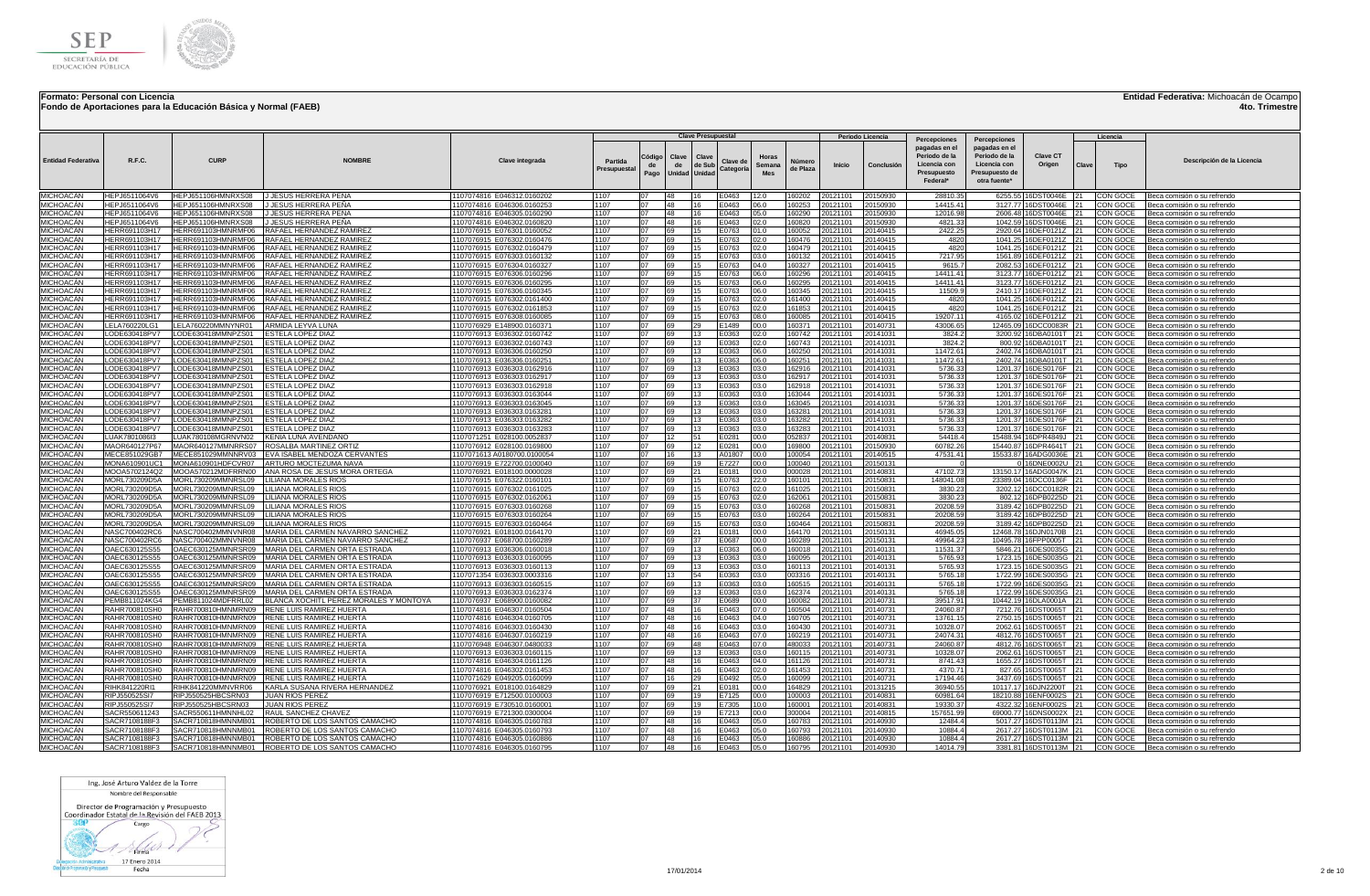

**Fondo de Aportaciones para la Educación Básica y Normal (FAEB)**

### **Entidad Federativa:** Michoacán de Ocampo

**4to. Trimestre**

|                                      |                                |                                          |                                                                    |                                                          |                        |                      |                              | <b>Clave Presupuestal</b> |                       |                               |                    |                      |                                |                                                                                           |                                                                                                  |                                                |       |                         |                                                            |
|--------------------------------------|--------------------------------|------------------------------------------|--------------------------------------------------------------------|----------------------------------------------------------|------------------------|----------------------|------------------------------|---------------------------|-----------------------|-------------------------------|--------------------|----------------------|--------------------------------|-------------------------------------------------------------------------------------------|--------------------------------------------------------------------------------------------------|------------------------------------------------|-------|-------------------------|------------------------------------------------------------|
| <b>Entidad Federativa</b>            | R.F.C.                         | CURF                                     | <b>NOMBRE</b>                                                      | Clave integrada                                          | Partida<br>Presupuesta | Código<br>de<br>Pago | Clave<br>de<br>Unidad Unidad | Clave<br>de Sub           | Clave de<br>Categoría | Horas<br>Semana<br><b>Mes</b> | Número<br>de Plaza | <b>Inicio</b>        | Periodo Licencia<br>Conclusión | Percepciones<br>pagadas en el<br>Periodo de la<br>Licencia con<br>Presupuesto<br>Federal* | Percepciones<br>pagadas en el<br>Periodo de la<br>Licencia con<br>Presupuesto de<br>otra fuente* | <b>Clave CT</b><br>Origen                      | Clave | Licencia<br><b>Tipo</b> | Descripción de la Licencia                                 |
| MICHOACÁN                            | HEPJ6511064V6                  | HEPJ651106HMNRXS08 JJ JESUS HERRERA PEÑA |                                                                    | 1107074816 E046312.0160202                               | 1107                   | 07                   | 48                           |                           | E0463                 | 12.0                          | 160202             | 20121101             | 20150930                       | 28810.35                                                                                  |                                                                                                  | 6255.55 16DST0046E 21                          |       | CON GOCE                | Beca comisión o su refrendo                                |
| MICHOACÁN                            | HEPJ6511064V6                  | HEPJ651106HMNRXS08                       | J JESUS HERRERA PEÑA                                               | 1107074816 E046306.0160253                               | 1107                   | 07                   | 48                           | 16.                       | E0463                 | 06.0                          | 160253             | 20121101             | 20150930                       | 14415.41                                                                                  |                                                                                                  | 3127.77 16DST0046E 21                          |       | CON GOCE                | Beca comisión o su refrendo                                |
| MICHOACÁN                            | HEPJ6511064V6                  | HEPJ651106HMNRXS08                       | J JESUS HERRERA PEÑA                                               | 1107074816 E046305.0160290                               | 1107                   | 07                   | 48                           |                           | E0463                 | 05.0                          | 160290             | 20121101             | 20150930                       | 12016.98                                                                                  |                                                                                                  | 2606.48 16DST0046E                             |       | CON GOCE                | Beca comisión o su refrendo                                |
| MICHOACÁN                            | HEP.I6511064V6                 | HEPJ651106HMNRXS08                       | I JESUS HERRERA PEÑA                                               | 1107074816 E046302.0160820                               | 1107                   | 07                   | 48                           |                           | E0463                 | 02.0                          | 160820             | 20121101             | 20150930                       | 4821.33                                                                                   | 1042.59                                                                                          | I6DST0046E                                     | 21    | CON GOCE                | Beca comisión o su refrendo                                |
| MICHOACÁN                            | HERR691103H17                  | HERR691103HMNRMF06                       | <b>RAFAEL HERNANDEZ RAMIREZ</b>                                    | 1107076915 E076301.0160052                               | 1107                   | 07                   | 169                          | 15                        | E0763                 | 01.0                          | 160052             | 20121101             | 20140415                       | 2422.25                                                                                   |                                                                                                  | 2920.64 16DEF0121Z 21                          |       | CON GOCE                | Beca comisión o su refrendo                                |
| <b>MICHOACÁN</b><br><b>MICHOACÁN</b> | HERR691103H17<br>HERR691103H17 | HERR691103HMNRMF06<br>HERR691103HMNRMF06 | RAFAEL HERNANDEZ RAMIREZ<br>RAFAEL HERNANDEZ RAMIRE                | 1107076915 E076302.0160476<br>1107076915 E076302.0160479 | 1107<br>1107           | 07<br>07             | 69<br>69                     |                           | E0763                 | 02.0<br>02.0                  | 160476<br>160479   | 20121101             | 20140415<br>20140415           | 4820<br>4820                                                                              | 1041.25<br>1041.25                                                                               | 16DEF0121Z 21<br>6DEF0121Z 21                  |       | CON GOCE                | Beca comisión o su refrendo                                |
| <b>MICHOACÁN</b>                     | HERR691103H17                  | HERR691103HMNRMF06                       | RAFAEL HERNANDEZ RAMIREZ                                           | 1107076915 E076303.0160132                               | 1107                   | 07                   | 69                           |                           | E0763<br>E0763        | 03.0                          | 160132             | 20121101<br>20121101 | 20140415                       | 7217.95                                                                                   | 1561.89                                                                                          | 16DEF0121Z 21                                  |       | CON GOCE<br>CON GOCE    | Beca comisión o su refrendo<br>Beca comisión o su refrendo |
| MICHOACÁN                            | HERR691103H17                  | HERR691103HMNRMF06                       | RAFAEL HERNANDEZ RAMIRE                                            | 1107076915 E076304.0160327                               | 1107                   | 07                   | <b>A</b>                     |                           | E0763                 | 04.0                          | 160327             | 20121101             | 0140415                        | 9615.7                                                                                    | 2082.53                                                                                          | 16DEF0121Z 21                                  |       | CON GOCE                | Beca comisión o su refrendo                                |
| MICHOACÁN                            | HFRR691103H17                  | HERR691103HMNRMF06                       | RAFAEL HERNANDEZ RAMIREZ                                           | 1107076915 E076306.0160296                               | 1107                   | 07                   | 69                           |                           | E0763                 | 06.0                          | 160296             | 20121101             | 0140415                        | 14411.41                                                                                  | 3123.77                                                                                          | 16DEF0121Z                                     |       | CON GOCE                | Beca comisión o su refrendo                                |
| MICHOACÁN                            | HERR691103H17                  | HERR691103HMNRMF06                       | RAFAEL HERNANDEZ RAMIREZ                                           | 1107076915 E076306.0160295                               | 1107                   | 07                   | 69                           |                           | E0763                 | 06.0                          | 160295             | 20121101             | 20140415                       | 14411.41                                                                                  |                                                                                                  | 3123.77 16DEF0121Z 21                          |       | CON GOCE                | Beca comisión o su refrendo                                |
| MICHOACÁN                            | HERR691103H17                  | HERR691103HMNRMF06                       | RAFAEL HERNANDEZ RAMIREZ                                           | 1107076915 E076306.0160345                               | 1107                   | 07                   | 69                           |                           | E0763                 | 06.0                          | 160345             | 20121101             | 20140415                       | 11509.9                                                                                   | 2410.17                                                                                          | 16DEF0121Z                                     | 21    | CON GOCE                | Beca comisión o su refrendo                                |
| MICHOACÁN                            | HERR691103H17                  | HERR691103HMNRMF06                       | RAFAEL HERNANDEZ RAMIREZ                                           | 1107076915 E076302.0161400                               | 1107                   | 07                   | 69                           |                           | E0763                 | 02.0                          | 161400             | 20121101             | 0140415                        | 4820                                                                                      | 1041.25                                                                                          | 6DEF0121Z                                      | 121   | CON GOCE                | Beca comisión o su refrendo                                |
| MICHOACÁN                            | HFRR691103H17                  | HERR691103HMNRMF06                       | RAFAEL HERNANDEZ RAMIREZ                                           | 1107076915 E076302.0161853                               | 1107                   | 07                   | 69                           |                           | E0763                 | 02.0                          | 161853             | 20121101             | 0140415                        | 4820                                                                                      | 1041.25                                                                                          | 16DEF0121Z 121                                 |       | CON GOCE                | Beca comisión o su refrendo                                |
| MICHOACÁN                            | HERR691103H17                  | HERR691103HMNRMF06                       | RAFAEL HERNANDEZ RAMIREZ                                           | 1107076915 E076308.0160085                               | 1107                   | 07                   | 69                           |                           | E0763                 | 08.0                          | 160085             | 20121101             | 0140415                        | 19207.11                                                                                  | 4165.02                                                                                          | 16DEF0121Z 21                                  |       | CON GOCE                | Beca comisión o su refrendo                                |
| MICHOACÁN                            | LELA760220LG1                  | LELA760220MMNYNR01                       | ARMIDA LEYVA LUNA                                                  | 107076929 E148900.0160371                                | 1107                   |                      | 69                           |                           | E1489                 | 00.0                          | 160371             | 0121101              | 0140731                        | 43006.65                                                                                  | 12465.09                                                                                         | 6DCC0083R                                      | 21    | CON GOCE                | Beca comisión o su refrendo                                |
| MICHOACÁN                            | LODE630418PV7                  | LODE630418MMNPZS01                       | ESTELA LOPEZ DIAZ                                                  | 1107076913 E036302.0160742                               | 1107                   |                      | 69                           |                           | E0363                 | 02.0                          | 160742             | 20121101             | 0141031                        | 3824.2                                                                                    | 3200.92                                                                                          | 16DBA0101T 21                                  |       | CON GOCE                | Beca comisión o su refrendo                                |
| MICHOACÁN                            | ODE630418PV7_                  | LODE630418MMNPZS01                       | ESTELA LOPEZ DIAZ                                                  | 107076913 E036302.0160743                                | 1107                   |                      | 69                           |                           | E0363                 | 02.0                          | 160743             | 20121101             | 0141031                        | 3824.2                                                                                    | 800.92                                                                                           | 16DBA0101T 21                                  |       | CON GOCE                | Beca comisión o su refrendo                                |
| MICHOACÁN                            | LODE630418PV7                  | LODE630418MMNPZS01                       | <b>ESTELA LOPEZ DIAZ</b>                                           | 1107076913 E036306.0160250                               | 1107                   | በ7<br>07             | 69                           |                           | E0363                 | 06.0                          | 160250             | 20121101             | 0141031                        | 11472.61                                                                                  |                                                                                                  | 2402.74 16DBA0101T 21                          |       | CON GOCE                | Beca comisión o su refrendo                                |
| <b>MICHOACÁN</b><br>MICHOACÁN        | LODE630418PV7<br>LODE630418PV7 | LODE630418MMNPZS01<br>LODE630418MMNPZS01 | <b>ESTELA LOPEZ DIAZ</b><br><b>ESTELA LOPEZ DIAZ</b>               | 1107076913 E036306.0160251<br>1107076913 E036303.0162916 | 1107<br>1107           | 07                   | 69<br>69                     | 13<br>13                  | E0363<br>E0363        | 06.0<br>03.0                  | 160251<br>162916   | 20121101<br>20121101 | 20141031<br>20141031           | 11472.61<br>5736.33                                                                       |                                                                                                  | 2402.74 16DBA0101T 21<br>1201.37 16DES0176F 21 |       | CON GOCE<br>CON GOCE    | Beca comisión o su refrendo<br>Beca comisión o su refrendo |
| MICHOACÁN                            | ODE630418PV7                   | LODE630418MMNPZS01                       | ESTELA LOPEZ DIAZ                                                  | 1107076913 E036303.0162917                               | 1107                   | 07                   | 69                           | 13                        | E0363                 | 03.0                          | 162917             | 20121101             | 0141031                        | 5736.33                                                                                   |                                                                                                  | 1201.37 16DES0176F 21                          |       | CON GOCE                | Beca comisión o su refrendo                                |
| <b>MICHOACÁN</b>                     | ODE630418PV7                   | LODE630418MMNPZS01                       | ESTELA LOPEZ DIAZ                                                  | 1107076913 E036303.0162918                               | 1107                   | 07                   | 69                           |                           | E0363                 | 03.0                          | 162918             | 20121101             | 0141031                        | 5736.33                                                                                   | 1201.37                                                                                          | 16DES0176F                                     | 121   | CON GOCE                | Beca comisión o su refrendo                                |
| <b>MICHOACÁN</b>                     | LODE630418PV7                  | LODE630418MMNPZS01                       | ESTELA LOPEZ DIAZ                                                  | 1107076913 E036303.0163044                               | 1107                   | 07                   | 69                           | 13                        | E0363                 | 03.0                          | 163044             | 20121101             | 20141031                       | 5736.33                                                                                   |                                                                                                  | 1201.37 16DES0176F 21                          |       | CON GOCE                | Beca comisión o su refrendo                                |
| MICHOACÁN                            | LODE630418PV7                  | LODE630418MMNPZS01                       | ESTELA LOPEZ DIAZ                                                  | 107076913 E036303.0163045                                | 1107                   | 07                   | 69                           |                           | E0363                 | 03.0                          | 163045             | 20121101             | 0141031                        | 5736.33                                                                                   | 1201.37                                                                                          | 16DES0176F                                     |       | CON GOCE                | Beca comisión o su refrendo                                |
| MICHOACÁN                            | ODE630418PV7                   | LODE630418MMNPZS01                       | ESTELA LOPEZ DIAZ                                                  | 1107076913 E036303.0163281                               | 1107                   | 07                   | 69                           |                           | E0363                 | 03.0                          | 163281             | 20121101             | 20141031                       | 5736.33                                                                                   |                                                                                                  | 1201.37 16DES0176F                             | 21    | CON GOCE                | Beca comisión o su refrendo                                |
| <b>MICHOACAN</b>                     | LODE630418PV7                  | LODE630418MMNPZS01                       | ESTELA LOPEZ DIAZ                                                  | 1107076913 E036303.0163282                               | 1107                   | 07                   | 69                           | 13                        | E0363                 | 03.0                          | 163282             | 20121101             | 20141031                       | 5736.33                                                                                   |                                                                                                  | 1201.37 16DES0176F 21                          |       | CON GOCE                | Beca comisión o su refrendo                                |
| <b>MICHOACÁN</b>                     | LODE630418PV7                  | LODE630418MMNPZS01                       | ESTELA LOPEZ DIAZ                                                  | 1107076913 E036303.0163283                               | 1107                   | 07                   | 69                           |                           | E0363                 | 03.0                          | 163283             | 20121101             | 20141031                       | 5736.33                                                                                   |                                                                                                  | 1201.37 16DES0176F                             | 21    | CON GOCE                | 3eca comisión o su refrendo                                |
| MICHOACÁN                            | LUAK7801086I3                  | LUAK780108MGRNVN02                       | KENIA LUNA AVENDAÑO                                                | 1107071251 E028100.0052837                               | 1107                   | 07                   | 12                           |                           | E0281                 | 00.0                          | 052837             | 20121101             | 0140831                        | 54418.4                                                                                   | 15488.94                                                                                         | 16DPR4849J                                     | 21    | CON GOCE                | Beca comisión o su refrendo                                |
| MICHOACÁN                            | MAOR640127P67                  | MAOR640127MMNRRS07                       | <b>ROSALBA MARTINEZ ORTIZ</b>                                      | 1107076912 E028100.0169800                               | 1107                   | 07                   | 69                           |                           | E0281                 | 00.0                          | 169800             | 20121101             | 20150930                       | 60782.26                                                                                  | 15440.87                                                                                         | 16DPR4641T                                     | 21    | CON GOCE                | Beca comisión o su refrendo                                |
| MICHOACÁN                            | MECE851029GB7                  | MECE851029MMNNRV03                       | EVA ISABEL MENDOZA CERVANTES                                       | 1107071613 A0180700.0100054                              | 1107                   | 07<br>07             | 16                           |                           | A01807                | 00.0                          | 100054             | 20121101             | 0140515                        | 47531.41                                                                                  | 15533.87                                                                                         | 16ADG0036E                                     | 121   | CON GOCE                | Beca comisión o su refrendo                                |
| MICHOACÁN<br><b>MICHOACÁN</b>        | MONA610901UC1<br>MOOA5702124Q2 | MONA610901HDFCVR07<br>MOOA570212MDFRRN00 | ARTURO MOCTEZUMA NAVA<br>ANA ROSA DE JESUS MORA ORTEGA             | 107076919 E722700.0100040<br>1107076921 E018100.0000028  | 1107<br>1107           | 07                   | 69<br>69                     | 21                        | E7227<br>E0181        | 00.0                          | 100040<br>000028   | 20121101<br>20121101 | 0150131<br>20140831            | 47102.73                                                                                  |                                                                                                  | 6DNE0002U<br>13150.17 16ADG0047K 21            | 21    | CON GOCE<br>CON GOCE    | Beca comisión o su refrendo                                |
| MICHOACÁN                            | MORL730209D5A                  | MORL730209MMNRSL09                       | LILIANA MORALES RIOS                                               | 1107076915 E076322.0160101                               | 1107                   | 07                   | 69                           |                           | E0763                 | 00.0<br>22.0                  | 160101             | 20121101             | 20150831                       | 148041.08                                                                                 |                                                                                                  | 23389.04 16DCC0136F 21                         |       | CON GOCE                | Beca comisión o su refrendo<br>Beca comisión o su refrendo |
| MICHOACÁN                            | MORL730209D5A                  | MORL730209MMNRSL09                       | LILIANA MORALES RIOS                                               | 1107076915 E076302.0161025                               | 1107                   | 07                   | 69                           |                           | E0763                 | 02.0                          | 161025             | 20121101             | 20150831                       | 3830.23                                                                                   |                                                                                                  | 3202.12 16DCC0182R 21                          |       | CON GOCE                | Beca comisión o su refrendo                                |
| MICHOACÁN                            | MORL730209D5A                  | MORL730209MMNRSL09                       | LILIANA MORALES RIOS                                               | 1107076915 E076302.016206                                | 1107                   | 07                   | 69                           |                           | E0763                 | 02.0                          | 162061             | 20121101             | 20150831                       | 3830.23                                                                                   | 802.12                                                                                           | 16DPB0225D 21                                  |       | CON GOCE                | Beca comisión o su refrendo                                |
| <b>MICHOACAN</b>                     | MORL730209D5A                  | MORL730209MMNRSL09                       | LILIANA MORALES RIOS                                               | 1107076915 E076303.0160268                               | 1107                   | 07                   | 69                           |                           | E0763                 | 03.0                          | 160268             | 20121101             | 20150831                       | 20208.59                                                                                  |                                                                                                  | 3189.42 16DPB0225D 21                          |       | CON GOCE                | Beca comisión o su refrendo                                |
| MICHOACÁN                            | MORL730209D5A                  | MORL730209MMNRSL09                       | LILIANA MORALES RIOS                                               | 1107076915 E076303.0160264                               | 1107                   | 07                   | 69                           |                           | E0763                 | 03.0                          | 160264             | 20121101             | 20150831                       | 20208.59                                                                                  | 3189.42                                                                                          | 16DPB0225D 21                                  |       | CON GOCE                | Beca comisión o su refrendo                                |
| MICHOACÁN                            | MORL730209D5A                  | MORL730209MMNRSL09                       | LILIANA MORALES RIOS                                               | 1107076915 E076303.0160464                               | 1107                   | ሰ7                   | <b>I</b> 69                  |                           | E0763                 | 03.0                          | 160464             | 20121101             | 20150831                       | 20208.59                                                                                  | 3189.42                                                                                          | 6DPB0225D 21                                   |       | CON GOCE                | Beca comisión o su refrendo                                |
| MICHOACÁN                            | NASC700402RC6                  | NASC700402MMNVNR08                       | MARIA DEL CARMEN NAVARRO SANCHEZ                                   | 1107076921 E018100.0164170                               | 1107                   | 07                   | 69                           |                           | E0181                 | 00.0                          | 164170             | 20121101             | 20150131                       | 46945.05                                                                                  | 12468.78                                                                                         | 16DJN0170B 21                                  |       | CON GOCE                | Beca comisión o su refrendo                                |
| <b>MICHOACÁN</b>                     | NASC700402RC6                  | NASC700402MMNVNR08                       | MARIA DEL CARMEN NAVARRO SANCHEZ                                   | 107076937 E068700.0160289                                | 1107                   | 07                   | 69                           | 37                        | E0687                 | 00.0                          | 160289             | 20121101             | 20150131                       | 49964.23                                                                                  | 10495.78                                                                                         | 16FPP0005T                                     | 21    | CON GOCE                | Beca comisión o su refrendo                                |
| <b>MICHOACÁN</b>                     | OAEC630125S55                  | OAEC630125MMNRSR09                       | MARIA DEL CARMEN ORTA ESTRADA                                      | 1107076913 E036306.0160018                               | 1107                   | 07                   | 69                           |                           | E0363                 | 06.0                          | 160018             | 20121101             | 20140131                       | 11531.37                                                                                  | 5846.21                                                                                          | 16DES0035G 21                                  |       | CON GOCE                | Beca comisión o su refrendo                                |
| <b>MICHOACÁN</b>                     | OAEC630125S55                  | OAEC630125MMNRSR09                       | MARIA DEL CARMEN ORTA ESTRADA                                      | 1107076913 E036303.0160095                               | 1107<br>1107           | 07<br>07             | 69                           | 13                        | E0363                 | 03.0                          | 160095             | 20121101             | 20140131                       | 5765.93                                                                                   | 1723.15                                                                                          | 16DES0035G 21                                  |       | CON GOCE                | Beca comisión o su refrendo                                |
| <b>MICHOACAN</b><br>MICHOACÁN        | OAEC630125S55<br>OAEC630125S55 | OAEC630125MMNRSR09<br>OAEC630125MMNRSR09 | MARIA DEL CARMEN ORTA ESTRADA<br>MARIA DEL CARMEN ORTA ESTRADA     | 1107076913 E036303.0160113<br>107071354 E036303.0003316  | 1107                   | 07                   | 69<br>113                    | 54                        | E0363<br>E0363        | 03.0<br>03.0                  | 160113<br>003316   | 20121101<br>20121101 | 20140131<br>20140131           | 5765.93<br>5765.18                                                                        | 1723.15<br>1722.99                                                                               | 16DES0035G 21<br>6DES0035G                     |       | CON GOCE<br>CON GOCE    | Beca comisión o su refrendo<br>Beca comisión o su refrendo |
| MICHOACÁN                            | OAEC630125S55                  | OAEC630125MMNRSR09                       | MARIA DEL CARMEN ORTA ESTRADA                                      | 1107076913 E036303.0160515                               | 1107                   | 07                   | 69                           | 13                        | E0363                 | 03.0                          | 160515             | 20121101             | 20140131                       | 5765.18                                                                                   | 1722.99                                                                                          | 16DES0035G                                     | 21    | CON GOCE                | Beca comisión o su refrendo                                |
| MICHOACÁN                            | OAEC630125S55                  | OAEC630125MMNRSR09                       | MARIA DEL CARMEN ORTA ESTRADA                                      | 1107076913 E036303.0162374                               | 1107                   | 07                   | 69                           |                           | E0363                 | 03.0                          | 162374             | 20121101             | 0140131                        | 5765.18                                                                                   | 1722.99                                                                                          | 6DES0035G                                      | 21    | CON GOCE                | Beca comisión o su refrendo                                |
| <b>MICHOACÁN</b>                     | PEMB811024KG4                  | PEMB811024MDFRRL02                       | BLANCA XOCHITL PEREZ MORALES Y MONTOYA                             | 1107076937 E068900.0160082                               | 1107                   | 07                   | 69                           |                           | E0689                 | 00.0                          | 160082             | 0121101              | 0140731                        | 39517.91                                                                                  | 10442 19                                                                                         | 6DLA0001A                                      |       | CON GOCE                | Beca comisión o su refrendo                                |
| MICHOACÁN                            | RAHR700810SH0                  | RAHR700810HMNMRN09                       | RENE LUIS RAMIREZ HUERTA                                           | 107074816 E046307.0160504                                | 1107                   |                      | 48                           |                           | E0463                 | 07.0                          | 160504             | 20121101             | 0140731                        | 24060.87                                                                                  |                                                                                                  | 7212.76 16DST0065T 21                          |       | CON GOCE                | Beca comisión o su refrendo                                |
| MICHOACÁN                            | RAHR700810SH0                  | RAHR700810HMNMRN09                       | <b>RENE LUIS RAMIREZ HUERTA</b>                                    | 107074816 E046304.0160705                                | 1107                   |                      | 48                           |                           | E0463                 | 04.0                          | 160705             | 0121101              | 0140731                        | 13761.15                                                                                  |                                                                                                  | 2750.15 16DST0065T 21                          |       | CON GOCE                | Beca comisión o su refrendo                                |
| MICHOACÁN                            | RAHR700810SH0                  | RAHR700810HMNMRN09                       | RENE LUIS RAMIREZ HUERTA                                           | 107074816 E046303.0160430                                | 1107                   |                      | 48                           |                           | E0463                 | 03.0                          | 160430             | 20121101             | 0140731                        | 10328.07                                                                                  | 2062.61                                                                                          | 16DST0065T                                     |       | CON GOCE                | Beca comisión o su refrendo                                |
| <b>MICHOACÁN</b>                     | RAHR700810SH0                  | RAHR700810HMNMRN09                       | <b>RENE LUIS RAMIREZ HUERTA</b>                                    | 1107074816 E046307.0160219                               | 1107                   | 07                   | 48                           |                           | E0463                 | 07.0                          | 160219             | 20121101             | 20140731                       | 24074.31                                                                                  | 4812.76                                                                                          | 16DST0065T                                     | 121   | CON GOCE                | Beca comisión o su refrendo                                |
| <b>MICHOACÁN</b>                     | RAHR700810SH0                  | RAHR700810HMNMRN09                       | RENE LUIS RAMIREZ HUERTA                                           | 1107076948 E046307.0480033                               | 1107                   | 07                   | 69                           | 48                        | E0463                 | 07.0                          | 480033             | 20121101             | 20140731                       | 24060.87                                                                                  | 4812.76                                                                                          | 16DST0065T                                     | 121   | CON GOCE                | Beca comisión o su refrendo                                |
| <b>MICHOACÁN</b>                     | RAHR700810SH0                  | RAHR700810HMNMRN09                       | <b>RENE LUIS RAMIREZ HUERTA</b>                                    | 1107076913 E036303.0160115                               | 1107                   | 07                   | 69                           | 13                        | E0363                 | 03.0                          | 160115             | 20121101             | 20140731                       | 10328.07                                                                                  |                                                                                                  | 2062.61 16DST0065T 21                          |       | CON GOCE                | Beca comisión o su refrendo                                |
| <b>MICHOACÁN</b><br><b>MICHOACÁN</b> | RAHR700810SH0                  | RAHR700810HMNMRN09                       | <b>RENE LUIS RAMIREZ HUERTA</b><br><b>RENE LUIS RAMIREZ HUERTA</b> | 1107074816 E046304.0161126                               | 1107                   | 07<br>07             | 48<br>48                     | 16                        | E0463                 | 04.0                          | 161126             | 20121101             | 20140731                       | 8741.43                                                                                   |                                                                                                  | 1655.27 16DST0065T 21                          |       | CON GOCE                | Beca comisión o su refrendo                                |
| <b>MICHOACÁN</b>                     | RAHR700810SH0<br>RAHR700810SH0 | RAHR700810HMNMRN09<br>RAHR700810HMNMRN09 | <b>RENE LUIS RAMIREZ HUERTA</b>                                    | 1107074816 E046302.0161453                               | 1107<br>1107           | 07                   | 16                           |                           | E0463<br>E0492        | 02.0<br>05.0                  | 161453<br>160099   | 20121101<br>20121101 | 20140731<br>20140731           | 4370.71<br>17194.46                                                                       |                                                                                                  | 827.65 16DST0065T 21                           |       | CON GOCE                | Beca comisión o su refrendo                                |
| MICHOACÁN                            | RIHK841220RI <sup>.</sup>      | RIHK841220MMNVRR06                       | KARLA SUSANA RIVERA HERNANDEZ                                      | 1107071629 E049205.0160099<br>107076921 E018100.0164829  | 1107                   | 07                   | 69                           |                           | E0181                 | nn n                          | 164829             | 20121101             | 0131215                        | 36940.55                                                                                  | 10117.17                                                                                         | 3437.69 16DST0065T 21<br>16DJN2200T            |       | CON GOCE<br>CON GOCE    | Beca comisión o su refrendo                                |
| <b>MICHOACÁN</b>                     | RIPJ550525SI7                  | RIPJ550525HBCSRN03                       | JUAN RIOS PEREZ                                                    | 1107076919 E712500.0100003                               | 1107                   | 07                   | <b>R</b>                     |                           | E7125                 | nn n                          | 100003             | 20121101             | 20140831                       | 60981.64                                                                                  | 18210.88                                                                                         | 16ENF0002S                                     |       | CON GOCE                | Beca comisión o su refrendo<br>Beca comisión o su refrendo |
| MICHOACÁN                            | RIPJ550525SI7                  | RIPJ550525HBCSRN03                       | JUAN RIOS PEREZ                                                    | 1107076919 E730510.0160001                               | 1107                   | 07                   | 69                           |                           | E7305                 | 10.0                          | 160001             | 20121101             | 0140831                        | 19330.37                                                                                  | 4322.32                                                                                          | 6ENF0002S                                      |       | CON GOCE                | Beca comisión o su refrendo                                |
| <b>MICHOACÁN</b>                     | SACR550611243                  | SACR550611HMNNHL02                       | RAUL SANCHEZ CHAVEZ                                                | 1107076919 E721300.0300004                               | 1107                   | 07                   | 69                           |                           | E7213                 | 00.0                          | 300004             | 20121101             | 20140815                       | 157651.99                                                                                 | 69000.77                                                                                         | 16DNS0002X                                     |       | CON GOCE                | Beca comisión o su refrendo                                |
| <b>MICHOACÁN</b>                     | SACR7108188F3                  | SACR710818HMNNMB01                       | ROBERTO DE LOS SANTOS CAMACHO                                      | 1107074816 E046305.0160783                               | 1107                   | 07                   | 48                           | 16                        | E0463                 | 05.0                          | 160783             | 20121101             | 20140930                       | 12484.4                                                                                   |                                                                                                  | 5017.27 16DST0113M 21                          |       | CON GOCE                | Beca comisión o su refrendo                                |
| MICHOACÁN                            | SACR7108188F3                  | SACR710818HMNNMB01                       | ROBERTO DE LOS SANTOS CAMACHO                                      | 1107074816 E046305.0160793                               | 1107                   | 07                   | 48                           |                           | E0463                 | 05.0                          | 160793             | 20121101             | 0140930                        | 10884.4                                                                                   |                                                                                                  | 2617.27 16DST0113M 21                          |       | CON GOCE                | Beca comisión o su refrendo                                |
| <b>MICHOACÁN</b>                     | SACR7108188E3                  |                                          | SACR710818HMNNMB01 ROBERTO DE LOS SANTOS CAMACHO                   | 1107074816 E046305.0160886                               | 1107                   | 07                   | 48                           |                           | E0463                 | 05.0                          | 160886             | 20121101             | 0140930                        | 108844                                                                                    |                                                                                                  | 2617.27 16DST0113M 21                          |       | CON GOCE                | Beca comisión o su refrendo                                |
| MICHOACÁN                            | SACR7108188F3                  |                                          | SACR710818HMNNMB01 ROBERTO DE LOS SANTOS CAMACHO                   | 1107074816 E046305.0160795                               | 1107                   |                      | 48                           |                           | E0463                 | 05.0                          | 160795             | 20121101             | 20140930                       | 14014.79                                                                                  |                                                                                                  | 3381.81 16DST0113M 21                          |       | CON GOCE                | Beca comisión o su refrendo                                |

Ing. José Arturo Valdez de la Torre Nombre del Responsable

Director de Programación y Presupuesto<br>Coordinador Estatal de la Revisión del FAEB 2013

300 Cargo

 $1 \rightarrow$ **Scholarship School Section**<br>
Supervision Passes Passes Fecha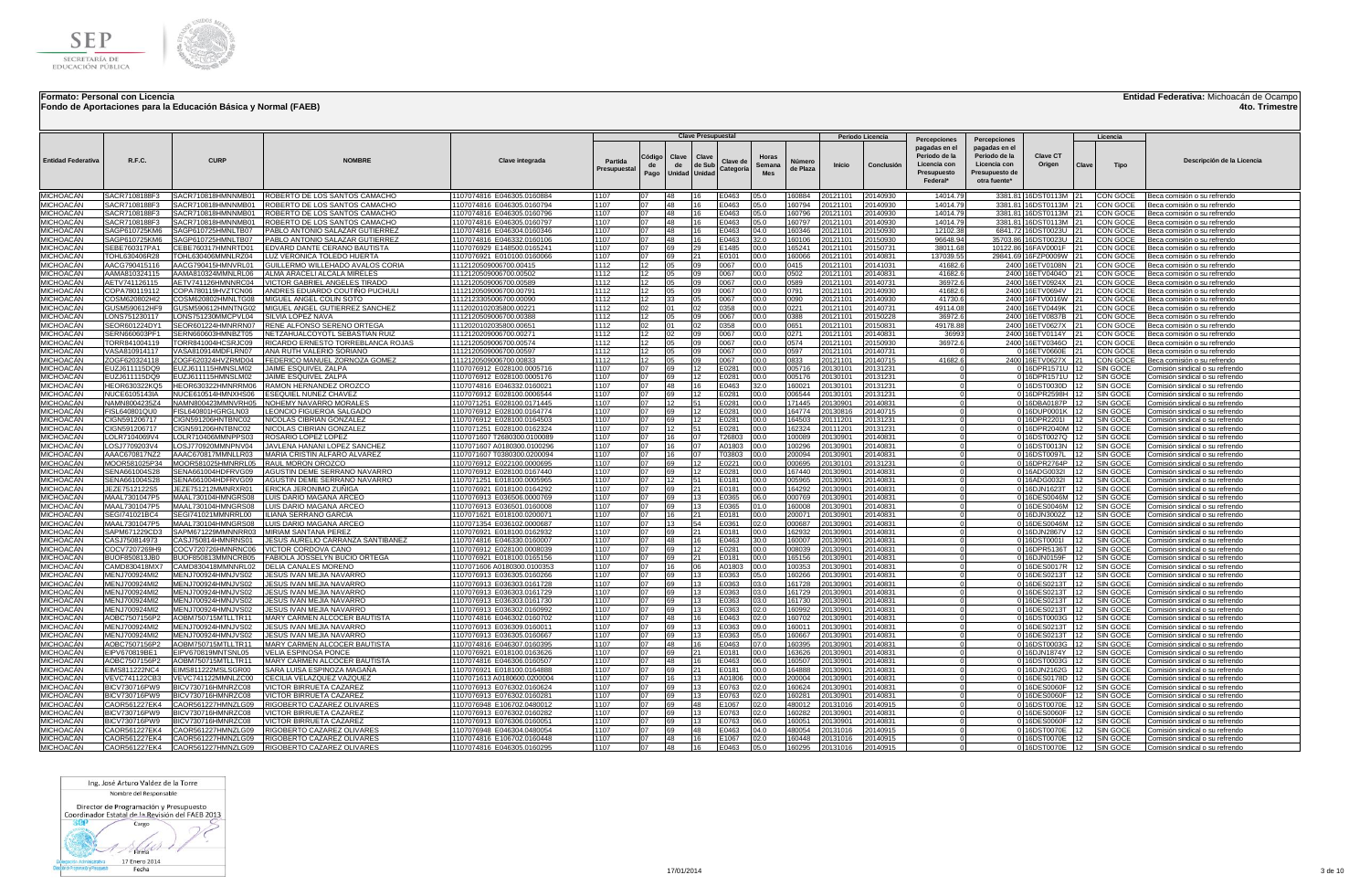

**Fondo de Aportaciones para la Educación Básica y Normal (FAEB)**

## **Entidad Federativa:** Michoacán de Ocampo

**4to. Trimestre**

|                                      |                                |                                          |                                                                  |                                                          |                         |                      |                              | <b>Clave Presupuestal</b> |                       |                        |                    |                      | Periodo Licencia     |                                                                                           |                                                                                                  |                                             |           | Licencia             |                                                                    |
|--------------------------------------|--------------------------------|------------------------------------------|------------------------------------------------------------------|----------------------------------------------------------|-------------------------|----------------------|------------------------------|---------------------------|-----------------------|------------------------|--------------------|----------------------|----------------------|-------------------------------------------------------------------------------------------|--------------------------------------------------------------------------------------------------|---------------------------------------------|-----------|----------------------|--------------------------------------------------------------------|
| <b>Entidad Federativa</b>            | R.F.C.                         | CURP                                     | <b>NOMRRF</b>                                                    | <b>Clave integrada</b>                                   | Partida<br>Presupuestal | Código<br>de<br>Pago | Clave<br>de<br>Unidad Unidad | Clave<br>de Sub           | Clave de<br>Categoría | Horas<br>Semana<br>Mes | Númerc<br>de Plaza | Inicio               | Conclusión           | Percepciones<br>pagadas en el<br>Periodo de la<br>Licencia con<br>Presupuesto<br>Federal* | Percepciones<br>pagadas en el<br>Periodo de la<br>Licencia con<br>Presunuesto de<br>otra fuente* | <b>Clave CT</b><br>Origen                   | Clave     | Tipo                 | Descripción de la Licencia                                         |
| MICHOACÁN                            | SACR7108188F3                  | SACR710818HMNNMB01                       | ROBERTO DE LOS SANTOS CAMACHO                                    | 1107074816 E046305.0160884                               | 1107                    |                      | 48                           |                           | E0463                 | 05.0                   | 160884             | 20121101             | 20140930             | 14014.79                                                                                  |                                                                                                  | 3381.81 16DST0113M 21                       |           | <b>CON GOCE</b>      | Beca comisión o su refrendo                                        |
| <b>MICHOACÁN</b>                     | SACR7108188F3                  | SACR710818HMNNMB01                       | OBERTO DE LOS SANTOS CAMACHO                                     | 1107074816 E046305.0160794                               | 1107                    | 07                   | 48                           | 16                        | E0463                 | 05.0                   | 160794             | 20121101             | 20140930             | 14014.79                                                                                  |                                                                                                  | 3381.8116DST0113M 21                        |           | CON GOCE             | Beca comisión o su refrendo                                        |
| <b>MICHOACÁN</b><br><b>MICHOACÁN</b> | SACR7108188F3<br>SACR7108188F3 | SACR710818HMNNMB01<br>SACR710818HMNNMB01 | OBERTO DE LOS SANTOS CAMACHO                                     | 1107074816 E046305.0160796                               | 1107<br>1107            | 07<br>07             | 48<br>48                     | 16                        | E0463<br>E0463        | 05.0                   | 160796<br>160797   | 20121101<br>20121101 | 20140930<br>20140930 | 14014.79<br>14014.79                                                                      |                                                                                                  | 3381.81 16DST0113M<br>3381.81 16DST0113M 21 | 21        | CON GOCE<br>CON GOCE | Beca comisión o su refrendo                                        |
| <b>MICHOACÁN</b>                     | SAGP610725KM6                  | SAGP610725HMNLTB07                       | ROBERTO DE LOS SANTOS CAMACHO<br>PABLO ANTONIO SALAZAR GUTIERREZ | 1107074816 E046305.0160797<br>1107074816 E046304.0160346 | 1107                    | 07                   | 48                           | 16<br>16                  | E0463                 | 05.0<br>04.0           | 160346             | 20121101             | 20150930             | 12102.38                                                                                  |                                                                                                  | 6841.72 16DST0023U 21                       |           | CON GOCE             | Beca comisión o su refrendo<br>Beca comisión o su refrendo         |
| <b>MICHOACÁN</b>                     | SAGP610725KM6                  | SAGP610725HMNLTB07                       | PABLO ANTONIO SALAZAR GUTIERREZ                                  | 1107074816 E046332.0160106                               | 1107                    | 07                   | 48                           | 16                        | E0463                 | 32.0                   | 160106             | 20121101             | 20150930             | 96648.94                                                                                  |                                                                                                  | 35703.86 16DST0023U 21                      |           | CON GOCE             | Beca comisión o su refrendo                                        |
| <b>MICHOACÁN</b>                     | SEBE760317PA1                  | CEBE760317HMNRTD01                       | DVARD DANTE CERANO BAUTISTA                                      | 1107076929 E148500.0165241                               | 1107                    | 07                   | 69                           | 29                        | E1485                 | 00.0                   | 165241             | 20121101             | 20150731             | 38011.68                                                                                  |                                                                                                  | 10122.86 16FAV0001F                         |           | CON GOCE             | Beca comisión o su refrendo                                        |
| <b>MICHOACÁN</b>                     | TOHL630406R28                  | TOHL630406MMNLRZ04                       | UZ VERONICA TOLEDO HUERTA                                        | 1107076921 E010100.0160066                               | 1107                    | 07                   | 69                           | 21                        | E0101                 | 00.0                   | 160066             | 20121101             | 20140831             | 137039.55                                                                                 |                                                                                                  | 29841.69 16FZP0009W 21                      |           | CON GOCE             | Beca comisión o su refrendo                                        |
| MICHOACÁN                            | AACG790415116                  | AACG790415HMNVRL01                       | SUILLERMO WILLEHADO AVALOS CORIA                                 | 1112120509006700.00415                                   | 1112                    | 12                   | 05                           | 09                        | 0067                  | 00.0                   | 0415               | 20121101             | 20141031             | 41682.6                                                                                   |                                                                                                  | 2400 16ETV0108N 21                          |           | CON GOCE             | Beca comisión o su refrendo                                        |
| <b>MICHOACAN</b><br>MICHOACÁN        | AAMA810324115<br>AETV741126115 | AAMA810324MMNLRL06<br>AETV741126HMNNRC04 | ALMA ARACELI ALCALA MIRELES<br>/ICTOR GABRIEL ANGELES TIRADO     | 1112120509006700.00502<br>1112120509006700.00589         | 1112<br>1112            | 12<br>12             | 05<br>05                     | 09<br>09                  | 0067<br>0067          | 00.0<br>00.0           | 0502<br>0589       | 20121101<br>20121101 | 20140831<br>20140731 | 41682.6<br>36972.6                                                                        |                                                                                                  | 2400 16ETV0404O 21<br>2400 16ETV0924X 21    |           | CON GOCE<br>CON GOCE | Beca comisión o su refrendo<br>Beca comisión o su refrendo         |
| <b>MICHOACÁN</b>                     | COPA780119112                  | COPA780119HVZTCN06                       | ANDRES EDUARDO COUTIÑO PUCHULI                                   | 1112120509006700.00791                                   | 1112                    | 12                   | 05                           | 09                        | 0067                  | 00.0                   | 0791               | 20121101             | 20140930             | 41682.6                                                                                   |                                                                                                  | 2400 16ETV0694V 21                          |           | CON GOCE             | Beca comisión o su refrendo                                        |
| <b>MICHOACÁN</b>                     | COSM620802HI2                  | COSM620802HMNLTG08                       | MIGUEL ANGEL COLIN SOTO                                          | 1112123305006700.00090                                   | 1112                    | 12                   | 33                           | 05                        | 0067                  | 00.0                   | 0090               | 20121101             | 20140930             | 41730.6                                                                                   |                                                                                                  | 2400 16FTV0016W 21                          |           | CON GOCE             | Beca comisión o su refrendo                                        |
| <b>MICHOACAN</b>                     | GUSM590612HF9                  | GUSM590612HMNTNG02                       | MIGUEL ANGEL GUTIERREZ SANCHEZ                                   | 1112020102035800.00221                                   | 1112                    | 02                   | 01                           | 02                        | 0358                  | 00.0                   | 0221               | 20121101             | 20140731             | 49114.08                                                                                  |                                                                                                  | 2400 16ETV0449K 21                          |           | CON GOCE             | Beca comisión o su refrendo                                        |
| <b>MICHOACÁN</b>                     | ONS751230117                   | LONS751230MMCPVL04                       | SILVIA LOPEZ NAVA                                                | 1112120509006700.00388                                   | 1112                    | 12 <sup>1</sup>      | 0 <sub>5</sub>               | 09                        | 0067                  | 00.0                   | 0388               | 20121101             | 20150228             | 36972.6                                                                                   |                                                                                                  | 2400 16ETV0837B 21                          |           | CON GOCE             | Beca comisión o su refrendo                                        |
| <b>MICHOACÁN</b>                     | SEOR601224DY                   | SEOR601224HMNRRN07                       | RENE AL <u>FONSO SERENO ORTEGA</u>                               | 1112020102035800.00651                                   | 1112                    | 02                   | $^{\circ}$                   | 02                        | 0358                  | 00.0                   | 0651               | 20121101             | 20150831             | 49178.88                                                                                  |                                                                                                  | 2400 16ETV0627X                             | 21        | CON GOCE             | Beca comisión o su refrendo                                        |
| MICHOACÁN<br><b>MICHOACÁN</b>        | SERN660603PF1                  | SERN660603HMNBZT05                       | NETZAHUALCOYOTL SEBASTIAN RUI                                    | 1112120209006700.00271                                   | 1112<br>1112            | 12<br>12             | 02                           | nq<br>09                  | 0067<br>0067          | 00.0<br>00.0           | 0271<br>0574       | 20121101<br>20121101 | 20140831             | 36993                                                                                     |                                                                                                  | 2400 16ETV0114Y                             | 21        | CON GOCE             | Beca comisión o su refrendo                                        |
| MICHOACÁN                            | FORR841004119<br>VASA810914117 | TORR841004HCSRJC09<br>VASA810914MDFLRN07 | RICARDO ERNESTO TORREBLANCA ROJAS<br>ANA RUTH VALERIO SORIANO    | 1112120509006700.00574<br>1112120509006700.00597         | 1112                    | 12                   | 05<br>05                     | 09                        | 0067                  | 00.0                   | 0597               | 20121101             | 20150930<br>20140731 | 36972.6                                                                                   |                                                                                                  | 2400 16ETV0346O<br>0 16ETV0660E             | 21<br> 21 | CON GOCE<br>CON GOCE | 3eca comisión o su refrendo<br>3eca comisión o su refrendo         |
| <b>MICHOACÁN</b>                     | ZOGF620324118                  | ZOGF620324HVZRMD04                       | FEDERICO MANUEL ZORNOZA GOMEZ                                    | 1112120509006700.00833                                   | 1112                    | 12                   | 05                           | 09                        | 0067                  | 00.0                   | 0833               | 20121101             | 20140715             | 41682.6                                                                                   |                                                                                                  | 2400 16ETV0627X                             | 21        | CON GOCE             | 3eca comisión o su refrendo                                        |
| <b>MICHOACÁN</b>                     | EUZJ611115DQ9                  | FUZJ611115HMNSLM02                       | JAIME ESQUIVEL ZALPA                                             | 1107076912 E028100.0005716                               | 1107                    | 07                   | 69                           | 12                        | E0281                 | 00.0                   | 005716             | 20130101             | 20131231             |                                                                                           |                                                                                                  | 0 16DPR1571U 12                             |           | SIN GOCE             | Comisión sindical o su refrendo                                    |
| <b>MICHOACÁN</b>                     | EUZJ611115DQ9                  | EUZJ611115HMNSLM02                       | <b>IAIME ESQUIVEL ZALPA</b>                                      | 1107076912 E028100.0005176                               | 1107                    | 07                   | 69                           | 12                        | F0281                 | 00.0                   | 005176             | 20130101             | 20131231             |                                                                                           |                                                                                                  | 0 16DPR1571U 12                             |           | SIN GOCE             | Comisión sindical o su refrendo                                    |
| MICHOACÁN                            | HEOR630322KQ5                  | HEOR630322HMNRRM06                       | RAMON HERNANDEZ OROZCO                                           | 1107074816 E046332.0160021                               | 1107                    | 07                   | 48                           | 16                        | E0463                 | 32.0                   | 160021             | 20130101             | 20131231             |                                                                                           |                                                                                                  | 0 16DST0030D 12                             |           | SIN GOCE             | Comisión sindical o su refrendo                                    |
| <b>MICHOACAN</b>                     | NUCE6105143IA                  | NUCE610514HMNXHS06                       | <b>ESEQUIEL NUNEZ CHAVEZ</b>                                     | 1107076912 E028100.0006544                               | 1107                    | 07                   | 69                           | 12                        | E0281                 | 00.0                   | 006544             | 20130101             | 20131231             | $\Omega$                                                                                  |                                                                                                  | 0 16DPR2598H 12                             |           | SIN GOCE             | Comisión sindical o su refrendo                                    |
| MICHOACÁN<br><b>MICHOACÁN</b>        | NAMN8004235Z4                  | NAMN800423MMNVRH05                       | NOHEMY NAVARRO MORALES<br>EONCIO FIGUEROA SALGADO                | 1107071251 E028100.0171445                               | 1107<br>1107            | 07<br>07             | 12                           | 51                        | E0281                 | 00.0                   | 171445<br>164774   | 20130901<br>20130816 | 0140831<br>0140715   |                                                                                           |                                                                                                  | 0 16DBA0187P 12<br>0 16DUP0001K 12          |           | SIN GOCE             | Comisión sindical o su refrendo                                    |
| <b>MICHOACÁN</b>                     | FISL640801QU0<br>CIGN591206717 | FISL640801HGRGLN03<br>CIGN591206HNTBNC02 | NICOLAS CIBRIAN GONZALEZ                                         | 1107076912 E028100.0164774<br>1107076912 E028100.0164503 | 1107                    | 07                   | 69<br>69                     | 12                        | E0281<br>E0281        | 00.0<br>00.0           | 164503             | 20111201             | 20131231             |                                                                                           |                                                                                                  | 0 16DPR2201I 12                             |           | SIN GOCE<br>SIN GOCE | Comisión sindical o su refrendo<br>Comisión sindical o su refrendo |
| <b>MICHOACÁN</b>                     | CIGN591206717                  | CIGN591206HNTBNC02                       | NICOLAS CIBRIAN GONZALEZ                                         | 1107071251 E028100.0162324                               | 1107                    | 07                   | 12                           | 51                        | E0281                 | 00.0                   | 162324             | 20111201             | 20131231             | - 0                                                                                       |                                                                                                  | 0 16DPR2040M 12                             |           | SIN GOCE             | Comisión sindical o su refrendo                                    |
| <b>MICHOACAN</b>                     | LOLR7104069V4                  | LOLR710406MMNPPS03                       | ROSARIO LOPEZ LOPEZ                                              | 1107071607 T2680300.0100089                              | 1107                    | 07                   | 16                           | 07                        | T26803                | 00.0                   | 100089             | 20130901             | 20140831             |                                                                                           |                                                                                                  | 0 16DST0027Q 12                             |           | SIN GOCE             | Comisión sindical o su refrendo                                    |
| <b>MICHOACÁN</b>                     | LOSJ7709203V4                  | LOSJ770920MMNPNV04                       | JAVLENA HANANI LOPEZ SANCHEZ                                     | 1107071607 A0180300.0100296                              | 1107                    | 07                   | 16                           | 07                        | A01803 00.0           |                        | 100296             | 20130901             | 20140831             | $\Omega$                                                                                  |                                                                                                  | 0 16DST0013N 12                             |           | SIN GOCE             | Comisión sindical o su refrendo                                    |
| <b>MICHOACÁN</b>                     | AAAC670817NZ2                  | AAAC670817MMNLLR03                       | MARIA CRISTIN ALFARO ALVAREZ                                     | 1107071607 T0380300.0200094                              | 1107                    | 07                   | 16                           | 07                        | Г03803                | 00.0                   | 200094             | 20130901             | 20140831             |                                                                                           |                                                                                                  | 0 16DST0097L 12                             |           | SIN GOCE             | Comisión sindical o su refrendo                                    |
| <b>MICHOACÁN</b>                     | MOOR581025P34<br>SENA661004S28 | MOOR581025HMNRRL05                       | RAUL MORON OROZCO<br>AGUSTIN DEME SERRANO NAVARRO                | 1107076912 E022100.0000695                               | 1107<br>1107            | 07<br>07             | 69<br>69                     | 12                        | E0221<br>E0281        | 00.0<br>00.0           | 000695<br>167440   | 20130101             | 20131231             |                                                                                           |                                                                                                  | 0 16DPR2764P 12                             |           | SIN GOCE             | Comisión sindical o su refrendo                                    |
| <b>MICHOACÁN</b><br>MICHOACÁN        | SENA661004S28                  | SENA661004HDFRVG09<br>SENA661004HDFRVG09 | AGUSTIN DEME SERRANO NAVARRO                                     | 1107076912 E028100.0167440<br>1107071251 E018100.0005965 | 1107                    | 07                   | 12                           | 51                        | E0181                 | 00.0                   | 005965             | 2013090<br>20130901  | 20140831<br>20140831 |                                                                                           |                                                                                                  | 0 16ADG0032I<br>0 16ADG0032I 12             |           | SIN GOCE<br>SIN GOCE | Comisión sindical o su refrendo<br>Comisión sindical o su refrendo |
| MICHOACÁN                            | JEZE7512122S5                  | JEZE751212MMNRXR01                       | ERICKA JERONIMO ZUÑIGA                                           | 1107076921 E018100.0164292                               | 1107                    | 07                   | 69                           | 21                        | E0181                 | 00.0                   | 164292             | 20130901             | 20140831             |                                                                                           |                                                                                                  | 0 16DJN1623T                                | 12        | SIN GOCE             | Comisión sindical o su refrendo                                    |
| MICHOACÁN                            | MAAL7301047P5                  | MAAL730104HMNGRS08                       | UIS DARIO MAGANA ARCEC                                           | 1107076913 E036506.0000769                               | 1107                    | 07                   | 69                           | 13                        | E0365                 | 06.0                   | 000769             | 20130901             | 20140831             |                                                                                           |                                                                                                  | 0 16DES0046M 12                             |           | SIN GOCE             | Comisión sindical o su refrendo                                    |
| MICHOACÁN                            | MAAL7301047P5                  | MAAL730104HMNGRS08                       | LUIS DARIO MAGANA ARCEO                                          | 1107076913 E036501.0160008                               | 1107                    | 07                   | 69                           | 13                        | E0365                 | 01.0                   | 160008             | 20130901             | 20140831             |                                                                                           |                                                                                                  | 0 16DES0046M 12                             |           | SIN GOCE             | Comisión sindical o su refrendo                                    |
| MICHOACÁN                            | SEGI741021BC4                  | SEGI741021MMNRRL00                       | LIANA SERRANO GARCIA                                             | 1107071621 E018100.0200071                               | 1107                    | 07                   | 16                           | 21                        | E0181                 | 00.0                   | 200071             | 20130901             | 20140831             |                                                                                           |                                                                                                  | 0 16DJN3002Z                                | 12        | SIN GOCE             | Comisión sindical o su refrendo                                    |
| <b>MICHOACÁN</b>                     | MAAL7301047P5                  | MAAL730104HMNGRS08                       | LUIS DARIO MAGANA ARCEC                                          | 1107071354 E036102.0000687                               | 1107<br>1107            | 07<br>07             | 13                           | 54<br>21                  | E0361                 | 02.0                   | 000687             | 2013090              | 20140831             |                                                                                           |                                                                                                  | 0 16DES0046M                                |           | SIN GOCE             | Comisión sindical o su refrendo                                    |
| MICHOACÁN<br>MICHOACÁN               | SAPM671229CD3<br>CASJ750814973 | SAPM671229MMNNRR03<br>CASJ750814HMNRNS01 | MIRIAM SANTANA PEREZ<br>JESUS AURELIO CARRANZA SANTIBAÑEZ        | 1107076921 E018100.0162932<br>1107074816 E046330.0160007 | 1107                    | 07                   | 69<br>48                     | 16                        | E0181<br>E0463        | 00.0<br>30.0           | 162932<br>160007   | 20130901<br>20130901 | 20140831<br>20140831 |                                                                                           |                                                                                                  | 0 16DJN2867V 12<br>0 16DST0001I             | 12        | SIN GOCE<br>SIN GOCE | Comisión sindical o su refrendo<br>Comisión sindical o su refrendo |
| MICHOACÁN                            | COCV7207269H9                  | COCV720726HMNRNC06                       | <b>ICTOR CORDOVA CANO</b>                                        | 1107076912 E028100.0008039                               | 1107                    | 07                   | 69                           | 12                        | E0281                 | 00.0                   | 008039             | 20130901             | 20140831             |                                                                                           |                                                                                                  | 0 16DPR5136T 12                             |           | SIN GOCE             | Comisión sindical o su refrendo                                    |
| <b>MICHOACÁN</b>                     | BUOF850813JB0                  | BUOF850813MMNCRB05                       | ABIOLA JOSSELYN BUCIO ORTEGA                                     | 1107076921 E018100.0165156                               | 1107                    | 07                   | 69                           | 21                        | E0181                 | 00.0                   | 165156             | 20130901             | 20140831             | $\Omega$                                                                                  |                                                                                                  | 016DJN0159F 12                              |           | SIN GOCE             | Comisión sindical o su refrendo                                    |
| <b>MICHOACÁN</b>                     | AMD830418MX7                   | CAMD830418MMNNRL02                       | DELIA CANALES MORENO                                             | 1107071606 A0180300.0100353                              | 1107                    | 07                   | 16                           | 06                        | A01803                | 00.0                   | 100353             | 20130901             | 20140831             |                                                                                           |                                                                                                  | 0 16DES0017R 12                             |           | SIN GOCE             | Comisión sindical o su refrendo                                    |
| <b>MICHOACÁN</b>                     | MENJ700924MI2                  | MENJ700924HMNJVS02                       | JESUS IVAN MEJIA NAVARRO                                         | 1107076913 E036305.0160266                               | 1107                    | 07                   | 69                           | 13                        | :0363                 | 05.0                   | 160266             | 20130901             | 20140831             |                                                                                           |                                                                                                  | 0 16DES0213T 12                             |           | SIN GOCE             | Comisión sindical o su refrendo                                    |
| <b>MICHOACÁN</b><br>MICHOACÁN        | MENJ700924MI2                  | MENJ700924HMNJVS02                       | JESUS IVAN MEJIA NAVARRO                                         | 1107076913 E036303.0161728                               | 1107<br>1107            | 07<br>07             | 69                           | 13<br>13                  | E0363                 | 03.0                   | 161728             | 20130901             | 20140831             | - 0                                                                                       |                                                                                                  | 0 16DES0213T 12                             |           | SIN GOCE             | Comisión sindical o su refrendo                                    |
| <b>MICHOACAN</b>                     | MENJ700924MI2<br>MENJ700924MI2 | MENJ700924HMNJVS02<br>MENJ700924HMNJVS02 | JESUS IVAN MEJIA NAVARRO<br>JESUS IVAN MEJIA NAVARRO             | 1107076913 E036303.0161729<br>1107076913 E036303.0161730 | 1107                    | 07                   | 69<br>69                     | 13                        | E0363<br>E0363        | 03.0<br>03.0           | 161729<br>161730   | 20130901<br>20130901 | 20140831<br>20140831 |                                                                                           |                                                                                                  | 0 16DES0213T 12<br>016DES0213T 12           |           | SIN GOCE<br>SIN GOCE | Comisión sindical o su refrendo<br>Comisión sindical o su refrendo |
| <b>MICHOACÁN</b>                     | MENJ700924MI2                  | MENJ700924HMNJVS02                       | JESUS IVAN MEJIA NAVARRO                                         | 1107076913 E036302.0160992                               | 1107                    | 07                   | 69                           | 13                        | E0363                 | 02.0                   | 160992             | 20130901             | 20140831             |                                                                                           |                                                                                                  | 0 16DES0213T 12                             |           | SIN GOCE             | Comisión sindical o su refrendo                                    |
| <b>MICHOACÁN</b>                     | AOBC7507156P2                  | AOBM750715MTLLTR11                       | MARY CARMEN ALCOCER BAUTISTA                                     | 1107074816 E046302.0160702                               | 1107                    | 07                   | 48                           | 16                        | E0463                 | 02.0                   | 160702             | 20130901             | 20140831             |                                                                                           |                                                                                                  | 0 16DST0003G 12                             |           | SIN GOCE             | Comisión sindical o su refrendo                                    |
| <b>MICHOACÁN</b>                     | MENJ700924MI2                  | MENJ700924HMNJVS02                       | <b>JESUS IVAN MEJIA NAVARRO</b>                                  | 1107076913 E036309.0160011                               | 1107                    | 07                   | 69                           | 13                        | E0363                 | 09.0                   | 160011             | 20130901             | 20140831             |                                                                                           |                                                                                                  | 016DES0213T 12                              |           | SIN GOCE             | Comisión sindical o su refrendo                                    |
| MICHOACÁN                            | MENJ700924MI2                  | MENJ700924HMNJVS02                       | JESUS IVAN MEJIA NAVARRO                                         | 1107076913 E036305.0160667                               | 1107                    | 07                   | 69                           |                           | E0363                 | 05.0                   | 160667             | 2013090              | 20140831             |                                                                                           |                                                                                                  | 0 16DES0213T                                |           | SIN GOCE             | Comisión sindical o su refrendo                                    |
| <b>MICHOACÁN</b><br>MICHOACÁN        | AOBC7507156P2                  | AOBM750715MTLLTR11<br>EIPV670819MNTSNL05 | MARY CARMEN ALCOCER BAUTISTA                                     | 1107074816 E046307.0160395                               | 1107<br>1107            | 07<br>07             | 48<br>69                     | 16<br>21                  | E0463<br>E0181        | 07.0<br>00.0           | 160395             | 2013090              | 20140831             |                                                                                           |                                                                                                  | 016DST0003G 12<br>0 16DJN1874Y              | 12        | SIN GOCE             | Comisión sindical o su refrendo                                    |
| MICHOACÁN                            | EIPV670819BE1<br>AOBC7507156P2 | AOBM750715MTLLTR11                       | VELIA ESPINOSA PONCE<br>MARY CARMEN ALCOCER BAUTISTA             | 1107076921 E018100.0163626<br>1107074816 E046306.0160507 | 1107                    | 07                   | 48                           | 16                        | E0463                 | 06.0                   | 163626<br>160507   | 20130901<br>20130901 | 20140831<br>20140831 |                                                                                           |                                                                                                  | 0 16DST0003G 12                             |           | SIN GOCE<br>SIN GOCE | Comisión sindical o su refrendo<br>Comisión sindical o su refrendo |
| MICHOACÁN                            | EIMS811222NC4                  | EIMS811222MSLSGR00                       | SARA LUISA ESPINOZA MAGAÑA                                       | 1107076921 E018100.0164888                               | 1107                    | 07                   | 69                           | 21                        | E0181                 | 00.0                   | 164888             | 20130901             | 20140831             |                                                                                           |                                                                                                  | 0 16DJN2162G 12                             |           | SIN GOCE             | Comisión sindical o su refrendo                                    |
| <b>MICHOACÁN</b>                     | VEVC741122CB3                  | VEVC741122MMNLZC00                       | CECILIA VELAZQUEZ VAZQUEZ                                        | 1107071613 A0180600.020000                               | 1107                    | 07                   | 16                           | 13                        | A01806                | 00.0                   | 200004             | 20130901             | 20140831             |                                                                                           |                                                                                                  | 0 16DES0178D 12                             |           | SIN GOCE             | Comisión sindical o su refrendo                                    |
| <b>MICHOACÁN</b>                     | BICV730716PW9                  | BICV730716HMNRZC08                       | <b>ICTOR BIRRUETA CAZARE</b>                                     | 1107076913 E076302.0160624                               | 1107                    | 07                   | 69                           | 13                        | F0763                 | 02.0                   | 160624             | 20130901             | 20140831             |                                                                                           |                                                                                                  | 0 16DES0060F                                | 112       | SIN GOCE             | Comisión sindical o su refrendo                                    |
| <b>MICHOACÁN</b>                     | BICV730716PW9                  | BICV730716HMNRZC08                       | /ICTOR BIRRUETA CAZARE.                                          | 1107076913 E076302.0160281                               | 1107                    | 07                   | 69                           | 13                        | :0763                 | 02.0                   | 160281             | 20130901             | 20140831             |                                                                                           |                                                                                                  | 0 16DES0060F 12                             |           | SIN GOCE             | Comisión sindical o su refrendo                                    |
| <b>MICHOACÁN</b><br>MICHOACÁN        | CAOR561227EK4<br>BICV730716PW9 | CAOR561227HMNZLG09<br>BICV730716HMNRZC08 | RIGOBERTO CAZAREZ OLIVARES<br><b>ICTOR BIRRUETA CAZAREZ</b>      | 1107076948 E106702.0480012<br>1107076913 E076302.0160282 | 1107<br>1107            | 07<br>07             | 69<br>69                     | 48<br>13                  | E1067<br>E0763        | 02.0<br>02.0           | 480012<br>160282   | 20131016<br>20130901 | 20140915<br>20140831 |                                                                                           |                                                                                                  | 0 16DST0070E<br>0 16DES0060F                | 12<br>12  | SIN GOCE<br>SIN GOCE | Comisión sindical o su refrendo<br>Comisión sindical o su refrendo |
| <b>MICHOACAN</b>                     | BICV730716PW9                  | BICV730716HMNRZC08                       | <b>ICTOR BIRRUETA CAZAREZ</b>                                    | 1107076913 E076306.0160051                               | 1107                    | 07                   | 69                           | 13                        | E0763                 | 06.0                   | 160051             | 20130901             | 20140831             | $\Omega$                                                                                  |                                                                                                  | 016DES0060F 12                              |           | SIN GOCE             | Comisión sindical o su refrendo                                    |
| MICHOACÁN                            | CAOR561227EK4                  | CAOR561227HMNZLG09                       | RIGOBERTO CAZAREZ OLIVARES                                       | 1107076948 E046304.0480054                               | 1107                    | 07                   | 69                           | 48                        | E0463                 | 04.0                   | 480054             | 20131016             | 0140915              |                                                                                           |                                                                                                  | 016DST0070E 12                              |           | SIN GOCE             | Comisión sindical o su refrendo                                    |
| <b>MICHOACÁN</b>                     |                                | CAOR561227EK4 CAOR561227HMNZLG09         | RIGOBERTO CAZAREZ OLIVARES                                       | 1107074816 E106702.0160448                               | 1107                    | 07                   | 48                           | 16                        | E1067                 | 02.0                   | 160448             | 20131016             | 0140915              |                                                                                           |                                                                                                  | 0 16DST0070E 12                             |           | SIN GOCE             | Comisión sindical o su refrendo                                    |
| <b>MICHOACÁN</b>                     |                                | CAOR561227EK4 CAOR561227HMNZLG09         | RIGOBERTO CAZAREZ OLIVARES                                       | 1107074816 E046305.0160295                               | 1107                    | 07                   | 48                           | 16                        | E0463                 | 05.0                   | 160295             | 20131016             | 20140915             |                                                                                           |                                                                                                  | 0 16DST0070E 12 SIN GOCE                    |           |                      | Comisión sindical o su refrendo                                    |

Ing. José Arturo Valdez de la Torre Nombre del Responsable

Director de Programación y Presupuesto<br>Coordinador Estatal de la Revisión del FAEB 2013

 $800$ Cargo

 $1 \rightarrow$ **Excession Control Control Control Control Control Control Control Control Control Control Control Control Control Control Control Control Control Control Control Control Control Control Control Control Control Control Con**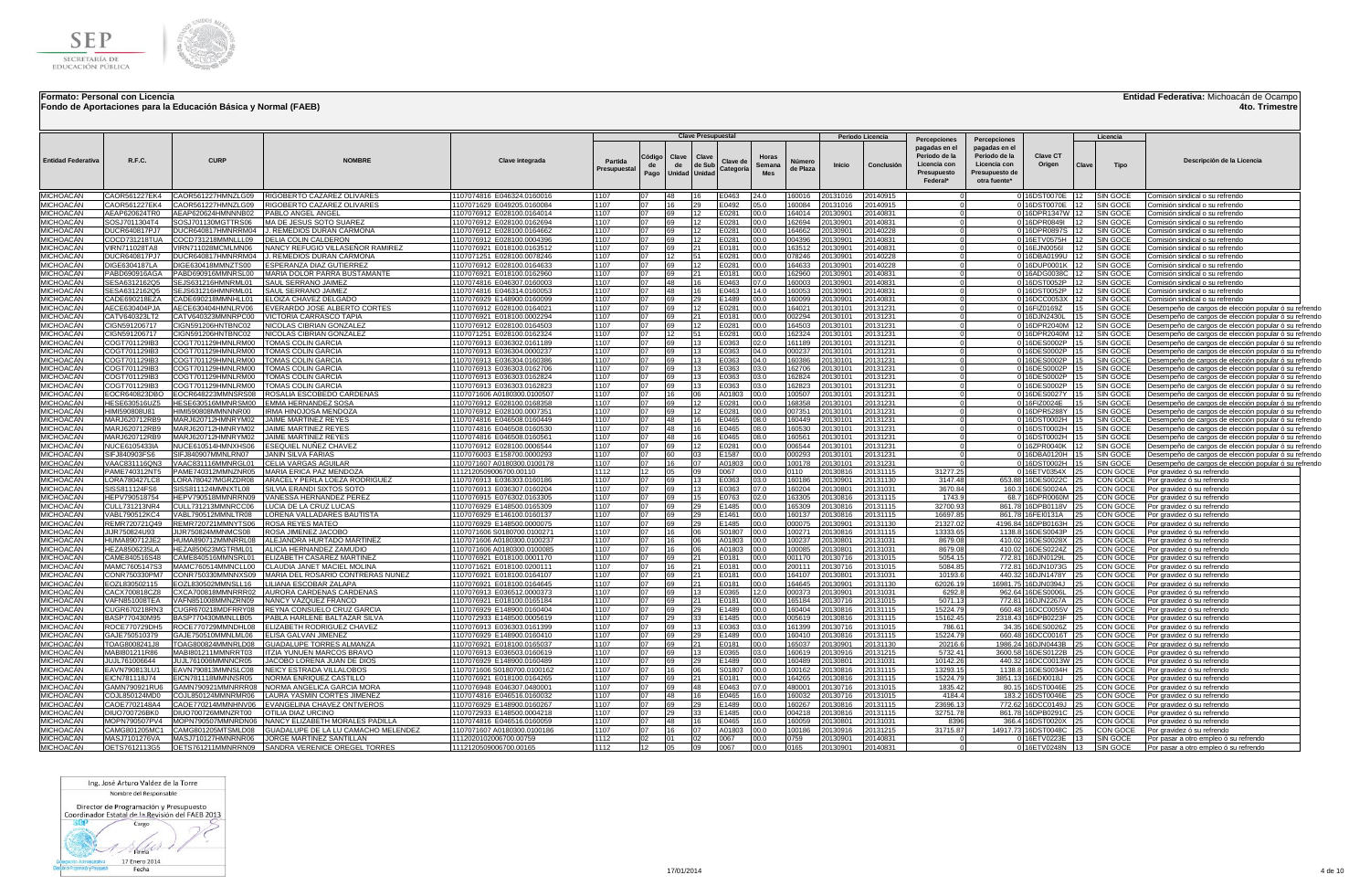

**Fondo de Aportaciones para la Educación Básica y Normal (FAEB)**

### **Entidad Federativa:** Michoacán de Ocampo

**4to. Trimestre**

|                                      |                                |                                          |                                                                                                 |                                                            |                        |                      |                              | <b>Clave Presupuestal</b> |                      |                               |                  |                      | Periodo Licencia     |                                                                                           |                                                                                                  |                                         |       | Licencia                    |                                                                                                                        |
|--------------------------------------|--------------------------------|------------------------------------------|-------------------------------------------------------------------------------------------------|------------------------------------------------------------|------------------------|----------------------|------------------------------|---------------------------|----------------------|-------------------------------|------------------|----------------------|----------------------|-------------------------------------------------------------------------------------------|--------------------------------------------------------------------------------------------------|-----------------------------------------|-------|-----------------------------|------------------------------------------------------------------------------------------------------------------------|
| <b>Entidad Federativa</b>            | <b>R.F.C.</b>                  | <b>CURF</b>                              | <b>NOMBRE</b>                                                                                   | Clave integrada                                            | Partida<br>Presupuesta | `ódigo<br>de<br>Pago | Clave<br>de<br>Unidad Unidad | Clave<br>de Sub           | Clave d<br>Categoria | Horas<br>Semana<br><b>Mes</b> | de Plaza         | Inicio               | Conclusió            | Percepciones<br>pagadas en el<br>Periodo de la<br>Licencia con<br>Presupuesto<br>Federal* | Percepciones<br>pagadas en el<br>Periodo de la<br>Licencia con<br>Presupuesto de<br>otra fuente* | <b>Clave CT</b><br>Origen               | Clave | Tipo                        | Descripción de la Licencia                                                                                             |
| MICHOACÁN                            |                                |                                          | CAOR561227EK4 CAOR561227HMNZLG09 RIGOBERTO CAZAREZ OLIVARES                                     | 1107074816 E046324.0160016                                 | 1107                   |                      | 48                           | 16                        | E0463                | 24.0                          | 60016            | 20131016             | 20140915             |                                                                                           |                                                                                                  | 0 16DST0070E                            |       | <b>SIN GOCE</b>             | Comisión sindical o su refrendo                                                                                        |
| MICHOACÁN                            | CAOR561227EK4                  |                                          | CAOR561227HMNZLG09  RIGOBERTO CAZAREZ OLIVARES                                                  | 1107071629 E049205.0160084                                 | 1107                   | 07                   |                              | 29                        | E0492                | 05.0                          | 60084            | 20131016             | 20140915             |                                                                                           |                                                                                                  | 0 16DST0070E                            | 12    | SIN GOCE                    | Comisión sindical o su refrendo                                                                                        |
| MICHOACÁN                            | AEAP620624TR0                  | AEAP620624HMNNNB02                       | PABLO ANGEL ANGEI                                                                               | 1107076912 E028100.0164014                                 | 1107                   | 07                   |                              | 12                        | E0281                | 00.0                          | 64014            | 20130901             | 0140831              |                                                                                           |                                                                                                  | 016DPR1347W                             |       | <b>SIN GOCE</b>             | Comisión sindical o su refrendo                                                                                        |
| MICHOACÁN                            | SOSJ7011304T4<br>DUCR640817PJ7 | SOSJ701130MGTTRS06                       | MA DE JESUS SOTO SUAREZ                                                                         | 1107076912 E028100.0162694                                 | 1107<br>1107           | 07<br>07             | 69<br>69                     | 12                        | 0281<br>F0281        | 00.0<br>00.0                  | 62694<br>64662   | 20130901             | 0140831              |                                                                                           |                                                                                                  | 0 16DPR0849I                            |       | <b>SIN GOCE</b><br>SIN GOCE | Comisión sindical o su refrendo                                                                                        |
| MICHOACÁN<br>MICHOACÁN               | COCD731218TUA                  | COCD731218MMNLLL09                       | DUCR640817HMNRRM04 J. REMEDIOS DURAN CARMONA<br><b>IDELIA COLIN CALDERON</b>                    | 1107076912 E028100.0164662<br>1107076912 E028100.0004396   | 1107                   | 07                   | 69                           | 12<br>12                  | E0281                | 00.0                          | 004396           | 20130901<br>20130901 | 20140228<br>0140831  |                                                                                           |                                                                                                  | 0 16DPR0897S<br>0 16ETV0575H            |       | SIN GOCI                    | Comisión sindical o su refrendo<br>Comisión sindical o su refrendo                                                     |
| MICHOACÁN                            | VIRN711028TA8                  | VIRN711028MCMLMN06                       | NANCY REFUGIO VILLASEÑOR RAMIREZ                                                                | 1107076921 E018100.0163512                                 | 1107                   | 07                   | 69                           | 21                        | E0181                | 00.0                          | 63512            | 2013090              | 0140831              |                                                                                           |                                                                                                  | 0 16EJN0056I                            |       | SIN GOCI                    | Comisión sindical o su refrendo                                                                                        |
| MICHOACÁN                            | DUCR640817PJ7                  |                                          | DUCR640817HMNRRM04  J. REMEDIOS DURAN CARMONA                                                   | 1107071251 E028100.0078246                                 | 1107                   | 07                   | 12                           | 51                        | E0281                | 00.0                          | 178246           | 20130901             | 20140228             |                                                                                           |                                                                                                  | 0 16DBA0199U                            | 12    | SIN GOCE                    | Comisión sindical o su refrendo                                                                                        |
| MICHOACÁN                            | DIGF6304187LA                  | DIGE630418MMNZTS00                       | ESPERANZA DIAZ GUTIERREZ                                                                        | 1107076912 E028100.0164633                                 | 1107                   | 07                   | 69                           | 12                        | E0281                | 00.0                          | 64633            | 20130901             | 0140228              |                                                                                           |                                                                                                  | 0 16DUP0001K 12                         |       | <b>SIN GOCE</b>             | Comisión sindical o su refrendo                                                                                        |
| MICHOACÁN                            | PARD690916AG4                  | PABD690916MMNRSL00                       | MARIA DOLOR PARRA BUSTAMANT                                                                     | 1107076921 E018100.0162960                                 | 1107                   | 07                   | 69                           | 21                        | E0181                | 00.0                          | 62960            | 20130901             | 20140831             |                                                                                           |                                                                                                  | 0 16ADG0038C                            |       | <b>SIN GOCE</b>             | Comisión sindical o su refrendo                                                                                        |
| MICHOACÁN                            | SESA6312162Q5                  | SEJS631216HMNRML01                       | SAUL SERRANO JAIMEZ                                                                             | 1107074816 E046307.0160003                                 | 1107                   | 07                   | 48                           | 16                        | E0463                | 07.0                          | 60003            | 20130901             | 20140831             |                                                                                           |                                                                                                  | 0 16DST0052P                            |       | SIN GOCE                    | Comisión sindical o su refrendo                                                                                        |
| MICHOACÁN                            | SESA6312162Q5                  | SEJS631216HMNRML01                       | SAUL SERRANO JAIMEZ                                                                             | 1107074816 E046314.0160053                                 | 1107                   | 07                   | 48                           | 16                        | E0463                | 14.0                          | 60053            | 20130901             | 0140831              |                                                                                           |                                                                                                  | 0 16DST0052P                            |       | SIN GOCE                    | Comisión sindical o su refrendo                                                                                        |
| MICHOACÁN<br>MICHOACÁN               | CADE690218EZA<br>AECE630404PJA | CADE690218MMNHLL01<br>AECE630404HMNLRV06 | ELOIZA CHAVEZ DELGADO<br>EVERARDO JOSE ALBERTO CORTES                                           | 1107076929 E148900.0160099<br>1107076912 E028100.0164021   | 1107<br>1107           | 07<br>07             | 69<br>69                     | 29<br>12                  | F1489<br>E0281       | 00.0<br>00.0                  | 60099<br>64021   | 2013090<br>20130101  | 20140831<br>20131231 |                                                                                           |                                                                                                  | 0 16DCC0053X<br>0 16FIZ0169Z            |       | SIN GOCE<br>SIN GOCE        | Comisión sindical o su refrendo                                                                                        |
| MICHOACÁN                            | CATV640323LT2                  | CATV640323MMNRPC00                       | VICTORIA CARRASCO TAPIA                                                                         | 1107076921 E018100.0002294                                 | 1107                   | 07                   | 69                           | 21                        | E0181                | 00.0                          | 02294            | 0130101              | 20131231             |                                                                                           |                                                                                                  | 0 16DJN2430L                            |       | SIN GOCI                    | Desempeño de cargos de elección popular ó su refrendo<br><u>Desempeño de cargos de elección popular ó su re</u> frendo |
| MICHOACÁN                            | CIGN591206717                  | CIGN591206HNTBNC02                       | NICOLAS CIBRIAN GONZALE                                                                         | 1107076912 E028100.0164503                                 | 1107                   | 07                   | 6Q                           | 12                        | 0281                 | 00.0                          | 64503            | 20130101             | 20131231             |                                                                                           |                                                                                                  | 0 16DPR2040M                            |       | SIN GOCE                    | Desempeño de cargos de elección popular ó su refrendo                                                                  |
| MICHOACÁN                            | CIGN591206717                  | CIGN591206HNTBNC02                       | NICOLAS CIBRIAN GONZALE                                                                         | 1107071251 E028100.0162324                                 | 1107                   | 07                   |                              | 51                        | E0281                | 00.0                          | 62324            | 2013010              | 20131231             |                                                                                           |                                                                                                  | 0 16DPR2040M                            |       | SIN GOCE                    | Desempeño de cargos de elección popular ó su refrendo                                                                  |
| MICHOACÁN                            | COGT701129IB3                  | COGT701129HMNLRM00                       | TOMAS COLIN GARCIA                                                                              | 1107076913 E036302.0161189                                 | 1107                   | 07                   | 6Q                           | 13                        | E0363                | 02.0                          | 161189           | 2013010              | 20131231             |                                                                                           |                                                                                                  | 0 16DES0002P                            |       | SIN GOCE                    | Desempeño de cargos de elección popular ó su refrendo                                                                  |
| MICHOACÁN                            | COGT701129IB3                  | COGT701129HMNLRM00                       | TOMAS COLIN GARCIA                                                                              | 1107076913 E036304.0000237                                 | 1107                   | 07                   | 6Q                           | 13                        | E0363                | 04.0                          | 000237           | 2013010              | 20131231             |                                                                                           |                                                                                                  | 0 16DES0002P                            |       | SIN GOCE                    | Desempeño de cargos de elección popular ó su refrendo                                                                  |
| MICHOACÁN                            | COGT701129IB3                  | COGT701129HMNLRM00                       | <b>TOMAS COLIN GARCIA</b>                                                                       | 1107076913 E036304.0160386                                 | 1107                   | 07                   | 69                           | 13                        | E0363                | 04.0                          | 160386           | 20130101             | 20131231             |                                                                                           |                                                                                                  | 0 16DES0002P                            |       | <b>SIN GOCE</b>             | Desempeño de cargos de elección popular ó su refrendo                                                                  |
| MICHOACÁN                            | COGT701129IB3                  | COGT701129HMNLRM00                       | OMAS COLIN GARCIA                                                                               | 1107076913 E036303.0162706                                 | 1107                   | 07                   | 69                           | 13                        | E0363                | 03.0                          | 162706           | 20130101             | 20131231             |                                                                                           |                                                                                                  | 0 16DES0002P                            |       | SIN GOCE                    | Desempeño de cargos de elección popular ó su refrendo                                                                  |
| MICHOACÁN                            | COGT701129IB3                  | COGT701129HMNLRM00                       | TOMAS COLIN GARCIA<br><b>TOMAS COLIN GARCIA</b>                                                 | 1107076913 E036303.0162824                                 | 1107<br>1107           |                      | 69<br>69                     | 13<br>13                  | :0363                | 03.0                          | 62824            | 20130101             | 0131231              |                                                                                           |                                                                                                  | 0 16DES0002P                            |       | <b>SIN GOCE</b>             | Desempeño de cargos de elección popular ó su refrendo                                                                  |
| <i><b>MICHOACÁN</b></i><br>MICHOACÁN | COGT701129IB3<br>EOCR640823DBO | COGT701129HMNLRM00<br>EOCR648223MMNSRS08 | ROSALIA ESCOBEDO CARDENAS                                                                       | 1107076913 E036303.0162823<br>1107071606 A0180300.0100507  | 1107                   |                      |                              | 06                        | 0363<br>A01803       | 03.0<br>00.0                  | 62823<br>00507   | 20130101<br>20130101 | 0131231<br>0131231   |                                                                                           |                                                                                                  | 0 16DES0002P<br>0 16DES0027Y            |       | SIN GOCE<br>SIN GOCE        | Desempeño de cargos de elección popular ó su refrendo<br>Desempeño de cargos de elección popular ó su refrendo         |
| MICHOACÁN                            | HESE630516UZ5                  | HESE630516MMNRSM00                       | <b>EMMA HERNANDEZ SOSA</b>                                                                      | 1107076912 E028100.0168358                                 | 1107                   | 07                   | 69                           | 112                       | 0281                 | 00.0                          | 68358            | 20130101             | 0131231              |                                                                                           |                                                                                                  | 0 16FIZ0024E                            |       | SIN GOCE                    | Desempeño de cargos de elección popular ó su refrendo                                                                  |
| MICHOACÁN                            | HIMI590808U81                  | HIMI590808MMNNNR00                       | IRMA HINOJOSA MENDOZA                                                                           | 1107076912 E028100.0007351                                 | 1107                   | 07                   | 69                           | 12                        | 0281                 | 00.0                          | 07351            | 20130101             | 0131231              |                                                                                           |                                                                                                  | 0 16DPR5288Y                            |       | SIN GOCE                    | Desempeño de cargos de elección popular ó su refrendo                                                                  |
| MICHOACÁN                            | MARJ620712RB9                  | MARJ620712HMNRYM02 JAIME MARTINEZ REYES  |                                                                                                 | 1107074816 E046508.0160449                                 | 1107                   | 07                   | 48                           | 16                        | E0465                | 08.0                          | 60449            | 20130101             | 0131231              |                                                                                           |                                                                                                  | 0 16DST0002H                            |       | SIN GOCE                    | Desempeño de cargos de elección popular ó su refrendo                                                                  |
| MICHOACÁN                            | MARJ620712RB9                  | MARJ620712HMNRYM02                       | <b>JAIME MARTINEZ REYE</b>                                                                      | 1107074816 E046508.0160530                                 | 1107                   | 07                   | 48                           | 16                        | E0465                | 08.0                          | 160530           | 2013010              | 0131231              |                                                                                           |                                                                                                  | 0 16DST0002H                            |       | SIN GOCE                    | Desempeño de cargos de elección popular ó su refrendo                                                                  |
| MICHOACÁN                            | MARJ620712RB9                  | MARJ620712HMNRYM02                       | JAIME MARTINEZ REYES                                                                            | 1107074816 E046508.0160561                                 | 1107                   | 07                   | 48                           | 16                        | E0465                | 08.0                          | 60561            | 2013010              | 20131231             |                                                                                           |                                                                                                  | 0 16DST0002H                            |       | SIN GOCI                    | Desempeño de cargos de elección popular ó su refrendo                                                                  |
| MICHOACÁN                            | NUCE6105433IA                  |                                          | NUCE610514HMNXHS06 ESEQUIEL NUÑEZ CHAVEZ                                                        | 1107076912 E028100.0006544                                 | 1107                   | 07                   | 69                           | 12                        | E0281                | 00.0                          | 006544           | 20130101             | 20131231             |                                                                                           |                                                                                                  | 0 16ZPR0040K                            |       | SIN GOCE                    | Desempeño de cargos de elección popular ó su refrendo                                                                  |
| <i><b>IICHOACÁN</b></i><br>MICHOACÁN | SIFJ840903FS6<br>VAAC831116QN3 | SIFJ840907MMNLRN07<br>VAAC831116MMNRGL01 | <b>JANIN SILVA FARIAS</b><br><b>ICELIA VARGAS AGUILAR</b>                                       | 1107076003 E158700.0000293<br>1107071607 A0180300.0100178  | 1107<br>1107           | 07<br>07             | 60<br>16                     | 03<br>07                  | E1587<br>A01803      | 00.0<br>00.0                  | 000293<br>100178 | 20130101<br>20130101 | 0131231<br>20131231  |                                                                                           |                                                                                                  | 0 16DBA0120H<br>0 16DST0002H            |       | SIN GOCE<br>SIN GOCE        | Desempeño de cargos de elección popular ó su refrendo                                                                  |
| MICHOACÁN                            | PAME740312NT5                  |                                          | PAME740312MMNZNR05 MARIA ERICA PAZ MENDOZA                                                      | 1112120509006700.00110                                     | 1112                   |                      | 05                           | na                        | 0067                 | 00.0                          | 110              | 2013081              | 20131115             | 31277.25                                                                                  |                                                                                                  | 0 16ETV0354X                            |       | CON GOCE                    | Desempeño de cargos de elección popular ó su refrendo<br>Por gravidez ó su refrendo                                    |
| MICHOACÁN                            | LORA780427LC8                  | LORA780427MGRZDR08                       | ARACELY PERLA LOEZA RODRIGUEZ                                                                   | 1107076913 E036303.0160186                                 | 1107                   | 07                   | 69                           | 13                        | E0363                | 03.0                          | 60186            | 2013090              | 20131130             | 3147.48                                                                                   |                                                                                                  | 653.88 16DES0022C                       |       | CON GOCI                    | Por gravidez ó su retrendo                                                                                             |
| MICHOACÁN                            | SISS811124FS6                  | SISS811124MMNXTL08                       | SILVIA ERANDI SIXTOS SOTO                                                                       | 1107076913 E036307.0160204                                 | 1107                   | 07                   | 69                           | 13                        | E0363                | 07.0                          | 60204            | 2013080              | 20131031             | 3670.84                                                                                   |                                                                                                  | 160.3 16DES0024A                        |       | CON GOCE                    | Por gravidez ó su refrendo                                                                                             |
| MICHOACÁN                            | HEPV790518754                  | HEPV790518MMNRRN09                       | VANESSA HERNANDEZ PERE                                                                          | 1107076915 E076302.016330                                  | 1107                   | 07                   |                              | 15                        | E0763                | 02.0                          | 63305            | 2013081              | 20131115             | 1743.9                                                                                    |                                                                                                  | 68.7 16DPR0060M                         |       | CON GOCE                    | Por gravidez ó su refrend                                                                                              |
| MICHOACÁN                            | CULL731213NR4                  | CULL731213MMNRCC06                       | LUCIA DE LA CRUZ LUCAS                                                                          | 1107076929 E148500.0165309                                 | 1107                   | 07                   | 69                           | 29                        | E1485                | 00.0                          | 65309            | 20130816             | 20131115             | 32700.93                                                                                  |                                                                                                  | 861.78 16DPB0118V                       |       | CON GOCE                    | Por gravidez ó su refrendo                                                                                             |
| MICHOACÁN                            | VABL790512KC4                  | VABL790512MMNLTR08                       | LORENA VALLADARES BAUTISTA                                                                      | 1107076929 E146100.0160137                                 | 1107                   | 07                   | 6Q                           | 29                        | 1461                 | 00.0                          | 160137           | 20130816             | 0131115              | 16697.85                                                                                  |                                                                                                  | 861.78 16FEI0131A                       |       | CON GOCE                    | Por gravidez ó su refrendo                                                                                             |
| MICHOACÁN<br>MICHOACÁN               | REMR720721Q49<br>JIJR750824U93 | REMR720721MMNYTS06<br>JIJR750824MMNMCS08 | <b>ROSA REYES MATEO</b><br>ROSA JIMENEZ JACOBO                                                  | 1107076929 E148500.0000075                                 | 1107<br>1107           | 07<br>07             | 6Q                           | 29<br>06                  | E1485<br>S01807      | 00.0<br>00.0                  | 000075<br>100271 | 20130901             | 20131130<br>20131115 | 21327.02<br>13333.65                                                                      |                                                                                                  | 4196.84 16DPB0163H<br>1138.8 16DES0043P |       | CON GOCE<br>CON GOC         | Por gravidez ó su refrendo                                                                                             |
| MICHOACÁN                            | HUMA890712JE2                  |                                          | HUMA890712MMNRRL08 ALEJANDRA HURTADO MARTINEZ                                                   | 1107071606 S0180700.0100271<br>1107071606 A0180300.0100237 | 1107                   | 07                   |                              | 06                        | A01803               | 00.0                          | 100237           | 20130816<br>20130801 | 20131031             | 8679.08                                                                                   |                                                                                                  | 410.02 16DES0028X                       |       | CON GOCE                    | Por gravidez ó su refrendo<br>Por gravidez ó su refrendo                                                               |
| MICHOACÁN                            | HEZA8506235LA                  |                                          | HEZA850623MGTRML01   ALICIA HERNANDEZ ZAMUDIO                                                   | 1107071606 A0180300.0100085                                | 1107                   | 07                   |                              | 06                        | A01803               | 00.0                          | 00085            | 20130801             | 0131031              | 8679.08                                                                                   |                                                                                                  | 410.02 16DES0224Z                       |       | CON GOCE                    | Por gravidez ó su refrendo                                                                                             |
| MICHOACÁN                            | CAME840516S48                  |                                          | CAME840516MMNSRL01   ELIZABETH CASAREZ MARTINEZ                                                 | 1107076921 E018100.0001170                                 | 1107                   | 07                   | 69                           | 21                        | E0181                | 00.0                          | 001170           | 20130716             | 20131015             | 5054.15                                                                                   |                                                                                                  | 772.81 16DJN0129L                       |       | CON GOCE                    | Por gravidez ó su refrendo                                                                                             |
| <b>MICHOACÁN</b>                     | MAMC7605147S3                  |                                          | MAMC760514MMNCLL00 CLAUDIA JANET MACIEL MOLINA                                                  | 1107071621 E018100.0200111                                 | 1107                   | 07                   |                              | 21                        | E0181                | 00.0                          | 200111           | 20130716             | 0131015              | 5084.85                                                                                   |                                                                                                  | 772.81 16DJN1073G                       |       | CON GOCE                    | Por gravidez ó su refrendo                                                                                             |
| MICHOACÁN                            | CONR750330PM7                  |                                          | CONR750330MMNNXS09 MARIA DEL ROSARIO CONTRERAS NUÑEZ                                            | 1107076921 E018100.0164107                                 | 1107                   |                      | 69                           |                           | E0181                | 00.0                          | 64107            | 20130801             | 0131031              | 10193.6                                                                                   |                                                                                                  | 440.32 16DJN1478Y                       |       | CON GOCE                    | Por gravidez ó su refrendo                                                                                             |
| <b>MICHOACÁN</b>                     | FOZL830502115                  |                                          | EOZL830502MMNSLL16 LILIANA ESCOBAR ZALAPA                                                       | 1107076921 E018100.0164645                                 | 1107                   |                      |                              | 21                        | E0181                | 00.0                          | 64645            | 20130901             | 20131130             | 62026.19                                                                                  |                                                                                                  | 16981.75 16DJN0394J                     |       | CON GOCE                    | Por gravidez ó su refrendo                                                                                             |
| MICHOACÁN<br>MICHOACÁN               | CACX700818CZ8<br>VAFN851008TEA |                                          | CXCA700818MMNRRR02 AURORA CARDENAS CARDENAS<br>VAFN851008MMNZRN09 NANCY VAZQUEZ FRANCO          | 1107076913 E036512.0000373                                 | 1107<br>1107           | በ7<br>07             | 69<br>69                     | 13<br>21                  | E0365                | 12.0                          | 000373<br>65184  | 20130901<br>20130716 | 0131031              | 6292.8<br>5071.13                                                                         |                                                                                                  | 962.64 16DES0006L                       |       | CON GOCE                    | Por gravidez ó su refrendo                                                                                             |
| <b>MICHOACÁN</b>                     | CUGR670218RN3                  |                                          | CUGR670218MDFRRY08  REYNA CONSUELO CRUZ GARCIA                                                  | 1107076921 E018100.0165184<br>1107076929 E148900.0160404   | 1107                   | 07                   | 69                           | 29                        | E0181<br>-1489       | 00.0<br>00.0                  | 60404            | 20130816             | 0131015<br>20131115  | 15224.79                                                                                  |                                                                                                  | 772.81 16DJN2267A<br>660.48 16DCC0055V  |       | CON GOCE<br>CON GOCE        | Por gravidez ó su refrendo<br>Por gravidez ó su refrendo                                                               |
| <b>MICHOACÁN</b>                     | BASP770430M95                  |                                          |                                                                                                 | 1107072933 E148500.0005619                                 | 1107                   | 07                   | 29                           | 33                        | E1485                | 00.0                          | 005619           | 20130816             | 0131115              | 15162.45                                                                                  |                                                                                                  | 2318.43 16DPB0223F                      |       | CON GOCE                    | Por gravidez ó su refrendo                                                                                             |
| MICHOACÁN                            | ROCE770729DH5                  | ROCE770729MMNDHL08                       | <b>ELIZABETH RODRIGUEZ CHAVEZ</b>                                                               | 1107076913 E036303.0161399                                 | 1107                   | 07                   | 69                           | 13                        | E0363                | 03.0                          | 61399            | 20130716             | 0131015              | 786.61                                                                                    |                                                                                                  | 34.35 16DES0026Z                        |       | CON GOCE                    | Por gravidez ó su refrendo                                                                                             |
| MICHOACÁN                            | GAJE750510379                  | GAJE750510MMNLML06                       | <b>ELISA GALVAN JIMENEZ</b>                                                                     | 1107076929 E148900.0160410                                 | 1107                   |                      |                              | 29                        | E1489                | 00.0                          | 60410            | 20130816             | 20131115             | 15224.79                                                                                  |                                                                                                  | 660.48 16DCC0016T                       |       | CON GOCE                    | Por gravidez ó su refrendo                                                                                             |
| MICHOACÁN                            | TOAG8008241J8                  |                                          | TOAG800824MMNRLD08 GUADALUPE TORRES ALMANZA                                                     | 1107076921 E018100.0165037                                 | 1107                   | 07                   | 69                           | 21                        | E0181                | 00.0                          | 65037            | 2013090              | 20131130             | 20216.6                                                                                   |                                                                                                  | 1986.24 16DJN0443B                      |       | CON GOCE                    | Por gravidez ó su refrendo                                                                                             |
| MICHOACÁN                            | MABI801211R86                  | MABI801211MMNRRT03                       | <b>ITZIA YUNUEN MARCOS BRAVO</b>                                                                | 1107076913 E036503.0160619                                 | 1107                   | 07                   | 69                           | 13                        | E0365                | 03.0                          | 60619            | 20130916             | 20131215             | 5732.41                                                                                   |                                                                                                  | 3600.58 16DES0122B                      |       | CON GOCE                    | Por gravidez ó su retrendo                                                                                             |
| MICHOACÁN<br>MICHOACÁN               | JUJL761006644<br>EAVN790813LU  | JUJL761006MMNNCR05<br>EAVN790813MMNSLC08 | JACOBO LORENA JUAN DE DIOS<br><b>INEICY ESTRADA VILLALOBOS</b>                                  | 1107076929 E148900.0160489<br>1107071606 S0180700.0100162  | 1107<br>1107           | 07<br>07             |                              | 29<br>06                  | E1489<br>S01807      | 00.0<br>00.0                  | 60489<br>00162   | 2013080<br>2013081   | 20131031<br>20131115 | 10142.26<br>13293.15                                                                      |                                                                                                  | 440.32 16DCC0013W<br>1138.8 16DES0034H  |       | CON GOCE<br>CON GOCI        | Por gravidez ó su refrendo<br>Por gravidez ó su refrend                                                                |
| MICHOACÁN                            | EICN781118J74                  | EICN781118MMNNSR05                       | NORMA ENRIQUEZ CASTILLO                                                                         | 1107076921 E018100.0164265                                 | 1107                   | 07                   | 69                           |                           | E0181                | 00.0                          | 64265            | 2013081              | 20131115             | 15224.79                                                                                  |                                                                                                  | 3851.13 16EDI0018J                      |       | CON GOCE                    | Por gravidez ó su refrend                                                                                              |
| MICHOACÁN                            | GAMN790921RU                   | GAMN790921MMNRRR08                       | NORMA ANGELICA GARCIA MORA                                                                      | 1107076948 E046307.048000                                  | 1107                   |                      |                              | 48                        | E0463                | 07.0                          | 480001           | 2013071              | 20131015             | 1835.42                                                                                   | 80.15                                                                                            | 16DST0046E                              |       | CON GOCE                    | Por gravidez ó su refrend                                                                                              |
| MICHOACÁN                            | COJL850124MD0                  | COJL850124MMNRMR06                       | LAURA YASMIN CORTES JIMENEZ                                                                     | 1107074816 E046516.0160032                                 | 1107                   | 07                   | 48                           | 16                        | E0465                | 16.0                          | 160032           | 20130716             | 20131015             | 4184.4                                                                                    |                                                                                                  | 183.2 16DST0046E                        |       | CON GOCI                    | Por gravidez ó su refrendo                                                                                             |
| MICHOACÁN                            | CAOE7702148A4                  | CAOE770214MMNHNV06                       | EVANGELINA CHAVEZ ONTIVEROS                                                                     | 1107076929 E148900.0160267                                 | 1107                   | 07                   | 6Q.                          | 29                        | E1489                | 00.0                          | 160267           | 20130816             | 20131115             | 23696.13                                                                                  |                                                                                                  | 772.62 16DCC0149J                       |       | CON GOCE                    | Por gravidez ó su refrendo                                                                                             |
| MICHOACÁN                            | DIUO700726BK0                  | DIUO700726MMNZRT00                       | OTILIA DIAZ URCINO                                                                              | 1107072933 E148500.0004218                                 | 1107                   | 07                   |                              | 33                        | E1485                | 00.0                          | 004218           | 2013081              | 20131115             | 32751.78                                                                                  |                                                                                                  | 861.78 16DPB0291C                       |       | CON GOCE                    | Por gravidez ó su refrendo                                                                                             |
| MICHOACÁN                            | MOPN790507PV4                  | MOPN790507MMNRDN06                       | NANCY ELIZABETH MORALES PADILLA                                                                 | 1107074816 E046516.0160059                                 | 1107                   | 07                   | 48                           | 16                        | E0465                | 16.0                          | 160059           | 20130801             | 20131031             | 8396                                                                                      | 366.4                                                                                            | 16DST0020X                              |       | CON GOCE                    | Por gravidez ó su refrendo                                                                                             |
| MICHOACÁN<br>MICHOACÁN               | CAMG801205MC1                  |                                          | CAMG801205MTSMLD08 GUADALUPE DE LA LU CAMACHO MELENDEZ                                          | 1107071607 A0180300.0100186                                | 1107<br>1112           | 07                   | 16                           | 07<br>02                  | A01803               | 00.0                          | 100186           | 20130916             | 0131215              | 31715.87                                                                                  |                                                                                                  | 14917.73 16DST0048C                     |       | CON GOCE                    | Por gravidez ó su refrendo                                                                                             |
| MICHOACÁN                            | MASJ7101276VA<br>OETS7612113G5 |                                          | MASJ710127HMNRNR06 JORGE MARTINEZ SANTILLAN<br>OETS761211MMNRRN09 SANDRA VERENICE OREGEL TORRES | 1112020102006700.00759<br>1112120509006700.00165           | 1112                   | 12                   | 05                           | 09                        | 0067<br>0067         | 00.0<br>00.0                  | )759<br>0165     | 20130901<br>20130901 | 0140831<br>20140831  |                                                                                           |                                                                                                  | 0 16ETV0223E<br>0 16FTV0248N            | 13    | SIN GOCE<br>SIN GOCE        | Por pasar a otro empleo ó su refrendo<br>Por pasar a otro empleo ó su refrendo                                         |
|                                      |                                |                                          |                                                                                                 |                                                            |                        |                      |                              |                           |                      |                               |                  |                      |                      |                                                                                           |                                                                                                  |                                         |       |                             |                                                                                                                        |

Ing. José Arturo Valdez de la Torre

Nombre del Responsable

Director de Programación y Presupuesto<br>Coordinador Estatal de la Revisión del FAEB 2013

300 Cargo  $1 \rightarrow$ 

tin Administrativa 17 Enero 2014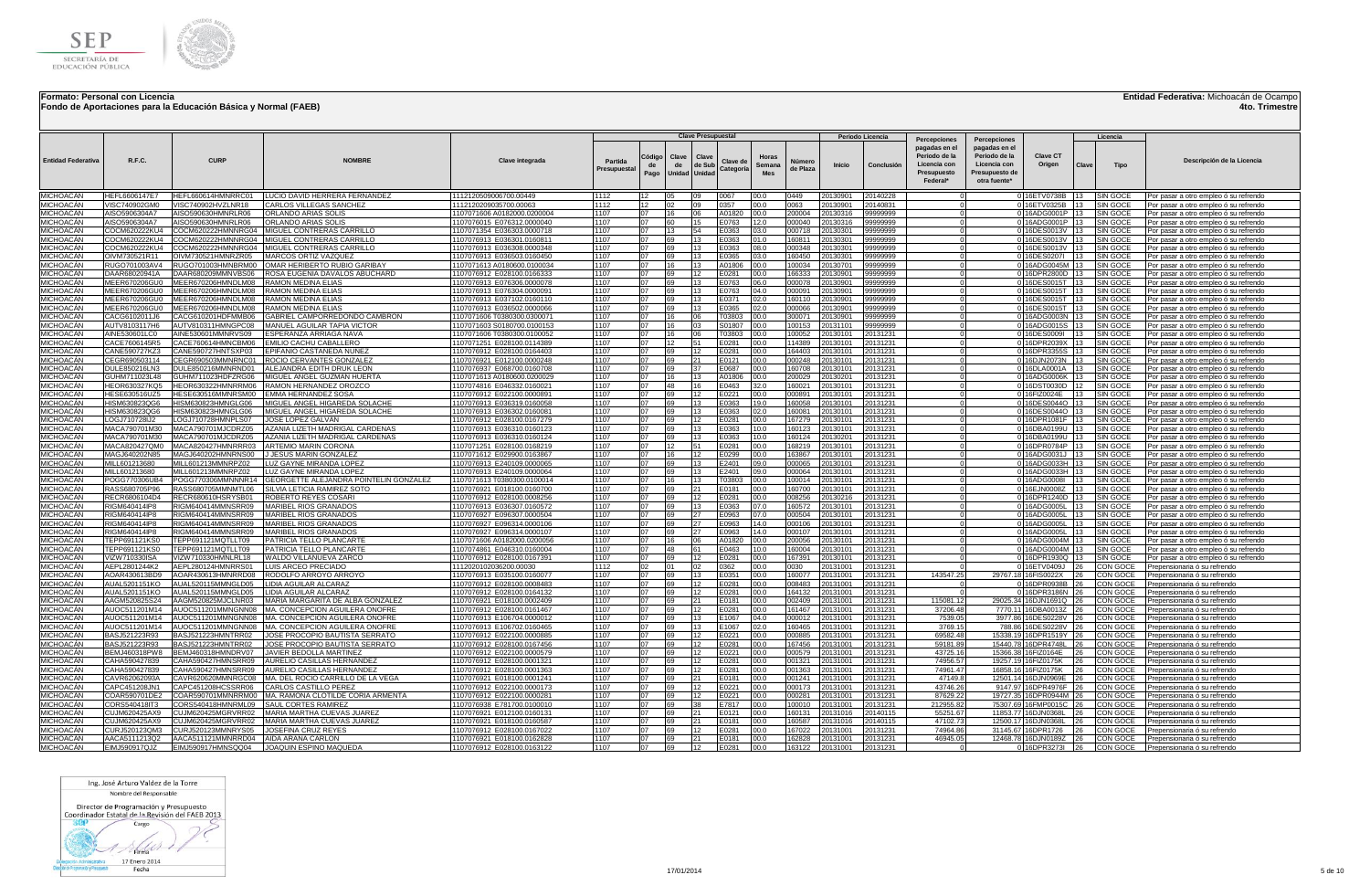

### **Fondo de Aportaciones para la Educación Básica y Normal (FAEB)**

**Entidad Federativa:** Michoacán de Ocampo

**4to. Trimestre**

| pagadas en el<br>pagadas en el<br>Periodo de la<br>Periodo de la<br><b>Clave CT</b><br>Clave<br>Clave<br>Códiac<br>Horas<br>CURE<br><b>R.F.C.</b><br><b>Entidad Federativa</b><br><b>NOMRRF</b><br><b>Clave integrada</b><br>Descripción de la Licencia<br>Partida<br>Clave de<br>Númerc<br>de Sub<br>Licencia con<br>Licencia con<br>Origen<br>de<br>Semana<br>Inicio<br>Conclusió<br>Clave<br>Tipo<br>de<br>Categoria<br>de Plaza<br>Presupuesta<br>Presupuesto de<br>Unidad Unidad<br>Mes<br>Presupuesto<br>Pago<br>Federal*<br>otra fuente*<br><b>MICHOACÁN</b><br>HEFL660614HMNRRC01<br>LUCIO DAVID HERRERA FERNANDEZ<br>1112<br>05<br>09<br>0067<br>00.0<br>0449<br>20130901<br>20140228<br>0 16ETV0738B<br><b>SIN GOCE</b><br>HEFL6606147E7<br>1112120509006700.00449<br>12<br>13 <sup>2</sup><br>Por pasar a otro empleo ó su refrendo<br><b>MICHOACÁN</b><br>CARLOS VILLEGAS SANCHEZ<br>1112<br>12<br>02<br>09<br>0357<br>00.0<br>0063<br>/ISC740902GM0<br>VISC740902HVZLNR18<br>1112120209035700.00063<br>20130901<br>20140831<br>0 16ETV0325B<br>13 <sup>1</sup><br><b>SIN GOCE</b><br>Por pasar a otro empleo ó su refrendo<br><b>MICHOACÁN</b><br><b>ISO5906304A7</b><br>AISO590630HMNRLR06<br>ORLANDO ARIAS SOLIS<br>107071606 A0182000.0200004<br>1107<br>07<br>16<br>06<br>A01820<br>00.0<br>200004<br>20130316<br>99999999<br>0 16ADG0001P<br><b>SIN GOCE</b><br>Por pasar a otro empleo ó su refrendo<br>MICHOACÁN<br>AISO590630HMNRLR06<br>ORLANDO ARIAS SOLIS<br>1107<br>07<br>E0763<br>12.0<br>000040<br>20130316<br>0 16ADG0001P<br>SIN GOCE<br><b>ISO5906304A7</b><br>107076015 E076312.0000040<br>60<br>15<br>99999999<br>13<br>Por pasar a otro empleo ó su refrendo<br><b>MICHOACÁN</b><br>COCM620222HMNNRG04 MIGUEL CONTRERAS CARRILLO<br>1107<br>07<br>13<br>54<br>E0363<br>03.0<br>000718<br>20130301<br>99999999<br>0 16DES0013V<br>SIN GOCE<br>COCM620222KU4<br>107071354 E036303.0000718<br>13<br>Por pasar a otro empleo ó su refrendo<br><b>MICHOACÁN</b><br>COCM620222KU4<br>COCM620222HMNNRG04 MIGUEL CONTRERAS CARRILLO<br>1107076913 E036301.0160811<br>1107<br>07<br>69<br>13<br>E0363<br>01.0<br>160811<br>20130301<br>0 16DES0013V<br><b>SIN GOCE</b><br>99999999<br>113<br>Por pasar a otro empleo ó su refrendo<br><b>MICHOACÁN</b><br>COCM620222HMNNRG04   MIGUEL CONTRERAS CARRILLO<br>1107<br>SIN GOCI<br>COCM620222KU4<br>1107076913 E036308.0000348<br>07<br>69<br>13<br>E0363<br>08.0<br>000348<br>20130301<br>99999999<br>0 16DES0013V<br>Por pasar a otro empleo ó su refrendo<br><b>MICHOACAN</b><br>1107<br>160450<br>)IVM730521R11<br>OIVM730521HMNRZR05<br>MARCOS ORTIZ VAZOUEZ<br>1107076913 E036503.0160450<br><b>07</b><br>69<br>13<br>E0365<br>03.0<br>20130301<br>99999999<br>0 16DES0207I<br><b>SIN GOCE</b><br>Por pasar a otro empleo ó su refrendo<br>13.<br><b>MICHOACÁN</b><br>RUGO701003AV4<br>RUGO701003HMNBRM00<br>OMAR HERIBERTO RUBIO GARIBAY<br>1107071613 A0180600.0100034<br>1107<br>07<br>A01806 00.0<br>100034<br>20130701<br>99999999<br>0 16ADG0045M<br><b>SIN GOCE</b><br><b>116</b><br>13<br>Por pasar a otro empleo ó su refrendo<br><b>MICHOACÁN</b><br>ROSA EUGENIA DAVALOS ABUCHARD<br>1107<br>0 16DPR2800D<br>DAAR68020941A<br>DAAR680209MMNVBS06<br>1107076912 E028100.0166333<br>07<br>69<br>12<br>E0281<br>00.0<br>166333<br>20130901<br>99999999<br>SIN GOCE<br>Por pasar a otro empleo ó su refrendo<br><b>MICHOACÁN</b><br>1107<br>0 16DES0015T<br>MEER670206GU0<br>MEER670206HMNDLM08<br>RAMON MEDINA FLIAS<br>1107076913 E076306.0000078<br>07<br>69<br>13<br>E0763<br>06.0<br>000078<br>20130901<br>99999999<br>SIN GOCE<br>Por pasar a otro empleo ó su refrendo<br><b>MICHOACAN</b><br>MEER670206GU0<br>MEER670206HMNDLM08<br><b>RAMON MEDINA ELIAS</b><br>1107076913 E076304.000009<br>1107<br>07<br>69<br>13<br>E0763<br>04.0<br>000091<br>20130901<br>99999999<br>0 16DES0015T<br><b>SIN GOCE</b><br>Por pasar a otro empleo ó su refrendo<br><b>MICHOACÁN</b><br>MEER670206HMNDLM08<br>RAMON MEDINA FLIAS<br>1107076913 E037102.0160110<br>1107<br>07<br>69<br>13<br>F0371<br>02.0<br>160110<br>20130901<br>99999999<br>0 16DES0015T<br>SIN GOCE<br>MEER670206GU0<br>Por pasar a otro empleo ó su refrendo<br><b>MICHOACÁN</b><br>MEER670206HMNDLM08<br>RAMON MEDINA ELIAS<br>1107076913 E036502.0000066<br>1107<br>07<br>69<br>13<br>E0365<br>02.0<br>000066<br>20130901<br>99999999<br>0 16DES0015T<br>SIN GOCE<br>MEER670206GU0<br>Por pasar a otro empleo ó su refrendo<br><b>MICHOACÁN</b><br>CACG610201HDFMMB06<br>GABRIEL CAMPORREDONDO CAMBRON<br>1107<br>07<br>16<br>06<br>T03803<br>00.0<br>300071<br>0 16ADG0003N<br>SIN GOCI<br>CACG6102011.I6<br>1107071606 T0380300.0300071<br>20130901<br>99999999<br>Por pasar a otro empleo ó su refrendo<br>1107<br><b>MICHOACÁN</b><br>16<br>nз<br>S01807<br>00.0<br>100153<br>0 16ADG0015S<br>AUTV8103117H6<br>AUTV810311HMNGPC08<br>MANUEL AGUILAR TAPIA VICTOF<br>1107071603 S0180700.0100153<br>07<br>20131101<br>99999999<br>SIN GOCE<br>Por pasar a otro empleo ó su refrendo<br>1107<br>MICHOACÁN<br>AINE530601LC0<br>AINE530601MMNRVS09<br>ESPERANZA ARRIAGA NAVA<br>1107071606 T0380300.0100052<br>n7<br>16<br>06<br>T03803<br>00.0<br>100052<br>20130101<br>20131231<br>0 16DES0009I<br>SIN GOCE<br>Por pasar a otro empleo ó su refrendo<br>1107<br><b>MICHOACÁN</b><br>CACE7606145R5<br>CACE760614HMNCBM06<br>1107071251 E028100.0114389<br>07<br>12<br>00.0<br>114389<br>20130101<br>20131231<br>0 16DPR2039X<br>EMILIO CACHU CABALLERO<br>51<br>E0281<br>SIN GOCE<br>Por pasar a otro empleo ó su refrendo<br><b>MICHOACÁN</b><br>1107<br>n7<br>69<br>12<br>E0281<br>00.0<br>164403<br>0 16DPR3355S<br>CANE590727KZ3<br>CANE590727HNTSXP03<br>EPIFANIO CASTAÑEDA NUÑEZ<br>1107076912 E028100.0164403<br>20130101<br>20131231<br>SIN GOCE<br>Por pasar a otro empleo ó su refrendo<br>1107<br><b>MICHOACÁN</b><br>CEGR690503114<br>CEGR690503MMNRNC01<br>ROCIO CERVANTES GONZALEZ<br>1107076921 E012100.0000248<br>07<br>69<br>21<br>E0121<br>00.0<br>000248<br>20130101<br>20131231<br>0 16DJN2073N<br>SIN GOCE<br>Por pasar a otro empleo ó su refrendo<br><b>MICHOACÁN</b><br><b>DULE850216LN3</b><br>DULE850216MMNRND01<br>ALEJANDRA EDITH DRUK LEON<br>107076937 E068700.0160708<br>1107<br>69<br>E0687<br>00.0<br>160708<br>20130101<br>20131231<br>0 16DLA0001A<br>SIN GOCE<br>Por pasar a otro empleo ó su refrendo<br>MICHOACÁN<br>1107<br>UHM711023L48<br>GUHM711023HDFZRG06<br>MIGUEL ANGEL GUZMAN HUERTA<br>1107071613 A0180600.0200029<br>A01806<br>00.0<br>200029<br>0130201<br>20131231<br>0 16ADG0006K<br>SIN GOCE<br>16<br>Por pasar a otro empleo ó su refrendo<br>MICHOACÁN<br>1107<br>HEOR630327KQ5<br>HEOR630322HMNRRM06<br>RAMON HERNANDEZ OROZCO<br>1107074816 E046332.0160021<br>48<br>E0463<br>32.0<br>160021<br>20130101<br>20131231<br>0 16DST0030D<br>SIN GOCE<br>07<br>12<br>Por pasar a otro empleo ó su refrendo<br>16<br>MICHOACÁN<br>HESE630516UZ5<br>HESE630516MMNRSM00<br>EMMA HERNANDEZ SOSA<br>1107076912 E022100.0000891<br>1107<br>69<br>E0221<br>00.0<br>20130101<br>0 16FIZ0024E<br><b>SIN GOCE</b><br>07<br>12<br>000891<br>20131231<br>13<br>Por pasar a otro empleo ó su refrendo<br>MICHOACÁN<br>1107<br>19.0<br>0 16DES0044O<br>HISM630823QG6<br>HISM630823HMNGLG06<br>MIGUEL ANGEL HIGAREDA SOLACHE<br>1107076913 E036319.0160058<br>07<br>69<br>13<br>E0363<br>160058<br>20130101<br>20131231<br><b>SIN GOCE</b><br>13<br>Por pasar a otro empleo ó su refrendo<br><b>MICHOACAN</b><br>HISM630823HMNGLG06<br>MIGUEL ANGEL HIGAREDA SOLACHE<br>1107<br>02.0<br>160081<br>20130101<br>20131231<br>0 16DES0044O<br><b>SIN GOCE</b><br>HISM630823OG6<br>1107076913 E036302.0160081<br>07<br>69<br>13<br>E0363<br>13<br>Por pasar a otro empleo ó su refrendo<br><b>MICHOACÁN</b><br>LOGJ710728IJ2<br>LOGJ710728HMNPLS07<br>JOSE LOPEZ GALVAN<br>1107076912 E028100.0167279<br>1107<br>07<br>69<br>00.0<br>167279<br>20130101<br>20131231<br>0 16DPR1081F 13<br><b>SIN GOCE</b><br>$12 \overline{ }$<br>E0281<br>Por pasar a otro empleo ó su refrendo<br><b>MICHOACÁN</b><br>1107<br>10.0<br>MACA790701M30<br>MACA790701MJCDRZ05<br>AZANIA LIZETH MADRIGAL CARDENAS<br>1107076913 E036310.0160123<br>07<br>69<br>13<br>:0363<br>160123<br>20130101<br>20131231<br>0 16DBA0199U 13<br><b>SIN GOCE</b><br>Por pasar a otro empleo ó su refrendo<br><b>MICHOACÁN</b><br>MACA790701M30<br>MACA790701MJCDRZ05<br>AZANIA LIZETH MADRIGAL CARDENAS<br>107076913 E036310.0160124<br>1107<br>07<br>69<br>13<br>E0363<br>10.0<br>160124<br>20130201<br>20131231<br>0 16DBA0199U<br><b>SIN GOCE</b><br>Por pasar a otro empleo ó su refrendo<br><b>MICHOACAN</b><br>MACA820427QM0<br>MACA820427HMNRRR03<br>ARTEMIO MARIN CORONA<br>1107071251 E028100.0168219<br>1107<br>07<br>112<br>51<br>E0281<br>00.0<br>168219<br>20130101<br>20131231<br>0 16DPR0784P<br><b>SIN GOCE</b><br>13<br>Por pasar a otro empleo ó su refrendo<br>MICHOACÁN<br>MAGJ640202N85<br>MAGJ640202HMNRNS00<br>JESUS MARIN GONZALEZ<br>1107<br>$\Omega$<br>16<br>12<br>E0299<br>00.0<br>163867<br>013010<br>20131231<br>0 16ADG0031J<br>SIN GOCE<br>107071612 E029900.0163867<br>Por pasar a otro empleo ó su refrendo<br>MICHOACÁN<br>1107<br>69<br>E2401<br>09.0<br>000065<br>MILL601213680<br>MILL601213MMNRPZ02<br>LUZ GAYNE MIRANDA LOPEZ<br>07<br>13<br>20130101<br>20131231<br>0 16ADG0033H<br>SIN GOCE<br>1107076913 E240109.0000065<br>Por pasar a otro empleo ó su refrendo<br>1107<br>69<br>E2401<br>000064<br>MICHOACÁN<br>MILL601213MMNRPZ02<br>07<br>13<br>09.0<br>20130101<br>20131231<br><b>SIN GOCE</b><br>MILL601213680<br>LUZ GAYNE MIRANDA LOPEZ<br>1107076913 E240109.0000064<br>0 16ADG0033H<br>Por pasar a otro empleo ó su refrendo<br>1107<br>07<br>16<br><b>MICHOACÁN</b><br>GEORGETTE ALEJANDRA POINTELIN GONZALEZ<br>13<br>00.0<br>100014<br>POGG770306UB4<br>POGG770306MMNNNR14<br>1107071613 T0380300.0100014<br>T03803<br>20130101<br>20131231<br>0 16ADG0008I<br>13<br><b>SIN GOCE</b><br>Por pasar a otro empleo ó su refrendo<br>1107<br><b>MICHOACÁN</b><br>RASS680705P96<br>RASS680705MMNMTL06<br>SILVIA LETICIA RAMIREZ SOTO<br>1107076921 E018100.0160700<br>07<br>69<br>21<br>E0181<br>00.0<br>160700<br>20130101<br>20131231<br>0 16EJN0008Z<br>13<br>SIN GOCE<br>Por pasar a otro empleo ó su refrendo<br>MICHOACÁN<br>1107<br>69<br>RECR6806104D4<br>RECR680610HSRYSB01<br>ROBERTO REYES COSAR<br>1107076912 E028100.0008256<br>07<br>12<br>E0281<br>00.0<br>008256<br>20130216<br>20131231<br>0 16DPR1240D<br>13<br>SIN GOCE<br>Por pasar a otro empleo ó su refrendo<br>MICHOACÁN<br>1107<br>RIGM640414IP8<br>RIGM640414MMNSRR09<br>MARIBEL RIOS GRANADOS<br>1107076913 E036307.0160572<br>07<br>69<br>13<br>E0363<br>07.0<br>160572<br>20130101<br>20131231<br>0 16ADG0005L<br>13<br>SIN GOCE<br>Por pasar a otro empleo ó su refrendo<br>MICHOACÁN<br>RIGM640414IP8<br>RIGM640414MMNSRR09<br>MARIBEL RIOS GRANADOS<br>1107076927 E096307.0000504<br>1107<br>07<br>69<br>27<br>E0963<br>07.0<br>000504<br>20130101<br>20131231<br>0 16ADG0005L<br>13<br>SIN GOCE<br>Por pasar a otro empleo ó su refrendo<br><b>MICHOACÁN</b><br>RIGM640414IP8<br>RIGM640414MMNSRR09<br>MARIBEL RIOS GRANADOS<br>1107<br>27<br>E0963<br>0 16ADG0005L<br>SIN GOCE<br>1107076927 E096314.0000106<br>07<br>69<br>140<br>000106<br>20130101<br>20131231<br>Por pasar a otro empleo ó su refrendo<br><b>MICHOACÁN</b><br>1107<br><b>RIGM640414IPR</b><br>RIGM640414MMNSRR09<br>MARIBEL RIOS GRANADOS<br>07<br>69<br>27<br>E0963<br>140<br>000107<br>20130101<br>20131231<br>0 16ADG0005L<br>SIN GOCE<br>1107076927 E096314.0000107<br>Por pasar a otro empleo ó su refrendo<br>MICHOACÁN<br>1107<br>A01820<br>00.0<br>0 16ADG0004M<br>EPP691121KS0<br>TEPP691121MQTLLT09<br>PATRICIA TELLO PLANCART<br>1107071606 A0182000.0200056<br>07<br>16<br>60<br>200056<br>20130101<br>20131231<br>SIN GOCI<br>Por pasar a otro empleo ó su refrendo<br><b>MICHOACÁN</b><br>1107<br>EPP691121KS0<br>TEPP691121MQTLLT09<br>PATRICIA TELLO PLANCARTI<br>1107074861 E046310.0160004<br>07<br>48<br>E0463<br>10.0<br>160004<br>20130101<br>20131231<br>0 16ADG0004M<br><b>SIN GOCE</b><br>Por pasar a otro empleo ó su refrendo<br><b>MICHOACÁN</b><br>VIZW710330ISA<br>VIZW710330HMNLRL18<br>WALDO VILLANUEVA ZARCC<br>1107076912 E028100.0167391<br>1107<br>07<br>69<br>E0281<br>00.0<br>167391<br>20130101<br>20131231<br>0 16DPR1930Q<br><b>SIN GOCE</b><br>12<br>Por pasar a otro empleo ó su refrendo<br><b>MICHOACÁN</b><br>AEPL2801244K2<br>AEPL280124HMNRRS01<br>LUIS ARCEO PRECIADO<br>1112<br>0362<br>00.0<br>20131001<br>20131231<br>016ETV0409J<br>CON GOCE<br>1112020102036200.00030<br>02<br>01<br>02<br>0030<br>Prepensionaria ó su refrendo<br><b>MICHOACÁN</b><br>AOAR430613RD9<br>AOAR430613HMNRRD08<br>RODOLFO ARROYO ARROY<br>1107076913 E035100.0160077<br>1107<br>07<br>69<br>13 <sub>1</sub><br>E0351<br>00.0<br>160077<br>20131001<br>20131231<br>143547.25<br>29767.18 16FIS0022X<br>CON GOCE<br>Prepensionaria ó su refrendo<br><b>MICHOACÁN</b><br>AUAL5201151KO<br>AUAL520115MMNGLD05<br>LIDIA AGUILAR ALCARAZ<br>1107076912 E028100.0008483<br>1107<br>07<br>69<br>12<br>E0281<br>00.0<br>008483<br>20131001<br>20131231<br>0 16DPR0938B<br>CON GOCE<br>Prepensionaria ó su refrendo<br><b>MICHOACÁN</b><br>AUAL5201151KO<br>AUAL520115MMNGLD05<br>LIDIA AGUILAR ALCARAZ<br>1107076912 E028100.0164132<br>1107<br>07<br>69<br>12<br>E0281<br>00.0<br>164132<br>20131001<br>20131231<br>0 16DPR3186N<br>CON GOCE<br>Prepensionaria ó su refrendo<br>MICHOACÁN<br>MARIA MARGARITA DE ALBA GONZALEZ<br>1107<br>69<br>E0181<br>00.0<br>002409<br>20131001<br>20131231<br>CON GOCE<br>AAGM520825S24<br>AAGM520825M.ICLNR03<br>107076921 E018100.0002409<br>21<br>115081.12<br>29025.34 16DJN1691Q<br>Prepensionaria ó su refrendo<br>MICHOACÁN<br>1107<br>00.0<br>20131231<br>AUOC511201MMNGNN08<br>MA, CONCEPCION AGUILERA ONOFRE<br>07<br>69<br>12<br>E0281<br>161467<br>20131001<br>37206.48<br>CON GOCE<br>AUOC511201M14<br>1107076912 E028100.0161467<br>7770.11 16DBA0013Z<br>Prepensionaria ó su refrendo<br>1107<br><b>MICHOACÁN</b><br>07<br>69<br>04.0<br>000012<br>20131231<br>AUOC511201M14<br>AUOC511201MMNGNN08<br>MA. CONCEPCION AGUILERA ONOFRI<br>13<br>E1067<br>20131001<br>7539.05<br>1107076913 E106704.0000012<br>3977.86 16DES0228V<br>CON GOCE<br>Prepensionaria ó su refrendo<br>1107<br>02.0<br>160465<br>MICHOACÁN<br>AUOC511201M14<br>AUOC511201MMNGNN08<br>MA. CONCEPCION AGUILERA ONOFRE<br>1107076913 E106702.0160465<br>07<br>69<br>13<br>E1067<br>20131001<br>20131231<br>3769.15<br>788.86<br>16DES0228V<br>CON GOCE<br>Prepensionaria ó su refrendo<br>1107<br><b>MICHOACÁN</b><br>BASJ521223R93<br>BASJ521223HMNTRR02<br>JOSE PROCOPIO BAUTISTA SERRATO<br>1107076912 E022100.0000885<br>n7<br>69<br>12<br>E0221<br>00.0<br>000885<br>20131001<br>20131231<br>69582.48<br>15338.19 16DPR1519Y<br>CON GOCE<br>Prepensionaria ó su refrendo<br>1107<br><b>MICHOACÁN</b><br>JOSE PROCOPIO BAUTISTA SERRATO<br>07<br>69<br>E0281<br>00.0<br>167456<br>20131001<br>20131231<br>59181.89<br>15440.78 16DPR4748L<br>BAS.1521223R93<br>BASJ521223HMNTRR02<br>1107076912 E028100.0167456<br>12<br>CON GOCE<br>Prepensionaria ó su refrendo<br><b>MICHOACÁN</b><br>1107<br>00.0<br>000579<br>BEMJ460318PW8<br>BEMJ460318HMNDRV07<br>JAVIER BEDOLLA MARTINEZ<br>1107076912 E022100.0000579<br>07<br>69<br>12<br>E0221<br>20131001<br>20131231<br>43725.16<br>15366.38 16FIZ0164E<br>CON GOCE<br>Prepensionaria ó su refrendo<br>MICHOACÁN<br>CAHA590427HMNSRR09<br>AURELIO CASILLAS HERNANDEZ<br>1107<br>69<br>E0281<br>00.0<br>001321<br>20131001<br>20131231<br>74956.57<br>CON GOCE<br>CAHA590427839<br>107076912 E028100.0001321<br>07<br>19257.19 16FIZ0175K<br>Prepensionaria ó su refrendo<br>MICHOACÁN<br>CAHA590427HMNSRR09<br>1107<br>74961.47<br>AHA590427839<br>AURELIO CASILLAS HERNANDEZ<br>00.0<br>20131001<br>20131231<br>16858.16 16FIZ0175K<br>CON GOCE<br>107076912 E028100.0001363<br>69<br>E0281<br>001363<br>Prepensionaria ó su refrendo<br>MICHOACÁN<br>1107<br>CAVR62062093A<br>CAVR620620MMNRGC08<br>MA. DEL ROCIO CARRILLO DE LA VEGA<br>E0181<br>00.0<br>001241<br>20131001<br>20131231<br>47149.8<br>12501.14 16DJN0969E<br>CON GOCE<br>107076921 E018100.0001241<br>07<br>69<br>21<br>Prepensionaria ó su refrendo<br>MICHOACÁN<br>CAPC451208JN1<br>CAPC451208HCSSRR06<br>CARLOS CASTILLO PEREZ<br>1107<br>E0221<br>000173<br>20131231<br>43746.26<br>9147.97 16DPR4976F<br>1107076912 E022100.0000173<br>07<br>69<br>12<br>00.0<br>20131001<br>CON GOCE<br>Prepensionaria ó su refrendo<br>MICHOACÁN<br>COAR590701DE2<br>COAR590701MMNRRM00<br>MA. RAMONA CLOTILDE CORIA ARMENTA<br>1107<br>19727.35 16DPR0944M<br>1107076912 E022100.000028<br>07<br>69<br>E0221<br>00.0<br>000281<br>20131001<br>20131231<br>87629.22<br>CON GOCE<br>12<br>Prepensionaria ó su refrendo<br>MICHOACÁN<br>CORS540418IT3<br>CORS540418HMNRML09<br><b>SAUL CORTES RAMIREZ</b><br>1107076938 E781700.0100010<br>1107<br>07<br>69<br>E7817<br>00.0<br>100010<br>20131001<br>20131231<br>212955.82<br>75307.69 16FMP0015C<br>CON GOCE<br>38<br>Prepensionaria ó su refrendo<br><b>MICHOACÁN</b><br>CUJM620425MGRVRR02<br>MARIA MARTHA CUEVAS JUAREZ<br>1107<br>20140115<br>CUJM620425AX9<br>1107076921 E012100.0160131<br>07<br>69<br>F0121<br>00.0<br>160131<br>20131016<br>55251.67<br>11853.77 16DJN0368L<br>CON GOCE<br>Prepensionaria ó su refrendo<br><b>MICHOACÁN</b><br>MARIA MARTHA CUEVAS JUAREZ<br>1107<br>20140115<br>CLLIM620425AX9<br>CU.IM620425MGRVRR02<br>1107076921 E018100.0160587<br>07<br>69<br>21<br>-0181<br>00.0<br>160587<br>20131016<br>47102.73<br>12500.17 16D.JN0368L<br>CON GOCE<br>Prepensionaria ó su refrendo<br>MICHOACÁN<br>CURJ520123QM3<br>CURJ520123MMNRYS05<br>JOSEFINA CRUZ REYES<br>1107076912 E028100.0167022<br>1107<br>07<br>69<br>12<br>E0281<br>00.0<br>167022<br>20131001<br>20131231<br>74964.86<br>31145.67<br>16DPR1726<br>CON GOCE<br>Prepensionaria ó su refrendo<br>MICHOACÁN<br>AACA5111213Q2<br>AACA511121MMNRRD04<br><b>AIDA ARANA CARLON</b><br>107076921 E018100.0162828<br>1107<br>07<br>69<br>21<br>E0181<br>00.0<br>162828<br>20131001<br>20131231<br>46945.05<br>12468.78 16DJN0189Z<br>26<br>CON GOCE<br>Prepensionaria ó su refrendo<br><b>MICHOACÁN</b><br>EIMJ590917QJZ<br>EIMJ590917HMNSQQ04<br>JOAQUIN ESPINO MAQUEDA<br>1107076912 E028100.0163122<br>1107<br>07<br>69<br>12<br>E0281<br>00.0<br>163122<br>20131001<br>20131231<br>0 16DPR3273I<br>26<br>CON GOCE<br>Prepensionaria ó su refrendo |  |  |  | <b>Clave Presupuestal</b> |  |  | Periodo Licencia |              |              |  | Licencia |  |
|-------------------------------------------------------------------------------------------------------------------------------------------------------------------------------------------------------------------------------------------------------------------------------------------------------------------------------------------------------------------------------------------------------------------------------------------------------------------------------------------------------------------------------------------------------------------------------------------------------------------------------------------------------------------------------------------------------------------------------------------------------------------------------------------------------------------------------------------------------------------------------------------------------------------------------------------------------------------------------------------------------------------------------------------------------------------------------------------------------------------------------------------------------------------------------------------------------------------------------------------------------------------------------------------------------------------------------------------------------------------------------------------------------------------------------------------------------------------------------------------------------------------------------------------------------------------------------------------------------------------------------------------------------------------------------------------------------------------------------------------------------------------------------------------------------------------------------------------------------------------------------------------------------------------------------------------------------------------------------------------------------------------------------------------------------------------------------------------------------------------------------------------------------------------------------------------------------------------------------------------------------------------------------------------------------------------------------------------------------------------------------------------------------------------------------------------------------------------------------------------------------------------------------------------------------------------------------------------------------------------------------------------------------------------------------------------------------------------------------------------------------------------------------------------------------------------------------------------------------------------------------------------------------------------------------------------------------------------------------------------------------------------------------------------------------------------------------------------------------------------------------------------------------------------------------------------------------------------------------------------------------------------------------------------------------------------------------------------------------------------------------------------------------------------------------------------------------------------------------------------------------------------------------------------------------------------------------------------------------------------------------------------------------------------------------------------------------------------------------------------------------------------------------------------------------------------------------------------------------------------------------------------------------------------------------------------------------------------------------------------------------------------------------------------------------------------------------------------------------------------------------------------------------------------------------------------------------------------------------------------------------------------------------------------------------------------------------------------------------------------------------------------------------------------------------------------------------------------------------------------------------------------------------------------------------------------------------------------------------------------------------------------------------------------------------------------------------------------------------------------------------------------------------------------------------------------------------------------------------------------------------------------------------------------------------------------------------------------------------------------------------------------------------------------------------------------------------------------------------------------------------------------------------------------------------------------------------------------------------------------------------------------------------------------------------------------------------------------------------------------------------------------------------------------------------------------------------------------------------------------------------------------------------------------------------------------------------------------------------------------------------------------------------------------------------------------------------------------------------------------------------------------------------------------------------------------------------------------------------------------------------------------------------------------------------------------------------------------------------------------------------------------------------------------------------------------------------------------------------------------------------------------------------------------------------------------------------------------------------------------------------------------------------------------------------------------------------------------------------------------------------------------------------------------------------------------------------------------------------------------------------------------------------------------------------------------------------------------------------------------------------------------------------------------------------------------------------------------------------------------------------------------------------------------------------------------------------------------------------------------------------------------------------------------------------------------------------------------------------------------------------------------------------------------------------------------------------------------------------------------------------------------------------------------------------------------------------------------------------------------------------------------------------------------------------------------------------------------------------------------------------------------------------------------------------------------------------------------------------------------------------------------------------------------------------------------------------------------------------------------------------------------------------------------------------------------------------------------------------------------------------------------------------------------------------------------------------------------------------------------------------------------------------------------------------------------------------------------------------------------------------------------------------------------------------------------------------------------------------------------------------------------------------------------------------------------------------------------------------------------------------------------------------------------------------------------------------------------------------------------------------------------------------------------------------------------------------------------------------------------------------------------------------------------------------------------------------------------------------------------------------------------------------------------------------------------------------------------------------------------------------------------------------------------------------------------------------------------------------------------------------------------------------------------------------------------------------------------------------------------------------------------------------------------------------------------------------------------------------------------------------------------------------------------------------------------------------------------------------------------------------------------------------------------------------------------------------------------------------------------------------------------------------------------------------------------------------------------------------------------------------------------------------------------------------------------------------------------------------------------------------------------------------------------------------------------------------------------------------------------------------------------------------------------------------------------------------------------------------------------------------------------------------------------------------------------------------------------------------------------------------------------------------------------------------------------------------------------------------------------------------------------------------------------------------------------------------------------------------------------------------------------------------------------------------------------------------------------------------------------------------------------------------------------------------------------------------------------------------------------------------------------------------------------------------------------------------------------------------------------------------------------------------------------------------------------------------------------------------------------------------------------------------------------------------------------------------------------------------------------------------------------------------------------------------------------------------------------------------------------------------------------------------------------------------------------------------------------------------------------------------------------------------------------------------------------------------------------------------------------------------------------------------------------------------------------------------------------------------------------------------------------------------------------------------------------------------------------------------------------------------------------------------------------------------------------------------------------------------------------------------------------------------------------------------------------------------------------------------------------------------------------------------------------------------------------------------------------------------------------------------------------------------------------------------------------------------------------------------------------------------------------------------------------------------------------------------------------------------------------------------------------------------------------------------------------------------------------------------------------------------------------------------------------------------------------------------------------------------------------------------------------------------------------------------------------------------------------------------------------------------------------------------------------------------------------------------------------------------------------------------------------------------------------------------------------------------------------------------------------------------------------------------------------------------------------------------------------------------------------------------------------------------------------------------------------------------------------------------------------------------------------------------------------------------------------------------------------------------------------------------------------------------------------------------------------------------------------------------------------------------------------------------------------------------------------------------------------------------------------------------------------------------------------------------------------------------------------------------------------------------------------------------------------------------------------------------------------------------------------------------------------------------------------------------------------------------------------------------------------------------------------------------------------------------------------------------------------------------------------------------------------------------------------------------------------------------------------------------------------------------------------------------------------------------------------------------------------------------------------------------------------------------------------------------------------------------------------------------------------------------------------------------------------------------------------------------------------------------------------------------------------------------------------------------------------------------------------------------------------------------------------------------------------------------------------------------------------------------------------------------------------------------------------------------------------------------------------------------------------------------------------------------------------------------------------------------------------------------------------------------------------------------------------------------------------------------------------------------------------------------------------------------------------------------------------------------------------------------------------------------------------------------------------------------------------------------------------------------------------------------------------------------------------------------------------------------------------------------------------------------------------------------------------------------------------------------------------------------------------------------------------------------------------------------------------------------------------------------------------------------------------------------------------------------------------------------------------------------------------------------------------------------------------------------------------------------------------------------------------------------------------------------------------------------------------------------------------------------------------------------------------------------------------------------------------------------------------------------------------------------------------------------------------------------------------------------------------------------------------------------------------------------------------------------------------------------------------------------------------------------------------------------------------------------------------------------------------------------------------------------------------------------------------------------------------------------------------------------------------------------------------------------------------------------------------------------------------------------------------------------------------------------------------------------------------------------------------------------------------------------------------------------------------------------------------------------------------------------------------------------------------------------------------------------------------------------------------------------------------------------------------------------------------------------------------------------------------------------------------------------------------------------------------------------------------------------------------------------------------------------------------------------------------------------------------------------------------------------------------------------------------------------------------------------------------------------------------------------------------------------------------------------------------------------------------------------------------------------------------------------------------------------------------------------------------------------------------------------------------------------------------------------------------------------------------------------------------------------------------------------------------------------------------------------------------------------------------------------------------------------------------------------------------------------------------------------------------------------------------------------------------------------------------------------------------------------------------------------------------------------------------------------------------------------------------------------------------------------------------------------------------------------------------------------------------------------------------------------------------------|--|--|--|---------------------------|--|--|------------------|--------------|--------------|--|----------|--|
|                                                                                                                                                                                                                                                                                                                                                                                                                                                                                                                                                                                                                                                                                                                                                                                                                                                                                                                                                                                                                                                                                                                                                                                                                                                                                                                                                                                                                                                                                                                                                                                                                                                                                                                                                                                                                                                                                                                                                                                                                                                                                                                                                                                                                                                                                                                                                                                                                                                                                                                                                                                                                                                                                                                                                                                                                                                                                                                                                                                                                                                                                                                                                                                                                                                                                                                                                                                                                                                                                                                                                                                                                                                                                                                                                                                                                                                                                                                                                                                                                                                                                                                                                                                                                                                                                                                                                                                                                                                                                                                                                                                                                                                                                                                                                                                                                                                                                                                                                                                                                                                                                                                                                                                                                                                                                                                                                                                                                                                                                                                                                                                                                                                                                                                                                                                                                                                                                                                                                                                                                                                                                                                                                                                                                                                                                                                                                                                                                                                                                                                                                                                                                                                                                                                                                                                                                                                                                                                                                                                                                                                                                                                                                                                                                                                                                                                                                                                                                                                                                                                                                                                                                                                                                                                                                                                                                                                                                                                                                                                                                                                                                                                                                                                                                                                                                                                                                                                                                                                                                                                                                                                                                                                                                                                                                                                                                                                                                                                                                                                                                                                                                                                                                                                                                                                                                                                                                                                                                                                                                                                                                                                                                                                                                                                                                                                                                                                                                                                                                                                                                                                                                                                                                                                                                                                                                                                                                                                                                                                                                                                                                                                                                                                                                                                                                                                                                                                                                                                                                                                                                                                                                                                                                                                                                                                                                                                                                                                                                                                                                                                                                                                                                                                                                                                                                                                                                                                                                                                                                                                                                                                                                                                                                                                                                                                                                                                                                                                                                                                                                                                                                                                                                                                                                                                                                                                                                                                                                                                                                                                                                                                                                                                                                                                                                                                                                                                                                                                                                                                                                                                                                                                                                                                                                                                                                                                                                                                                                                                                                                                                                                                                                                                                                                                                                                                                                                                                                                                                                                                                                                                                                                                                                                                                                                                                                                                                                                                                                                                                                                                                                                                                                                                                                                                                                                                                                                                                                                                                                                                                                                                                                                                                                                                                                                                                                                                                                                                                                                                                                                                                                                                                                                                                                                                                                                                                                                                                                                                                                                                                                                                                                                                                                                                                                                                                                                                                                                                                                                                                                                                                                                                                                                                                                                                                                                                                                                                                                                                                                                                                                                                                                                                                                                                                                                                                                                                                                                                                                                                                                                                                                                                                                                                                                                                                                                                                                                                                                                                                                                                                                                                                                                                                                         |  |  |  |                           |  |  |                  | Percepciones | Percepciones |  |          |  |
|                                                                                                                                                                                                                                                                                                                                                                                                                                                                                                                                                                                                                                                                                                                                                                                                                                                                                                                                                                                                                                                                                                                                                                                                                                                                                                                                                                                                                                                                                                                                                                                                                                                                                                                                                                                                                                                                                                                                                                                                                                                                                                                                                                                                                                                                                                                                                                                                                                                                                                                                                                                                                                                                                                                                                                                                                                                                                                                                                                                                                                                                                                                                                                                                                                                                                                                                                                                                                                                                                                                                                                                                                                                                                                                                                                                                                                                                                                                                                                                                                                                                                                                                                                                                                                                                                                                                                                                                                                                                                                                                                                                                                                                                                                                                                                                                                                                                                                                                                                                                                                                                                                                                                                                                                                                                                                                                                                                                                                                                                                                                                                                                                                                                                                                                                                                                                                                                                                                                                                                                                                                                                                                                                                                                                                                                                                                                                                                                                                                                                                                                                                                                                                                                                                                                                                                                                                                                                                                                                                                                                                                                                                                                                                                                                                                                                                                                                                                                                                                                                                                                                                                                                                                                                                                                                                                                                                                                                                                                                                                                                                                                                                                                                                                                                                                                                                                                                                                                                                                                                                                                                                                                                                                                                                                                                                                                                                                                                                                                                                                                                                                                                                                                                                                                                                                                                                                                                                                                                                                                                                                                                                                                                                                                                                                                                                                                                                                                                                                                                                                                                                                                                                                                                                                                                                                                                                                                                                                                                                                                                                                                                                                                                                                                                                                                                                                                                                                                                                                                                                                                                                                                                                                                                                                                                                                                                                                                                                                                                                                                                                                                                                                                                                                                                                                                                                                                                                                                                                                                                                                                                                                                                                                                                                                                                                                                                                                                                                                                                                                                                                                                                                                                                                                                                                                                                                                                                                                                                                                                                                                                                                                                                                                                                                                                                                                                                                                                                                                                                                                                                                                                                                                                                                                                                                                                                                                                                                                                                                                                                                                                                                                                                                                                                                                                                                                                                                                                                                                                                                                                                                                                                                                                                                                                                                                                                                                                                                                                                                                                                                                                                                                                                                                                                                                                                                                                                                                                                                                                                                                                                                                                                                                                                                                                                                                                                                                                                                                                                                                                                                                                                                                                                                                                                                                                                                                                                                                                                                                                                                                                                                                                                                                                                                                                                                                                                                                                                                                                                                                                                                                                                                                                                                                                                                                                                                                                                                                                                                                                                                                                                                                                                                                                                                                                                                                                                                                                                                                                                                                                                                                                                                                                                                                                                                                                                                                                                                                                                                                                                                                                                                                                                                                                                         |  |  |  |                           |  |  |                  |              |              |  |          |  |
|                                                                                                                                                                                                                                                                                                                                                                                                                                                                                                                                                                                                                                                                                                                                                                                                                                                                                                                                                                                                                                                                                                                                                                                                                                                                                                                                                                                                                                                                                                                                                                                                                                                                                                                                                                                                                                                                                                                                                                                                                                                                                                                                                                                                                                                                                                                                                                                                                                                                                                                                                                                                                                                                                                                                                                                                                                                                                                                                                                                                                                                                                                                                                                                                                                                                                                                                                                                                                                                                                                                                                                                                                                                                                                                                                                                                                                                                                                                                                                                                                                                                                                                                                                                                                                                                                                                                                                                                                                                                                                                                                                                                                                                                                                                                                                                                                                                                                                                                                                                                                                                                                                                                                                                                                                                                                                                                                                                                                                                                                                                                                                                                                                                                                                                                                                                                                                                                                                                                                                                                                                                                                                                                                                                                                                                                                                                                                                                                                                                                                                                                                                                                                                                                                                                                                                                                                                                                                                                                                                                                                                                                                                                                                                                                                                                                                                                                                                                                                                                                                                                                                                                                                                                                                                                                                                                                                                                                                                                                                                                                                                                                                                                                                                                                                                                                                                                                                                                                                                                                                                                                                                                                                                                                                                                                                                                                                                                                                                                                                                                                                                                                                                                                                                                                                                                                                                                                                                                                                                                                                                                                                                                                                                                                                                                                                                                                                                                                                                                                                                                                                                                                                                                                                                                                                                                                                                                                                                                                                                                                                                                                                                                                                                                                                                                                                                                                                                                                                                                                                                                                                                                                                                                                                                                                                                                                                                                                                                                                                                                                                                                                                                                                                                                                                                                                                                                                                                                                                                                                                                                                                                                                                                                                                                                                                                                                                                                                                                                                                                                                                                                                                                                                                                                                                                                                                                                                                                                                                                                                                                                                                                                                                                                                                                                                                                                                                                                                                                                                                                                                                                                                                                                                                                                                                                                                                                                                                                                                                                                                                                                                                                                                                                                                                                                                                                                                                                                                                                                                                                                                                                                                                                                                                                                                                                                                                                                                                                                                                                                                                                                                                                                                                                                                                                                                                                                                                                                                                                                                                                                                                                                                                                                                                                                                                                                                                                                                                                                                                                                                                                                                                                                                                                                                                                                                                                                                                                                                                                                                                                                                                                                                                                                                                                                                                                                                                                                                                                                                                                                                                                                                                                                                                                                                                                                                                                                                                                                                                                                                                                                                                                                                                                                                                                                                                                                                                                                                                                                                                                                                                                                                                                                                                                                                                                                                                                                                                                                                                                                                                                                                                                                                                                                                                         |  |  |  |                           |  |  |                  |              |              |  |          |  |
|                                                                                                                                                                                                                                                                                                                                                                                                                                                                                                                                                                                                                                                                                                                                                                                                                                                                                                                                                                                                                                                                                                                                                                                                                                                                                                                                                                                                                                                                                                                                                                                                                                                                                                                                                                                                                                                                                                                                                                                                                                                                                                                                                                                                                                                                                                                                                                                                                                                                                                                                                                                                                                                                                                                                                                                                                                                                                                                                                                                                                                                                                                                                                                                                                                                                                                                                                                                                                                                                                                                                                                                                                                                                                                                                                                                                                                                                                                                                                                                                                                                                                                                                                                                                                                                                                                                                                                                                                                                                                                                                                                                                                                                                                                                                                                                                                                                                                                                                                                                                                                                                                                                                                                                                                                                                                                                                                                                                                                                                                                                                                                                                                                                                                                                                                                                                                                                                                                                                                                                                                                                                                                                                                                                                                                                                                                                                                                                                                                                                                                                                                                                                                                                                                                                                                                                                                                                                                                                                                                                                                                                                                                                                                                                                                                                                                                                                                                                                                                                                                                                                                                                                                                                                                                                                                                                                                                                                                                                                                                                                                                                                                                                                                                                                                                                                                                                                                                                                                                                                                                                                                                                                                                                                                                                                                                                                                                                                                                                                                                                                                                                                                                                                                                                                                                                                                                                                                                                                                                                                                                                                                                                                                                                                                                                                                                                                                                                                                                                                                                                                                                                                                                                                                                                                                                                                                                                                                                                                                                                                                                                                                                                                                                                                                                                                                                                                                                                                                                                                                                                                                                                                                                                                                                                                                                                                                                                                                                                                                                                                                                                                                                                                                                                                                                                                                                                                                                                                                                                                                                                                                                                                                                                                                                                                                                                                                                                                                                                                                                                                                                                                                                                                                                                                                                                                                                                                                                                                                                                                                                                                                                                                                                                                                                                                                                                                                                                                                                                                                                                                                                                                                                                                                                                                                                                                                                                                                                                                                                                                                                                                                                                                                                                                                                                                                                                                                                                                                                                                                                                                                                                                                                                                                                                                                                                                                                                                                                                                                                                                                                                                                                                                                                                                                                                                                                                                                                                                                                                                                                                                                                                                                                                                                                                                                                                                                                                                                                                                                                                                                                                                                                                                                                                                                                                                                                                                                                                                                                                                                                                                                                                                                                                                                                                                                                                                                                                                                                                                                                                                                                                                                                                                                                                                                                                                                                                                                                                                                                                                                                                                                                                                                                                                                                                                                                                                                                                                                                                                                                                                                                                                                                                                                                                                                                                                                                                                                                                                                                                                                                                                                                                                                                                                                         |  |  |  |                           |  |  |                  |              |              |  |          |  |
|                                                                                                                                                                                                                                                                                                                                                                                                                                                                                                                                                                                                                                                                                                                                                                                                                                                                                                                                                                                                                                                                                                                                                                                                                                                                                                                                                                                                                                                                                                                                                                                                                                                                                                                                                                                                                                                                                                                                                                                                                                                                                                                                                                                                                                                                                                                                                                                                                                                                                                                                                                                                                                                                                                                                                                                                                                                                                                                                                                                                                                                                                                                                                                                                                                                                                                                                                                                                                                                                                                                                                                                                                                                                                                                                                                                                                                                                                                                                                                                                                                                                                                                                                                                                                                                                                                                                                                                                                                                                                                                                                                                                                                                                                                                                                                                                                                                                                                                                                                                                                                                                                                                                                                                                                                                                                                                                                                                                                                                                                                                                                                                                                                                                                                                                                                                                                                                                                                                                                                                                                                                                                                                                                                                                                                                                                                                                                                                                                                                                                                                                                                                                                                                                                                                                                                                                                                                                                                                                                                                                                                                                                                                                                                                                                                                                                                                                                                                                                                                                                                                                                                                                                                                                                                                                                                                                                                                                                                                                                                                                                                                                                                                                                                                                                                                                                                                                                                                                                                                                                                                                                                                                                                                                                                                                                                                                                                                                                                                                                                                                                                                                                                                                                                                                                                                                                                                                                                                                                                                                                                                                                                                                                                                                                                                                                                                                                                                                                                                                                                                                                                                                                                                                                                                                                                                                                                                                                                                                                                                                                                                                                                                                                                                                                                                                                                                                                                                                                                                                                                                                                                                                                                                                                                                                                                                                                                                                                                                                                                                                                                                                                                                                                                                                                                                                                                                                                                                                                                                                                                                                                                                                                                                                                                                                                                                                                                                                                                                                                                                                                                                                                                                                                                                                                                                                                                                                                                                                                                                                                                                                                                                                                                                                                                                                                                                                                                                                                                                                                                                                                                                                                                                                                                                                                                                                                                                                                                                                                                                                                                                                                                                                                                                                                                                                                                                                                                                                                                                                                                                                                                                                                                                                                                                                                                                                                                                                                                                                                                                                                                                                                                                                                                                                                                                                                                                                                                                                                                                                                                                                                                                                                                                                                                                                                                                                                                                                                                                                                                                                                                                                                                                                                                                                                                                                                                                                                                                                                                                                                                                                                                                                                                                                                                                                                                                                                                                                                                                                                                                                                                                                                                                                                                                                                                                                                                                                                                                                                                                                                                                                                                                                                                                                                                                                                                                                                                                                                                                                                                                                                                                                                                                                                                                                                                                                                                                                                                                                                                                                                                                                                                                                                                                                                         |  |  |  |                           |  |  |                  |              |              |  |          |  |
|                                                                                                                                                                                                                                                                                                                                                                                                                                                                                                                                                                                                                                                                                                                                                                                                                                                                                                                                                                                                                                                                                                                                                                                                                                                                                                                                                                                                                                                                                                                                                                                                                                                                                                                                                                                                                                                                                                                                                                                                                                                                                                                                                                                                                                                                                                                                                                                                                                                                                                                                                                                                                                                                                                                                                                                                                                                                                                                                                                                                                                                                                                                                                                                                                                                                                                                                                                                                                                                                                                                                                                                                                                                                                                                                                                                                                                                                                                                                                                                                                                                                                                                                                                                                                                                                                                                                                                                                                                                                                                                                                                                                                                                                                                                                                                                                                                                                                                                                                                                                                                                                                                                                                                                                                                                                                                                                                                                                                                                                                                                                                                                                                                                                                                                                                                                                                                                                                                                                                                                                                                                                                                                                                                                                                                                                                                                                                                                                                                                                                                                                                                                                                                                                                                                                                                                                                                                                                                                                                                                                                                                                                                                                                                                                                                                                                                                                                                                                                                                                                                                                                                                                                                                                                                                                                                                                                                                                                                                                                                                                                                                                                                                                                                                                                                                                                                                                                                                                                                                                                                                                                                                                                                                                                                                                                                                                                                                                                                                                                                                                                                                                                                                                                                                                                                                                                                                                                                                                                                                                                                                                                                                                                                                                                                                                                                                                                                                                                                                                                                                                                                                                                                                                                                                                                                                                                                                                                                                                                                                                                                                                                                                                                                                                                                                                                                                                                                                                                                                                                                                                                                                                                                                                                                                                                                                                                                                                                                                                                                                                                                                                                                                                                                                                                                                                                                                                                                                                                                                                                                                                                                                                                                                                                                                                                                                                                                                                                                                                                                                                                                                                                                                                                                                                                                                                                                                                                                                                                                                                                                                                                                                                                                                                                                                                                                                                                                                                                                                                                                                                                                                                                                                                                                                                                                                                                                                                                                                                                                                                                                                                                                                                                                                                                                                                                                                                                                                                                                                                                                                                                                                                                                                                                                                                                                                                                                                                                                                                                                                                                                                                                                                                                                                                                                                                                                                                                                                                                                                                                                                                                                                                                                                                                                                                                                                                                                                                                                                                                                                                                                                                                                                                                                                                                                                                                                                                                                                                                                                                                                                                                                                                                                                                                                                                                                                                                                                                                                                                                                                                                                                                                                                                                                                                                                                                                                                                                                                                                                                                                                                                                                                                                                                                                                                                                                                                                                                                                                                                                                                                                                                                                                                                                                                                                                                                                                                                                                                                                                                                                                                                                                                                                                                                                         |  |  |  |                           |  |  |                  |              |              |  |          |  |
|                                                                                                                                                                                                                                                                                                                                                                                                                                                                                                                                                                                                                                                                                                                                                                                                                                                                                                                                                                                                                                                                                                                                                                                                                                                                                                                                                                                                                                                                                                                                                                                                                                                                                                                                                                                                                                                                                                                                                                                                                                                                                                                                                                                                                                                                                                                                                                                                                                                                                                                                                                                                                                                                                                                                                                                                                                                                                                                                                                                                                                                                                                                                                                                                                                                                                                                                                                                                                                                                                                                                                                                                                                                                                                                                                                                                                                                                                                                                                                                                                                                                                                                                                                                                                                                                                                                                                                                                                                                                                                                                                                                                                                                                                                                                                                                                                                                                                                                                                                                                                                                                                                                                                                                                                                                                                                                                                                                                                                                                                                                                                                                                                                                                                                                                                                                                                                                                                                                                                                                                                                                                                                                                                                                                                                                                                                                                                                                                                                                                                                                                                                                                                                                                                                                                                                                                                                                                                                                                                                                                                                                                                                                                                                                                                                                                                                                                                                                                                                                                                                                                                                                                                                                                                                                                                                                                                                                                                                                                                                                                                                                                                                                                                                                                                                                                                                                                                                                                                                                                                                                                                                                                                                                                                                                                                                                                                                                                                                                                                                                                                                                                                                                                                                                                                                                                                                                                                                                                                                                                                                                                                                                                                                                                                                                                                                                                                                                                                                                                                                                                                                                                                                                                                                                                                                                                                                                                                                                                                                                                                                                                                                                                                                                                                                                                                                                                                                                                                                                                                                                                                                                                                                                                                                                                                                                                                                                                                                                                                                                                                                                                                                                                                                                                                                                                                                                                                                                                                                                                                                                                                                                                                                                                                                                                                                                                                                                                                                                                                                                                                                                                                                                                                                                                                                                                                                                                                                                                                                                                                                                                                                                                                                                                                                                                                                                                                                                                                                                                                                                                                                                                                                                                                                                                                                                                                                                                                                                                                                                                                                                                                                                                                                                                                                                                                                                                                                                                                                                                                                                                                                                                                                                                                                                                                                                                                                                                                                                                                                                                                                                                                                                                                                                                                                                                                                                                                                                                                                                                                                                                                                                                                                                                                                                                                                                                                                                                                                                                                                                                                                                                                                                                                                                                                                                                                                                                                                                                                                                                                                                                                                                                                                                                                                                                                                                                                                                                                                                                                                                                                                                                                                                                                                                                                                                                                                                                                                                                                                                                                                                                                                                                                                                                                                                                                                                                                                                                                                                                                                                                                                                                                                                                                                                                                                                                                                                                                                                                                                                                                                                                                                                                                                                                                         |  |  |  |                           |  |  |                  |              |              |  |          |  |
|                                                                                                                                                                                                                                                                                                                                                                                                                                                                                                                                                                                                                                                                                                                                                                                                                                                                                                                                                                                                                                                                                                                                                                                                                                                                                                                                                                                                                                                                                                                                                                                                                                                                                                                                                                                                                                                                                                                                                                                                                                                                                                                                                                                                                                                                                                                                                                                                                                                                                                                                                                                                                                                                                                                                                                                                                                                                                                                                                                                                                                                                                                                                                                                                                                                                                                                                                                                                                                                                                                                                                                                                                                                                                                                                                                                                                                                                                                                                                                                                                                                                                                                                                                                                                                                                                                                                                                                                                                                                                                                                                                                                                                                                                                                                                                                                                                                                                                                                                                                                                                                                                                                                                                                                                                                                                                                                                                                                                                                                                                                                                                                                                                                                                                                                                                                                                                                                                                                                                                                                                                                                                                                                                                                                                                                                                                                                                                                                                                                                                                                                                                                                                                                                                                                                                                                                                                                                                                                                                                                                                                                                                                                                                                                                                                                                                                                                                                                                                                                                                                                                                                                                                                                                                                                                                                                                                                                                                                                                                                                                                                                                                                                                                                                                                                                                                                                                                                                                                                                                                                                                                                                                                                                                                                                                                                                                                                                                                                                                                                                                                                                                                                                                                                                                                                                                                                                                                                                                                                                                                                                                                                                                                                                                                                                                                                                                                                                                                                                                                                                                                                                                                                                                                                                                                                                                                                                                                                                                                                                                                                                                                                                                                                                                                                                                                                                                                                                                                                                                                                                                                                                                                                                                                                                                                                                                                                                                                                                                                                                                                                                                                                                                                                                                                                                                                                                                                                                                                                                                                                                                                                                                                                                                                                                                                                                                                                                                                                                                                                                                                                                                                                                                                                                                                                                                                                                                                                                                                                                                                                                                                                                                                                                                                                                                                                                                                                                                                                                                                                                                                                                                                                                                                                                                                                                                                                                                                                                                                                                                                                                                                                                                                                                                                                                                                                                                                                                                                                                                                                                                                                                                                                                                                                                                                                                                                                                                                                                                                                                                                                                                                                                                                                                                                                                                                                                                                                                                                                                                                                                                                                                                                                                                                                                                                                                                                                                                                                                                                                                                                                                                                                                                                                                                                                                                                                                                                                                                                                                                                                                                                                                                                                                                                                                                                                                                                                                                                                                                                                                                                                                                                                                                                                                                                                                                                                                                                                                                                                                                                                                                                                                                                                                                                                                                                                                                                                                                                                                                                                                                                                                                                                                                                                                                                                                                                                                                                                                                                                                                                                                                                                                                                                                                                         |  |  |  |                           |  |  |                  |              |              |  |          |  |
|                                                                                                                                                                                                                                                                                                                                                                                                                                                                                                                                                                                                                                                                                                                                                                                                                                                                                                                                                                                                                                                                                                                                                                                                                                                                                                                                                                                                                                                                                                                                                                                                                                                                                                                                                                                                                                                                                                                                                                                                                                                                                                                                                                                                                                                                                                                                                                                                                                                                                                                                                                                                                                                                                                                                                                                                                                                                                                                                                                                                                                                                                                                                                                                                                                                                                                                                                                                                                                                                                                                                                                                                                                                                                                                                                                                                                                                                                                                                                                                                                                                                                                                                                                                                                                                                                                                                                                                                                                                                                                                                                                                                                                                                                                                                                                                                                                                                                                                                                                                                                                                                                                                                                                                                                                                                                                                                                                                                                                                                                                                                                                                                                                                                                                                                                                                                                                                                                                                                                                                                                                                                                                                                                                                                                                                                                                                                                                                                                                                                                                                                                                                                                                                                                                                                                                                                                                                                                                                                                                                                                                                                                                                                                                                                                                                                                                                                                                                                                                                                                                                                                                                                                                                                                                                                                                                                                                                                                                                                                                                                                                                                                                                                                                                                                                                                                                                                                                                                                                                                                                                                                                                                                                                                                                                                                                                                                                                                                                                                                                                                                                                                                                                                                                                                                                                                                                                                                                                                                                                                                                                                                                                                                                                                                                                                                                                                                                                                                                                                                                                                                                                                                                                                                                                                                                                                                                                                                                                                                                                                                                                                                                                                                                                                                                                                                                                                                                                                                                                                                                                                                                                                                                                                                                                                                                                                                                                                                                                                                                                                                                                                                                                                                                                                                                                                                                                                                                                                                                                                                                                                                                                                                                                                                                                                                                                                                                                                                                                                                                                                                                                                                                                                                                                                                                                                                                                                                                                                                                                                                                                                                                                                                                                                                                                                                                                                                                                                                                                                                                                                                                                                                                                                                                                                                                                                                                                                                                                                                                                                                                                                                                                                                                                                                                                                                                                                                                                                                                                                                                                                                                                                                                                                                                                                                                                                                                                                                                                                                                                                                                                                                                                                                                                                                                                                                                                                                                                                                                                                                                                                                                                                                                                                                                                                                                                                                                                                                                                                                                                                                                                                                                                                                                                                                                                                                                                                                                                                                                                                                                                                                                                                                                                                                                                                                                                                                                                                                                                                                                                                                                                                                                                                                                                                                                                                                                                                                                                                                                                                                                                                                                                                                                                                                                                                                                                                                                                                                                                                                                                                                                                                                                                                                                                                                                                                                                                                                                                                                                                                                                                                                                                                                                                                                         |  |  |  |                           |  |  |                  |              |              |  |          |  |
|                                                                                                                                                                                                                                                                                                                                                                                                                                                                                                                                                                                                                                                                                                                                                                                                                                                                                                                                                                                                                                                                                                                                                                                                                                                                                                                                                                                                                                                                                                                                                                                                                                                                                                                                                                                                                                                                                                                                                                                                                                                                                                                                                                                                                                                                                                                                                                                                                                                                                                                                                                                                                                                                                                                                                                                                                                                                                                                                                                                                                                                                                                                                                                                                                                                                                                                                                                                                                                                                                                                                                                                                                                                                                                                                                                                                                                                                                                                                                                                                                                                                                                                                                                                                                                                                                                                                                                                                                                                                                                                                                                                                                                                                                                                                                                                                                                                                                                                                                                                                                                                                                                                                                                                                                                                                                                                                                                                                                                                                                                                                                                                                                                                                                                                                                                                                                                                                                                                                                                                                                                                                                                                                                                                                                                                                                                                                                                                                                                                                                                                                                                                                                                                                                                                                                                                                                                                                                                                                                                                                                                                                                                                                                                                                                                                                                                                                                                                                                                                                                                                                                                                                                                                                                                                                                                                                                                                                                                                                                                                                                                                                                                                                                                                                                                                                                                                                                                                                                                                                                                                                                                                                                                                                                                                                                                                                                                                                                                                                                                                                                                                                                                                                                                                                                                                                                                                                                                                                                                                                                                                                                                                                                                                                                                                                                                                                                                                                                                                                                                                                                                                                                                                                                                                                                                                                                                                                                                                                                                                                                                                                                                                                                                                                                                                                                                                                                                                                                                                                                                                                                                                                                                                                                                                                                                                                                                                                                                                                                                                                                                                                                                                                                                                                                                                                                                                                                                                                                                                                                                                                                                                                                                                                                                                                                                                                                                                                                                                                                                                                                                                                                                                                                                                                                                                                                                                                                                                                                                                                                                                                                                                                                                                                                                                                                                                                                                                                                                                                                                                                                                                                                                                                                                                                                                                                                                                                                                                                                                                                                                                                                                                                                                                                                                                                                                                                                                                                                                                                                                                                                                                                                                                                                                                                                                                                                                                                                                                                                                                                                                                                                                                                                                                                                                                                                                                                                                                                                                                                                                                                                                                                                                                                                                                                                                                                                                                                                                                                                                                                                                                                                                                                                                                                                                                                                                                                                                                                                                                                                                                                                                                                                                                                                                                                                                                                                                                                                                                                                                                                                                                                                                                                                                                                                                                                                                                                                                                                                                                                                                                                                                                                                                                                                                                                                                                                                                                                                                                                                                                                                                                                                                                                                                                                                                                                                                                                                                                                                                                                                                                                                                                                                                                                                         |  |  |  |                           |  |  |                  |              |              |  |          |  |
|                                                                                                                                                                                                                                                                                                                                                                                                                                                                                                                                                                                                                                                                                                                                                                                                                                                                                                                                                                                                                                                                                                                                                                                                                                                                                                                                                                                                                                                                                                                                                                                                                                                                                                                                                                                                                                                                                                                                                                                                                                                                                                                                                                                                                                                                                                                                                                                                                                                                                                                                                                                                                                                                                                                                                                                                                                                                                                                                                                                                                                                                                                                                                                                                                                                                                                                                                                                                                                                                                                                                                                                                                                                                                                                                                                                                                                                                                                                                                                                                                                                                                                                                                                                                                                                                                                                                                                                                                                                                                                                                                                                                                                                                                                                                                                                                                                                                                                                                                                                                                                                                                                                                                                                                                                                                                                                                                                                                                                                                                                                                                                                                                                                                                                                                                                                                                                                                                                                                                                                                                                                                                                                                                                                                                                                                                                                                                                                                                                                                                                                                                                                                                                                                                                                                                                                                                                                                                                                                                                                                                                                                                                                                                                                                                                                                                                                                                                                                                                                                                                                                                                                                                                                                                                                                                                                                                                                                                                                                                                                                                                                                                                                                                                                                                                                                                                                                                                                                                                                                                                                                                                                                                                                                                                                                                                                                                                                                                                                                                                                                                                                                                                                                                                                                                                                                                                                                                                                                                                                                                                                                                                                                                                                                                                                                                                                                                                                                                                                                                                                                                                                                                                                                                                                                                                                                                                                                                                                                                                                                                                                                                                                                                                                                                                                                                                                                                                                                                                                                                                                                                                                                                                                                                                                                                                                                                                                                                                                                                                                                                                                                                                                                                                                                                                                                                                                                                                                                                                                                                                                                                                                                                                                                                                                                                                                                                                                                                                                                                                                                                                                                                                                                                                                                                                                                                                                                                                                                                                                                                                                                                                                                                                                                                                                                                                                                                                                                                                                                                                                                                                                                                                                                                                                                                                                                                                                                                                                                                                                                                                                                                                                                                                                                                                                                                                                                                                                                                                                                                                                                                                                                                                                                                                                                                                                                                                                                                                                                                                                                                                                                                                                                                                                                                                                                                                                                                                                                                                                                                                                                                                                                                                                                                                                                                                                                                                                                                                                                                                                                                                                                                                                                                                                                                                                                                                                                                                                                                                                                                                                                                                                                                                                                                                                                                                                                                                                                                                                                                                                                                                                                                                                                                                                                                                                                                                                                                                                                                                                                                                                                                                                                                                                                                                                                                                                                                                                                                                                                                                                                                                                                                                                                                                                                                                                                                                                                                                                                                                                                                                                                                                                                                                                                                         |  |  |  |                           |  |  |                  |              |              |  |          |  |
|                                                                                                                                                                                                                                                                                                                                                                                                                                                                                                                                                                                                                                                                                                                                                                                                                                                                                                                                                                                                                                                                                                                                                                                                                                                                                                                                                                                                                                                                                                                                                                                                                                                                                                                                                                                                                                                                                                                                                                                                                                                                                                                                                                                                                                                                                                                                                                                                                                                                                                                                                                                                                                                                                                                                                                                                                                                                                                                                                                                                                                                                                                                                                                                                                                                                                                                                                                                                                                                                                                                                                                                                                                                                                                                                                                                                                                                                                                                                                                                                                                                                                                                                                                                                                                                                                                                                                                                                                                                                                                                                                                                                                                                                                                                                                                                                                                                                                                                                                                                                                                                                                                                                                                                                                                                                                                                                                                                                                                                                                                                                                                                                                                                                                                                                                                                                                                                                                                                                                                                                                                                                                                                                                                                                                                                                                                                                                                                                                                                                                                                                                                                                                                                                                                                                                                                                                                                                                                                                                                                                                                                                                                                                                                                                                                                                                                                                                                                                                                                                                                                                                                                                                                                                                                                                                                                                                                                                                                                                                                                                                                                                                                                                                                                                                                                                                                                                                                                                                                                                                                                                                                                                                                                                                                                                                                                                                                                                                                                                                                                                                                                                                                                                                                                                                                                                                                                                                                                                                                                                                                                                                                                                                                                                                                                                                                                                                                                                                                                                                                                                                                                                                                                                                                                                                                                                                                                                                                                                                                                                                                                                                                                                                                                                                                                                                                                                                                                                                                                                                                                                                                                                                                                                                                                                                                                                                                                                                                                                                                                                                                                                                                                                                                                                                                                                                                                                                                                                                                                                                                                                                                                                                                                                                                                                                                                                                                                                                                                                                                                                                                                                                                                                                                                                                                                                                                                                                                                                                                                                                                                                                                                                                                                                                                                                                                                                                                                                                                                                                                                                                                                                                                                                                                                                                                                                                                                                                                                                                                                                                                                                                                                                                                                                                                                                                                                                                                                                                                                                                                                                                                                                                                                                                                                                                                                                                                                                                                                                                                                                                                                                                                                                                                                                                                                                                                                                                                                                                                                                                                                                                                                                                                                                                                                                                                                                                                                                                                                                                                                                                                                                                                                                                                                                                                                                                                                                                                                                                                                                                                                                                                                                                                                                                                                                                                                                                                                                                                                                                                                                                                                                                                                                                                                                                                                                                                                                                                                                                                                                                                                                                                                                                                                                                                                                                                                                                                                                                                                                                                                                                                                                                                                                                                                                                                                                                                                                                                                                                                                                                                                                                                                                                                                                                         |  |  |  |                           |  |  |                  |              |              |  |          |  |
|                                                                                                                                                                                                                                                                                                                                                                                                                                                                                                                                                                                                                                                                                                                                                                                                                                                                                                                                                                                                                                                                                                                                                                                                                                                                                                                                                                                                                                                                                                                                                                                                                                                                                                                                                                                                                                                                                                                                                                                                                                                                                                                                                                                                                                                                                                                                                                                                                                                                                                                                                                                                                                                                                                                                                                                                                                                                                                                                                                                                                                                                                                                                                                                                                                                                                                                                                                                                                                                                                                                                                                                                                                                                                                                                                                                                                                                                                                                                                                                                                                                                                                                                                                                                                                                                                                                                                                                                                                                                                                                                                                                                                                                                                                                                                                                                                                                                                                                                                                                                                                                                                                                                                                                                                                                                                                                                                                                                                                                                                                                                                                                                                                                                                                                                                                                                                                                                                                                                                                                                                                                                                                                                                                                                                                                                                                                                                                                                                                                                                                                                                                                                                                                                                                                                                                                                                                                                                                                                                                                                                                                                                                                                                                                                                                                                                                                                                                                                                                                                                                                                                                                                                                                                                                                                                                                                                                                                                                                                                                                                                                                                                                                                                                                                                                                                                                                                                                                                                                                                                                                                                                                                                                                                                                                                                                                                                                                                                                                                                                                                                                                                                                                                                                                                                                                                                                                                                                                                                                                                                                                                                                                                                                                                                                                                                                                                                                                                                                                                                                                                                                                                                                                                                                                                                                                                                                                                                                                                                                                                                                                                                                                                                                                                                                                                                                                                                                                                                                                                                                                                                                                                                                                                                                                                                                                                                                                                                                                                                                                                                                                                                                                                                                                                                                                                                                                                                                                                                                                                                                                                                                                                                                                                                                                                                                                                                                                                                                                                                                                                                                                                                                                                                                                                                                                                                                                                                                                                                                                                                                                                                                                                                                                                                                                                                                                                                                                                                                                                                                                                                                                                                                                                                                                                                                                                                                                                                                                                                                                                                                                                                                                                                                                                                                                                                                                                                                                                                                                                                                                                                                                                                                                                                                                                                                                                                                                                                                                                                                                                                                                                                                                                                                                                                                                                                                                                                                                                                                                                                                                                                                                                                                                                                                                                                                                                                                                                                                                                                                                                                                                                                                                                                                                                                                                                                                                                                                                                                                                                                                                                                                                                                                                                                                                                                                                                                                                                                                                                                                                                                                                                                                                                                                                                                                                                                                                                                                                                                                                                                                                                                                                                                                                                                                                                                                                                                                                                                                                                                                                                                                                                                                                                                                                                                                                                                                                                                                                                                                                                                                                                                                                                                                                                                         |  |  |  |                           |  |  |                  |              |              |  |          |  |
|                                                                                                                                                                                                                                                                                                                                                                                                                                                                                                                                                                                                                                                                                                                                                                                                                                                                                                                                                                                                                                                                                                                                                                                                                                                                                                                                                                                                                                                                                                                                                                                                                                                                                                                                                                                                                                                                                                                                                                                                                                                                                                                                                                                                                                                                                                                                                                                                                                                                                                                                                                                                                                                                                                                                                                                                                                                                                                                                                                                                                                                                                                                                                                                                                                                                                                                                                                                                                                                                                                                                                                                                                                                                                                                                                                                                                                                                                                                                                                                                                                                                                                                                                                                                                                                                                                                                                                                                                                                                                                                                                                                                                                                                                                                                                                                                                                                                                                                                                                                                                                                                                                                                                                                                                                                                                                                                                                                                                                                                                                                                                                                                                                                                                                                                                                                                                                                                                                                                                                                                                                                                                                                                                                                                                                                                                                                                                                                                                                                                                                                                                                                                                                                                                                                                                                                                                                                                                                                                                                                                                                                                                                                                                                                                                                                                                                                                                                                                                                                                                                                                                                                                                                                                                                                                                                                                                                                                                                                                                                                                                                                                                                                                                                                                                                                                                                                                                                                                                                                                                                                                                                                                                                                                                                                                                                                                                                                                                                                                                                                                                                                                                                                                                                                                                                                                                                                                                                                                                                                                                                                                                                                                                                                                                                                                                                                                                                                                                                                                                                                                                                                                                                                                                                                                                                                                                                                                                                                                                                                                                                                                                                                                                                                                                                                                                                                                                                                                                                                                                                                                                                                                                                                                                                                                                                                                                                                                                                                                                                                                                                                                                                                                                                                                                                                                                                                                                                                                                                                                                                                                                                                                                                                                                                                                                                                                                                                                                                                                                                                                                                                                                                                                                                                                                                                                                                                                                                                                                                                                                                                                                                                                                                                                                                                                                                                                                                                                                                                                                                                                                                                                                                                                                                                                                                                                                                                                                                                                                                                                                                                                                                                                                                                                                                                                                                                                                                                                                                                                                                                                                                                                                                                                                                                                                                                                                                                                                                                                                                                                                                                                                                                                                                                                                                                                                                                                                                                                                                                                                                                                                                                                                                                                                                                                                                                                                                                                                                                                                                                                                                                                                                                                                                                                                                                                                                                                                                                                                                                                                                                                                                                                                                                                                                                                                                                                                                                                                                                                                                                                                                                                                                                                                                                                                                                                                                                                                                                                                                                                                                                                                                                                                                                                                                                                                                                                                                                                                                                                                                                                                                                                                                                                                                                                                                                                                                                                                                                                                                                                                                                                                                                                                                                                                         |  |  |  |                           |  |  |                  |              |              |  |          |  |
|                                                                                                                                                                                                                                                                                                                                                                                                                                                                                                                                                                                                                                                                                                                                                                                                                                                                                                                                                                                                                                                                                                                                                                                                                                                                                                                                                                                                                                                                                                                                                                                                                                                                                                                                                                                                                                                                                                                                                                                                                                                                                                                                                                                                                                                                                                                                                                                                                                                                                                                                                                                                                                                                                                                                                                                                                                                                                                                                                                                                                                                                                                                                                                                                                                                                                                                                                                                                                                                                                                                                                                                                                                                                                                                                                                                                                                                                                                                                                                                                                                                                                                                                                                                                                                                                                                                                                                                                                                                                                                                                                                                                                                                                                                                                                                                                                                                                                                                                                                                                                                                                                                                                                                                                                                                                                                                                                                                                                                                                                                                                                                                                                                                                                                                                                                                                                                                                                                                                                                                                                                                                                                                                                                                                                                                                                                                                                                                                                                                                                                                                                                                                                                                                                                                                                                                                                                                                                                                                                                                                                                                                                                                                                                                                                                                                                                                                                                                                                                                                                                                                                                                                                                                                                                                                                                                                                                                                                                                                                                                                                                                                                                                                                                                                                                                                                                                                                                                                                                                                                                                                                                                                                                                                                                                                                                                                                                                                                                                                                                                                                                                                                                                                                                                                                                                                                                                                                                                                                                                                                                                                                                                                                                                                                                                                                                                                                                                                                                                                                                                                                                                                                                                                                                                                                                                                                                                                                                                                                                                                                                                                                                                                                                                                                                                                                                                                                                                                                                                                                                                                                                                                                                                                                                                                                                                                                                                                                                                                                                                                                                                                                                                                                                                                                                                                                                                                                                                                                                                                                                                                                                                                                                                                                                                                                                                                                                                                                                                                                                                                                                                                                                                                                                                                                                                                                                                                                                                                                                                                                                                                                                                                                                                                                                                                                                                                                                                                                                                                                                                                                                                                                                                                                                                                                                                                                                                                                                                                                                                                                                                                                                                                                                                                                                                                                                                                                                                                                                                                                                                                                                                                                                                                                                                                                                                                                                                                                                                                                                                                                                                                                                                                                                                                                                                                                                                                                                                                                                                                                                                                                                                                                                                                                                                                                                                                                                                                                                                                                                                                                                                                                                                                                                                                                                                                                                                                                                                                                                                                                                                                                                                                                                                                                                                                                                                                                                                                                                                                                                                                                                                                                                                                                                                                                                                                                                                                                                                                                                                                                                                                                                                                                                                                                                                                                                                                                                                                                                                                                                                                                                                                                                                                                                                                                                                                                                                                                                                                                                                                                                                                                                                                                                                                                         |  |  |  |                           |  |  |                  |              |              |  |          |  |
|                                                                                                                                                                                                                                                                                                                                                                                                                                                                                                                                                                                                                                                                                                                                                                                                                                                                                                                                                                                                                                                                                                                                                                                                                                                                                                                                                                                                                                                                                                                                                                                                                                                                                                                                                                                                                                                                                                                                                                                                                                                                                                                                                                                                                                                                                                                                                                                                                                                                                                                                                                                                                                                                                                                                                                                                                                                                                                                                                                                                                                                                                                                                                                                                                                                                                                                                                                                                                                                                                                                                                                                                                                                                                                                                                                                                                                                                                                                                                                                                                                                                                                                                                                                                                                                                                                                                                                                                                                                                                                                                                                                                                                                                                                                                                                                                                                                                                                                                                                                                                                                                                                                                                                                                                                                                                                                                                                                                                                                                                                                                                                                                                                                                                                                                                                                                                                                                                                                                                                                                                                                                                                                                                                                                                                                                                                                                                                                                                                                                                                                                                                                                                                                                                                                                                                                                                                                                                                                                                                                                                                                                                                                                                                                                                                                                                                                                                                                                                                                                                                                                                                                                                                                                                                                                                                                                                                                                                                                                                                                                                                                                                                                                                                                                                                                                                                                                                                                                                                                                                                                                                                                                                                                                                                                                                                                                                                                                                                                                                                                                                                                                                                                                                                                                                                                                                                                                                                                                                                                                                                                                                                                                                                                                                                                                                                                                                                                                                                                                                                                                                                                                                                                                                                                                                                                                                                                                                                                                                                                                                                                                                                                                                                                                                                                                                                                                                                                                                                                                                                                                                                                                                                                                                                                                                                                                                                                                                                                                                                                                                                                                                                                                                                                                                                                                                                                                                                                                                                                                                                                                                                                                                                                                                                                                                                                                                                                                                                                                                                                                                                                                                                                                                                                                                                                                                                                                                                                                                                                                                                                                                                                                                                                                                                                                                                                                                                                                                                                                                                                                                                                                                                                                                                                                                                                                                                                                                                                                                                                                                                                                                                                                                                                                                                                                                                                                                                                                                                                                                                                                                                                                                                                                                                                                                                                                                                                                                                                                                                                                                                                                                                                                                                                                                                                                                                                                                                                                                                                                                                                                                                                                                                                                                                                                                                                                                                                                                                                                                                                                                                                                                                                                                                                                                                                                                                                                                                                                                                                                                                                                                                                                                                                                                                                                                                                                                                                                                                                                                                                                                                                                                                                                                                                                                                                                                                                                                                                                                                                                                                                                                                                                                                                                                                                                                                                                                                                                                                                                                                                                                                                                                                                                                                                                                                                                                                                                                                                                                                                                                                                                                                                                                                                                                         |  |  |  |                           |  |  |                  |              |              |  |          |  |
|                                                                                                                                                                                                                                                                                                                                                                                                                                                                                                                                                                                                                                                                                                                                                                                                                                                                                                                                                                                                                                                                                                                                                                                                                                                                                                                                                                                                                                                                                                                                                                                                                                                                                                                                                                                                                                                                                                                                                                                                                                                                                                                                                                                                                                                                                                                                                                                                                                                                                                                                                                                                                                                                                                                                                                                                                                                                                                                                                                                                                                                                                                                                                                                                                                                                                                                                                                                                                                                                                                                                                                                                                                                                                                                                                                                                                                                                                                                                                                                                                                                                                                                                                                                                                                                                                                                                                                                                                                                                                                                                                                                                                                                                                                                                                                                                                                                                                                                                                                                                                                                                                                                                                                                                                                                                                                                                                                                                                                                                                                                                                                                                                                                                                                                                                                                                                                                                                                                                                                                                                                                                                                                                                                                                                                                                                                                                                                                                                                                                                                                                                                                                                                                                                                                                                                                                                                                                                                                                                                                                                                                                                                                                                                                                                                                                                                                                                                                                                                                                                                                                                                                                                                                                                                                                                                                                                                                                                                                                                                                                                                                                                                                                                                                                                                                                                                                                                                                                                                                                                                                                                                                                                                                                                                                                                                                                                                                                                                                                                                                                                                                                                                                                                                                                                                                                                                                                                                                                                                                                                                                                                                                                                                                                                                                                                                                                                                                                                                                                                                                                                                                                                                                                                                                                                                                                                                                                                                                                                                                                                                                                                                                                                                                                                                                                                                                                                                                                                                                                                                                                                                                                                                                                                                                                                                                                                                                                                                                                                                                                                                                                                                                                                                                                                                                                                                                                                                                                                                                                                                                                                                                                                                                                                                                                                                                                                                                                                                                                                                                                                                                                                                                                                                                                                                                                                                                                                                                                                                                                                                                                                                                                                                                                                                                                                                                                                                                                                                                                                                                                                                                                                                                                                                                                                                                                                                                                                                                                                                                                                                                                                                                                                                                                                                                                                                                                                                                                                                                                                                                                                                                                                                                                                                                                                                                                                                                                                                                                                                                                                                                                                                                                                                                                                                                                                                                                                                                                                                                                                                                                                                                                                                                                                                                                                                                                                                                                                                                                                                                                                                                                                                                                                                                                                                                                                                                                                                                                                                                                                                                                                                                                                                                                                                                                                                                                                                                                                                                                                                                                                                                                                                                                                                                                                                                                                                                                                                                                                                                                                                                                                                                                                                                                                                                                                                                                                                                                                                                                                                                                                                                                                                                                                                                                                                                                                                                                                                                                                                                                                                                                                                                                                                                                                         |  |  |  |                           |  |  |                  |              |              |  |          |  |
|                                                                                                                                                                                                                                                                                                                                                                                                                                                                                                                                                                                                                                                                                                                                                                                                                                                                                                                                                                                                                                                                                                                                                                                                                                                                                                                                                                                                                                                                                                                                                                                                                                                                                                                                                                                                                                                                                                                                                                                                                                                                                                                                                                                                                                                                                                                                                                                                                                                                                                                                                                                                                                                                                                                                                                                                                                                                                                                                                                                                                                                                                                                                                                                                                                                                                                                                                                                                                                                                                                                                                                                                                                                                                                                                                                                                                                                                                                                                                                                                                                                                                                                                                                                                                                                                                                                                                                                                                                                                                                                                                                                                                                                                                                                                                                                                                                                                                                                                                                                                                                                                                                                                                                                                                                                                                                                                                                                                                                                                                                                                                                                                                                                                                                                                                                                                                                                                                                                                                                                                                                                                                                                                                                                                                                                                                                                                                                                                                                                                                                                                                                                                                                                                                                                                                                                                                                                                                                                                                                                                                                                                                                                                                                                                                                                                                                                                                                                                                                                                                                                                                                                                                                                                                                                                                                                                                                                                                                                                                                                                                                                                                                                                                                                                                                                                                                                                                                                                                                                                                                                                                                                                                                                                                                                                                                                                                                                                                                                                                                                                                                                                                                                                                                                                                                                                                                                                                                                                                                                                                                                                                                                                                                                                                                                                                                                                                                                                                                                                                                                                                                                                                                                                                                                                                                                                                                                                                                                                                                                                                                                                                                                                                                                                                                                                                                                                                                                                                                                                                                                                                                                                                                                                                                                                                                                                                                                                                                                                                                                                                                                                                                                                                                                                                                                                                                                                                                                                                                                                                                                                                                                                                                                                                                                                                                                                                                                                                                                                                                                                                                                                                                                                                                                                                                                                                                                                                                                                                                                                                                                                                                                                                                                                                                                                                                                                                                                                                                                                                                                                                                                                                                                                                                                                                                                                                                                                                                                                                                                                                                                                                                                                                                                                                                                                                                                                                                                                                                                                                                                                                                                                                                                                                                                                                                                                                                                                                                                                                                                                                                                                                                                                                                                                                                                                                                                                                                                                                                                                                                                                                                                                                                                                                                                                                                                                                                                                                                                                                                                                                                                                                                                                                                                                                                                                                                                                                                                                                                                                                                                                                                                                                                                                                                                                                                                                                                                                                                                                                                                                                                                                                                                                                                                                                                                                                                                                                                                                                                                                                                                                                                                                                                                                                                                                                                                                                                                                                                                                                                                                                                                                                                                                                                                                                                                                                                                                                                                                                                                                                                                                                                                                                                                                                         |  |  |  |                           |  |  |                  |              |              |  |          |  |
|                                                                                                                                                                                                                                                                                                                                                                                                                                                                                                                                                                                                                                                                                                                                                                                                                                                                                                                                                                                                                                                                                                                                                                                                                                                                                                                                                                                                                                                                                                                                                                                                                                                                                                                                                                                                                                                                                                                                                                                                                                                                                                                                                                                                                                                                                                                                                                                                                                                                                                                                                                                                                                                                                                                                                                                                                                                                                                                                                                                                                                                                                                                                                                                                                                                                                                                                                                                                                                                                                                                                                                                                                                                                                                                                                                                                                                                                                                                                                                                                                                                                                                                                                                                                                                                                                                                                                                                                                                                                                                                                                                                                                                                                                                                                                                                                                                                                                                                                                                                                                                                                                                                                                                                                                                                                                                                                                                                                                                                                                                                                                                                                                                                                                                                                                                                                                                                                                                                                                                                                                                                                                                                                                                                                                                                                                                                                                                                                                                                                                                                                                                                                                                                                                                                                                                                                                                                                                                                                                                                                                                                                                                                                                                                                                                                                                                                                                                                                                                                                                                                                                                                                                                                                                                                                                                                                                                                                                                                                                                                                                                                                                                                                                                                                                                                                                                                                                                                                                                                                                                                                                                                                                                                                                                                                                                                                                                                                                                                                                                                                                                                                                                                                                                                                                                                                                                                                                                                                                                                                                                                                                                                                                                                                                                                                                                                                                                                                                                                                                                                                                                                                                                                                                                                                                                                                                                                                                                                                                                                                                                                                                                                                                                                                                                                                                                                                                                                                                                                                                                                                                                                                                                                                                                                                                                                                                                                                                                                                                                                                                                                                                                                                                                                                                                                                                                                                                                                                                                                                                                                                                                                                                                                                                                                                                                                                                                                                                                                                                                                                                                                                                                                                                                                                                                                                                                                                                                                                                                                                                                                                                                                                                                                                                                                                                                                                                                                                                                                                                                                                                                                                                                                                                                                                                                                                                                                                                                                                                                                                                                                                                                                                                                                                                                                                                                                                                                                                                                                                                                                                                                                                                                                                                                                                                                                                                                                                                                                                                                                                                                                                                                                                                                                                                                                                                                                                                                                                                                                                                                                                                                                                                                                                                                                                                                                                                                                                                                                                                                                                                                                                                                                                                                                                                                                                                                                                                                                                                                                                                                                                                                                                                                                                                                                                                                                                                                                                                                                                                                                                                                                                                                                                                                                                                                                                                                                                                                                                                                                                                                                                                                                                                                                                                                                                                                                                                                                                                                                                                                                                                                                                                                                                                                                                                                                                                                                                                                                                                                                                                                                                                                                                                                                                                         |  |  |  |                           |  |  |                  |              |              |  |          |  |
|                                                                                                                                                                                                                                                                                                                                                                                                                                                                                                                                                                                                                                                                                                                                                                                                                                                                                                                                                                                                                                                                                                                                                                                                                                                                                                                                                                                                                                                                                                                                                                                                                                                                                                                                                                                                                                                                                                                                                                                                                                                                                                                                                                                                                                                                                                                                                                                                                                                                                                                                                                                                                                                                                                                                                                                                                                                                                                                                                                                                                                                                                                                                                                                                                                                                                                                                                                                                                                                                                                                                                                                                                                                                                                                                                                                                                                                                                                                                                                                                                                                                                                                                                                                                                                                                                                                                                                                                                                                                                                                                                                                                                                                                                                                                                                                                                                                                                                                                                                                                                                                                                                                                                                                                                                                                                                                                                                                                                                                                                                                                                                                                                                                                                                                                                                                                                                                                                                                                                                                                                                                                                                                                                                                                                                                                                                                                                                                                                                                                                                                                                                                                                                                                                                                                                                                                                                                                                                                                                                                                                                                                                                                                                                                                                                                                                                                                                                                                                                                                                                                                                                                                                                                                                                                                                                                                                                                                                                                                                                                                                                                                                                                                                                                                                                                                                                                                                                                                                                                                                                                                                                                                                                                                                                                                                                                                                                                                                                                                                                                                                                                                                                                                                                                                                                                                                                                                                                                                                                                                                                                                                                                                                                                                                                                                                                                                                                                                                                                                                                                                                                                                                                                                                                                                                                                                                                                                                                                                                                                                                                                                                                                                                                                                                                                                                                                                                                                                                                                                                                                                                                                                                                                                                                                                                                                                                                                                                                                                                                                                                                                                                                                                                                                                                                                                                                                                                                                                                                                                                                                                                                                                                                                                                                                                                                                                                                                                                                                                                                                                                                                                                                                                                                                                                                                                                                                                                                                                                                                                                                                                                                                                                                                                                                                                                                                                                                                                                                                                                                                                                                                                                                                                                                                                                                                                                                                                                                                                                                                                                                                                                                                                                                                                                                                                                                                                                                                                                                                                                                                                                                                                                                                                                                                                                                                                                                                                                                                                                                                                                                                                                                                                                                                                                                                                                                                                                                                                                                                                                                                                                                                                                                                                                                                                                                                                                                                                                                                                                                                                                                                                                                                                                                                                                                                                                                                                                                                                                                                                                                                                                                                                                                                                                                                                                                                                                                                                                                                                                                                                                                                                                                                                                                                                                                                                                                                                                                                                                                                                                                                                                                                                                                                                                                                                                                                                                                                                                                                                                                                                                                                                                                                                                                                                                                                                                                                                                                                                                                                                                                                                                                                                                                                                                         |  |  |  |                           |  |  |                  |              |              |  |          |  |
|                                                                                                                                                                                                                                                                                                                                                                                                                                                                                                                                                                                                                                                                                                                                                                                                                                                                                                                                                                                                                                                                                                                                                                                                                                                                                                                                                                                                                                                                                                                                                                                                                                                                                                                                                                                                                                                                                                                                                                                                                                                                                                                                                                                                                                                                                                                                                                                                                                                                                                                                                                                                                                                                                                                                                                                                                                                                                                                                                                                                                                                                                                                                                                                                                                                                                                                                                                                                                                                                                                                                                                                                                                                                                                                                                                                                                                                                                                                                                                                                                                                                                                                                                                                                                                                                                                                                                                                                                                                                                                                                                                                                                                                                                                                                                                                                                                                                                                                                                                                                                                                                                                                                                                                                                                                                                                                                                                                                                                                                                                                                                                                                                                                                                                                                                                                                                                                                                                                                                                                                                                                                                                                                                                                                                                                                                                                                                                                                                                                                                                                                                                                                                                                                                                                                                                                                                                                                                                                                                                                                                                                                                                                                                                                                                                                                                                                                                                                                                                                                                                                                                                                                                                                                                                                                                                                                                                                                                                                                                                                                                                                                                                                                                                                                                                                                                                                                                                                                                                                                                                                                                                                                                                                                                                                                                                                                                                                                                                                                                                                                                                                                                                                                                                                                                                                                                                                                                                                                                                                                                                                                                                                                                                                                                                                                                                                                                                                                                                                                                                                                                                                                                                                                                                                                                                                                                                                                                                                                                                                                                                                                                                                                                                                                                                                                                                                                                                                                                                                                                                                                                                                                                                                                                                                                                                                                                                                                                                                                                                                                                                                                                                                                                                                                                                                                                                                                                                                                                                                                                                                                                                                                                                                                                                                                                                                                                                                                                                                                                                                                                                                                                                                                                                                                                                                                                                                                                                                                                                                                                                                                                                                                                                                                                                                                                                                                                                                                                                                                                                                                                                                                                                                                                                                                                                                                                                                                                                                                                                                                                                                                                                                                                                                                                                                                                                                                                                                                                                                                                                                                                                                                                                                                                                                                                                                                                                                                                                                                                                                                                                                                                                                                                                                                                                                                                                                                                                                                                                                                                                                                                                                                                                                                                                                                                                                                                                                                                                                                                                                                                                                                                                                                                                                                                                                                                                                                                                                                                                                                                                                                                                                                                                                                                                                                                                                                                                                                                                                                                                                                                                                                                                                                                                                                                                                                                                                                                                                                                                                                                                                                                                                                                                                                                                                                                                                                                                                                                                                                                                                                                                                                                                                                                                                                                                                                                                                                                                                                                                                                                                                                                                                                                                                                                         |  |  |  |                           |  |  |                  |              |              |  |          |  |
|                                                                                                                                                                                                                                                                                                                                                                                                                                                                                                                                                                                                                                                                                                                                                                                                                                                                                                                                                                                                                                                                                                                                                                                                                                                                                                                                                                                                                                                                                                                                                                                                                                                                                                                                                                                                                                                                                                                                                                                                                                                                                                                                                                                                                                                                                                                                                                                                                                                                                                                                                                                                                                                                                                                                                                                                                                                                                                                                                                                                                                                                                                                                                                                                                                                                                                                                                                                                                                                                                                                                                                                                                                                                                                                                                                                                                                                                                                                                                                                                                                                                                                                                                                                                                                                                                                                                                                                                                                                                                                                                                                                                                                                                                                                                                                                                                                                                                                                                                                                                                                                                                                                                                                                                                                                                                                                                                                                                                                                                                                                                                                                                                                                                                                                                                                                                                                                                                                                                                                                                                                                                                                                                                                                                                                                                                                                                                                                                                                                                                                                                                                                                                                                                                                                                                                                                                                                                                                                                                                                                                                                                                                                                                                                                                                                                                                                                                                                                                                                                                                                                                                                                                                                                                                                                                                                                                                                                                                                                                                                                                                                                                                                                                                                                                                                                                                                                                                                                                                                                                                                                                                                                                                                                                                                                                                                                                                                                                                                                                                                                                                                                                                                                                                                                                                                                                                                                                                                                                                                                                                                                                                                                                                                                                                                                                                                                                                                                                                                                                                                                                                                                                                                                                                                                                                                                                                                                                                                                                                                                                                                                                                                                                                                                                                                                                                                                                                                                                                                                                                                                                                                                                                                                                                                                                                                                                                                                                                                                                                                                                                                                                                                                                                                                                                                                                                                                                                                                                                                                                                                                                                                                                                                                                                                                                                                                                                                                                                                                                                                                                                                                                                                                                                                                                                                                                                                                                                                                                                                                                                                                                                                                                                                                                                                                                                                                                                                                                                                                                                                                                                                                                                                                                                                                                                                                                                                                                                                                                                                                                                                                                                                                                                                                                                                                                                                                                                                                                                                                                                                                                                                                                                                                                                                                                                                                                                                                                                                                                                                                                                                                                                                                                                                                                                                                                                                                                                                                                                                                                                                                                                                                                                                                                                                                                                                                                                                                                                                                                                                                                                                                                                                                                                                                                                                                                                                                                                                                                                                                                                                                                                                                                                                                                                                                                                                                                                                                                                                                                                                                                                                                                                                                                                                                                                                                                                                                                                                                                                                                                                                                                                                                                                                                                                                                                                                                                                                                                                                                                                                                                                                                                                                                                                                                                                                                                                                                                                                                                                                                                                                                                                                                                                                                                         |  |  |  |                           |  |  |                  |              |              |  |          |  |
|                                                                                                                                                                                                                                                                                                                                                                                                                                                                                                                                                                                                                                                                                                                                                                                                                                                                                                                                                                                                                                                                                                                                                                                                                                                                                                                                                                                                                                                                                                                                                                                                                                                                                                                                                                                                                                                                                                                                                                                                                                                                                                                                                                                                                                                                                                                                                                                                                                                                                                                                                                                                                                                                                                                                                                                                                                                                                                                                                                                                                                                                                                                                                                                                                                                                                                                                                                                                                                                                                                                                                                                                                                                                                                                                                                                                                                                                                                                                                                                                                                                                                                                                                                                                                                                                                                                                                                                                                                                                                                                                                                                                                                                                                                                                                                                                                                                                                                                                                                                                                                                                                                                                                                                                                                                                                                                                                                                                                                                                                                                                                                                                                                                                                                                                                                                                                                                                                                                                                                                                                                                                                                                                                                                                                                                                                                                                                                                                                                                                                                                                                                                                                                                                                                                                                                                                                                                                                                                                                                                                                                                                                                                                                                                                                                                                                                                                                                                                                                                                                                                                                                                                                                                                                                                                                                                                                                                                                                                                                                                                                                                                                                                                                                                                                                                                                                                                                                                                                                                                                                                                                                                                                                                                                                                                                                                                                                                                                                                                                                                                                                                                                                                                                                                                                                                                                                                                                                                                                                                                                                                                                                                                                                                                                                                                                                                                                                                                                                                                                                                                                                                                                                                                                                                                                                                                                                                                                                                                                                                                                                                                                                                                                                                                                                                                                                                                                                                                                                                                                                                                                                                                                                                                                                                                                                                                                                                                                                                                                                                                                                                                                                                                                                                                                                                                                                                                                                                                                                                                                                                                                                                                                                                                                                                                                                                                                                                                                                                                                                                                                                                                                                                                                                                                                                                                                                                                                                                                                                                                                                                                                                                                                                                                                                                                                                                                                                                                                                                                                                                                                                                                                                                                                                                                                                                                                                                                                                                                                                                                                                                                                                                                                                                                                                                                                                                                                                                                                                                                                                                                                                                                                                                                                                                                                                                                                                                                                                                                                                                                                                                                                                                                                                                                                                                                                                                                                                                                                                                                                                                                                                                                                                                                                                                                                                                                                                                                                                                                                                                                                                                                                                                                                                                                                                                                                                                                                                                                                                                                                                                                                                                                                                                                                                                                                                                                                                                                                                                                                                                                                                                                                                                                                                                                                                                                                                                                                                                                                                                                                                                                                                                                                                                                                                                                                                                                                                                                                                                                                                                                                                                                                                                                                                                                                                                                                                                                                                                                                                                                                                                                                                                                                                                                                         |  |  |  |                           |  |  |                  |              |              |  |          |  |
|                                                                                                                                                                                                                                                                                                                                                                                                                                                                                                                                                                                                                                                                                                                                                                                                                                                                                                                                                                                                                                                                                                                                                                                                                                                                                                                                                                                                                                                                                                                                                                                                                                                                                                                                                                                                                                                                                                                                                                                                                                                                                                                                                                                                                                                                                                                                                                                                                                                                                                                                                                                                                                                                                                                                                                                                                                                                                                                                                                                                                                                                                                                                                                                                                                                                                                                                                                                                                                                                                                                                                                                                                                                                                                                                                                                                                                                                                                                                                                                                                                                                                                                                                                                                                                                                                                                                                                                                                                                                                                                                                                                                                                                                                                                                                                                                                                                                                                                                                                                                                                                                                                                                                                                                                                                                                                                                                                                                                                                                                                                                                                                                                                                                                                                                                                                                                                                                                                                                                                                                                                                                                                                                                                                                                                                                                                                                                                                                                                                                                                                                                                                                                                                                                                                                                                                                                                                                                                                                                                                                                                                                                                                                                                                                                                                                                                                                                                                                                                                                                                                                                                                                                                                                                                                                                                                                                                                                                                                                                                                                                                                                                                                                                                                                                                                                                                                                                                                                                                                                                                                                                                                                                                                                                                                                                                                                                                                                                                                                                                                                                                                                                                                                                                                                                                                                                                                                                                                                                                                                                                                                                                                                                                                                                                                                                                                                                                                                                                                                                                                                                                                                                                                                                                                                                                                                                                                                                                                                                                                                                                                                                                                                                                                                                                                                                                                                                                                                                                                                                                                                                                                                                                                                                                                                                                                                                                                                                                                                                                                                                                                                                                                                                                                                                                                                                                                                                                                                                                                                                                                                                                                                                                                                                                                                                                                                                                                                                                                                                                                                                                                                                                                                                                                                                                                                                                                                                                                                                                                                                                                                                                                                                                                                                                                                                                                                                                                                                                                                                                                                                                                                                                                                                                                                                                                                                                                                                                                                                                                                                                                                                                                                                                                                                                                                                                                                                                                                                                                                                                                                                                                                                                                                                                                                                                                                                                                                                                                                                                                                                                                                                                                                                                                                                                                                                                                                                                                                                                                                                                                                                                                                                                                                                                                                                                                                                                                                                                                                                                                                                                                                                                                                                                                                                                                                                                                                                                                                                                                                                                                                                                                                                                                                                                                                                                                                                                                                                                                                                                                                                                                                                                                                                                                                                                                                                                                                                                                                                                                                                                                                                                                                                                                                                                                                                                                                                                                                                                                                                                                                                                                                                                                                                                                                                                                                                                                                                                                                                                                                                                                                                                                                                                                                                         |  |  |  |                           |  |  |                  |              |              |  |          |  |
|                                                                                                                                                                                                                                                                                                                                                                                                                                                                                                                                                                                                                                                                                                                                                                                                                                                                                                                                                                                                                                                                                                                                                                                                                                                                                                                                                                                                                                                                                                                                                                                                                                                                                                                                                                                                                                                                                                                                                                                                                                                                                                                                                                                                                                                                                                                                                                                                                                                                                                                                                                                                                                                                                                                                                                                                                                                                                                                                                                                                                                                                                                                                                                                                                                                                                                                                                                                                                                                                                                                                                                                                                                                                                                                                                                                                                                                                                                                                                                                                                                                                                                                                                                                                                                                                                                                                                                                                                                                                                                                                                                                                                                                                                                                                                                                                                                                                                                                                                                                                                                                                                                                                                                                                                                                                                                                                                                                                                                                                                                                                                                                                                                                                                                                                                                                                                                                                                                                                                                                                                                                                                                                                                                                                                                                                                                                                                                                                                                                                                                                                                                                                                                                                                                                                                                                                                                                                                                                                                                                                                                                                                                                                                                                                                                                                                                                                                                                                                                                                                                                                                                                                                                                                                                                                                                                                                                                                                                                                                                                                                                                                                                                                                                                                                                                                                                                                                                                                                                                                                                                                                                                                                                                                                                                                                                                                                                                                                                                                                                                                                                                                                                                                                                                                                                                                                                                                                                                                                                                                                                                                                                                                                                                                                                                                                                                                                                                                                                                                                                                                                                                                                                                                                                                                                                                                                                                                                                                                                                                                                                                                                                                                                                                                                                                                                                                                                                                                                                                                                                                                                                                                                                                                                                                                                                                                                                                                                                                                                                                                                                                                                                                                                                                                                                                                                                                                                                                                                                                                                                                                                                                                                                                                                                                                                                                                                                                                                                                                                                                                                                                                                                                                                                                                                                                                                                                                                                                                                                                                                                                                                                                                                                                                                                                                                                                                                                                                                                                                                                                                                                                                                                                                                                                                                                                                                                                                                                                                                                                                                                                                                                                                                                                                                                                                                                                                                                                                                                                                                                                                                                                                                                                                                                                                                                                                                                                                                                                                                                                                                                                                                                                                                                                                                                                                                                                                                                                                                                                                                                                                                                                                                                                                                                                                                                                                                                                                                                                                                                                                                                                                                                                                                                                                                                                                                                                                                                                                                                                                                                                                                                                                                                                                                                                                                                                                                                                                                                                                                                                                                                                                                                                                                                                                                                                                                                                                                                                                                                                                                                                                                                                                                                                                                                                                                                                                                                                                                                                                                                                                                                                                                                                                                                                                                                                                                                                                                                                                                                                                                                                                                                                                                                                                                         |  |  |  |                           |  |  |                  |              |              |  |          |  |
|                                                                                                                                                                                                                                                                                                                                                                                                                                                                                                                                                                                                                                                                                                                                                                                                                                                                                                                                                                                                                                                                                                                                                                                                                                                                                                                                                                                                                                                                                                                                                                                                                                                                                                                                                                                                                                                                                                                                                                                                                                                                                                                                                                                                                                                                                                                                                                                                                                                                                                                                                                                                                                                                                                                                                                                                                                                                                                                                                                                                                                                                                                                                                                                                                                                                                                                                                                                                                                                                                                                                                                                                                                                                                                                                                                                                                                                                                                                                                                                                                                                                                                                                                                                                                                                                                                                                                                                                                                                                                                                                                                                                                                                                                                                                                                                                                                                                                                                                                                                                                                                                                                                                                                                                                                                                                                                                                                                                                                                                                                                                                                                                                                                                                                                                                                                                                                                                                                                                                                                                                                                                                                                                                                                                                                                                                                                                                                                                                                                                                                                                                                                                                                                                                                                                                                                                                                                                                                                                                                                                                                                                                                                                                                                                                                                                                                                                                                                                                                                                                                                                                                                                                                                                                                                                                                                                                                                                                                                                                                                                                                                                                                                                                                                                                                                                                                                                                                                                                                                                                                                                                                                                                                                                                                                                                                                                                                                                                                                                                                                                                                                                                                                                                                                                                                                                                                                                                                                                                                                                                                                                                                                                                                                                                                                                                                                                                                                                                                                                                                                                                                                                                                                                                                                                                                                                                                                                                                                                                                                                                                                                                                                                                                                                                                                                                                                                                                                                                                                                                                                                                                                                                                                                                                                                                                                                                                                                                                                                                                                                                                                                                                                                                                                                                                                                                                                                                                                                                                                                                                                                                                                                                                                                                                                                                                                                                                                                                                                                                                                                                                                                                                                                                                                                                                                                                                                                                                                                                                                                                                                                                                                                                                                                                                                                                                                                                                                                                                                                                                                                                                                                                                                                                                                                                                                                                                                                                                                                                                                                                                                                                                                                                                                                                                                                                                                                                                                                                                                                                                                                                                                                                                                                                                                                                                                                                                                                                                                                                                                                                                                                                                                                                                                                                                                                                                                                                                                                                                                                                                                                                                                                                                                                                                                                                                                                                                                                                                                                                                                                                                                                                                                                                                                                                                                                                                                                                                                                                                                                                                                                                                                                                                                                                                                                                                                                                                                                                                                                                                                                                                                                                                                                                                                                                                                                                                                                                                                                                                                                                                                                                                                                                                                                                                                                                                                                                                                                                                                                                                                                                                                                                                                                                                                                                                                                                                                                                                                                                                                                                                                                                                                                                                                                                         |  |  |  |                           |  |  |                  |              |              |  |          |  |
|                                                                                                                                                                                                                                                                                                                                                                                                                                                                                                                                                                                                                                                                                                                                                                                                                                                                                                                                                                                                                                                                                                                                                                                                                                                                                                                                                                                                                                                                                                                                                                                                                                                                                                                                                                                                                                                                                                                                                                                                                                                                                                                                                                                                                                                                                                                                                                                                                                                                                                                                                                                                                                                                                                                                                                                                                                                                                                                                                                                                                                                                                                                                                                                                                                                                                                                                                                                                                                                                                                                                                                                                                                                                                                                                                                                                                                                                                                                                                                                                                                                                                                                                                                                                                                                                                                                                                                                                                                                                                                                                                                                                                                                                                                                                                                                                                                                                                                                                                                                                                                                                                                                                                                                                                                                                                                                                                                                                                                                                                                                                                                                                                                                                                                                                                                                                                                                                                                                                                                                                                                                                                                                                                                                                                                                                                                                                                                                                                                                                                                                                                                                                                                                                                                                                                                                                                                                                                                                                                                                                                                                                                                                                                                                                                                                                                                                                                                                                                                                                                                                                                                                                                                                                                                                                                                                                                                                                                                                                                                                                                                                                                                                                                                                                                                                                                                                                                                                                                                                                                                                                                                                                                                                                                                                                                                                                                                                                                                                                                                                                                                                                                                                                                                                                                                                                                                                                                                                                                                                                                                                                                                                                                                                                                                                                                                                                                                                                                                                                                                                                                                                                                                                                                                                                                                                                                                                                                                                                                                                                                                                                                                                                                                                                                                                                                                                                                                                                                                                                                                                                                                                                                                                                                                                                                                                                                                                                                                                                                                                                                                                                                                                                                                                                                                                                                                                                                                                                                                                                                                                                                                                                                                                                                                                                                                                                                                                                                                                                                                                                                                                                                                                                                                                                                                                                                                                                                                                                                                                                                                                                                                                                                                                                                                                                                                                                                                                                                                                                                                                                                                                                                                                                                                                                                                                                                                                                                                                                                                                                                                                                                                                                                                                                                                                                                                                                                                                                                                                                                                                                                                                                                                                                                                                                                                                                                                                                                                                                                                                                                                                                                                                                                                                                                                                                                                                                                                                                                                                                                                                                                                                                                                                                                                                                                                                                                                                                                                                                                                                                                                                                                                                                                                                                                                                                                                                                                                                                                                                                                                                                                                                                                                                                                                                                                                                                                                                                                                                                                                                                                                                                                                                                                                                                                                                                                                                                                                                                                                                                                                                                                                                                                                                                                                                                                                                                                                                                                                                                                                                                                                                                                                                                                                                                                                                                                                                                                                                                                                                                                                                                                                                                                                                                                         |  |  |  |                           |  |  |                  |              |              |  |          |  |
|                                                                                                                                                                                                                                                                                                                                                                                                                                                                                                                                                                                                                                                                                                                                                                                                                                                                                                                                                                                                                                                                                                                                                                                                                                                                                                                                                                                                                                                                                                                                                                                                                                                                                                                                                                                                                                                                                                                                                                                                                                                                                                                                                                                                                                                                                                                                                                                                                                                                                                                                                                                                                                                                                                                                                                                                                                                                                                                                                                                                                                                                                                                                                                                                                                                                                                                                                                                                                                                                                                                                                                                                                                                                                                                                                                                                                                                                                                                                                                                                                                                                                                                                                                                                                                                                                                                                                                                                                                                                                                                                                                                                                                                                                                                                                                                                                                                                                                                                                                                                                                                                                                                                                                                                                                                                                                                                                                                                                                                                                                                                                                                                                                                                                                                                                                                                                                                                                                                                                                                                                                                                                                                                                                                                                                                                                                                                                                                                                                                                                                                                                                                                                                                                                                                                                                                                                                                                                                                                                                                                                                                                                                                                                                                                                                                                                                                                                                                                                                                                                                                                                                                                                                                                                                                                                                                                                                                                                                                                                                                                                                                                                                                                                                                                                                                                                                                                                                                                                                                                                                                                                                                                                                                                                                                                                                                                                                                                                                                                                                                                                                                                                                                                                                                                                                                                                                                                                                                                                                                                                                                                                                                                                                                                                                                                                                                                                                                                                                                                                                                                                                                                                                                                                                                                                                                                                                                                                                                                                                                                                                                                                                                                                                                                                                                                                                                                                                                                                                                                                                                                                                                                                                                                                                                                                                                                                                                                                                                                                                                                                                                                                                                                                                                                                                                                                                                                                                                                                                                                                                                                                                                                                                                                                                                                                                                                                                                                                                                                                                                                                                                                                                                                                                                                                                                                                                                                                                                                                                                                                                                                                                                                                                                                                                                                                                                                                                                                                                                                                                                                                                                                                                                                                                                                                                                                                                                                                                                                                                                                                                                                                                                                                                                                                                                                                                                                                                                                                                                                                                                                                                                                                                                                                                                                                                                                                                                                                                                                                                                                                                                                                                                                                                                                                                                                                                                                                                                                                                                                                                                                                                                                                                                                                                                                                                                                                                                                                                                                                                                                                                                                                                                                                                                                                                                                                                                                                                                                                                                                                                                                                                                                                                                                                                                                                                                                                                                                                                                                                                                                                                                                                                                                                                                                                                                                                                                                                                                                                                                                                                                                                                                                                                                                                                                                                                                                                                                                                                                                                                                                                                                                                                                                                                                                                                                                                                                                                                                                                                                                                                                                                                                                                                                                                         |  |  |  |                           |  |  |                  |              |              |  |          |  |
|                                                                                                                                                                                                                                                                                                                                                                                                                                                                                                                                                                                                                                                                                                                                                                                                                                                                                                                                                                                                                                                                                                                                                                                                                                                                                                                                                                                                                                                                                                                                                                                                                                                                                                                                                                                                                                                                                                                                                                                                                                                                                                                                                                                                                                                                                                                                                                                                                                                                                                                                                                                                                                                                                                                                                                                                                                                                                                                                                                                                                                                                                                                                                                                                                                                                                                                                                                                                                                                                                                                                                                                                                                                                                                                                                                                                                                                                                                                                                                                                                                                                                                                                                                                                                                                                                                                                                                                                                                                                                                                                                                                                                                                                                                                                                                                                                                                                                                                                                                                                                                                                                                                                                                                                                                                                                                                                                                                                                                                                                                                                                                                                                                                                                                                                                                                                                                                                                                                                                                                                                                                                                                                                                                                                                                                                                                                                                                                                                                                                                                                                                                                                                                                                                                                                                                                                                                                                                                                                                                                                                                                                                                                                                                                                                                                                                                                                                                                                                                                                                                                                                                                                                                                                                                                                                                                                                                                                                                                                                                                                                                                                                                                                                                                                                                                                                                                                                                                                                                                                                                                                                                                                                                                                                                                                                                                                                                                                                                                                                                                                                                                                                                                                                                                                                                                                                                                                                                                                                                                                                                                                                                                                                                                                                                                                                                                                                                                                                                                                                                                                                                                                                                                                                                                                                                                                                                                                                                                                                                                                                                                                                                                                                                                                                                                                                                                                                                                                                                                                                                                                                                                                                                                                                                                                                                                                                                                                                                                                                                                                                                                                                                                                                                                                                                                                                                                                                                                                                                                                                                                                                                                                                                                                                                                                                                                                                                                                                                                                                                                                                                                                                                                                                                                                                                                                                                                                                                                                                                                                                                                                                                                                                                                                                                                                                                                                                                                                                                                                                                                                                                                                                                                                                                                                                                                                                                                                                                                                                                                                                                                                                                                                                                                                                                                                                                                                                                                                                                                                                                                                                                                                                                                                                                                                                                                                                                                                                                                                                                                                                                                                                                                                                                                                                                                                                                                                                                                                                                                                                                                                                                                                                                                                                                                                                                                                                                                                                                                                                                                                                                                                                                                                                                                                                                                                                                                                                                                                                                                                                                                                                                                                                                                                                                                                                                                                                                                                                                                                                                                                                                                                                                                                                                                                                                                                                                                                                                                                                                                                                                                                                                                                                                                                                                                                                                                                                                                                                                                                                                                                                                                                                                                                                                                                                                                                                                                                                                                                                                                                                                                                                                                                                                                                                         |  |  |  |                           |  |  |                  |              |              |  |          |  |
|                                                                                                                                                                                                                                                                                                                                                                                                                                                                                                                                                                                                                                                                                                                                                                                                                                                                                                                                                                                                                                                                                                                                                                                                                                                                                                                                                                                                                                                                                                                                                                                                                                                                                                                                                                                                                                                                                                                                                                                                                                                                                                                                                                                                                                                                                                                                                                                                                                                                                                                                                                                                                                                                                                                                                                                                                                                                                                                                                                                                                                                                                                                                                                                                                                                                                                                                                                                                                                                                                                                                                                                                                                                                                                                                                                                                                                                                                                                                                                                                                                                                                                                                                                                                                                                                                                                                                                                                                                                                                                                                                                                                                                                                                                                                                                                                                                                                                                                                                                                                                                                                                                                                                                                                                                                                                                                                                                                                                                                                                                                                                                                                                                                                                                                                                                                                                                                                                                                                                                                                                                                                                                                                                                                                                                                                                                                                                                                                                                                                                                                                                                                                                                                                                                                                                                                                                                                                                                                                                                                                                                                                                                                                                                                                                                                                                                                                                                                                                                                                                                                                                                                                                                                                                                                                                                                                                                                                                                                                                                                                                                                                                                                                                                                                                                                                                                                                                                                                                                                                                                                                                                                                                                                                                                                                                                                                                                                                                                                                                                                                                                                                                                                                                                                                                                                                                                                                                                                                                                                                                                                                                                                                                                                                                                                                                                                                                                                                                                                                                                                                                                                                                                                                                                                                                                                                                                                                                                                                                                                                                                                                                                                                                                                                                                                                                                                                                                                                                                                                                                                                                                                                                                                                                                                                                                                                                                                                                                                                                                                                                                                                                                                                                                                                                                                                                                                                                                                                                                                                                                                                                                                                                                                                                                                                                                                                                                                                                                                                                                                                                                                                                                                                                                                                                                                                                                                                                                                                                                                                                                                                                                                                                                                                                                                                                                                                                                                                                                                                                                                                                                                                                                                                                                                                                                                                                                                                                                                                                                                                                                                                                                                                                                                                                                                                                                                                                                                                                                                                                                                                                                                                                                                                                                                                                                                                                                                                                                                                                                                                                                                                                                                                                                                                                                                                                                                                                                                                                                                                                                                                                                                                                                                                                                                                                                                                                                                                                                                                                                                                                                                                                                                                                                                                                                                                                                                                                                                                                                                                                                                                                                                                                                                                                                                                                                                                                                                                                                                                                                                                                                                                                                                                                                                                                                                                                                                                                                                                                                                                                                                                                                                                                                                                                                                                                                                                                                                                                                                                                                                                                                                                                                                                                                                                                                                                                                                                                                                                                                                                                                                                                                                                                                                                                         |  |  |  |                           |  |  |                  |              |              |  |          |  |
|                                                                                                                                                                                                                                                                                                                                                                                                                                                                                                                                                                                                                                                                                                                                                                                                                                                                                                                                                                                                                                                                                                                                                                                                                                                                                                                                                                                                                                                                                                                                                                                                                                                                                                                                                                                                                                                                                                                                                                                                                                                                                                                                                                                                                                                                                                                                                                                                                                                                                                                                                                                                                                                                                                                                                                                                                                                                                                                                                                                                                                                                                                                                                                                                                                                                                                                                                                                                                                                                                                                                                                                                                                                                                                                                                                                                                                                                                                                                                                                                                                                                                                                                                                                                                                                                                                                                                                                                                                                                                                                                                                                                                                                                                                                                                                                                                                                                                                                                                                                                                                                                                                                                                                                                                                                                                                                                                                                                                                                                                                                                                                                                                                                                                                                                                                                                                                                                                                                                                                                                                                                                                                                                                                                                                                                                                                                                                                                                                                                                                                                                                                                                                                                                                                                                                                                                                                                                                                                                                                                                                                                                                                                                                                                                                                                                                                                                                                                                                                                                                                                                                                                                                                                                                                                                                                                                                                                                                                                                                                                                                                                                                                                                                                                                                                                                                                                                                                                                                                                                                                                                                                                                                                                                                                                                                                                                                                                                                                                                                                                                                                                                                                                                                                                                                                                                                                                                                                                                                                                                                                                                                                                                                                                                                                                                                                                                                                                                                                                                                                                                                                                                                                                                                                                                                                                                                                                                                                                                                                                                                                                                                                                                                                                                                                                                                                                                                                                                                                                                                                                                                                                                                                                                                                                                                                                                                                                                                                                                                                                                                                                                                                                                                                                                                                                                                                                                                                                                                                                                                                                                                                                                                                                                                                                                                                                                                                                                                                                                                                                                                                                                                                                                                                                                                                                                                                                                                                                                                                                                                                                                                                                                                                                                                                                                                                                                                                                                                                                                                                                                                                                                                                                                                                                                                                                                                                                                                                                                                                                                                                                                                                                                                                                                                                                                                                                                                                                                                                                                                                                                                                                                                                                                                                                                                                                                                                                                                                                                                                                                                                                                                                                                                                                                                                                                                                                                                                                                                                                                                                                                                                                                                                                                                                                                                                                                                                                                                                                                                                                                                                                                                                                                                                                                                                                                                                                                                                                                                                                                                                                                                                                                                                                                                                                                                                                                                                                                                                                                                                                                                                                                                                                                                                                                                                                                                                                                                                                                                                                                                                                                                                                                                                                                                                                                                                                                                                                                                                                                                                                                                                                                                                                                                                                                                                                                                                                                                                                                                                                                                                                                                                                                                                                                                         |  |  |  |                           |  |  |                  |              |              |  |          |  |
|                                                                                                                                                                                                                                                                                                                                                                                                                                                                                                                                                                                                                                                                                                                                                                                                                                                                                                                                                                                                                                                                                                                                                                                                                                                                                                                                                                                                                                                                                                                                                                                                                                                                                                                                                                                                                                                                                                                                                                                                                                                                                                                                                                                                                                                                                                                                                                                                                                                                                                                                                                                                                                                                                                                                                                                                                                                                                                                                                                                                                                                                                                                                                                                                                                                                                                                                                                                                                                                                                                                                                                                                                                                                                                                                                                                                                                                                                                                                                                                                                                                                                                                                                                                                                                                                                                                                                                                                                                                                                                                                                                                                                                                                                                                                                                                                                                                                                                                                                                                                                                                                                                                                                                                                                                                                                                                                                                                                                                                                                                                                                                                                                                                                                                                                                                                                                                                                                                                                                                                                                                                                                                                                                                                                                                                                                                                                                                                                                                                                                                                                                                                                                                                                                                                                                                                                                                                                                                                                                                                                                                                                                                                                                                                                                                                                                                                                                                                                                                                                                                                                                                                                                                                                                                                                                                                                                                                                                                                                                                                                                                                                                                                                                                                                                                                                                                                                                                                                                                                                                                                                                                                                                                                                                                                                                                                                                                                                                                                                                                                                                                                                                                                                                                                                                                                                                                                                                                                                                                                                                                                                                                                                                                                                                                                                                                                                                                                                                                                                                                                                                                                                                                                                                                                                                                                                                                                                                                                                                                                                                                                                                                                                                                                                                                                                                                                                                                                                                                                                                                                                                                                                                                                                                                                                                                                                                                                                                                                                                                                                                                                                                                                                                                                                                                                                                                                                                                                                                                                                                                                                                                                                                                                                                                                                                                                                                                                                                                                                                                                                                                                                                                                                                                                                                                                                                                                                                                                                                                                                                                                                                                                                                                                                                                                                                                                                                                                                                                                                                                                                                                                                                                                                                                                                                                                                                                                                                                                                                                                                                                                                                                                                                                                                                                                                                                                                                                                                                                                                                                                                                                                                                                                                                                                                                                                                                                                                                                                                                                                                                                                                                                                                                                                                                                                                                                                                                                                                                                                                                                                                                                                                                                                                                                                                                                                                                                                                                                                                                                                                                                                                                                                                                                                                                                                                                                                                                                                                                                                                                                                                                                                                                                                                                                                                                                                                                                                                                                                                                                                                                                                                                                                                                                                                                                                                                                                                                                                                                                                                                                                                                                                                                                                                                                                                                                                                                                                                                                                                                                                                                                                                                                                                                                                                                                                                                                                                                                                                                                                                                                                                                                                                                                                                                         |  |  |  |                           |  |  |                  |              |              |  |          |  |
|                                                                                                                                                                                                                                                                                                                                                                                                                                                                                                                                                                                                                                                                                                                                                                                                                                                                                                                                                                                                                                                                                                                                                                                                                                                                                                                                                                                                                                                                                                                                                                                                                                                                                                                                                                                                                                                                                                                                                                                                                                                                                                                                                                                                                                                                                                                                                                                                                                                                                                                                                                                                                                                                                                                                                                                                                                                                                                                                                                                                                                                                                                                                                                                                                                                                                                                                                                                                                                                                                                                                                                                                                                                                                                                                                                                                                                                                                                                                                                                                                                                                                                                                                                                                                                                                                                                                                                                                                                                                                                                                                                                                                                                                                                                                                                                                                                                                                                                                                                                                                                                                                                                                                                                                                                                                                                                                                                                                                                                                                                                                                                                                                                                                                                                                                                                                                                                                                                                                                                                                                                                                                                                                                                                                                                                                                                                                                                                                                                                                                                                                                                                                                                                                                                                                                                                                                                                                                                                                                                                                                                                                                                                                                                                                                                                                                                                                                                                                                                                                                                                                                                                                                                                                                                                                                                                                                                                                                                                                                                                                                                                                                                                                                                                                                                                                                                                                                                                                                                                                                                                                                                                                                                                                                                                                                                                                                                                                                                                                                                                                                                                                                                                                                                                                                                                                                                                                                                                                                                                                                                                                                                                                                                                                                                                                                                                                                                                                                                                                                                                                                                                                                                                                                                                                                                                                                                                                                                                                                                                                                                                                                                                                                                                                                                                                                                                                                                                                                                                                                                                                                                                                                                                                                                                                                                                                                                                                                                                                                                                                                                                                                                                                                                                                                                                                                                                                                                                                                                                                                                                                                                                                                                                                                                                                                                                                                                                                                                                                                                                                                                                                                                                                                                                                                                                                                                                                                                                                                                                                                                                                                                                                                                                                                                                                                                                                                                                                                                                                                                                                                                                                                                                                                                                                                                                                                                                                                                                                                                                                                                                                                                                                                                                                                                                                                                                                                                                                                                                                                                                                                                                                                                                                                                                                                                                                                                                                                                                                                                                                                                                                                                                                                                                                                                                                                                                                                                                                                                                                                                                                                                                                                                                                                                                                                                                                                                                                                                                                                                                                                                                                                                                                                                                                                                                                                                                                                                                                                                                                                                                                                                                                                                                                                                                                                                                                                                                                                                                                                                                                                                                                                                                                                                                                                                                                                                                                                                                                                                                                                                                                                                                                                                                                                                                                                                                                                                                                                                                                                                                                                                                                                                                                                                                                                                                                                                                                                                                                                                                                                                                                                                                                                                                                                         |  |  |  |                           |  |  |                  |              |              |  |          |  |
|                                                                                                                                                                                                                                                                                                                                                                                                                                                                                                                                                                                                                                                                                                                                                                                                                                                                                                                                                                                                                                                                                                                                                                                                                                                                                                                                                                                                                                                                                                                                                                                                                                                                                                                                                                                                                                                                                                                                                                                                                                                                                                                                                                                                                                                                                                                                                                                                                                                                                                                                                                                                                                                                                                                                                                                                                                                                                                                                                                                                                                                                                                                                                                                                                                                                                                                                                                                                                                                                                                                                                                                                                                                                                                                                                                                                                                                                                                                                                                                                                                                                                                                                                                                                                                                                                                                                                                                                                                                                                                                                                                                                                                                                                                                                                                                                                                                                                                                                                                                                                                                                                                                                                                                                                                                                                                                                                                                                                                                                                                                                                                                                                                                                                                                                                                                                                                                                                                                                                                                                                                                                                                                                                                                                                                                                                                                                                                                                                                                                                                                                                                                                                                                                                                                                                                                                                                                                                                                                                                                                                                                                                                                                                                                                                                                                                                                                                                                                                                                                                                                                                                                                                                                                                                                                                                                                                                                                                                                                                                                                                                                                                                                                                                                                                                                                                                                                                                                                                                                                                                                                                                                                                                                                                                                                                                                                                                                                                                                                                                                                                                                                                                                                                                                                                                                                                                                                                                                                                                                                                                                                                                                                                                                                                                                                                                                                                                                                                                                                                                                                                                                                                                                                                                                                                                                                                                                                                                                                                                                                                                                                                                                                                                                                                                                                                                                                                                                                                                                                                                                                                                                                                                                                                                                                                                                                                                                                                                                                                                                                                                                                                                                                                                                                                                                                                                                                                                                                                                                                                                                                                                                                                                                                                                                                                                                                                                                                                                                                                                                                                                                                                                                                                                                                                                                                                                                                                                                                                                                                                                                                                                                                                                                                                                                                                                                                                                                                                                                                                                                                                                                                                                                                                                                                                                                                                                                                                                                                                                                                                                                                                                                                                                                                                                                                                                                                                                                                                                                                                                                                                                                                                                                                                                                                                                                                                                                                                                                                                                                                                                                                                                                                                                                                                                                                                                                                                                                                                                                                                                                                                                                                                                                                                                                                                                                                                                                                                                                                                                                                                                                                                                                                                                                                                                                                                                                                                                                                                                                                                                                                                                                                                                                                                                                                                                                                                                                                                                                                                                                                                                                                                                                                                                                                                                                                                                                                                                                                                                                                                                                                                                                                                                                                                                                                                                                                                                                                                                                                                                                                                                                                                                                                                                                                                                                                                                                                                                                                                                                                                                                                                                                                                                                                                         |  |  |  |                           |  |  |                  |              |              |  |          |  |
|                                                                                                                                                                                                                                                                                                                                                                                                                                                                                                                                                                                                                                                                                                                                                                                                                                                                                                                                                                                                                                                                                                                                                                                                                                                                                                                                                                                                                                                                                                                                                                                                                                                                                                                                                                                                                                                                                                                                                                                                                                                                                                                                                                                                                                                                                                                                                                                                                                                                                                                                                                                                                                                                                                                                                                                                                                                                                                                                                                                                                                                                                                                                                                                                                                                                                                                                                                                                                                                                                                                                                                                                                                                                                                                                                                                                                                                                                                                                                                                                                                                                                                                                                                                                                                                                                                                                                                                                                                                                                                                                                                                                                                                                                                                                                                                                                                                                                                                                                                                                                                                                                                                                                                                                                                                                                                                                                                                                                                                                                                                                                                                                                                                                                                                                                                                                                                                                                                                                                                                                                                                                                                                                                                                                                                                                                                                                                                                                                                                                                                                                                                                                                                                                                                                                                                                                                                                                                                                                                                                                                                                                                                                                                                                                                                                                                                                                                                                                                                                                                                                                                                                                                                                                                                                                                                                                                                                                                                                                                                                                                                                                                                                                                                                                                                                                                                                                                                                                                                                                                                                                                                                                                                                                                                                                                                                                                                                                                                                                                                                                                                                                                                                                                                                                                                                                                                                                                                                                                                                                                                                                                                                                                                                                                                                                                                                                                                                                                                                                                                                                                                                                                                                                                                                                                                                                                                                                                                                                                                                                                                                                                                                                                                                                                                                                                                                                                                                                                                                                                                                                                                                                                                                                                                                                                                                                                                                                                                                                                                                                                                                                                                                                                                                                                                                                                                                                                                                                                                                                                                                                                                                                                                                                                                                                                                                                                                                                                                                                                                                                                                                                                                                                                                                                                                                                                                                                                                                                                                                                                                                                                                                                                                                                                                                                                                                                                                                                                                                                                                                                                                                                                                                                                                                                                                                                                                                                                                                                                                                                                                                                                                                                                                                                                                                                                                                                                                                                                                                                                                                                                                                                                                                                                                                                                                                                                                                                                                                                                                                                                                                                                                                                                                                                                                                                                                                                                                                                                                                                                                                                                                                                                                                                                                                                                                                                                                                                                                                                                                                                                                                                                                                                                                                                                                                                                                                                                                                                                                                                                                                                                                                                                                                                                                                                                                                                                                                                                                                                                                                                                                                                                                                                                                                                                                                                                                                                                                                                                                                                                                                                                                                                                                                                                                                                                                                                                                                                                                                                                                                                                                                                                                                                                                                                                                                                                                                                                                                                                                                                                                                                                                                                                                                                                         |  |  |  |                           |  |  |                  |              |              |  |          |  |
|                                                                                                                                                                                                                                                                                                                                                                                                                                                                                                                                                                                                                                                                                                                                                                                                                                                                                                                                                                                                                                                                                                                                                                                                                                                                                                                                                                                                                                                                                                                                                                                                                                                                                                                                                                                                                                                                                                                                                                                                                                                                                                                                                                                                                                                                                                                                                                                                                                                                                                                                                                                                                                                                                                                                                                                                                                                                                                                                                                                                                                                                                                                                                                                                                                                                                                                                                                                                                                                                                                                                                                                                                                                                                                                                                                                                                                                                                                                                                                                                                                                                                                                                                                                                                                                                                                                                                                                                                                                                                                                                                                                                                                                                                                                                                                                                                                                                                                                                                                                                                                                                                                                                                                                                                                                                                                                                                                                                                                                                                                                                                                                                                                                                                                                                                                                                                                                                                                                                                                                                                                                                                                                                                                                                                                                                                                                                                                                                                                                                                                                                                                                                                                                                                                                                                                                                                                                                                                                                                                                                                                                                                                                                                                                                                                                                                                                                                                                                                                                                                                                                                                                                                                                                                                                                                                                                                                                                                                                                                                                                                                                                                                                                                                                                                                                                                                                                                                                                                                                                                                                                                                                                                                                                                                                                                                                                                                                                                                                                                                                                                                                                                                                                                                                                                                                                                                                                                                                                                                                                                                                                                                                                                                                                                                                                                                                                                                                                                                                                                                                                                                                                                                                                                                                                                                                                                                                                                                                                                                                                                                                                                                                                                                                                                                                                                                                                                                                                                                                                                                                                                                                                                                                                                                                                                                                                                                                                                                                                                                                                                                                                                                                                                                                                                                                                                                                                                                                                                                                                                                                                                                                                                                                                                                                                                                                                                                                                                                                                                                                                                                                                                                                                                                                                                                                                                                                                                                                                                                                                                                                                                                                                                                                                                                                                                                                                                                                                                                                                                                                                                                                                                                                                                                                                                                                                                                                                                                                                                                                                                                                                                                                                                                                                                                                                                                                                                                                                                                                                                                                                                                                                                                                                                                                                                                                                                                                                                                                                                                                                                                                                                                                                                                                                                                                                                                                                                                                                                                                                                                                                                                                                                                                                                                                                                                                                                                                                                                                                                                                                                                                                                                                                                                                                                                                                                                                                                                                                                                                                                                                                                                                                                                                                                                                                                                                                                                                                                                                                                                                                                                                                                                                                                                                                                                                                                                                                                                                                                                                                                                                                                                                                                                                                                                                                                                                                                                                                                                                                                                                                                                                                                                                                                                                                                                                                                                                                                                                                                                                                                                                                                                                                                                                                                         |  |  |  |                           |  |  |                  |              |              |  |          |  |
|                                                                                                                                                                                                                                                                                                                                                                                                                                                                                                                                                                                                                                                                                                                                                                                                                                                                                                                                                                                                                                                                                                                                                                                                                                                                                                                                                                                                                                                                                                                                                                                                                                                                                                                                                                                                                                                                                                                                                                                                                                                                                                                                                                                                                                                                                                                                                                                                                                                                                                                                                                                                                                                                                                                                                                                                                                                                                                                                                                                                                                                                                                                                                                                                                                                                                                                                                                                                                                                                                                                                                                                                                                                                                                                                                                                                                                                                                                                                                                                                                                                                                                                                                                                                                                                                                                                                                                                                                                                                                                                                                                                                                                                                                                                                                                                                                                                                                                                                                                                                                                                                                                                                                                                                                                                                                                                                                                                                                                                                                                                                                                                                                                                                                                                                                                                                                                                                                                                                                                                                                                                                                                                                                                                                                                                                                                                                                                                                                                                                                                                                                                                                                                                                                                                                                                                                                                                                                                                                                                                                                                                                                                                                                                                                                                                                                                                                                                                                                                                                                                                                                                                                                                                                                                                                                                                                                                                                                                                                                                                                                                                                                                                                                                                                                                                                                                                                                                                                                                                                                                                                                                                                                                                                                                                                                                                                                                                                                                                                                                                                                                                                                                                                                                                                                                                                                                                                                                                                                                                                                                                                                                                                                                                                                                                                                                                                                                                                                                                                                                                                                                                                                                                                                                                                                                                                                                                                                                                                                                                                                                                                                                                                                                                                                                                                                                                                                                                                                                                                                                                                                                                                                                                                                                                                                                                                                                                                                                                                                                                                                                                                                                                                                                                                                                                                                                                                                                                                                                                                                                                                                                                                                                                                                                                                                                                                                                                                                                                                                                                                                                                                                                                                                                                                                                                                                                                                                                                                                                                                                                                                                                                                                                                                                                                                                                                                                                                                                                                                                                                                                                                                                                                                                                                                                                                                                                                                                                                                                                                                                                                                                                                                                                                                                                                                                                                                                                                                                                                                                                                                                                                                                                                                                                                                                                                                                                                                                                                                                                                                                                                                                                                                                                                                                                                                                                                                                                                                                                                                                                                                                                                                                                                                                                                                                                                                                                                                                                                                                                                                                                                                                                                                                                                                                                                                                                                                                                                                                                                                                                                                                                                                                                                                                                                                                                                                                                                                                                                                                                                                                                                                                                                                                                                                                                                                                                                                                                                                                                                                                                                                                                                                                                                                                                                                                                                                                                                                                                                                                                                                                                                                                                                                                                                                                                                                                                                                                                                                                                                                                                                                                                                                                                                                                         |  |  |  |                           |  |  |                  |              |              |  |          |  |
|                                                                                                                                                                                                                                                                                                                                                                                                                                                                                                                                                                                                                                                                                                                                                                                                                                                                                                                                                                                                                                                                                                                                                                                                                                                                                                                                                                                                                                                                                                                                                                                                                                                                                                                                                                                                                                                                                                                                                                                                                                                                                                                                                                                                                                                                                                                                                                                                                                                                                                                                                                                                                                                                                                                                                                                                                                                                                                                                                                                                                                                                                                                                                                                                                                                                                                                                                                                                                                                                                                                                                                                                                                                                                                                                                                                                                                                                                                                                                                                                                                                                                                                                                                                                                                                                                                                                                                                                                                                                                                                                                                                                                                                                                                                                                                                                                                                                                                                                                                                                                                                                                                                                                                                                                                                                                                                                                                                                                                                                                                                                                                                                                                                                                                                                                                                                                                                                                                                                                                                                                                                                                                                                                                                                                                                                                                                                                                                                                                                                                                                                                                                                                                                                                                                                                                                                                                                                                                                                                                                                                                                                                                                                                                                                                                                                                                                                                                                                                                                                                                                                                                                                                                                                                                                                                                                                                                                                                                                                                                                                                                                                                                                                                                                                                                                                                                                                                                                                                                                                                                                                                                                                                                                                                                                                                                                                                                                                                                                                                                                                                                                                                                                                                                                                                                                                                                                                                                                                                                                                                                                                                                                                                                                                                                                                                                                                                                                                                                                                                                                                                                                                                                                                                                                                                                                                                                                                                                                                                                                                                                                                                                                                                                                                                                                                                                                                                                                                                                                                                                                                                                                                                                                                                                                                                                                                                                                                                                                                                                                                                                                                                                                                                                                                                                                                                                                                                                                                                                                                                                                                                                                                                                                                                                                                                                                                                                                                                                                                                                                                                                                                                                                                                                                                                                                                                                                                                                                                                                                                                                                                                                                                                                                                                                                                                                                                                                                                                                                                                                                                                                                                                                                                                                                                                                                                                                                                                                                                                                                                                                                                                                                                                                                                                                                                                                                                                                                                                                                                                                                                                                                                                                                                                                                                                                                                                                                                                                                                                                                                                                                                                                                                                                                                                                                                                                                                                                                                                                                                                                                                                                                                                                                                                                                                                                                                                                                                                                                                                                                                                                                                                                                                                                                                                                                                                                                                                                                                                                                                                                                                                                                                                                                                                                                                                                                                                                                                                                                                                                                                                                                                                                                                                                                                                                                                                                                                                                                                                                                                                                                                                                                                                                                                                                                                                                                                                                                                                                                                                                                                                                                                                                                                                                                                                                                                                                                                                                                                                                                                                                                                                                                                                                                                                         |  |  |  |                           |  |  |                  |              |              |  |          |  |
|                                                                                                                                                                                                                                                                                                                                                                                                                                                                                                                                                                                                                                                                                                                                                                                                                                                                                                                                                                                                                                                                                                                                                                                                                                                                                                                                                                                                                                                                                                                                                                                                                                                                                                                                                                                                                                                                                                                                                                                                                                                                                                                                                                                                                                                                                                                                                                                                                                                                                                                                                                                                                                                                                                                                                                                                                                                                                                                                                                                                                                                                                                                                                                                                                                                                                                                                                                                                                                                                                                                                                                                                                                                                                                                                                                                                                                                                                                                                                                                                                                                                                                                                                                                                                                                                                                                                                                                                                                                                                                                                                                                                                                                                                                                                                                                                                                                                                                                                                                                                                                                                                                                                                                                                                                                                                                                                                                                                                                                                                                                                                                                                                                                                                                                                                                                                                                                                                                                                                                                                                                                                                                                                                                                                                                                                                                                                                                                                                                                                                                                                                                                                                                                                                                                                                                                                                                                                                                                                                                                                                                                                                                                                                                                                                                                                                                                                                                                                                                                                                                                                                                                                                                                                                                                                                                                                                                                                                                                                                                                                                                                                                                                                                                                                                                                                                                                                                                                                                                                                                                                                                                                                                                                                                                                                                                                                                                                                                                                                                                                                                                                                                                                                                                                                                                                                                                                                                                                                                                                                                                                                                                                                                                                                                                                                                                                                                                                                                                                                                                                                                                                                                                                                                                                                                                                                                                                                                                                                                                                                                                                                                                                                                                                                                                                                                                                                                                                                                                                                                                                                                                                                                                                                                                                                                                                                                                                                                                                                                                                                                                                                                                                                                                                                                                                                                                                                                                                                                                                                                                                                                                                                                                                                                                                                                                                                                                                                                                                                                                                                                                                                                                                                                                                                                                                                                                                                                                                                                                                                                                                                                                                                                                                                                                                                                                                                                                                                                                                                                                                                                                                                                                                                                                                                                                                                                                                                                                                                                                                                                                                                                                                                                                                                                                                                                                                                                                                                                                                                                                                                                                                                                                                                                                                                                                                                                                                                                                                                                                                                                                                                                                                                                                                                                                                                                                                                                                                                                                                                                                                                                                                                                                                                                                                                                                                                                                                                                                                                                                                                                                                                                                                                                                                                                                                                                                                                                                                                                                                                                                                                                                                                                                                                                                                                                                                                                                                                                                                                                                                                                                                                                                                                                                                                                                                                                                                                                                                                                                                                                                                                                                                                                                                                                                                                                                                                                                                                                                                                                                                                                                                                                                                                                                                                                                                                                                                                                                                                                                                                                                                                                                                                                                                                                         |  |  |  |                           |  |  |                  |              |              |  |          |  |
|                                                                                                                                                                                                                                                                                                                                                                                                                                                                                                                                                                                                                                                                                                                                                                                                                                                                                                                                                                                                                                                                                                                                                                                                                                                                                                                                                                                                                                                                                                                                                                                                                                                                                                                                                                                                                                                                                                                                                                                                                                                                                                                                                                                                                                                                                                                                                                                                                                                                                                                                                                                                                                                                                                                                                                                                                                                                                                                                                                                                                                                                                                                                                                                                                                                                                                                                                                                                                                                                                                                                                                                                                                                                                                                                                                                                                                                                                                                                                                                                                                                                                                                                                                                                                                                                                                                                                                                                                                                                                                                                                                                                                                                                                                                                                                                                                                                                                                                                                                                                                                                                                                                                                                                                                                                                                                                                                                                                                                                                                                                                                                                                                                                                                                                                                                                                                                                                                                                                                                                                                                                                                                                                                                                                                                                                                                                                                                                                                                                                                                                                                                                                                                                                                                                                                                                                                                                                                                                                                                                                                                                                                                                                                                                                                                                                                                                                                                                                                                                                                                                                                                                                                                                                                                                                                                                                                                                                                                                                                                                                                                                                                                                                                                                                                                                                                                                                                                                                                                                                                                                                                                                                                                                                                                                                                                                                                                                                                                                                                                                                                                                                                                                                                                                                                                                                                                                                                                                                                                                                                                                                                                                                                                                                                                                                                                                                                                                                                                                                                                                                                                                                                                                                                                                                                                                                                                                                                                                                                                                                                                                                                                                                                                                                                                                                                                                                                                                                                                                                                                                                                                                                                                                                                                                                                                                                                                                                                                                                                                                                                                                                                                                                                                                                                                                                                                                                                                                                                                                                                                                                                                                                                                                                                                                                                                                                                                                                                                                                                                                                                                                                                                                                                                                                                                                                                                                                                                                                                                                                                                                                                                                                                                                                                                                                                                                                                                                                                                                                                                                                                                                                                                                                                                                                                                                                                                                                                                                                                                                                                                                                                                                                                                                                                                                                                                                                                                                                                                                                                                                                                                                                                                                                                                                                                                                                                                                                                                                                                                                                                                                                                                                                                                                                                                                                                                                                                                                                                                                                                                                                                                                                                                                                                                                                                                                                                                                                                                                                                                                                                                                                                                                                                                                                                                                                                                                                                                                                                                                                                                                                                                                                                                                                                                                                                                                                                                                                                                                                                                                                                                                                                                                                                                                                                                                                                                                                                                                                                                                                                                                                                                                                                                                                                                                                                                                                                                                                                                                                                                                                                                                                                                                                                                                                                                                                                                                                                                                                                                                                                                                                                                                                                                                                                         |  |  |  |                           |  |  |                  |              |              |  |          |  |
|                                                                                                                                                                                                                                                                                                                                                                                                                                                                                                                                                                                                                                                                                                                                                                                                                                                                                                                                                                                                                                                                                                                                                                                                                                                                                                                                                                                                                                                                                                                                                                                                                                                                                                                                                                                                                                                                                                                                                                                                                                                                                                                                                                                                                                                                                                                                                                                                                                                                                                                                                                                                                                                                                                                                                                                                                                                                                                                                                                                                                                                                                                                                                                                                                                                                                                                                                                                                                                                                                                                                                                                                                                                                                                                                                                                                                                                                                                                                                                                                                                                                                                                                                                                                                                                                                                                                                                                                                                                                                                                                                                                                                                                                                                                                                                                                                                                                                                                                                                                                                                                                                                                                                                                                                                                                                                                                                                                                                                                                                                                                                                                                                                                                                                                                                                                                                                                                                                                                                                                                                                                                                                                                                                                                                                                                                                                                                                                                                                                                                                                                                                                                                                                                                                                                                                                                                                                                                                                                                                                                                                                                                                                                                                                                                                                                                                                                                                                                                                                                                                                                                                                                                                                                                                                                                                                                                                                                                                                                                                                                                                                                                                                                                                                                                                                                                                                                                                                                                                                                                                                                                                                                                                                                                                                                                                                                                                                                                                                                                                                                                                                                                                                                                                                                                                                                                                                                                                                                                                                                                                                                                                                                                                                                                                                                                                                                                                                                                                                                                                                                                                                                                                                                                                                                                                                                                                                                                                                                                                                                                                                                                                                                                                                                                                                                                                                                                                                                                                                                                                                                                                                                                                                                                                                                                                                                                                                                                                                                                                                                                                                                                                                                                                                                                                                                                                                                                                                                                                                                                                                                                                                                                                                                                                                                                                                                                                                                                                                                                                                                                                                                                                                                                                                                                                                                                                                                                                                                                                                                                                                                                                                                                                                                                                                                                                                                                                                                                                                                                                                                                                                                                                                                                                                                                                                                                                                                                                                                                                                                                                                                                                                                                                                                                                                                                                                                                                                                                                                                                                                                                                                                                                                                                                                                                                                                                                                                                                                                                                                                                                                                                                                                                                                                                                                                                                                                                                                                                                                                                                                                                                                                                                                                                                                                                                                                                                                                                                                                                                                                                                                                                                                                                                                                                                                                                                                                                                                                                                                                                                                                                                                                                                                                                                                                                                                                                                                                                                                                                                                                                                                                                                                                                                                                                                                                                                                                                                                                                                                                                                                                                                                                                                                                                                                                                                                                                                                                                                                                                                                                                                                                                                                                                                                                                                                                                                                                                                                                                                                                                                                                                                                                                                                                                         |  |  |  |                           |  |  |                  |              |              |  |          |  |
|                                                                                                                                                                                                                                                                                                                                                                                                                                                                                                                                                                                                                                                                                                                                                                                                                                                                                                                                                                                                                                                                                                                                                                                                                                                                                                                                                                                                                                                                                                                                                                                                                                                                                                                                                                                                                                                                                                                                                                                                                                                                                                                                                                                                                                                                                                                                                                                                                                                                                                                                                                                                                                                                                                                                                                                                                                                                                                                                                                                                                                                                                                                                                                                                                                                                                                                                                                                                                                                                                                                                                                                                                                                                                                                                                                                                                                                                                                                                                                                                                                                                                                                                                                                                                                                                                                                                                                                                                                                                                                                                                                                                                                                                                                                                                                                                                                                                                                                                                                                                                                                                                                                                                                                                                                                                                                                                                                                                                                                                                                                                                                                                                                                                                                                                                                                                                                                                                                                                                                                                                                                                                                                                                                                                                                                                                                                                                                                                                                                                                                                                                                                                                                                                                                                                                                                                                                                                                                                                                                                                                                                                                                                                                                                                                                                                                                                                                                                                                                                                                                                                                                                                                                                                                                                                                                                                                                                                                                                                                                                                                                                                                                                                                                                                                                                                                                                                                                                                                                                                                                                                                                                                                                                                                                                                                                                                                                                                                                                                                                                                                                                                                                                                                                                                                                                                                                                                                                                                                                                                                                                                                                                                                                                                                                                                                                                                                                                                                                                                                                                                                                                                                                                                                                                                                                                                                                                                                                                                                                                                                                                                                                                                                                                                                                                                                                                                                                                                                                                                                                                                                                                                                                                                                                                                                                                                                                                                                                                                                                                                                                                                                                                                                                                                                                                                                                                                                                                                                                                                                                                                                                                                                                                                                                                                                                                                                                                                                                                                                                                                                                                                                                                                                                                                                                                                                                                                                                                                                                                                                                                                                                                                                                                                                                                                                                                                                                                                                                                                                                                                                                                                                                                                                                                                                                                                                                                                                                                                                                                                                                                                                                                                                                                                                                                                                                                                                                                                                                                                                                                                                                                                                                                                                                                                                                                                                                                                                                                                                                                                                                                                                                                                                                                                                                                                                                                                                                                                                                                                                                                                                                                                                                                                                                                                                                                                                                                                                                                                                                                                                                                                                                                                                                                                                                                                                                                                                                                                                                                                                                                                                                                                                                                                                                                                                                                                                                                                                                                                                                                                                                                                                                                                                                                                                                                                                                                                                                                                                                                                                                                                                                                                                                                                                                                                                                                                                                                                                                                                                                                                                                                                                                                                                                                                                                                                                                                                                                                                                                                                                                                                                                                                                                                                                         |  |  |  |                           |  |  |                  |              |              |  |          |  |
|                                                                                                                                                                                                                                                                                                                                                                                                                                                                                                                                                                                                                                                                                                                                                                                                                                                                                                                                                                                                                                                                                                                                                                                                                                                                                                                                                                                                                                                                                                                                                                                                                                                                                                                                                                                                                                                                                                                                                                                                                                                                                                                                                                                                                                                                                                                                                                                                                                                                                                                                                                                                                                                                                                                                                                                                                                                                                                                                                                                                                                                                                                                                                                                                                                                                                                                                                                                                                                                                                                                                                                                                                                                                                                                                                                                                                                                                                                                                                                                                                                                                                                                                                                                                                                                                                                                                                                                                                                                                                                                                                                                                                                                                                                                                                                                                                                                                                                                                                                                                                                                                                                                                                                                                                                                                                                                                                                                                                                                                                                                                                                                                                                                                                                                                                                                                                                                                                                                                                                                                                                                                                                                                                                                                                                                                                                                                                                                                                                                                                                                                                                                                                                                                                                                                                                                                                                                                                                                                                                                                                                                                                                                                                                                                                                                                                                                                                                                                                                                                                                                                                                                                                                                                                                                                                                                                                                                                                                                                                                                                                                                                                                                                                                                                                                                                                                                                                                                                                                                                                                                                                                                                                                                                                                                                                                                                                                                                                                                                                                                                                                                                                                                                                                                                                                                                                                                                                                                                                                                                                                                                                                                                                                                                                                                                                                                                                                                                                                                                                                                                                                                                                                                                                                                                                                                                                                                                                                                                                                                                                                                                                                                                                                                                                                                                                                                                                                                                                                                                                                                                                                                                                                                                                                                                                                                                                                                                                                                                                                                                                                                                                                                                                                                                                                                                                                                                                                                                                                                                                                                                                                                                                                                                                                                                                                                                                                                                                                                                                                                                                                                                                                                                                                                                                                                                                                                                                                                                                                                                                                                                                                                                                                                                                                                                                                                                                                                                                                                                                                                                                                                                                                                                                                                                                                                                                                                                                                                                                                                                                                                                                                                                                                                                                                                                                                                                                                                                                                                                                                                                                                                                                                                                                                                                                                                                                                                                                                                                                                                                                                                                                                                                                                                                                                                                                                                                                                                                                                                                                                                                                                                                                                                                                                                                                                                                                                                                                                                                                                                                                                                                                                                                                                                                                                                                                                                                                                                                                                                                                                                                                                                                                                                                                                                                                                                                                                                                                                                                                                                                                                                                                                                                                                                                                                                                                                                                                                                                                                                                                                                                                                                                                                                                                                                                                                                                                                                                                                                                                                                                                                                                                                                                                                                                                                                                                                                                                                                                                                                                                                                                                                                                                                                                                         |  |  |  |                           |  |  |                  |              |              |  |          |  |
|                                                                                                                                                                                                                                                                                                                                                                                                                                                                                                                                                                                                                                                                                                                                                                                                                                                                                                                                                                                                                                                                                                                                                                                                                                                                                                                                                                                                                                                                                                                                                                                                                                                                                                                                                                                                                                                                                                                                                                                                                                                                                                                                                                                                                                                                                                                                                                                                                                                                                                                                                                                                                                                                                                                                                                                                                                                                                                                                                                                                                                                                                                                                                                                                                                                                                                                                                                                                                                                                                                                                                                                                                                                                                                                                                                                                                                                                                                                                                                                                                                                                                                                                                                                                                                                                                                                                                                                                                                                                                                                                                                                                                                                                                                                                                                                                                                                                                                                                                                                                                                                                                                                                                                                                                                                                                                                                                                                                                                                                                                                                                                                                                                                                                                                                                                                                                                                                                                                                                                                                                                                                                                                                                                                                                                                                                                                                                                                                                                                                                                                                                                                                                                                                                                                                                                                                                                                                                                                                                                                                                                                                                                                                                                                                                                                                                                                                                                                                                                                                                                                                                                                                                                                                                                                                                                                                                                                                                                                                                                                                                                                                                                                                                                                                                                                                                                                                                                                                                                                                                                                                                                                                                                                                                                                                                                                                                                                                                                                                                                                                                                                                                                                                                                                                                                                                                                                                                                                                                                                                                                                                                                                                                                                                                                                                                                                                                                                                                                                                                                                                                                                                                                                                                                                                                                                                                                                                                                                                                                                                                                                                                                                                                                                                                                                                                                                                                                                                                                                                                                                                                                                                                                                                                                                                                                                                                                                                                                                                                                                                                                                                                                                                                                                                                                                                                                                                                                                                                                                                                                                                                                                                                                                                                                                                                                                                                                                                                                                                                                                                                                                                                                                                                                                                                                                                                                                                                                                                                                                                                                                                                                                                                                                                                                                                                                                                                                                                                                                                                                                                                                                                                                                                                                                                                                                                                                                                                                                                                                                                                                                                                                                                                                                                                                                                                                                                                                                                                                                                                                                                                                                                                                                                                                                                                                                                                                                                                                                                                                                                                                                                                                                                                                                                                                                                                                                                                                                                                                                                                                                                                                                                                                                                                                                                                                                                                                                                                                                                                                                                                                                                                                                                                                                                                                                                                                                                                                                                                                                                                                                                                                                                                                                                                                                                                                                                                                                                                                                                                                                                                                                                                                                                                                                                                                                                                                                                                                                                                                                                                                                                                                                                                                                                                                                                                                                                                                                                                                                                                                                                                                                                                                                                                                                                                                                                                                                                                                                                                                                                                                                                                                                                                                                                                         |  |  |  |                           |  |  |                  |              |              |  |          |  |
|                                                                                                                                                                                                                                                                                                                                                                                                                                                                                                                                                                                                                                                                                                                                                                                                                                                                                                                                                                                                                                                                                                                                                                                                                                                                                                                                                                                                                                                                                                                                                                                                                                                                                                                                                                                                                                                                                                                                                                                                                                                                                                                                                                                                                                                                                                                                                                                                                                                                                                                                                                                                                                                                                                                                                                                                                                                                                                                                                                                                                                                                                                                                                                                                                                                                                                                                                                                                                                                                                                                                                                                                                                                                                                                                                                                                                                                                                                                                                                                                                                                                                                                                                                                                                                                                                                                                                                                                                                                                                                                                                                                                                                                                                                                                                                                                                                                                                                                                                                                                                                                                                                                                                                                                                                                                                                                                                                                                                                                                                                                                                                                                                                                                                                                                                                                                                                                                                                                                                                                                                                                                                                                                                                                                                                                                                                                                                                                                                                                                                                                                                                                                                                                                                                                                                                                                                                                                                                                                                                                                                                                                                                                                                                                                                                                                                                                                                                                                                                                                                                                                                                                                                                                                                                                                                                                                                                                                                                                                                                                                                                                                                                                                                                                                                                                                                                                                                                                                                                                                                                                                                                                                                                                                                                                                                                                                                                                                                                                                                                                                                                                                                                                                                                                                                                                                                                                                                                                                                                                                                                                                                                                                                                                                                                                                                                                                                                                                                                                                                                                                                                                                                                                                                                                                                                                                                                                                                                                                                                                                                                                                                                                                                                                                                                                                                                                                                                                                                                                                                                                                                                                                                                                                                                                                                                                                                                                                                                                                                                                                                                                                                                                                                                                                                                                                                                                                                                                                                                                                                                                                                                                                                                                                                                                                                                                                                                                                                                                                                                                                                                                                                                                                                                                                                                                                                                                                                                                                                                                                                                                                                                                                                                                                                                                                                                                                                                                                                                                                                                                                                                                                                                                                                                                                                                                                                                                                                                                                                                                                                                                                                                                                                                                                                                                                                                                                                                                                                                                                                                                                                                                                                                                                                                                                                                                                                                                                                                                                                                                                                                                                                                                                                                                                                                                                                                                                                                                                                                                                                                                                                                                                                                                                                                                                                                                                                                                                                                                                                                                                                                                                                                                                                                                                                                                                                                                                                                                                                                                                                                                                                                                                                                                                                                                                                                                                                                                                                                                                                                                                                                                                                                                                                                                                                                                                                                                                                                                                                                                                                                                                                                                                                                                                                                                                                                                                                                                                                                                                                                                                                                                                                                                                                                                                                                                                                                                                                                                                                                                                                                                                                                                                                                                                                         |  |  |  |                           |  |  |                  |              |              |  |          |  |
|                                                                                                                                                                                                                                                                                                                                                                                                                                                                                                                                                                                                                                                                                                                                                                                                                                                                                                                                                                                                                                                                                                                                                                                                                                                                                                                                                                                                                                                                                                                                                                                                                                                                                                                                                                                                                                                                                                                                                                                                                                                                                                                                                                                                                                                                                                                                                                                                                                                                                                                                                                                                                                                                                                                                                                                                                                                                                                                                                                                                                                                                                                                                                                                                                                                                                                                                                                                                                                                                                                                                                                                                                                                                                                                                                                                                                                                                                                                                                                                                                                                                                                                                                                                                                                                                                                                                                                                                                                                                                                                                                                                                                                                                                                                                                                                                                                                                                                                                                                                                                                                                                                                                                                                                                                                                                                                                                                                                                                                                                                                                                                                                                                                                                                                                                                                                                                                                                                                                                                                                                                                                                                                                                                                                                                                                                                                                                                                                                                                                                                                                                                                                                                                                                                                                                                                                                                                                                                                                                                                                                                                                                                                                                                                                                                                                                                                                                                                                                                                                                                                                                                                                                                                                                                                                                                                                                                                                                                                                                                                                                                                                                                                                                                                                                                                                                                                                                                                                                                                                                                                                                                                                                                                                                                                                                                                                                                                                                                                                                                                                                                                                                                                                                                                                                                                                                                                                                                                                                                                                                                                                                                                                                                                                                                                                                                                                                                                                                                                                                                                                                                                                                                                                                                                                                                                                                                                                                                                                                                                                                                                                                                                                                                                                                                                                                                                                                                                                                                                                                                                                                                                                                                                                                                                                                                                                                                                                                                                                                                                                                                                                                                                                                                                                                                                                                                                                                                                                                                                                                                                                                                                                                                                                                                                                                                                                                                                                                                                                                                                                                                                                                                                                                                                                                                                                                                                                                                                                                                                                                                                                                                                                                                                                                                                                                                                                                                                                                                                                                                                                                                                                                                                                                                                                                                                                                                                                                                                                                                                                                                                                                                                                                                                                                                                                                                                                                                                                                                                                                                                                                                                                                                                                                                                                                                                                                                                                                                                                                                                                                                                                                                                                                                                                                                                                                                                                                                                                                                                                                                                                                                                                                                                                                                                                                                                                                                                                                                                                                                                                                                                                                                                                                                                                                                                                                                                                                                                                                                                                                                                                                                                                                                                                                                                                                                                                                                                                                                                                                                                                                                                                                                                                                                                                                                                                                                                                                                                                                                                                                                                                                                                                                                                                                                                                                                                                                                                                                                                                                                                                                                                                                                                                                                                                                                                                                                                                                                                                                                                                                                                                                                                                                                                                                         |  |  |  |                           |  |  |                  |              |              |  |          |  |
|                                                                                                                                                                                                                                                                                                                                                                                                                                                                                                                                                                                                                                                                                                                                                                                                                                                                                                                                                                                                                                                                                                                                                                                                                                                                                                                                                                                                                                                                                                                                                                                                                                                                                                                                                                                                                                                                                                                                                                                                                                                                                                                                                                                                                                                                                                                                                                                                                                                                                                                                                                                                                                                                                                                                                                                                                                                                                                                                                                                                                                                                                                                                                                                                                                                                                                                                                                                                                                                                                                                                                                                                                                                                                                                                                                                                                                                                                                                                                                                                                                                                                                                                                                                                                                                                                                                                                                                                                                                                                                                                                                                                                                                                                                                                                                                                                                                                                                                                                                                                                                                                                                                                                                                                                                                                                                                                                                                                                                                                                                                                                                                                                                                                                                                                                                                                                                                                                                                                                                                                                                                                                                                                                                                                                                                                                                                                                                                                                                                                                                                                                                                                                                                                                                                                                                                                                                                                                                                                                                                                                                                                                                                                                                                                                                                                                                                                                                                                                                                                                                                                                                                                                                                                                                                                                                                                                                                                                                                                                                                                                                                                                                                                                                                                                                                                                                                                                                                                                                                                                                                                                                                                                                                                                                                                                                                                                                                                                                                                                                                                                                                                                                                                                                                                                                                                                                                                                                                                                                                                                                                                                                                                                                                                                                                                                                                                                                                                                                                                                                                                                                                                                                                                                                                                                                                                                                                                                                                                                                                                                                                                                                                                                                                                                                                                                                                                                                                                                                                                                                                                                                                                                                                                                                                                                                                                                                                                                                                                                                                                                                                                                                                                                                                                                                                                                                                                                                                                                                                                                                                                                                                                                                                                                                                                                                                                                                                                                                                                                                                                                                                                                                                                                                                                                                                                                                                                                                                                                                                                                                                                                                                                                                                                                                                                                                                                                                                                                                                                                                                                                                                                                                                                                                                                                                                                                                                                                                                                                                                                                                                                                                                                                                                                                                                                                                                                                                                                                                                                                                                                                                                                                                                                                                                                                                                                                                                                                                                                                                                                                                                                                                                                                                                                                                                                                                                                                                                                                                                                                                                                                                                                                                                                                                                                                                                                                                                                                                                                                                                                                                                                                                                                                                                                                                                                                                                                                                                                                                                                                                                                                                                                                                                                                                                                                                                                                                                                                                                                                                                                                                                                                                                                                                                                                                                                                                                                                                                                                                                                                                                                                                                                                                                                                                                                                                                                                                                                                                                                                                                                                                                                                                                                                                                                                                                                                                                                                                                                                                                                                                                                                                                                                                                                                         |  |  |  |                           |  |  |                  |              |              |  |          |  |
|                                                                                                                                                                                                                                                                                                                                                                                                                                                                                                                                                                                                                                                                                                                                                                                                                                                                                                                                                                                                                                                                                                                                                                                                                                                                                                                                                                                                                                                                                                                                                                                                                                                                                                                                                                                                                                                                                                                                                                                                                                                                                                                                                                                                                                                                                                                                                                                                                                                                                                                                                                                                                                                                                                                                                                                                                                                                                                                                                                                                                                                                                                                                                                                                                                                                                                                                                                                                                                                                                                                                                                                                                                                                                                                                                                                                                                                                                                                                                                                                                                                                                                                                                                                                                                                                                                                                                                                                                                                                                                                                                                                                                                                                                                                                                                                                                                                                                                                                                                                                                                                                                                                                                                                                                                                                                                                                                                                                                                                                                                                                                                                                                                                                                                                                                                                                                                                                                                                                                                                                                                                                                                                                                                                                                                                                                                                                                                                                                                                                                                                                                                                                                                                                                                                                                                                                                                                                                                                                                                                                                                                                                                                                                                                                                                                                                                                                                                                                                                                                                                                                                                                                                                                                                                                                                                                                                                                                                                                                                                                                                                                                                                                                                                                                                                                                                                                                                                                                                                                                                                                                                                                                                                                                                                                                                                                                                                                                                                                                                                                                                                                                                                                                                                                                                                                                                                                                                                                                                                                                                                                                                                                                                                                                                                                                                                                                                                                                                                                                                                                                                                                                                                                                                                                                                                                                                                                                                                                                                                                                                                                                                                                                                                                                                                                                                                                                                                                                                                                                                                                                                                                                                                                                                                                                                                                                                                                                                                                                                                                                                                                                                                                                                                                                                                                                                                                                                                                                                                                                                                                                                                                                                                                                                                                                                                                                                                                                                                                                                                                                                                                                                                                                                                                                                                                                                                                                                                                                                                                                                                                                                                                                                                                                                                                                                                                                                                                                                                                                                                                                                                                                                                                                                                                                                                                                                                                                                                                                                                                                                                                                                                                                                                                                                                                                                                                                                                                                                                                                                                                                                                                                                                                                                                                                                                                                                                                                                                                                                                                                                                                                                                                                                                                                                                                                                                                                                                                                                                                                                                                                                                                                                                                                                                                                                                                                                                                                                                                                                                                                                                                                                                                                                                                                                                                                                                                                                                                                                                                                                                                                                                                                                                                                                                                                                                                                                                                                                                                                                                                                                                                                                                                                                                                                                                                                                                                                                                                                                                                                                                                                                                                                                                                                                                                                                                                                                                                                                                                                                                                                                                                                                                                                                                                                                                                                                                                                                                                                                                                                                                                                                                                                                                                                                         |  |  |  |                           |  |  |                  |              |              |  |          |  |
|                                                                                                                                                                                                                                                                                                                                                                                                                                                                                                                                                                                                                                                                                                                                                                                                                                                                                                                                                                                                                                                                                                                                                                                                                                                                                                                                                                                                                                                                                                                                                                                                                                                                                                                                                                                                                                                                                                                                                                                                                                                                                                                                                                                                                                                                                                                                                                                                                                                                                                                                                                                                                                                                                                                                                                                                                                                                                                                                                                                                                                                                                                                                                                                                                                                                                                                                                                                                                                                                                                                                                                                                                                                                                                                                                                                                                                                                                                                                                                                                                                                                                                                                                                                                                                                                                                                                                                                                                                                                                                                                                                                                                                                                                                                                                                                                                                                                                                                                                                                                                                                                                                                                                                                                                                                                                                                                                                                                                                                                                                                                                                                                                                                                                                                                                                                                                                                                                                                                                                                                                                                                                                                                                                                                                                                                                                                                                                                                                                                                                                                                                                                                                                                                                                                                                                                                                                                                                                                                                                                                                                                                                                                                                                                                                                                                                                                                                                                                                                                                                                                                                                                                                                                                                                                                                                                                                                                                                                                                                                                                                                                                                                                                                                                                                                                                                                                                                                                                                                                                                                                                                                                                                                                                                                                                                                                                                                                                                                                                                                                                                                                                                                                                                                                                                                                                                                                                                                                                                                                                                                                                                                                                                                                                                                                                                                                                                                                                                                                                                                                                                                                                                                                                                                                                                                                                                                                                                                                                                                                                                                                                                                                                                                                                                                                                                                                                                                                                                                                                                                                                                                                                                                                                                                                                                                                                                                                                                                                                                                                                                                                                                                                                                                                                                                                                                                                                                                                                                                                                                                                                                                                                                                                                                                                                                                                                                                                                                                                                                                                                                                                                                                                                                                                                                                                                                                                                                                                                                                                                                                                                                                                                                                                                                                                                                                                                                                                                                                                                                                                                                                                                                                                                                                                                                                                                                                                                                                                                                                                                                                                                                                                                                                                                                                                                                                                                                                                                                                                                                                                                                                                                                                                                                                                                                                                                                                                                                                                                                                                                                                                                                                                                                                                                                                                                                                                                                                                                                                                                                                                                                                                                                                                                                                                                                                                                                                                                                                                                                                                                                                                                                                                                                                                                                                                                                                                                                                                                                                                                                                                                                                                                                                                                                                                                                                                                                                                                                                                                                                                                                                                                                                                                                                                                                                                                                                                                                                                                                                                                                                                                                                                                                                                                                                                                                                                                                                                                                                                                                                                                                                                                                                                                                                                                                                                                                                                                                                                                                                                                                                                                                                                                                                                                                         |  |  |  |                           |  |  |                  |              |              |  |          |  |
|                                                                                                                                                                                                                                                                                                                                                                                                                                                                                                                                                                                                                                                                                                                                                                                                                                                                                                                                                                                                                                                                                                                                                                                                                                                                                                                                                                                                                                                                                                                                                                                                                                                                                                                                                                                                                                                                                                                                                                                                                                                                                                                                                                                                                                                                                                                                                                                                                                                                                                                                                                                                                                                                                                                                                                                                                                                                                                                                                                                                                                                                                                                                                                                                                                                                                                                                                                                                                                                                                                                                                                                                                                                                                                                                                                                                                                                                                                                                                                                                                                                                                                                                                                                                                                                                                                                                                                                                                                                                                                                                                                                                                                                                                                                                                                                                                                                                                                                                                                                                                                                                                                                                                                                                                                                                                                                                                                                                                                                                                                                                                                                                                                                                                                                                                                                                                                                                                                                                                                                                                                                                                                                                                                                                                                                                                                                                                                                                                                                                                                                                                                                                                                                                                                                                                                                                                                                                                                                                                                                                                                                                                                                                                                                                                                                                                                                                                                                                                                                                                                                                                                                                                                                                                                                                                                                                                                                                                                                                                                                                                                                                                                                                                                                                                                                                                                                                                                                                                                                                                                                                                                                                                                                                                                                                                                                                                                                                                                                                                                                                                                                                                                                                                                                                                                                                                                                                                                                                                                                                                                                                                                                                                                                                                                                                                                                                                                                                                                                                                                                                                                                                                                                                                                                                                                                                                                                                                                                                                                                                                                                                                                                                                                                                                                                                                                                                                                                                                                                                                                                                                                                                                                                                                                                                                                                                                                                                                                                                                                                                                                                                                                                                                                                                                                                                                                                                                                                                                                                                                                                                                                                                                                                                                                                                                                                                                                                                                                                                                                                                                                                                                                                                                                                                                                                                                                                                                                                                                                                                                                                                                                                                                                                                                                                                                                                                                                                                                                                                                                                                                                                                                                                                                                                                                                                                                                                                                                                                                                                                                                                                                                                                                                                                                                                                                                                                                                                                                                                                                                                                                                                                                                                                                                                                                                                                                                                                                                                                                                                                                                                                                                                                                                                                                                                                                                                                                                                                                                                                                                                                                                                                                                                                                                                                                                                                                                                                                                                                                                                                                                                                                                                                                                                                                                                                                                                                                                                                                                                                                                                                                                                                                                                                                                                                                                                                                                                                                                                                                                                                                                                                                                                                                                                                                                                                                                                                                                                                                                                                                                                                                                                                                                                                                                                                                                                                                                                                                                                                                                                                                                                                                                                                                                                                                                                                                                                                                                                                                                                                                                                                                                                                                                                                                         |  |  |  |                           |  |  |                  |              |              |  |          |  |
|                                                                                                                                                                                                                                                                                                                                                                                                                                                                                                                                                                                                                                                                                                                                                                                                                                                                                                                                                                                                                                                                                                                                                                                                                                                                                                                                                                                                                                                                                                                                                                                                                                                                                                                                                                                                                                                                                                                                                                                                                                                                                                                                                                                                                                                                                                                                                                                                                                                                                                                                                                                                                                                                                                                                                                                                                                                                                                                                                                                                                                                                                                                                                                                                                                                                                                                                                                                                                                                                                                                                                                                                                                                                                                                                                                                                                                                                                                                                                                                                                                                                                                                                                                                                                                                                                                                                                                                                                                                                                                                                                                                                                                                                                                                                                                                                                                                                                                                                                                                                                                                                                                                                                                                                                                                                                                                                                                                                                                                                                                                                                                                                                                                                                                                                                                                                                                                                                                                                                                                                                                                                                                                                                                                                                                                                                                                                                                                                                                                                                                                                                                                                                                                                                                                                                                                                                                                                                                                                                                                                                                                                                                                                                                                                                                                                                                                                                                                                                                                                                                                                                                                                                                                                                                                                                                                                                                                                                                                                                                                                                                                                                                                                                                                                                                                                                                                                                                                                                                                                                                                                                                                                                                                                                                                                                                                                                                                                                                                                                                                                                                                                                                                                                                                                                                                                                                                                                                                                                                                                                                                                                                                                                                                                                                                                                                                                                                                                                                                                                                                                                                                                                                                                                                                                                                                                                                                                                                                                                                                                                                                                                                                                                                                                                                                                                                                                                                                                                                                                                                                                                                                                                                                                                                                                                                                                                                                                                                                                                                                                                                                                                                                                                                                                                                                                                                                                                                                                                                                                                                                                                                                                                                                                                                                                                                                                                                                                                                                                                                                                                                                                                                                                                                                                                                                                                                                                                                                                                                                                                                                                                                                                                                                                                                                                                                                                                                                                                                                                                                                                                                                                                                                                                                                                                                                                                                                                                                                                                                                                                                                                                                                                                                                                                                                                                                                                                                                                                                                                                                                                                                                                                                                                                                                                                                                                                                                                                                                                                                                                                                                                                                                                                                                                                                                                                                                                                                                                                                                                                                                                                                                                                                                                                                                                                                                                                                                                                                                                                                                                                                                                                                                                                                                                                                                                                                                                                                                                                                                                                                                                                                                                                                                                                                                                                                                                                                                                                                                                                                                                                                                                                                                                                                                                                                                                                                                                                                                                                                                                                                                                                                                                                                                                                                                                                                                                                                                                                                                                                                                                                                                                                                                                                                                                                                                                                                                                                                                                                                                                                                                                                                                                                                                                                         |  |  |  |                           |  |  |                  |              |              |  |          |  |
|                                                                                                                                                                                                                                                                                                                                                                                                                                                                                                                                                                                                                                                                                                                                                                                                                                                                                                                                                                                                                                                                                                                                                                                                                                                                                                                                                                                                                                                                                                                                                                                                                                                                                                                                                                                                                                                                                                                                                                                                                                                                                                                                                                                                                                                                                                                                                                                                                                                                                                                                                                                                                                                                                                                                                                                                                                                                                                                                                                                                                                                                                                                                                                                                                                                                                                                                                                                                                                                                                                                                                                                                                                                                                                                                                                                                                                                                                                                                                                                                                                                                                                                                                                                                                                                                                                                                                                                                                                                                                                                                                                                                                                                                                                                                                                                                                                                                                                                                                                                                                                                                                                                                                                                                                                                                                                                                                                                                                                                                                                                                                                                                                                                                                                                                                                                                                                                                                                                                                                                                                                                                                                                                                                                                                                                                                                                                                                                                                                                                                                                                                                                                                                                                                                                                                                                                                                                                                                                                                                                                                                                                                                                                                                                                                                                                                                                                                                                                                                                                                                                                                                                                                                                                                                                                                                                                                                                                                                                                                                                                                                                                                                                                                                                                                                                                                                                                                                                                                                                                                                                                                                                                                                                                                                                                                                                                                                                                                                                                                                                                                                                                                                                                                                                                                                                                                                                                                                                                                                                                                                                                                                                                                                                                                                                                                                                                                                                                                                                                                                                                                                                                                                                                                                                                                                                                                                                                                                                                                                                                                                                                                                                                                                                                                                                                                                                                                                                                                                                                                                                                                                                                                                                                                                                                                                                                                                                                                                                                                                                                                                                                                                                                                                                                                                                                                                                                                                                                                                                                                                                                                                                                                                                                                                                                                                                                                                                                                                                                                                                                                                                                                                                                                                                                                                                                                                                                                                                                                                                                                                                                                                                                                                                                                                                                                                                                                                                                                                                                                                                                                                                                                                                                                                                                                                                                                                                                                                                                                                                                                                                                                                                                                                                                                                                                                                                                                                                                                                                                                                                                                                                                                                                                                                                                                                                                                                                                                                                                                                                                                                                                                                                                                                                                                                                                                                                                                                                                                                                                                                                                                                                                                                                                                                                                                                                                                                                                                                                                                                                                                                                                                                                                                                                                                                                                                                                                                                                                                                                                                                                                                                                                                                                                                                                                                                                                                                                                                                                                                                                                                                                                                                                                                                                                                                                                                                                                                                                                                                                                                                                                                                                                                                                                                                                                                                                                                                                                                                                                                                                                                                                                                                                                                                                                                                                                                                                                                                                                                                                                                                                                                                                                                                                                                         |  |  |  |                           |  |  |                  |              |              |  |          |  |
|                                                                                                                                                                                                                                                                                                                                                                                                                                                                                                                                                                                                                                                                                                                                                                                                                                                                                                                                                                                                                                                                                                                                                                                                                                                                                                                                                                                                                                                                                                                                                                                                                                                                                                                                                                                                                                                                                                                                                                                                                                                                                                                                                                                                                                                                                                                                                                                                                                                                                                                                                                                                                                                                                                                                                                                                                                                                                                                                                                                                                                                                                                                                                                                                                                                                                                                                                                                                                                                                                                                                                                                                                                                                                                                                                                                                                                                                                                                                                                                                                                                                                                                                                                                                                                                                                                                                                                                                                                                                                                                                                                                                                                                                                                                                                                                                                                                                                                                                                                                                                                                                                                                                                                                                                                                                                                                                                                                                                                                                                                                                                                                                                                                                                                                                                                                                                                                                                                                                                                                                                                                                                                                                                                                                                                                                                                                                                                                                                                                                                                                                                                                                                                                                                                                                                                                                                                                                                                                                                                                                                                                                                                                                                                                                                                                                                                                                                                                                                                                                                                                                                                                                                                                                                                                                                                                                                                                                                                                                                                                                                                                                                                                                                                                                                                                                                                                                                                                                                                                                                                                                                                                                                                                                                                                                                                                                                                                                                                                                                                                                                                                                                                                                                                                                                                                                                                                                                                                                                                                                                                                                                                                                                                                                                                                                                                                                                                                                                                                                                                                                                                                                                                                                                                                                                                                                                                                                                                                                                                                                                                                                                                                                                                                                                                                                                                                                                                                                                                                                                                                                                                                                                                                                                                                                                                                                                                                                                                                                                                                                                                                                                                                                                                                                                                                                                                                                                                                                                                                                                                                                                                                                                                                                                                                                                                                                                                                                                                                                                                                                                                                                                                                                                                                                                                                                                                                                                                                                                                                                                                                                                                                                                                                                                                                                                                                                                                                                                                                                                                                                                                                                                                                                                                                                                                                                                                                                                                                                                                                                                                                                                                                                                                                                                                                                                                                                                                                                                                                                                                                                                                                                                                                                                                                                                                                                                                                                                                                                                                                                                                                                                                                                                                                                                                                                                                                                                                                                                                                                                                                                                                                                                                                                                                                                                                                                                                                                                                                                                                                                                                                                                                                                                                                                                                                                                                                                                                                                                                                                                                                                                                                                                                                                                                                                                                                                                                                                                                                                                                                                                                                                                                                                                                                                                                                                                                                                                                                                                                                                                                                                                                                                                                                                                                                                                                                                                                                                                                                                                                                                                                                                                                                                                                                                                                                                                                                                                                                                                                                                                                                                                                                                                                                                                         |  |  |  |                           |  |  |                  |              |              |  |          |  |
|                                                                                                                                                                                                                                                                                                                                                                                                                                                                                                                                                                                                                                                                                                                                                                                                                                                                                                                                                                                                                                                                                                                                                                                                                                                                                                                                                                                                                                                                                                                                                                                                                                                                                                                                                                                                                                                                                                                                                                                                                                                                                                                                                                                                                                                                                                                                                                                                                                                                                                                                                                                                                                                                                                                                                                                                                                                                                                                                                                                                                                                                                                                                                                                                                                                                                                                                                                                                                                                                                                                                                                                                                                                                                                                                                                                                                                                                                                                                                                                                                                                                                                                                                                                                                                                                                                                                                                                                                                                                                                                                                                                                                                                                                                                                                                                                                                                                                                                                                                                                                                                                                                                                                                                                                                                                                                                                                                                                                                                                                                                                                                                                                                                                                                                                                                                                                                                                                                                                                                                                                                                                                                                                                                                                                                                                                                                                                                                                                                                                                                                                                                                                                                                                                                                                                                                                                                                                                                                                                                                                                                                                                                                                                                                                                                                                                                                                                                                                                                                                                                                                                                                                                                                                                                                                                                                                                                                                                                                                                                                                                                                                                                                                                                                                                                                                                                                                                                                                                                                                                                                                                                                                                                                                                                                                                                                                                                                                                                                                                                                                                                                                                                                                                                                                                                                                                                                                                                                                                                                                                                                                                                                                                                                                                                                                                                                                                                                                                                                                                                                                                                                                                                                                                                                                                                                                                                                                                                                                                                                                                                                                                                                                                                                                                                                                                                                                                                                                                                                                                                                                                                                                                                                                                                                                                                                                                                                                                                                                                                                                                                                                                                                                                                                                                                                                                                                                                                                                                                                                                                                                                                                                                                                                                                                                                                                                                                                                                                                                                                                                                                                                                                                                                                                                                                                                                                                                                                                                                                                                                                                                                                                                                                                                                                                                                                                                                                                                                                                                                                                                                                                                                                                                                                                                                                                                                                                                                                                                                                                                                                                                                                                                                                                                                                                                                                                                                                                                                                                                                                                                                                                                                                                                                                                                                                                                                                                                                                                                                                                                                                                                                                                                                                                                                                                                                                                                                                                                                                                                                                                                                                                                                                                                                                                                                                                                                                                                                                                                                                                                                                                                                                                                                                                                                                                                                                                                                                                                                                                                                                                                                                                                                                                                                                                                                                                                                                                                                                                                                                                                                                                                                                                                                                                                                                                                                                                                                                                                                                                                                                                                                                                                                                                                                                                                                                                                                                                                                                                                                                                                                                                                                                                                                                                                                                                                                                                                                                                                                                                                                                                                                                                                                                                                                         |  |  |  |                           |  |  |                  |              |              |  |          |  |
|                                                                                                                                                                                                                                                                                                                                                                                                                                                                                                                                                                                                                                                                                                                                                                                                                                                                                                                                                                                                                                                                                                                                                                                                                                                                                                                                                                                                                                                                                                                                                                                                                                                                                                                                                                                                                                                                                                                                                                                                                                                                                                                                                                                                                                                                                                                                                                                                                                                                                                                                                                                                                                                                                                                                                                                                                                                                                                                                                                                                                                                                                                                                                                                                                                                                                                                                                                                                                                                                                                                                                                                                                                                                                                                                                                                                                                                                                                                                                                                                                                                                                                                                                                                                                                                                                                                                                                                                                                                                                                                                                                                                                                                                                                                                                                                                                                                                                                                                                                                                                                                                                                                                                                                                                                                                                                                                                                                                                                                                                                                                                                                                                                                                                                                                                                                                                                                                                                                                                                                                                                                                                                                                                                                                                                                                                                                                                                                                                                                                                                                                                                                                                                                                                                                                                                                                                                                                                                                                                                                                                                                                                                                                                                                                                                                                                                                                                                                                                                                                                                                                                                                                                                                                                                                                                                                                                                                                                                                                                                                                                                                                                                                                                                                                                                                                                                                                                                                                                                                                                                                                                                                                                                                                                                                                                                                                                                                                                                                                                                                                                                                                                                                                                                                                                                                                                                                                                                                                                                                                                                                                                                                                                                                                                                                                                                                                                                                                                                                                                                                                                                                                                                                                                                                                                                                                                                                                                                                                                                                                                                                                                                                                                                                                                                                                                                                                                                                                                                                                                                                                                                                                                                                                                                                                                                                                                                                                                                                                                                                                                                                                                                                                                                                                                                                                                                                                                                                                                                                                                                                                                                                                                                                                                                                                                                                                                                                                                                                                                                                                                                                                                                                                                                                                                                                                                                                                                                                                                                                                                                                                                                                                                                                                                                                                                                                                                                                                                                                                                                                                                                                                                                                                                                                                                                                                                                                                                                                                                                                                                                                                                                                                                                                                                                                                                                                                                                                                                                                                                                                                                                                                                                                                                                                                                                                                                                                                                                                                                                                                                                                                                                                                                                                                                                                                                                                                                                                                                                                                                                                                                                                                                                                                                                                                                                                                                                                                                                                                                                                                                                                                                                                                                                                                                                                                                                                                                                                                                                                                                                                                                                                                                                                                                                                                                                                                                                                                                                                                                                                                                                                                                                                                                                                                                                                                                                                                                                                                                                                                                                                                                                                                                                                                                                                                                                                                                                                                                                                                                                                                                                                                                                                                                                                                                                                                                                                                                                                                                                                                                                                                                                                                                                                                                         |  |  |  |                           |  |  |                  |              |              |  |          |  |
|                                                                                                                                                                                                                                                                                                                                                                                                                                                                                                                                                                                                                                                                                                                                                                                                                                                                                                                                                                                                                                                                                                                                                                                                                                                                                                                                                                                                                                                                                                                                                                                                                                                                                                                                                                                                                                                                                                                                                                                                                                                                                                                                                                                                                                                                                                                                                                                                                                                                                                                                                                                                                                                                                                                                                                                                                                                                                                                                                                                                                                                                                                                                                                                                                                                                                                                                                                                                                                                                                                                                                                                                                                                                                                                                                                                                                                                                                                                                                                                                                                                                                                                                                                                                                                                                                                                                                                                                                                                                                                                                                                                                                                                                                                                                                                                                                                                                                                                                                                                                                                                                                                                                                                                                                                                                                                                                                                                                                                                                                                                                                                                                                                                                                                                                                                                                                                                                                                                                                                                                                                                                                                                                                                                                                                                                                                                                                                                                                                                                                                                                                                                                                                                                                                                                                                                                                                                                                                                                                                                                                                                                                                                                                                                                                                                                                                                                                                                                                                                                                                                                                                                                                                                                                                                                                                                                                                                                                                                                                                                                                                                                                                                                                                                                                                                                                                                                                                                                                                                                                                                                                                                                                                                                                                                                                                                                                                                                                                                                                                                                                                                                                                                                                                                                                                                                                                                                                                                                                                                                                                                                                                                                                                                                                                                                                                                                                                                                                                                                                                                                                                                                                                                                                                                                                                                                                                                                                                                                                                                                                                                                                                                                                                                                                                                                                                                                                                                                                                                                                                                                                                                                                                                                                                                                                                                                                                                                                                                                                                                                                                                                                                                                                                                                                                                                                                                                                                                                                                                                                                                                                                                                                                                                                                                                                                                                                                                                                                                                                                                                                                                                                                                                                                                                                                                                                                                                                                                                                                                                                                                                                                                                                                                                                                                                                                                                                                                                                                                                                                                                                                                                                                                                                                                                                                                                                                                                                                                                                                                                                                                                                                                                                                                                                                                                                                                                                                                                                                                                                                                                                                                                                                                                                                                                                                                                                                                                                                                                                                                                                                                                                                                                                                                                                                                                                                                                                                                                                                                                                                                                                                                                                                                                                                                                                                                                                                                                                                                                                                                                                                                                                                                                                                                                                                                                                                                                                                                                                                                                                                                                                                                                                                                                                                                                                                                                                                                                                                                                                                                                                                                                                                                                                                                                                                                                                                                                                                                                                                                                                                                                                                                                                                                                                                                                                                                                                                                                                                                                                                                                                                                                                                                                                                                                                                                                                                                                                                                                                                                                                                                                                                                                                                                                                         |  |  |  |                           |  |  |                  |              |              |  |          |  |

Ing. José Arturo Valdez de la Torre

Nombre del Responsable

Director de Programación y Presupuesto<br>Coordinador Estatal de la Revisión del FAEB 2013

 $800$ Cargo  $1 \rightarrow$ **Excession Control Control Control Control Control Control Control Control Control Control Control Control Control Control Control Control Control Control Control Control Control Control Control Control Control Control Con**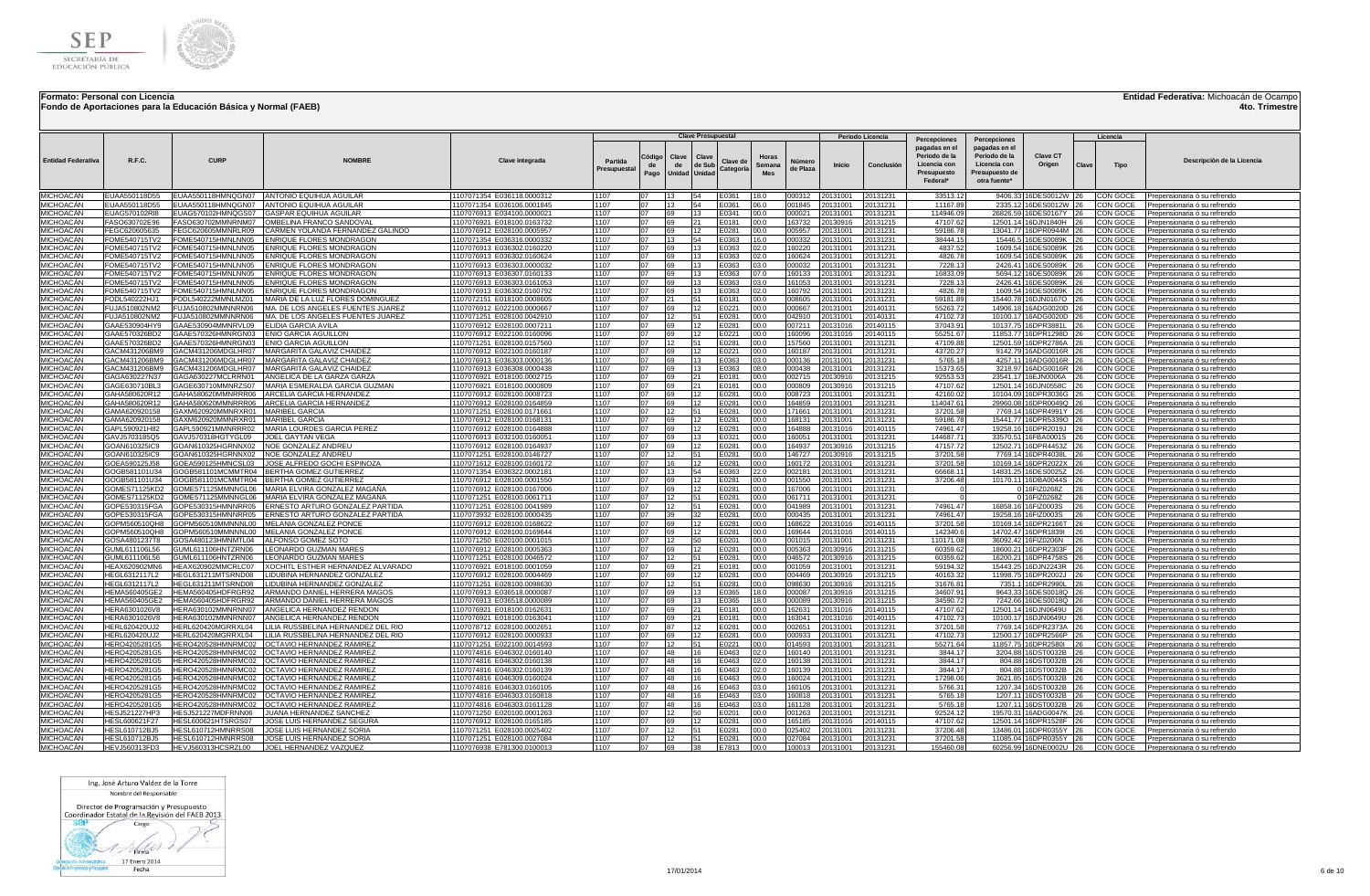



**Fondo de Aportaciones para la Educación Básica y Normal (FAEB)**

## **Entidad Federativa:** Michoacán de Ocampo

**4to. Trimestre**

|                                      |                                |                                          |                                                                                                 |                                                          |                        |                      |                                     | <b>Clave Presupuestal</b> |                       |                               |                    |                      | Periodo Licencia     |                                                                                           |                                                                                                  |                                                  |           | Licencia             |                                                                       |
|--------------------------------------|--------------------------------|------------------------------------------|-------------------------------------------------------------------------------------------------|----------------------------------------------------------|------------------------|----------------------|-------------------------------------|---------------------------|-----------------------|-------------------------------|--------------------|----------------------|----------------------|-------------------------------------------------------------------------------------------|--------------------------------------------------------------------------------------------------|--------------------------------------------------|-----------|----------------------|-----------------------------------------------------------------------|
| <b>Entidad Federativa</b>            | R.F.C.                         | <b>CURP</b>                              | <b>NOMRRE</b>                                                                                   | Clave integrada                                          | Partida<br>Presupuesta | Código<br>de<br>Pago | Clave<br>de<br><b>Unidad Unidad</b> | Clave<br>de Sub           | Clave de<br>Categoría | Horas<br>Semana<br><b>Mes</b> | Número<br>de Plaza | Inicio               | Conclusión           | Percepciones<br>pagadas en el<br>Periodo de la<br>Licencia con<br>Presupuesto<br>Federal* | Percepciones<br>pagadas en el<br>Periodo de la<br>Licencia con<br>Presupuesto de<br>otra fuente* | Clave CT<br>Origen                               | Clave     | Tipo                 | Descripción de la Licencia                                            |
| MICHOACÁN                            | EUAA550118D55                  |                                          | EUAA550118HMNQGN07 ANTONIO EQUIHUA AGUILAR                                                      | 1107071354 E036118.0000312                               | 1107                   | 07                   | 13 <sup>2</sup>                     | 54                        | E0361                 | 18.0                          | 000312             | 20131001             | 20131231             | 33513.12                                                                                  |                                                                                                  | 9406.33 16DES0012W 26                            |           | CON GOCE             | Prepensionaria ó su refrendo                                          |
| MICHOACÁN                            | EUAA550118D55                  | EUAA550118HMNQGN07                       | <b>ANTONIO EQUIHUA AGUILAR</b>                                                                  | 1107071354 E036106.0001845                               | 1107                   | 07<br>07             | 13                                  | 54                        | E0361                 | 06.0                          | 001845             | 20131001             | 20131231             | 11167.89                                                                                  |                                                                                                  | 2335.12 16DES0012W 26                            |           | CON GOCE             | Prepensionaria ó su refrendo                                          |
| MICHOACÁN<br>MICHOACÁN               | EUAG570102RI8<br>FASO630702E96 | EUAG570102HMNQGS07<br>FASO630702MMNRNM07 | <b>GASPAR EQUIHUA AGUILAR</b><br>OMBELINA FRANCO SANDOVAL                                       | 1107076913 E034100.0000021<br>1107076921 E018100.0163732 | 1107<br>1107           | 07                   | 69<br>69                            | 13<br>21                  | E0341<br>E0181        | 00.0<br>00.0                  | 000021<br>163732   | 20131001<br>20130916 | 20131231<br>20131215 | 114946.09<br>47107.62                                                                     |                                                                                                  | 26826.59 16DES0167Y 26<br>12501.14 16DJN1840H    |           | CON GOCE<br>CON GOCE | Prepensionaria ó su refrendo<br>Prepensionaria ó su refrendo          |
| MICHOACÁN                            | FEGC620605635                  | FEGC620605MMNRLR09                       | CARMEN YOLANDA FERNANDEZ GALINDO                                                                | 1107076912 E028100.0005957                               | 1107                   | 07                   | 69                                  | 12                        | E0281                 | 00.0                          | 005957             | 20131001             | 20131231             | 59186.78                                                                                  |                                                                                                  | 13041.77 16DPR0944M 26                           |           | CON GOCE             | Prepensionaria ó su refrendo                                          |
| MICHOACÁN                            | FOME540715TV2                  | FOME540715HMNLNN05                       | ENRIQUE FLORES MONDRAGON                                                                        | 107071354 E036316.0000332                                | 1107                   | 07                   | 13                                  | 54                        | E0363                 | 16.0                          | 000332             | 0131001              | 20131231             | 38444.1                                                                                   |                                                                                                  | 15446.5 16DES0089K 26                            |           | CON GOCE             | Prepensionaria ó su refrendo                                          |
| MICHOACÁN                            | FOME540715TV2                  | FOME540715HMNLNN05                       | ENRIQUE FLORES MONDRAGON                                                                        | 1107076913 E036302.0160220                               | 1107                   | 07                   | 69                                  | 13                        | E0363                 | 02.0                          | 160220             | 20131001             | 20131231             | 4837.52                                                                                   |                                                                                                  | 1609.54 16DES0089K                               | 26        | CON GOCE             | Prepensionaria ó su refrendo                                          |
| <b>MICHOACÁN</b><br><b>MICHOACÁN</b> | FOME540715TV2<br>FOME540715TV2 | FOME540715HMNLNN05<br>FOME540715HMNLNN05 | <b>ENRIQUE FLORES MONDRAGON</b><br>ENRIQUE FLORES MONDRAGON                                     | 1107076913 E036302.0160624<br>1107076913 E036303.0000032 | 1107<br>1107           | 07<br>07             | 69<br>69                            | 13<br>13                  | E0363<br>E0363        | 02.0<br>03.0                  | 160624<br>000032   | 20131001<br>20131001 | 20131231<br>20131231 | 4826.78<br>7228.13                                                                        |                                                                                                  | 1609.54 16DES0089K 26<br>2426.41 16DES0089K 26   |           | CON GOCE<br>CON GOCE | Prepensionaria ó su refrendo<br>Prepensionaria ó su refrendo          |
| MICHOACÁN                            | FOME540715TV2                  | FOME540715HMNLNN05                       | ENRIQUE FLORES MONDRAGON                                                                        | 1107076913 E036307.016013                                | 1107                   | 07                   | 69                                  | 13                        | E0363                 | 07.0                          | 160133             | 20131001             | 20131231             | 16833.09                                                                                  |                                                                                                  | 5694.12 16DES0089K 26                            |           | CON GOCE             | Prepensionaria ó su refrendo                                          |
| <b>MICHOACÁN</b>                     | FOME540715TV2                  | FOME540715HMNLNN05                       | ENRIQUE FLORES MONDRAGON                                                                        | 1107076913 E036303.0161053                               | 1107                   | 07                   | 69                                  | 13                        | E0363                 | 03.0                          | 161053             | 20131001             | 20131231             | 7228.13                                                                                   |                                                                                                  | 2426.41 16DES0089K                               | 126       | CON GOCE             | Prepensionaria ó su refrendo                                          |
| MICHOACÁN                            | FOME540715TV2                  | FOME540715HMNLNN05                       | <b>ENRIQUE FLORES MONDRAGON</b>                                                                 | 1107076913 E036302.0160792                               | 1107                   | 07                   | 69                                  | 13                        | E0363                 | 02.0                          | 160792             | 20131001             | 20131231             | 4826.78                                                                                   |                                                                                                  | 1609.54 16DES0089K 26                            |           | CON GOCE             | Prepensionaria ó su refrendo                                          |
| MICHOACÁN<br>MICHOACÁN               | FODL540222HJ*<br>FUJA510802NM2 | FODL540222MMNLMZ01<br>FUJA510802MMNNRN06 | MARIA DE LA LUZ FLORES DOMINGUEZ<br>MA. DE LOS ANGELES FUENTES JUAREZ                           | 1107072151 E018100.0008605<br>1107076912 E022100.0000667 | 1107<br>1107           | 07<br>07             | 21<br>69                            | 51<br>12                  | E0181<br>E0221        | 00.0<br>00.0                  | 008605<br>000667   | 20131001<br>20131001 | 20131231<br>20140131 | 59181.8<br>55263.72                                                                       | 15440.78                                                                                         | 16DJN0167O<br>14906.18 16ADG0020D 26             | 26        | CON GOCE<br>CON GOCE | Prepensionaria ó su refrendo<br>Prepensionaria ó su refrendo          |
| MICHOACÁN                            | FUJA510802NM2                  | FUJA510802MMNNRN06                       | MA, DE LOS ANGELES FUENTES JUAREZ                                                               | 1107071251 E028100.0042910                               | 1107                   | 07                   | 12                                  | 51                        | E0281                 | 00.0                          | 042910             | 20131001             | 20140131             | 47102.73                                                                                  |                                                                                                  | 10100.17 16ADG0020D                              | 126       | CON GOCE             | Prepensionaria ó su refrendo                                          |
| MICHOACÁN                            | GAAE530904HY9                  | GAAE530904MMNRVL09                       | <b>FLIDIA GARCIA AVILA</b>                                                                      | 1107076912 E028100.0007211                               | 1107                   | 07                   | 69                                  | 12                        | E0281                 | 00.0                          | 007211             | 20131016             | 20140115             | 37043.9                                                                                   |                                                                                                  | 10137.75 16DPR3881L                              | 126       | CON GOCE             | Prepensionaria ó su refrendo                                          |
| MICHOACÁN                            | GAAE570326BD2                  | GAAE570326HMNRGN03                       | ENIO GARCIA AGUILLON                                                                            | 1107076912 E022100.0160096                               | 1107                   | 07                   | 69                                  | 12                        | E0221                 | 00.0                          | 160096             | 20131016             | 20140115             | 55251.67                                                                                  |                                                                                                  | 11853.77 16DPR1298D                              | 26        | CON GOCE             | Prepensionaria ó su refrendo                                          |
| MICHOACÁN<br>MICHOACÁN               | GAAE570326BD2<br>GACM431206BM9 | GAAE570326HMNRGN03<br>GACM431206MDGLHR07 | ENIO GARCIA AGUILLON<br>MARGARITA GALAVIZ CHAIDEZ                                               | 1107071251 E028100.0157560<br>1107076912 E022100.0160187 | 1107<br>1107           | 07<br>07             | 12<br>69                            | 51<br>12                  | E0281<br>E0221        | 00.0<br>00.0                  | 157560<br>160187   | 20131001<br>20131001 | 20131231<br>20131231 | 47109.88<br>43720.27                                                                      |                                                                                                  | 12501.59 16DPR2786A<br>9142.79 16ADG0016R        | 26<br>26  | CON GOCE<br>CON GOCE | Prepensionaria ó su refrendo                                          |
| MICHOACÁN                            | GACM431206BM9                  | GACM431206MDGLHR07                       | MARGARITA GALAVIZ CHAIDEZ                                                                       | 1107076913 E036303,0000136                               | 1107                   | 07                   | 69                                  | 13                        | E0363                 | 03.0                          | 000136             | 20131001             | 20131231             | 5765.18                                                                                   |                                                                                                  | 4257.11 16ADG0016R                               | 126       | CON GOCE             | Prepensionaria ó su refrendo<br>Prepensionaria ó su refrendo          |
| MICHOACÁN                            | GACM431206BM9                  | GACM431206MDGLHR07                       | MARGARITA GALAVIZ CHAIDEZ                                                                       | 1107076913 E036308.0000438                               | 1107                   | 07                   | 69                                  | 13                        | E0363                 | 08.0                          | 000438             | 20131001             | 20131231             | 15373.65                                                                                  |                                                                                                  | 3218.97 16ADG0016R 26                            |           | CON GOCE             | Prepensionaria ó su refrendo                                          |
| MICHOACÁN                            | GAGA630227N37                  | GAGA630227MCLRRN01                       | ANGELICA DE LA GARZA GARZA                                                                      | 1107076921 E018100.0002715                               | 1107                   | 07                   | 69                                  | 21                        | E0181                 | 00.0                          | 002715             | 20130916             | 20131215             | 92553.53                                                                                  |                                                                                                  | 23541.17 16EJN0006A 26                           |           | CON GOCE             | Prepensionaria ó su refrendo                                          |
| MICHOACÁN<br>MICHOACÁN               | GAGE630710BL3<br>GAHA580620R12 |                                          | GAGE630710MMNRZS07 MARIA ESMERALDA GARCIA GUZMAN<br>GAHA580620MMNRRR06 ARCELIA GARCIA HERNANDEZ | 1107076921 E018100.0000809<br>1107076912 E028100.0008723 | 1107<br>1107           | 07<br>07             | 69<br>69                            | 21<br>12                  | E0181<br>E0281        | 00.0<br>00.0                  | 000809<br>008723   | 20130916<br>20131001 | 20131215<br>20131231 | 47107.62<br>42160.02                                                                      |                                                                                                  | 12501.14 16DJN0558C<br>10104.09 16DPR3036G 26    | 26        | CON GOCE<br>CON GOCE | Prepensionaria ó su refrendo<br>Prepensionaria ó su refrendo          |
| MICHOACÁN                            | GAHA580620R12                  |                                          | GAHA580620MMNRRR06 ARCELIA GARCIA HERNANDEZ                                                     | 107076912 E028100.0164859                                | 1107                   | 07                   | 69                                  |                           | E0281                 | 00.0                          | 164859             | 0131001              | 20131231             | 114047.6                                                                                  |                                                                                                  | 29960.08 16DPR0049Q 26                           |           | CON GOCE             | Prepensionaria ó su refrendo                                          |
| MICHOACÁN                            | GAMA620920158                  | GAXM620920MMNRXR01 MARIBEL GARCIA        |                                                                                                 | 1107071251 E028100.0171661                               | 1107                   | 07                   | 12                                  | 51                        | E0281                 | 00.0                          | 171661             | 20131001             | 20131231             | 37201.58                                                                                  |                                                                                                  | 7769.14 16DPR4991Y 26                            |           | CON GOCE             | Prepensionaria ó su refrendo                                          |
| MICHOACÁN                            | GAMA620920158                  | GAXM620920MMNRXR01 MARIBEL GARCIA        |                                                                                                 | 1107076912 E028100.0168131                               | 1107                   | 07                   | 69                                  | 12                        | E0281                 | 00.0                          | 168131             | 20131001             | 20131231             | 59186.7                                                                                   |                                                                                                  | 15441.77 16DPR5339O 26                           |           | CON GOCE             | Prepensionaria ó su refrendo                                          |
| MICHOACÁN<br>MICHOACÁN               | GAPL590921H82<br>GAVJ5703185Q5 | GAVJ570318HGTYGL09                       | GAPL590921MMNRRR02 MARIA LOURDES GARCIA PEREZ<br><b>JOEL GAYTAN VEGA</b>                        | 1107076912 E028100.0164888<br>1107076913 E032100.016005  | 1107<br>1107           | 07<br>07             | 69<br>69                            | 12<br>13                  | E0281<br>E0321        | 00.0<br>00.0                  | 164888<br>160051   | 20131016<br>20131001 | 20140115<br>20131231 | 74961.47<br>144687.7                                                                      |                                                                                                  | 19258.16 16DPR2019J 26<br>33570.51 16FBA0001S    |           | CON GOCE<br>CON GOCE | Prepensionaria ó su refrendo                                          |
| MICHOACÁN                            | GOAN610325IC9                  | GOAN610325HGRNNX02 NOE GONZALEZ ANDREI   |                                                                                                 | 1107076912 E028100.0164937                               | 1107                   | 07                   | 69                                  | 12                        | E0281                 | 00.0                          | 164937             | 20130916             | 20131215             | 47157.72                                                                                  |                                                                                                  | 12502.71 16DPR4453Z                              | <b>26</b> | CON GOCE             | Prepensionaria ó su refrendo<br>Prepensionaria ó su refrendo          |
| MICHOACÁN                            | GOAN610325IC9                  | GOAN610325HGRNNX02 NOE GONZALEZ ANDREU   |                                                                                                 | 1107071251 E028100.0146727                               | 1107                   | 07                   | 12                                  | 51                        | E0281                 | 00.0                          | 146727             | 20130916             | 20131215             | 37201.58                                                                                  |                                                                                                  | 7769.14 16DPR4038L                               | 26        | CON GOCE             | Prepensionaria ó su refrendo                                          |
| <i><b>JICHOACÁN</b></i>              | GOEA590125J58                  |                                          | GOEA590125HMNCSL03 JOSE ALFREDO GOCHI ESPINOZA                                                  | 1107071612 E028100.0160172                               | 1107                   | 07                   | 16                                  | 12                        | E0281                 | 00.0                          | 160172             | 20131001             | 20131231             | 37201.58                                                                                  |                                                                                                  | 10169.14 16DPR2022X                              | 26        | CON GOCE             | Prepensionaria ó su refrendo                                          |
| MICHOACÁN<br>MICHOACÁN               | GOGB581101U34<br>GOGB581101U34 |                                          | GOGB581101MCMMTR04 BERTHA GOMEZ GUTIERREZ<br>GOGB581101MCMMTR04 BERTHA GOMEZ GUTIERREZ          | 1107071354 E036322.0002181<br>107076912 E028100.0001550  | 1107<br>1107           | 07<br>07             | 13<br>69                            | 54<br>12                  | E0363<br>E0281        | 22.0<br>00.0                  | 002181<br>001550   | 20131001<br>20131001 | 20131231             | 66668.1<br>37206.48                                                                       |                                                                                                  | 14831.25 16DES0025Z<br>10170.11 16DBA0044S       | 26<br>26  | CON GOCE<br>CON GOCE | Prepensionaria ó su refrendo                                          |
| MICHOACÁN                            | GOMES71125KD2                  |                                          | GOME571125MMNNGL06 MARIA ELVIRA GONZALEZ MAGAÑA                                                 | 1107076912 E028100.0167006                               | 1107                   | 07                   | 69                                  | 12                        | E0281                 | 00.0                          | 167006             | 20131001             | 20131231<br>20131231 |                                                                                           |                                                                                                  | 0 16FIZ0268Z                                     | 26        | CON GOCE             | Prepensionaria ó su refrendo<br>Prepensionaria ó su refrendo          |
| MICHOACÁN                            | GOMES71125KD2                  |                                          | GOME571125MMNNGL06 MARIA ELVIRA GONZALEZ MAGAÑA                                                 | 1107071251 E028100.0061711                               | 1107                   | 07                   | 12                                  | 51                        | E0281                 | 00.0                          | 061711             | 20131001             | 20131231             |                                                                                           |                                                                                                  | 0 16FIZ0268Z                                     | 26        | CON GOCE             | Prepensionaria ó su refrendo                                          |
| <b>MICHOACAN</b>                     | GOPE530315FGA                  | GOPE530315HMNNRR05                       | ERNESTO ARTURO GONZALEZ PARTIDA                                                                 | 1107071251 E028100.0041989                               | 1107                   | 07                   | 12                                  | 51                        | E0281                 | 00.0                          | 041989             | 20131001             | 20131231             | 74961.47                                                                                  |                                                                                                  | 16858.16 16FIZ0003S                              | 26        | CON GOCE             | Prepensionaria ó su refrendo                                          |
| MICHOACÁN<br>MICHOACÁN               | GOPE530315FGA                  | GOPE530315HMNNRR05                       | ERNESTO ARTURO GONZALEZ PARTIDA<br>GOPM560510MMNNNL00 MELANIA GONZALEZ PONCE                    | 1107073932 E028100.0000435                               | 1107<br>1107           | 07<br>07             | 39<br>69                            | 32<br>12                  | E0281<br>E0281        | 00.0<br>00.0                  | 000435<br>168622   | 20131001<br>20131016 | 20131231             | 74961.47<br>37201.58                                                                      |                                                                                                  | 19258.16 16FIZ0003S<br>10169.14 16DPR2166T 26    | 26        | CON GOCE             | Prepensionaria ó su refrendo                                          |
| MICHOACÁN                            | GOPM560510QH8<br>GOPM560510QH8 |                                          | GOPM560510MMNNNL00 MELANIA GONZALEZ PONCE                                                       | 1107076912 E028100.0168622<br>1107076912 E028100.0169644 | 1107                   | 07                   | 69                                  | 12                        | E0281                 | 00.0                          | 169644             | 20131016             | 20140115<br>20140115 | 142340.                                                                                   |                                                                                                  | 14702.47 16DPR1839I                              | 26        | CON GOCE<br>CON GOCE | Prepensionaria ó su refrendo<br>Prepensionaria ó su refrendo          |
| MICHOACÁN                            | GOSA4801237T8                  | GOSA480123HMNMTL04 ALFONSO GOMEZ SOTO    |                                                                                                 | 1107071250 E020100.0001015                               | 1107                   | 07                   | 12                                  | 50                        | E0201                 | 00.0                          | 001015             | 20131001             | 20131231             | 110171.08                                                                                 |                                                                                                  | 36092.42 16FIZ0206N                              | 26        | CON GOCE             | Prepensionaria ó su refrendo                                          |
| MICHOACÁN                            | GUML611106L56                  | GUML611106HNTZRN06                       | LEONARDO GUZMAN MARES                                                                           | 1107076912 E028100.0005363                               | 1107                   | 07                   | 69                                  | 12                        | E0281                 | 00.0                          | 005363             | 20130916             | 20131215             | 60359.62                                                                                  |                                                                                                  | 18600.21 16DPR2303F 26                           |           | CON GOCE             | Prepensionaria ó su refrendo                                          |
| <b>MICHOACÁN</b><br>MICHOACÁN        | GUML611106L56<br>HEAX620902MN6 | GUML611106HNTZRN06<br>HEAX620902MMCRLC07 | LEONARDO GUZMAN MARES<br>XOCHITL ESTHER HERNANDEZ ALVARADO                                      | 1107071251 E028100.0046572                               | 1107<br>1107           | 07<br>07             | 12<br>69                            | 51                        | E0281<br>E0181        | 00.0<br>00.0                  | 046572<br>001059   | 20130916<br>20131001 | 20131215             | 60359.62                                                                                  |                                                                                                  | 16200.21 16DPR4758S 26<br>15443.25 16DJN2243R    | 126       | CON GOCE<br>CON GOCE | Prepensionaria ó su refrendo                                          |
| MICHOACÁN                            | HEGL6312117L2                  | HEGL631211MTSRND08                       | LIDUBINA HERNANDEZ GONZALEZ                                                                     | 1107076921 E018100.0001059<br>1107076912 E028100.0004469 | 1107                   | 07                   | 69                                  | 21<br>12                  | E0281                 | 00.0                          | 004469             | 20130916             | 20131231<br>20131215 | 59194.3<br>40163.3                                                                        | 11998.75                                                                                         | 16DPR2002J                                       | 26        | CON GOCE             | Prepensionaria ó su refrendo<br>Prepensionaria ó su refrendo          |
| MICHOACÁN                            | HEGL6312117L2                  | HEGL631211MTSRND08                       | LIDUBINA HERNANDEZ GONZALEZ                                                                     | 1107071251 E028100.0098630                               | 1107                   | 07                   | <b>12</b>                           | 51                        | F0281                 | 00.0                          | 098630             | 20130916             | 20131215             | 31676.8                                                                                   | 7351.1                                                                                           | 16DPR2990L 26                                    |           | CON GOCE             | Prepensionaria ó su refrendo                                          |
| MICHOACÁN                            | HEMA560405GE2                  | HEMA560405HDFRGR92                       | ARMANDO DANIEL HERRERA MAGO                                                                     | 1107076913 E036518.0000087                               | 1107                   | 07                   | 69                                  | 13                        | E0365                 | 18.0                          | 000087             | 20130916             | 20131215             | 34607.9                                                                                   | 9643.33                                                                                          | 16DES0018Q 26                                    |           | CON GOCE             | Prepensionaria ó su refrendo                                          |
| MICHOACÁN<br>MICHOACÁN               | HEMA560405GE2<br>HFRA6301026V8 | HEMA560405HDFRGR92<br>HERA630102MMNRNN07 | ARMANDO DANIEL HERRERA MAGO<br><b>ANGELICA HERNANDEZ RENDON</b>                                 | 1107076913 E036518.0000089<br>1107076921 E018100.0162631 | 1107<br>1107           | 07<br>07             | 69<br>69                            | 13<br>21                  | E0365<br>F0181        | 18.0<br>00.0                  | 000089<br>162631   | 20130916<br>20131016 | 20131215<br>20140115 | 34590.7<br>47107.62                                                                       | 7242.66                                                                                          | 16DES0018O 26<br>12501.14 16D.JN0649U            | 26        | CON GOCE<br>CON GOCE | Prepensionaria ó su refrendo<br>Prepensionaria ó su refrendo          |
| MICHOACÁN                            | HERA6301026V8                  |                                          | HERA630102MMNRNN07 ANGELICA HERNANDEZ RENDON                                                    | 1107076921 E018100.0163041                               | 1107                   | 07                   | 69                                  | 21                        | E0181                 | 00.0                          | 163041             | 20131016             | 20140115             | 47102.73                                                                                  |                                                                                                  | 10100.17 16DJN0649U                              | 26        | CON GOCE             | Prepensionaria ó su refrendo                                          |
| MICHOACÁN                            | HERL620420UJ2                  | HERL620420MGRRXL04                       | LILIA RUSSBELINA HERNANDEZ DEL RIO                                                              | 107078712 E028100.0002651                                | 1107                   | 07                   | 87                                  | 12                        | E0281                 | 00.0                          | 002651             | 20131001             | 20131231             | 37201.58                                                                                  |                                                                                                  | 7769.14 16DPR2373A                               | 126       | CON GOCE             | Prepensionaria ó su refrendo                                          |
| MICHOACÁN                            | HERL620420UJ2                  | HERL620420MGRRXL04                       | LILIA RUSSBELINA HERNANDEZ DEL RIO                                                              | 1107076912 E028100.0000933                               | 1107                   | 07                   | 69                                  | 12                        | E0281                 | 00.0                          | 000933             | 20131001             | 20131231             | 47102.73                                                                                  |                                                                                                  | 12500.17 16DPR2566P                              | 26        | CON GOCE             | Prepensionaria ó su refrendo                                          |
| MICHOACÁN<br>MICHOACÁN               | HERO4205281G5                  | HERO420528HMNRMC02                       | OCTAVIO HERNANDEZ RAMIREZ                                                                       | 1107071251 E022100.0014593                               | 1107<br>1107           | 07<br>07             | 12<br>48                            | 51<br>16                  | E0221<br>E0463        | 00.0<br>02.0                  | 014593<br>160140   | 20131001<br>20131001 | 20131231<br>20131231 | 55271.64<br>3844.17                                                                       |                                                                                                  | 11857.75 16DPR2580I                              | 26        | CON GOCE             | Prepensionaria ó su refrendo                                          |
| MICHOACÁN                            | HERO4205281G5<br>HERO4205281G5 | HERO420528HMNRMC02<br>HERO420528HMNRMC02 | OCTAVIO HERNANDEZ RAMIRE.<br><b>OCTAVIO HERNANDEZ RAMIRE</b>                                    | 1107074816 E046302.0160140<br>1107074816 E046302.0160138 | 1107                   | 07                   | 48                                  | 16                        | E0463                 | 02.0                          | 160138             | 20131001             | 20131231             | 3844.17                                                                                   | 804.88                                                                                           | 3204.88 16DST0032B<br>16DST0032B                 |           | CON GOCE<br>CON GOCE | Prepensionaria ó su refrendo<br>Prepensionaria ó su refrendo          |
| MICHOACÁN                            | HERO4205281G5                  | HERO420528HMNRMC02                       | OCTAVIO HERNANDEZ RAMIRE                                                                        | 1107074816 E046302.0160139                               | 1107                   | 07                   | 48                                  | 16                        | E0463                 | 02.0                          | 160139             | 20131001             | 20131231             | 3844.17                                                                                   | 804.88                                                                                           | 16DST0032B                                       |           | CON GOCE             | Prepensionaria ó su refrendo                                          |
| MICHOACÁN                            | HERO4205281G5                  | HERO420528HMNRMC02                       | OCTAVIO HERNANDEZ RAMIREZ                                                                       | 1107074816 E046309.0160024                               | 1107                   | 07                   | 48                                  | 16                        | E0463                 | 09.0                          | 160024             | 20131001             | 20131231             | 17298.06                                                                                  |                                                                                                  | 3621.85 16DST0032B                               | 26        | CON GOCE             | Prepensionaria ó su refrendo                                          |
| MICHOACÁN<br>MICHOACÁN               | HERO4205281G5<br>HERO4205281G5 |                                          | HERO420528HMNRMC02   OCTAVIO HERNANDEZ RAMIREZ                                                  | 1107074816 E046303.0160105<br>1107074816 E046303.0160818 | 1107<br>1107           | 07<br>07             | 48<br>48                            | 16                        | E0463<br>E0463        | 03.0<br>03.0                  | 160105<br>160818   | 20131001<br>20131001 | 20131231<br>20131231 | 5766.3<br>5765.18                                                                         |                                                                                                  | 1207.34 16DST0032B<br>1207.11 16DST0032B 26      | 26        | CON GOCE<br>CON GOCE | Prepensionaria ó su refrendo<br>Prepensionaria ó su refrendo          |
| MICHOACÁN                            | HERO4205281G5                  | HERO420528HMNRMC02                       | OCTAVIO HERNANDEZ RAMIREZ                                                                       | 107074816 E046303.0161128                                | 1107                   | 07                   | 48                                  |                           | E0463                 | 03.0                          | 161128             | 20131001             | 20131231             | 5765.18                                                                                   |                                                                                                  | 1207.11 16DST0032B 26                            |           | CON GOCE             | Prepensionaria ó su refrendo                                          |
| MICHOACÁN                            | HESJ521227HP3                  | HESJ521227MDFRNN06                       | JUANA HERNANDEZ SANCHEZ                                                                         | 1107071250 E020100.0001263                               | 1107                   | 07                   | 12                                  | 50                        | E0201                 | 00.0                          | 001263             | 20131001             | 20131231             | 92524.12                                                                                  |                                                                                                  | 19570.31 16ADG0047K 26                           |           | CON GOCE             | Prepensionaria ó su refrendo                                          |
| MICHOACÁN                            | HESL600621F27                  | HESL600621HTSRGS07                       | JOSE LUIS HERNANDEZ SEGURA                                                                      | 1107076912 E028100.0165185                               | 1107                   | 07                   | 69                                  | 12.                       | E0281                 | 00.0                          | 165185             | 20131016             | 20140115             | 47107.62                                                                                  |                                                                                                  | 12501.14 16DPR1528F                              | 126       | CON GOCE             | Prepensionaria ó su refrendo                                          |
| MICHOACÁN<br>MICHOACÁN               | HESL610712BJ5<br>HESL610712BJ5 | HESL610712HMNRRS08<br>HESL610712HMNRRS08 | JOSE LUIS HERNANDEZ SORIA<br>JOSE LUIS HERNANDEZ SORIA                                          | 1107071251 E028100.0025402<br>1107071251 E028100.0027084 | 1107<br>1107           | 07<br>07             | 12<br>12                            | 51<br>51                  | E0281<br>E0281        | 00.0<br>00.0                  | 025402<br>027084   | 20131001<br>20131001 | 20131231<br>20131231 | 37206.48<br>37201.58                                                                      |                                                                                                  | 13486.01 16DPR0355Y 26<br>11085.04 16DPR0355Y 26 |           | CON GOCE<br>CON GOCE | Prepensionaria ó su refrendo                                          |
| MICHOACÁN                            | HEVJ560313FD3                  |                                          | HEVJ560313HCSRZL00   JOEL HERNANDEZ VAZQUEZ                                                     | 1107076938 E781300.0100013                               | 1107                   | 07                   | 69                                  | 38                        | E7813                 | 00.0                          | 100013             | 20131001             | 20131231             | 155460.08                                                                                 |                                                                                                  | 60256.99 16DNE0002U 26                           |           |                      | Prepensionaria ó su refrendo<br>CON GOCE Prepensionaria ó su refrendo |
|                                      |                                |                                          |                                                                                                 |                                                          |                        |                      |                                     |                           |                       |                               |                    |                      |                      |                                                                                           |                                                                                                  |                                                  |           |                      |                                                                       |

Ing. José Arturo Valdez de la Torre Nombre del Responsable

Director de Programación y Presupuesto<br>Coordinador Estatal de la Revisión del FAEB 2013

 $800$ Cargo 1 Defunction 1

**Excession Control Control Control Control Control Control Control Control Control Control Control Control Control Control Control Control Control Control Control Control Control Control Control Control Control Control Con**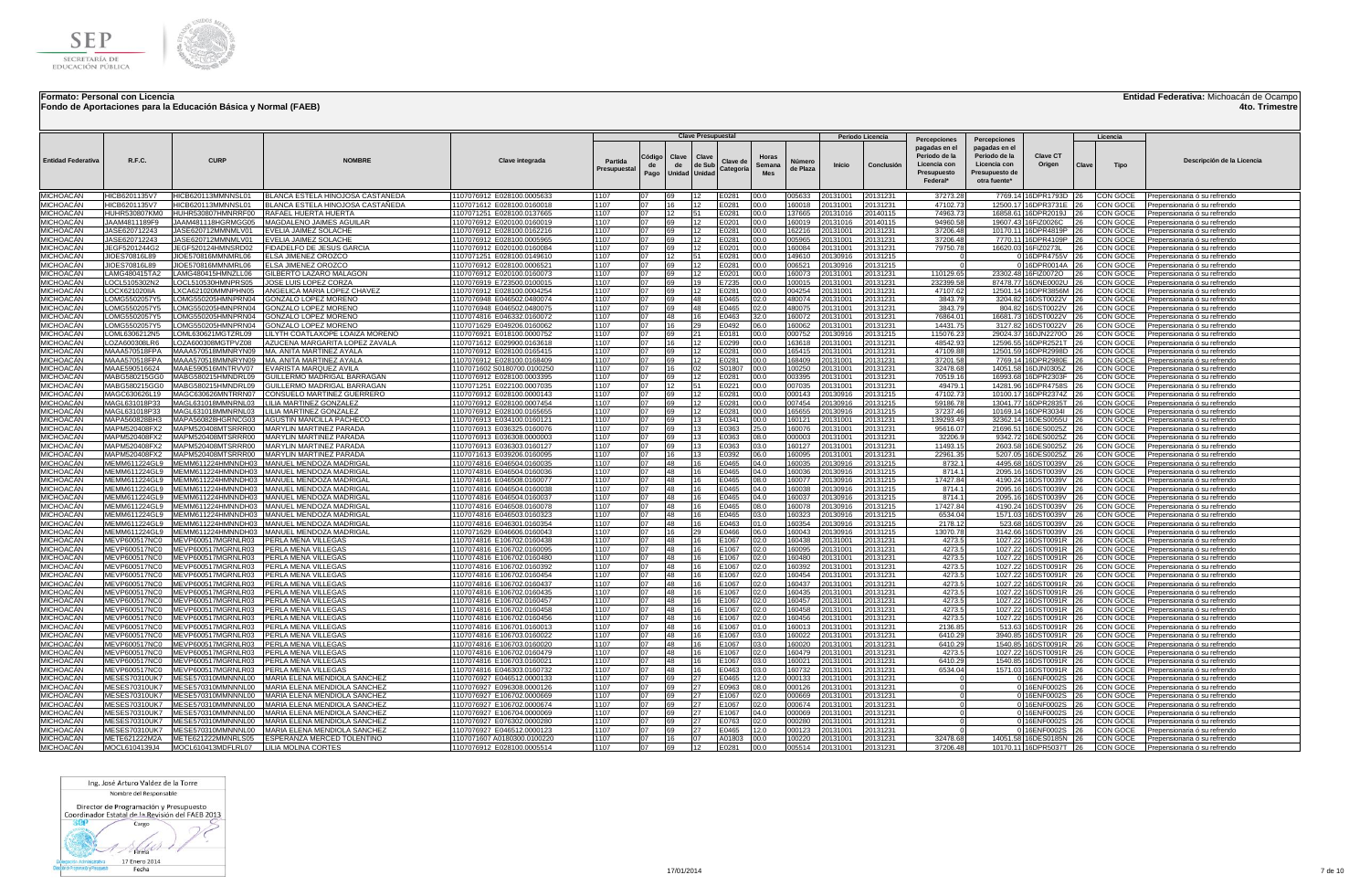

### **Fondo de Aportaciones para la Educación Básica y Normal (FAEB)**

**Entidad Federativa:** Michoacán de Ocampo

**4to. Trimestre**

|                                      |                                |                                          |                                                              |                                                          |                        |                      |                                     |                 | <b>Clave Presupuestal</b> |                 |                    |                    | Periodo Licencia     |                                                                                           |                                                                                                  |                                                |          | Licencia             |                                                              |
|--------------------------------------|--------------------------------|------------------------------------------|--------------------------------------------------------------|----------------------------------------------------------|------------------------|----------------------|-------------------------------------|-----------------|---------------------------|-----------------|--------------------|--------------------|----------------------|-------------------------------------------------------------------------------------------|--------------------------------------------------------------------------------------------------|------------------------------------------------|----------|----------------------|--------------------------------------------------------------|
| <b>Entidad Federativa</b>            | <b>R.F.C.</b>                  | <b>CURP</b>                              | <b>NOMRRI</b>                                                | <b>Clave integrada</b>                                   | Partida<br>Presupuesta | Código<br>de<br>Pago | Clave<br>de<br><b>Unidad Unidad</b> | Clave<br>de Sub | Clave de<br>Categoría     | Horas<br>Semana | Número<br>de Plaza | Inicio             | Conclusión           | Percepciones<br>pagadas en el<br>Periodo de la<br>Licencia cor<br>Presupuesto<br>Federal* | Percenciones<br>pagadas en el<br>Periodo de la<br>Licencia con<br>Presupuesto de<br>otra fuente* | <b>Clave CT</b><br>Origen                      | Clave    | Tipo                 | Descripción de la Licencia                                   |
| MICHOACÁN                            | HICB6201135V7                  | HICB620113MMNNSL01                       | BLANCA ESTELA HINOJOSA CASTAÑEDA                             | 1107076912 E028100.0005633                               | 1107                   |                      | 69                                  | 12              | E0281                     | 00.0            | 005633             | 20131001           | 20131231             | 37273.28                                                                                  |                                                                                                  | 7769.14 16DPR1793D 26                          |          | CON GOCE             | Prepensionaria ó su refrendo                                 |
| <b>MICHOACÁN</b>                     | HICB6201135V7                  | HICB620113MMNNSL01                       | BLANCA ESTELA HINOJOSA CASTAÑEDA                             | 1107071612 E028100.0160018                               | 1107                   | 07                   | 16                                  | 12              | E0281                     | 00.0            | 160018             | 0131001            | 20131231             | 471027                                                                                    |                                                                                                  | 12500.17 16DPR3731E 26                         |          | CON GOCE             | Prepensionaria ó su refrendo                                 |
| MICHOACÁN<br>MICHOACÁN               | HUHR530807KM0<br>JAAM4811189F9 | HUHR530807HMNRRF00<br>AAM481118HGRMGG05  | RAFAEL HUERTA HUERTA<br>MAGDALENO JAIMES AGUILAR             | 1107071251 E028100.0137665<br>1107076912 E020100.0160019 | 1107<br>1107           | 07<br>ገ7             | 12<br>69                            | 51<br>12        | E0281<br>E0201            | 00.0<br>00.0    | 37665<br>60019     | 0131016<br>0131016 | 20140115<br>0140115  | 74963.73<br>94960.5                                                                       |                                                                                                  | 16858.61 16DPR2019J 26<br>19607.43 16FIZ0026C  | 26       | CON GOCE<br>CON GOCE | Prepensionaria ó su refrendo                                 |
| <b>MICHOACAN</b>                     | JASE620712243                  | JASE620712MMNMLV01                       | EVELIA JAIMEZ SOLACHI                                        | 1107076912 E028100.0162216                               | 1107                   | 07                   | -69                                 | 12              | E0281                     | 00.0            | 162216             | 0131001            | 20131231             | 37206.48                                                                                  |                                                                                                  | 10170.11 16DPR4819P 26                         |          | CON GOCE             | Prepensionaria ó su refrendo<br>Prepensionaria ó su refrendo |
| MICHOACÁN                            | JASE620712243                  | JASE620712MMNMLV01                       | EVELIA JAIMEZ SOLACHE                                        | 1107076912 E028100.0005965                               | 1107                   | 07                   | 69                                  | 12              | E0281                     | 00.0            | 005965             | 0131001            | 20131231             | 37206.48                                                                                  | 7770.11                                                                                          | 16DPR4109P 26                                  |          | CON GOCE             | Prepensionaria ó su refrendo                                 |
| MICHOACÁN                            | JEGF5201244G2                  | JEGF520124HMNSRD02                       | FIDADELFO DE JESUS GARCIA                                    | 1107076912 E020100.0160084                               | 1107                   | 07                   | 69                                  | 12              | E0201                     | 00.0            | 160084             | 0131001            | 20131231             | 79750.78                                                                                  | 16620.03                                                                                         | 16FIZ0273L                                     | 26       | CON GOCE             | Prepensionaria ó su refrendo                                 |
| <b>MICHOACAN</b>                     | JIOES70816L89                  | JIOE570816MMNMRL06                       | <b>FLSA JIMENEZ OROZCO</b>                                   | 1107071251 E028100.0149610                               | 1107                   | 07                   | $ 12\rangle$                        | 51              | F0281                     | 00.0            | 149610             | 20130916           | 20131215             |                                                                                           |                                                                                                  | 16DPR4755V 26                                  |          | CON GOCE             | Prepensionaria ó su refrendo                                 |
| MICHOACÁN<br>MICHOACÁN               | JIOES70816L89<br>LAMG480415TA2 | JIOE570816MMNMRL06<br>AMG480415HMNZLL06  | ELSA JIMENEZ OROZCO<br>GILBERTO LAZARO MALAGON               | 1107076912 E028100.0006521<br>1107076912 E020100.0160073 | 1107<br>1107           | 07<br>07             | 69<br>69                            | 12<br>12        | E0281<br>E0201            | 00.0<br>00.0    | 006521<br>160073   | 0130916<br>0131001 | 20131215<br>20131231 | 110129.65                                                                                 |                                                                                                  | 016DPR0014A 26<br>23302.48 16FIZ0072O 26       |          | CON GOCE<br>CON GOCE | Prepensionaria ó su refrendo                                 |
| MICHOACÁN                            | LOCL5105302N2                  | OCL510530HMNPRS05                        | JOSE LUIS LOPEZ CORZA                                        | 1107076919 E723500.0100015                               | 1107                   | 07                   | 69                                  | 19              | E7235                     | 00.0            | 100015             | 0131001            | 20131231             | 232399.58                                                                                 |                                                                                                  | 87478.77 16DNE0002U 26                         |          | CON GOCE             | Prepensionaria ó su refrendo<br>Prepensionaria ó su refrendo |
| <b>MICHOACÁN</b>                     | LOCX621020IIA                  | XCA621020MMNPHN05                        | ANGELICA MARIA LOPEZ CHAVEZ                                  | 1107076912 E028100.0004254                               | 1107                   | 07                   | 69                                  | 12              | E0281                     | 00.0            | 004254             | 0131001            | 20131231             | 47107.62                                                                                  |                                                                                                  | 12501.14 16DPR3856M 26                         |          | CON GOCE             | Prepensionaria ó su refrendo                                 |
| MICHOACÁN                            | <b>LOMG5502057Y5</b>           | OMG550205HMNPRN04                        | GONZALO LOPEZ MORENC                                         | 1107076948 E046502.0480074                               | 1107                   | 07                   | 69                                  | 48              | E0465                     | 02.0            | 480074             | 0131001            | 20131231             | 3843.79                                                                                   | 3204.82                                                                                          | 16DST0022V                                     | 126      | CON GOCE             | Prepensionaria ó su refrendo                                 |
| MICHOACÁN                            | LOMG5502057Y5                  | OMG550205HMNPRN04                        | GONZALO LOPEZ MORENC                                         | 1107076948 E046502.0480075                               | 1107                   | 07                   | 69                                  | 48              | E0465                     | 02.0            | 480075             | 0131001            | 20131231             | 3843.79                                                                                   |                                                                                                  | 804.82 16DST0022V 26                           |          | CON GOCE             | Prepensionaria ó su refrendo                                 |
| <b>MICHOACÁN</b>                     | LOMG5502057Y5                  | OMG550205HMNPRN04                        | GONZALO LOPEZ MORENO                                         | 1107074816 E046332.0160072                               | 1107<br>1107           | 07<br>07             | 48<br>$ 16\rangle$                  | 16<br>29        | E0463                     | 32.0            | 160072             | 0131001            | 20131231             | 76864.0                                                                                   | 3127.82                                                                                          | 16681.73 16DST0022V 26                         |          | CON GOCE             | Prepensionaria ó su refrendo                                 |
| MICHOACÁN<br>MICHOACÁN               | LOMG5502057Y5<br>LOML6306212N5 | OMG550205HMNPRN04<br>OML630621MGTZRL09   | GONZALO LOPEZ MORENC<br>LILYTH COATLAXOPE LOAIZA MORENC      | 1107071629 E049206.0160062<br>1107076921 E018100.0000752 | 1107                   | 07                   | 69                                  | 21              | E0492<br>E0181            | 06.0<br>00.0    | 160062<br>000752   | 0131001<br>0130916 | 20131231<br>20131215 | 14431.75<br>115076.2                                                                      | 29024.37                                                                                         | 16DST0022V 26<br>16DJN2270O                    |          | CON GOCE<br>CON GOCE | Prepensionaria ó su refrendo<br>Prepensionaria ó su refrendo |
| MICHOACÁN                            | LOZA600308LR6                  | OZA600308MGTPVZ08                        | AZUCENA MARGARITA LOPEZ ZAVALA                               | 1107071612 E029900.0163618                               | T <sub>1107</sub>      | 07                   | $ 16\rangle$                        | 12              | E0299                     | 00.0            | 163618             | 0131001            | 20131231             | 48542.93                                                                                  | 12596.55                                                                                         | 16DPR2521T 26                                  |          | CON GOCE             | Prepensionaria ó su refrendo                                 |
| <b>MICHOACÁN</b>                     | MAAA570518FPA                  | MAAA570518MMNRYN09                       | MA. ANITA MARTINEZ AYALA                                     | 1107076912 E028100.0165415                               | 1107                   | 07                   | 69                                  | 12              | E0281                     | 00.0            | 165415             | 0131001            | 20131231             | 47109.88                                                                                  | 12501.59                                                                                         | 16DPR2998D                                     | 26       | CON GOCE             | Prepensionaria ó su refrendo                                 |
| MICHOACÁN                            | MAAA570518FPA                  | MAAA570518MMNRYN09                       | <b>MA, ANITA MARTINEZ AYALA</b>                              | 1107076912 E028100.0168409                               | 1107                   | 07                   | 69                                  | 12              | E0281                     | 00.0            | 168409             | 0131001            | 20131231             | 37201.58                                                                                  | 7769 14                                                                                          | 16DPR2980E                                     | 26       | CON GOCE             | Prepensionaria ó su refrendo                                 |
| <b>MICHOACÁN</b>                     | MAAE590516624                  | MAAE590516MNTRVV07                       | <b>EVARISTA MARQUEZ AVILA</b>                                | 1107071602 S0180700.0100250                              | 1107                   | 07                   | 16                                  | 02              | S01807                    | 00.0            | 100250             | 0131001            | 20131231             | 32478.68                                                                                  | 14051 58                                                                                         | 16DJN0305Z 26                                  |          | CON GOCE             | Prepensionaria ó su refrendo                                 |
| <b>MICHOACÁN</b><br>MICHOACÁN        | MABG580215GG0<br>MABG580215GG0 | MABG580215HMNDRL09<br>MABG580215HMNDRL09 | GUILLERMO MADRIGAL BARRAGAN<br>GUILLERMO MADRIGAL BARRAGAN   | 1107076912 E028100.0003395                               | 1107<br>1107           | 07                   | 69<br>12                            | 12<br>51        | E0281                     | 00.0            | 003395             | 0131001            | 20131231             | 70519.16<br>49479.                                                                        | 16993.68<br>14281.96                                                                             | 16DPR2303F 26<br>16DPR4758S                    |          | CON GOCE<br>CON GOCE | Prepensionaria ó su refrendo                                 |
| MICHOACÁN                            | MAGC630626L19                  | MAGC630626MNTRRN07                       | CONSUELO MARTINEZ GUERRERO                                   | 1107071251 E022100.0007035<br>1107076912 E028100.0000143 | 1107                   | ሰ7                   | 69                                  | 12              | E0221<br>E0281            | 00.0<br>00.0    | 007035<br>000143   | 0131001<br>0130916 | 20131231<br>20131215 | 47102.73                                                                                  |                                                                                                  | 10100.17 16DPR2374Z 26                         | 26       | CON GOCE             | Prepensionaria ó su refrendo<br>Prepensionaria ó su refrendo |
| <b>MICHOACÁN</b>                     | MAGL631018P33                  | MAGL631018MMNRNL03                       | LILIA MARTINEZ GONZALEZ                                      | 1107076912 E028100.0007454                               | 1107                   | 07                   | 169                                 | 12              | E0281                     | 00.0            | 007454             | 0130916            | 20131215             | 59186.7                                                                                   | 13041.77                                                                                         | 16DPR2835T 26                                  |          | CON GOCE             | Prepensionaria ó su refrendo                                 |
| <b>MICHOACÁN</b>                     | MAGL631018P33                  | MAGL631018MMNRNL03                       | LILIA MARTINEZ GONZALEZ                                      | 1107076912 E028100.0165655                               | 1107                   | 07                   | 69                                  | 12              | E0281                     | 00.0            | 165655             | 0130916            | 20131215             | 37237.46                                                                                  | 10169.14                                                                                         | 16DPR3034I 26                                  |          | CON GOCE             | Prepensionaria ó su refrendo                                 |
| MICHOACÁN                            | MAPA560828BH3                  |                                          | MAPA560828HGRNCG03 AGUSTIN MANCILLA PACHECO                  | 1107076913 E034100.0160121                               | 1107                   | 07                   | 69                                  | 13              | E0341                     | 00.0            | 160121             | 20131001           | 20131231             | 139293.49                                                                                 | 32362.14                                                                                         | 16DES0055U 26                                  |          | CON GOCE             | Prepensionaria ó su refrendo                                 |
| MICHOACÁN                            | MAPM520408FX2                  |                                          | MAPM520408MTSRRR00 MARYLIN MARTINEZ PARADA                   | 1107076913 E036325.0160076                               | 1107                   | 07                   | 69                                  | 13              | E0363                     | 25.0            | 160076             | 0131001            | 20131231             | 95616.07                                                                                  | 21696.51                                                                                         | 16DES0025Z 26                                  |          | CON GOCE             | Prepensionaria ó su refrendo                                 |
| <b>MICHOACÁN</b><br>MICHOACÁN        | MAPM520408FX2<br>MAPM520408FX2 | MAPM520408MTSRRR00<br>MAPM520408MTSRRR00 | MARYLIN MARTINEZ PARADA<br>MARYLIN MARTINEZ PARADA           | 1107076913 E036308,0000003<br>1107076913 E036303.0160127 | 1107<br>1107           | 07<br>07             | 69<br>69                            | 13<br>13        | E0363<br>E0363            | 08.0<br>03.0    | 000003<br>160127   | 0131001<br>0131001 | 20131231<br>20131231 | 32206.9<br>11493.15                                                                       |                                                                                                  | 9342.72 16DES0025Z 26<br>2603.58 16DES0025Z 26 |          | CON GOCE<br>CON GOCE | Prepensionaria ó su refrendo<br>Prepensionaria ó su refrendo |
| MICHOACÁN                            | MAPM520408FX2                  | MAPM520408MTSRRR00                       | MARYLIN MARTINEZ PARADA                                      | 1107071613 E039206.0160095                               | 1107                   | 07                   | 16                                  | 13              | E0392                     | 06.0            | 160095             | 0131001            | 20131231             | 22961.3                                                                                   |                                                                                                  | 5207.05 16DES0025Z 26                          |          | CON GOCE             | Prepensionaria ó su refrendo                                 |
| MICHOACÁN                            | MEMM611224GL9                  | MEMM611224HMNNDH03                       | MANUEL MENDOZA MADRIGAI                                      | 1107074816 E046504.0160035                               | 1107                   | 07                   | 48                                  | 16              | E0465                     | 04.0            | 60035              | 0130916            | 20131215             | 8732.                                                                                     | 4495.68                                                                                          | 16DST0039V                                     | 26       | CON GOCE             | Prepensionaria ó su refrendo                                 |
| MICHOACÁN                            | MEMM611224GL9                  | MEMM611224HMNNDH03                       | MANUEL MENDOZA MADRIGAL                                      | 1107074816 E046504.0160036                               | 1107                   | 07                   | 48                                  | 16              | E0465                     | 04.0            | 160036             | 0130916            | 20131215             | 8714.1                                                                                    |                                                                                                  | 2095.16 16DST0039V 26                          |          | CON GOCE             | Prepensionaria ó su refrendo                                 |
| <b>MICHOACÁN</b>                     | MEMM611224GL9                  | MEMM611224HMNNDH03                       | MANUEL MENDOZA MADRIGAL                                      | 1107074816 E046508.0160077                               | 1107                   | 07<br>07             | 48                                  | 16              | E0465                     | 08.0            | 160077             | 0130916            | 20131215             | 17427.84                                                                                  |                                                                                                  | 4190.24 16DST0039V                             | 26       | CON GOCE             | Prepensionaria ó su refrendo                                 |
| MICHOACÁN<br>MICHOACAN               | MEMM611224GL9<br>MEMM611224GL9 | MEMM611224HMNNDH03<br>MEMM611224HMNNDH03 | MANUEL MENDOZA MADRIGAL<br>MANUEL MENDOZA MADRIGAL           | 1107074816 E046504.0160038<br>1107074816 E046504.0160037 | 1107<br>1107           | 07                   | 48<br>48                            | 16<br>16        | E0465<br>E0465            | 04.0<br>04.0    | 160038<br>160037   | 0130916<br>0130916 | 20131215<br>20131215 | 8714.1<br>8714.                                                                           | 2095.16                                                                                          | 2095.16 16DST0039V 26<br>16DST0039V            |          | CON GOCE<br>CON GOCE | Prepensionaria ó su refrendo<br>Prepensionaria ó su refrendo |
| MICHOACÁN                            | MEMM611224GL9                  |                                          | MEMM611224HMNNDH03   MANUEL MENDOZA MADRIGAL                 | 1107074816 E046508.0160078                               | 1107                   | 07                   | 48                                  | 16              | E0465                     | 08.0            | 160078             | 0130916            | 20131215             | 17427.84                                                                                  | 4190.24                                                                                          | 16DST0039V 26                                  |          | CON GOCE             | Prepensionaria ó su refrendo                                 |
| MICHOACÁN                            | MEMM611224GL9                  |                                          | MEMM611224HMNNDH03 MANUEL MENDOZA MADRIGAL                   | 1107074816 E046503.0160323                               | 1107                   | 07                   | 48                                  | 16              | E0465                     | 03.0            | 160323             | 0130916            | 20131215             | 6534.04                                                                                   |                                                                                                  | 1571.03 16DST0039V 26                          |          | CON GOCE             | Prepensionaria ó su refrendo                                 |
| <b>MICHOACÁN</b>                     | MEMM611224GL9                  |                                          | MEMM611224HMNNDH03 MANUEL MENDOZA MADRIGAL                   | 1107074816 E046301.0160354                               | 1107                   | 07                   | 48                                  | 16              | E0463                     | 01.0            | 160354             | 0130916            | 20131215             | 2178.12                                                                                   | 523.68                                                                                           | 16DST0039V 26                                  |          | CON GOCE             | Prepensionaria ó su refrendo                                 |
| MICHOACÁN                            | MEMM611224GL9                  |                                          | MEMM611224HMNNDH03 MANUEL MENDOZA MADRIGAL                   | 1107071629 E046606.0160043                               | 1107                   | 07                   | 16                                  | 29              | E0466                     | 06.0            | 160043             | 0130916            | 20131215             | 13070.78                                                                                  | 3142.66                                                                                          | 16DST0039V 26                                  |          | CON GOCE             | Prepensionaria ó su refrendo                                 |
| MICHOACÁN<br>MICHOACÁN               | MEVP600517NC0<br>MEVP600517NC0 | MEVP600517MGRNLR03<br>MEVP600517MGRNLR03 | PERLA MENA VILLEGAS<br>PERLA MENA VILLEGAS                   | 1107074816 E106702.0160438<br>1107074816 E106702.0160095 | 1107<br>1107           | 07<br>07             | 48<br>48                            | 16<br>16        | E1067<br>E1067            | 02.0            | 60438<br>60095     | 0131001<br>0131001 | 20131231<br>20131231 | 4273.<br>4273.                                                                            | 1027.22<br>1027.22                                                                               | 16DST0091R 26<br>16DST0091R 26                 |          | CON GOCE<br>CON GOCE | Prepensionaria ó su refrendo                                 |
| <b>MICHOACÁN</b>                     | MEVP600517NCC                  | MEVP600517MGRNLR03                       | <b>IPERLA MENA VILLEGAS</b>                                  | 1107074816 E106702.0160480                               | 1107                   | ሰ7                   | 48                                  | 16              | E1067                     | 02.0<br>02.0    | 160480             | 0131001            | 20131231             | 4273.5                                                                                    | 1027.22                                                                                          | 16DST0091R 26                                  |          | CON GOCE             | Prepensionaria ó su refrendo<br>Prepensionaria ó su refrendo |
| MICHOACÁN                            | MEVP600517NCC                  | MEVP600517MGRNLR03                       | <b>IPERLA MENA VILLEGAS</b>                                  | 1107074816 E106702.0160392                               | 1107                   | 07                   | 148                                 | 16              | E1067                     | 02.0            | 160392             | 0131001            | 20131231             | 4273.                                                                                     | 1027.22                                                                                          | 16DST0091R 26                                  |          | CON GOCE             | Prepensionaria ó su refrendo                                 |
| MICHOACÁN                            | MEVP600517NC0                  | MEVP600517MGRNLR03                       | PERLA MENA VILLEGAS                                          | 1107074816 E106702.0160454                               | 1107                   | 07                   | 48                                  | 16              | E1067                     | 02.0            | 160454             | 0131001            | 20131231             | 4273.5                                                                                    | 1027.22                                                                                          | 16DST0091R 26                                  |          | CON GOCE             | Prepensionaria ó su refrendo                                 |
| MICHOACÁN                            | MEVP600517NC0                  | MEVP600517MGRNLR03                       | <b>PERLA MENA VILLEGAS</b>                                   | 1107074816 E106702.0160437                               | 1107                   | 07                   | 48                                  | 16              | E1067                     | 02.0            | 160437             | 20131001           | 20131231             | 4273.5                                                                                    |                                                                                                  | 1027.22 16DST0091R 26                          |          | CON GOCE             | Prepensionaria ó su refrendo                                 |
| MICHOACÁN<br>MICHOACÁN               | MEVP600517NC0<br>MEVP600517NC0 | MEVP600517MGRNLR03<br>MEVP600517MGRNLR03 | <b>IPERLA MENA VILLEGAS</b><br><b>PERLA MENA VILLEGAS</b>    | 1107074816 E106702.0160435<br>1107074816 E106702.0160457 | 1107<br>1107           | 07<br>07             | 48<br>48                            | 16<br>16        | E1067<br>E1067            | 02.0<br>02.0    | 160435<br>160457   | 0131001<br>0131001 | 20131231<br>20131231 | 4273.5<br>4273.5                                                                          |                                                                                                  | 1027.22 16DST0091R 26<br>1027.22 16DST0091R 26 |          | CON GOCE<br>CON GOCE | Prepensionaria ó su refrendo<br>Prepensionaria ó su refrendo |
| MICHOACÁN                            | MEVP600517NC0                  | MEVP600517MGRNLR03                       | <b>PERLA MENA VILLEGAS</b>                                   | 1107074816 E106702.0160458                               | 1107                   | 07                   | 48                                  | 16              | E1067                     | 02.0            | 160458             | 0131001            | 20131231             | 4273.5                                                                                    |                                                                                                  | 1027.22 16DST0091R 26                          |          | CON GOCE             | Prepensionaria ó su refrendo                                 |
| MICHOACÁN                            | MEVP600517NC0                  | MEVP600517MGRNLR03                       | PERLA MENA VILLEGAS                                          | 1107074816 E106702.0160456                               | 1107                   | 07                   | 48                                  | 16              | E1067                     | 02.0            | 160456             | 0131001            | 20131231             | 4273.                                                                                     |                                                                                                  | 1027.22 16DST0091R 26                          |          | CON GOCE             | Prepensionaria ó su refrendo                                 |
| <b>MICHOACÁN</b>                     | MEVP600517NC0                  | MEVP600517MGRNLR03                       | PERLA MENA VILLEGAS                                          | 1107074816 E106701.0160013                               | 1107                   | 07                   | 48                                  | 16              | E1067                     | 01.0            | 60013              | 0131001            | 20131231             | 2136.85                                                                                   | 513.63                                                                                           | 16DST0091R                                     | 26       | CON GOCE             | Prepensionaria ó su refrendo                                 |
| <b>MICHOACÁN</b>                     | MEVP600517NC0                  | MEVP600517MGRNLR03                       | <b>PERLA MENA VILLEGAS</b>                                   | 1107074816 E106703.0160022                               | 1107                   | 07                   | 48                                  | 16              | E1067                     | 03.0            | 160022             | 0131001            | 20131231             | 6410.29                                                                                   |                                                                                                  | 3940.85 16DST0091R                             | 126      | CON GOCE             | Prepensionaria ó su refrendo                                 |
| <b>MICHOACÁN</b><br>MICHOACÁN        | MEVP600517NC0<br>MEVP600517NC0 | MEVP600517MGRNLR03<br>MEVP600517MGRNLR03 | PERLA MENA VILLEGAS<br>PERLA MENA VILLEGAS                   | 1107074816 E106703.0160020<br>1107074816 E106702.0160479 | 1107<br>1107           | 07<br>107            | 48<br>48                            | 16<br>16        | E1067<br>E1067            | 03.0<br>02.0    | 160020<br>160479   | 0131001<br>0131001 | 20131231<br>20131231 | 6410.29<br>4273.                                                                          |                                                                                                  | 1540.85 16DST0091R<br>1027.22 16DST0091R       | 26<br>26 | CON GOCE<br>CON GOCE | Prepensionaria ó su refrendo<br>Prepensionaria ó su refrendo |
| MICHOACÁN                            | MEVP600517NC0                  | MEVP600517MGRNLR03                       | <b>PERLA MENA VILLEGAS</b>                                   | 1107074816 E106703.0160021                               | 1107                   | 07                   | 48                                  | 16              | E1067                     | 03.0            | 160021             | 0131001            | 20131231             | 6410.29                                                                                   | 1540.85                                                                                          | 16DST0091R                                     |          | CON GOCE             | Prepensionaria ó su refrendo                                 |
| MICHOACÁN                            | MEVP600517NC0                  | MEVP600517MGRNLR03                       | PERLA MENA VILLEGAS                                          | 1107074816 E046303.0160732                               | 1107                   | 07                   | 48                                  | 16              | E0463                     | 03.0            | 160732             | 0131001            | 20131231             | 6534.04                                                                                   | 1571.03                                                                                          | 16DST0091R 26                                  |          | CON GOCE             | Prepensionaria ó su refrendo                                 |
| <b>MICHOACÁN</b>                     | MESES70310UK7                  | MESE570310MMNNNL00                       | MARIA ELENA MENDIOLA SANCHEZ                                 | 1107076927 E046512.0000133                               | 1107                   | 07                   | 69                                  | 27              | E0465                     | 12.0            | 000133             | 0131001            | 20131231             |                                                                                           |                                                                                                  | 16ENF0002S 26                                  |          | CON GOCE             | Prepensionaria ó su refrendo                                 |
| <b>MICHOACÁN</b>                     | <b>MESES70310UK7</b>           | MESE570310MMNNNL00                       | MARIA ELENA MENDIOLA SANCHEZ                                 | 1107076927 E096308.0000126                               | 1107                   | 07                   | 69                                  | 27              | E0963                     | 08.0            | 000126             | 0131001            | 20131231             |                                                                                           |                                                                                                  | 0 16ENF0002S 26                                |          | CON GOCE             | Prepensionaria ó su refrendo                                 |
| <b>MICHOACÁN</b><br><b>MICHOACÁN</b> | <b>MESES70310UK7</b>           | MESE570310MMNNNL00<br>MESE570310MMNNNL00 | MARIA ELENA MENDIOLA SANCHEZ<br>MARIA ELENA MENDIOLA SANCHEZ | 1107076927 E106702.0000669                               | 1107<br>1107           | 07<br>07             | 69<br>69                            | 27<br>27        | E1067<br>E1067            | 02.0<br>02.0    | 000669<br>000674   | 0131001<br>0131001 | 20131231<br>20131231 |                                                                                           |                                                                                                  | 0 16ENF0002S 26                                |          | CON GOCE<br>CON GOCE | Prepensionaria ó su refrendo                                 |
| MICHOACÁN                            | MESES70310UK7<br>MESES70310UK7 | MESE570310MMNNNL00                       | MARIA ELENA MENDIOLA SANCHEZ                                 | 1107076927 E106702.0000674<br>1107076927 E106704.0000069 | 1107                   | 07                   | 69                                  | 27              | E1067                     | 04.0            | 000069             | 0131001            | 20131231             |                                                                                           |                                                                                                  | 0 16ENF0002S 26<br>0 16ENF0002S 26             |          | CON GOCE             | Prepensionaria ó su refrendo<br>Prepensionaria ó su refrendo |
| MICHOACÁN                            | MESES70310UK7                  | MESE570310MMNNNL00                       | MARIA ELENA MENDIOLA SANCHEZ                                 | 1107076927 E076302.0000280                               | 1107                   | ሰ7                   | 69                                  | 27              | E0763                     | 02.0            | 000280             | 0131001            | 20131231             |                                                                                           |                                                                                                  | 0 16ENF0002S 26                                |          | CON GOCE             | Prepensionaria ó su refrendo                                 |
| <b>MICHOACÁN</b>                     | MESES70310UK7                  | MESE570310MMNNNL00                       | MARIA ELENA MENDIOLA SANCHEZ                                 | 1107076927 E046512.0000123                               | 1107                   | 07                   | 69                                  | 27              | E0465                     | 12.0            | 000123             | 0131001            | 20131231             |                                                                                           |                                                                                                  | 0 16ENF0002S 26                                |          | CON GOCE             | Prepensionaria ó su refrendo                                 |
| <b>MICHOACÁN</b>                     | METE621222M2A                  |                                          | METE621222MMNRLS05   ESPERANZA MERCED TOLENTINO              | 1107071607 A0180300.0100220                              | 1107                   | 07                   | 16                                  | 07              | A01803                    | 00.0            | 100220             | 20131001           | 20131231             | 32478.68                                                                                  |                                                                                                  | 14051.58 16DES0185N 26                         |          | CON GOCE             | Prepensionaria ó su refrendo                                 |
| MICHOACÁN                            | MOCL6104139J4                  | MOCL610413MDFLRL07 LILIA MOLINA CORTES   |                                                              | 1107076912 E028100.0005514                               | 1107                   | 07                   | 69                                  | 12              | E0281                     | 00.0            | 005514             | 20131001           | 20131231             | 37206.48                                                                                  |                                                                                                  | 10170.11 16DPR5037T 26                         |          |                      | CON GOCE Prepensionaria ó su refrendo                        |

Ing. José Arturo Valdez de la Torre Nombre del Responsable

Director de Programación y Presupuesto<br>Coordinador Estatal de la Revisión del FAEB 2013

 $800$ Cargo

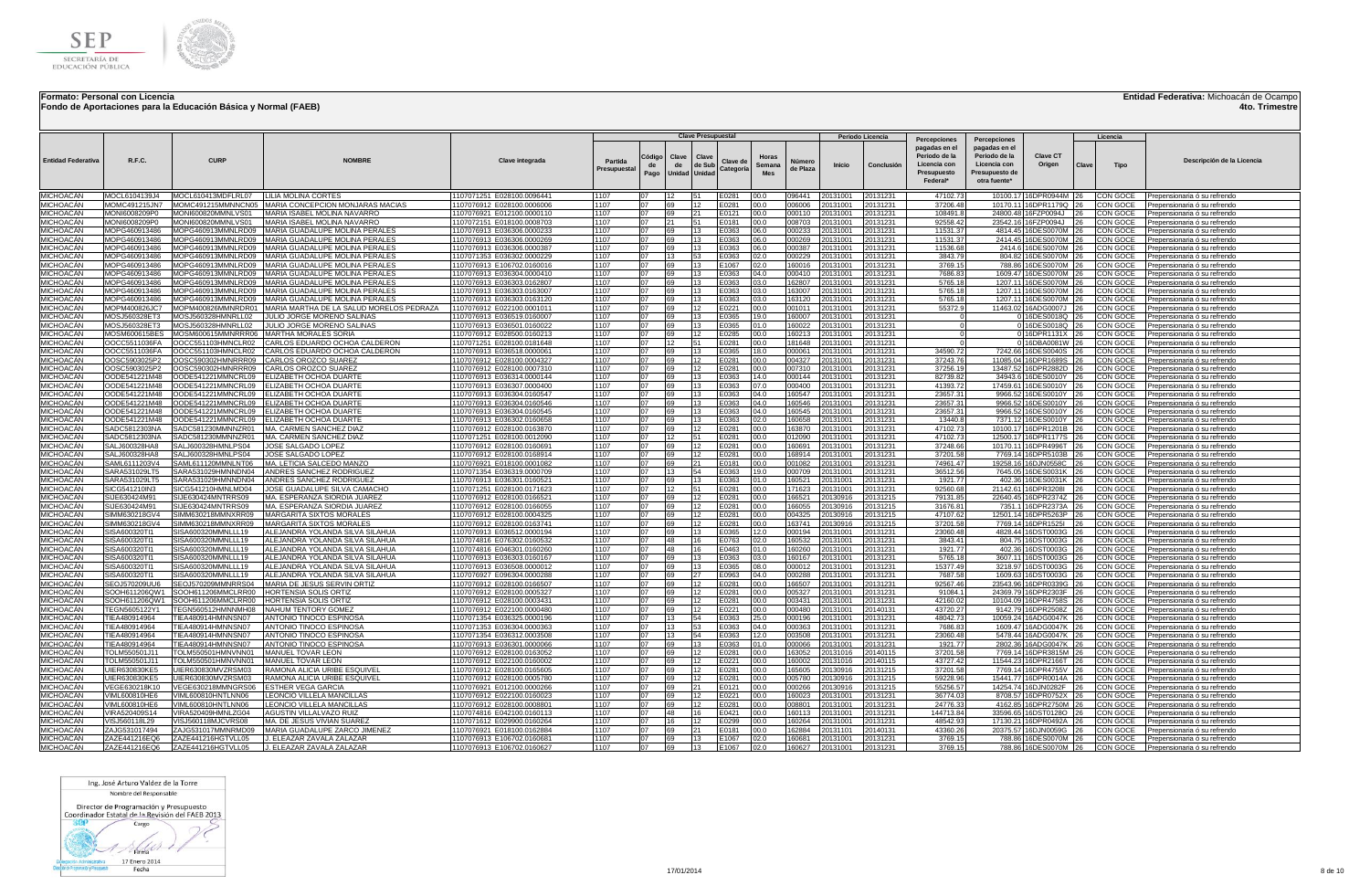

**Fondo de Aportaciones para la Educación Básica y Normal (FAEB)**

**Entidad Federativa:** Michoacán de Ocampo

**4to. Trimestre**

|                                      |                                |                                           |                                                                                    |                                                          |                        |                      |                  | <b>Clave Presupuestal</b>        |                       |                               |                    |                      | Periodo Licencia     |                                                                                           |                                                                                                  |                                                |            | Licencia                    |                                                                                            |
|--------------------------------------|--------------------------------|-------------------------------------------|------------------------------------------------------------------------------------|----------------------------------------------------------|------------------------|----------------------|------------------|----------------------------------|-----------------------|-------------------------------|--------------------|----------------------|----------------------|-------------------------------------------------------------------------------------------|--------------------------------------------------------------------------------------------------|------------------------------------------------|------------|-----------------------------|--------------------------------------------------------------------------------------------|
| <b>Entidad Federativa</b>            | R.F.C.                         | <b>CURP</b>                               | <b>NOMRRI</b>                                                                      | Clave integrada                                          | Partida<br>Presupuesta | Código<br>de<br>Pago | Clave<br>de      | Clave<br>de Sub<br>Unidad Unidad | Clave de<br>Categoría | Horas<br>Semana<br><b>Mes</b> | Número<br>de Plaza | Inicio               | Conclusión           | Percepciones<br>pagadas en el<br>Periodo de la<br>Licencia con<br>Presupuesto<br>Federal* | Percepciones<br>pagadas en el<br>Periodo de la<br>Licencia con<br>Presupuesto de<br>otra fuente* | Clave CT<br>Origen                             | Clave      | <b>Tipo</b>                 | Descripción de la Licencia                                                                 |
| <b>MICHOACÁN</b>                     | MOCL6104139J4                  | MOCL610413MDFLRL07                        | <b>LILIA MOLINA CORTES</b>                                                         | 1107071251 E028100.0096441                               | 1107                   | 07                   | 12               | 51                               | E0281                 | 00.0                          | 096441             | 20131001             | 20131231             | 47102.73                                                                                  |                                                                                                  | 10100.17 16DPR0944M                            |            | CON GOCE                    | Prepensionaria ó su refrendo                                                               |
| <b>MICHOACÁN</b>                     | MOMC491215JN7                  |                                           | MOMC491215MMNNCN05  MARIA CONCEPCION MONJARAS MACIAS                               | 1107076912 E028100.0006006                               | 1107                   | 07                   | 69               | 12                               | E0281                 | 00.0                          | 006006             | 20131001             | 20131231             | 37206.48                                                                                  |                                                                                                  | 10170.11 16DPR1179Q                            | 26         | CON GOCE                    | Prepensionaria ó su refrendo                                                               |
| <b>MICHOACAN</b>                     | MONI6008209P0                  | MONI600820MMNLVS01<br>MONI600820MMNLVS01  | MARIA ISABEL MOLINA NAVARRO<br>MARIA ISABEL MOLINA NAVARRO                         | 1107076921 E012100.0000110                               | 1107<br>1107           | 07<br>07             | 69<br>21         | 21<br>51                         | E0121                 | 00.0                          | 000110             | 20131001             | 20131231             | 108491.8                                                                                  | 24800.48                                                                                         | 16FZP0094J                                     | 26<br>26   | CON GOCE                    | Prepensionaria ó su refrendo                                                               |
| MICHOACÁN<br><b>MICHOACÁN</b>        | MONI6008209P0<br>MOPG460913486 |                                           | MOPG460913MMNLRD09 MARIA GUADALUPE MOLINA PERALES                                  | 1107072151 E018100.0008703<br>1107076913 E036306.0000233 | 1107                   | 07                   | 69               | 13                               | E0181<br>E0363        | 00.0<br>06.0                  | 008703<br>000233   | 20131001<br>20131001 | 20131231<br>20131231 | 92558.42<br>11531.37                                                                      |                                                                                                  | 23542.16 16FZP0094J<br>4814.45 16DES0070M 26   |            | <b>CON GOCE</b><br>CON GOCE | Prepensionaria ó su refrendo<br>Prepensionaria ó su refrendo                               |
| <b>MICHOACÁN</b>                     | MOPG460913486                  |                                           | MOPG460913MMNLRD09 MARIA GUADALUPE MOLINA PERALES                                  | 1107076913 E036306.0000269                               | 1107                   | 07                   | 69               | 13                               | E0363                 | 06.0                          | 000269             | 0131001              | 20131231             | 11531.37                                                                                  |                                                                                                  | 2414.45 16DES0070M 26                          |            | <b>CON GOCE</b>             | Prepensionaria ó su refrendo                                                               |
| MICHOACÁN                            | MOPG460913486                  | MOPG460913MMNLRD09                        | MARIA GUADALUPE MOLINA PERALES                                                     | 1107076913 E036306.0000387                               | 1107                   | 07                   | 69               | 13                               | E0363                 | 06.0                          | 000387             | 0131001              | 20131231             | 11536.68                                                                                  |                                                                                                  | 2414.6 16DES0070M                              | 26         | CON GOCE                    | Prepensionaria ó su refrendo                                                               |
| <b>MICHOACÁN</b>                     | MOPG460913486                  | MOPG460913MMNLRD09                        | MARIA GUADALUPE MOLINA PERALES                                                     | 1107071353 E036302.0000229                               | 1107                   | 07                   | 13 <sup>13</sup> | 53                               | E0363                 | 02.0                          | 000229             | 20131001             | 20131231             | 3843.79                                                                                   | 804.82                                                                                           | 16DES0070M 26                                  |            | CON GOCE                    | Prepensionaria ó su refrendo                                                               |
| MICHOACÁN                            | MOPG460913486                  |                                           | MOPG460913MMNLRD09 MARIA GUADALUPE MOLINA PERALES                                  | 1107076913 E106702.0160016                               | 1107<br>1107           | 07<br>07             | 69               | 13                               | E1067                 | 02.0                          | 160016             | 0131001              | 20131231             | 3769.15                                                                                   |                                                                                                  | 788.86 16DES0070M 26                           |            | <b>CON GOCE</b>             | Prepensionaria ó su refrend                                                                |
| MICHOACÁN<br><b>MICHOACÁN</b>        | MOPG460913486<br>MOPG460913486 | MOPG460913MMNLRD09                        | MARIA GUADALUPE MOLINA PERALES<br>MOPG460913MMNLRD09 MARIA GUADALUPE MOLINA PERALE | 1107076913 E036304.0000410<br>1107076913 E036303.0162807 | 1107                   | 07                   | 69<br>69         | 13<br>13                         | E0363<br>E0363        | 04.0<br>03.0                  | 000410<br>162807   | 20131001<br>20131001 | 20131231<br>20131231 | 7686.83<br>5765.18                                                                        |                                                                                                  | 1609.47 16DES0070M 26<br>1207.11 16DES0070M 26 |            | CON GOCE<br>CON GOCE        | Prepensionaria ó su refrendo<br>Prepensionaria ó su refrendo                               |
| MICHOACÁN                            | MOPG460913486                  |                                           | MOPG460913MMNLRD09 MARIA GUADALUPE MOLINA PERALE                                   | 1107076913 E036303.0163007                               | 1107                   | 07                   | 69               | 13                               | E0363                 | 03.0                          | 163007             | 20131001             | 20131231             | 5765.18                                                                                   |                                                                                                  | 1207.11 16DES0070M 26                          |            | CON GOCE                    | Prepensionaria ó su refrendo                                                               |
| MICHOACÁN                            | MOPG460913486                  | MOPG460913MMNLRD09                        | MARIA GUADALUPE MOLINA PERALES                                                     | 1107076913 E036303.0163120                               | 1107                   | 07                   | 69               | 13                               | E0363                 | 03.0                          | 163120             | 20131001             | 20131231             | 5765.1                                                                                    |                                                                                                  | 1207.11 16DES0070M                             |            | CON GOCE                    | Prepensionaria ó su refrendo                                                               |
| MICHOACÁN                            | MOPM400826JC7                  |                                           | MOPM400826MMNRDR01 MARIA MARTHA DE LA SALUD MORELOS PEDRAZA                        | 1107076912 E022100.000101                                | 1107                   | 07                   | 69               | 12                               | E0221                 | 100.0                         | 001011             | 20131001             | 20131231             | 55372.9                                                                                   |                                                                                                  | 11463.02 16ADG0007J 26                         |            | CON GOCE                    | Prepensionaria ó su refrendo                                                               |
| MICHOACÁN                            | MOSJ560328ET3                  | MOSJ560328HMNRLL02                        | JULIO JORGE MORENO SALINAS                                                         | 1107076913 E036519.0160007                               | 1107                   | 07                   | 69               | 13                               | E0365                 | 19.0                          | 160007             | 20131001             | 20131231             |                                                                                           |                                                                                                  | 0 16DES0018Q                                   | 26         | CON GOCE                    | Prepensionaria ó su refrendo                                                               |
| MICHOACÁN<br>MICHOACÁN               | MOSJ560328ET3<br>MOSM600615BE  | MOSJ560328HMNRLL02<br>MOSM600615MMNRRR06  | JULIO JORGE MORENO SALINAS<br>MARTHA MORALES SORIA                                 | 1107076913 E036501.0160022<br>1107076912 E028500.0160213 | 1107<br>1107           | 07<br>07             | 69<br>69         | 13<br>12                         | E0365<br>E0285        | 01.0<br>00.0                  | 160022<br>160213   | 20131001<br>20131001 | 20131231<br>20131231 |                                                                                           |                                                                                                  | 0 16DES0018Q<br>016DPR1131X                    | 26         | CON GOCE<br>CON GOCE        | Prepensionaria ó su refrendo<br>Prepensionaria ó su refrendo                               |
| MICHOACÁN                            | OOCC5511036FA                  | OOCC551103HMNCLR02                        | CARLOS EDUARDO OCHOA CALDERON                                                      | 1107071251 E028100.0181648                               | 1107                   | 07                   | 12               | 51                               | E0281                 | 00.0                          | 181648             | 20131001             | 20131231             |                                                                                           |                                                                                                  | 0 16DBA0081W                                   | 126        | CON GOCE                    | Prepensionaria ó su refrendo                                                               |
| <b>MICHOACÁN</b>                     | OOCC5511036FA                  | OOCC551103HMNCLR02                        | CARLOS EDUARDO OCHOA CALDERON                                                      | 1107076913 E036518.0000061                               | 1107                   | 07                   | 69               | 13                               | E0365                 | 18.0                          | 000061             | 20131001             | 20131231             | 34590.72                                                                                  |                                                                                                  | 7242.66 16DES0040S                             | 26         | CON GOCE                    | Prepensionaria ó su refrend                                                                |
| MICHOACÁN                            | OOSC5903025P2                  | OOSC590302HMNRRR09                        | CARLOS OROZCO SUAREZ                                                               | 1107076912 E028100.0004327                               | 1107                   | 07                   | 69               | 12                               | E0281                 | 00.0                          | 004327             | 20131001             | 20131231             | 37243.76                                                                                  | 11085.04                                                                                         | 16DPR1689S                                     | 26         | CON GOCE                    | Prepensionaria ó su refrendo                                                               |
| MICHOACAN                            | OOSC5903025P2                  | OOSC590302HMNRRR09                        | CARLOS OROZCO SUAREZ                                                               | 1107076912 E028100.0007310                               | 1107                   | 07                   | 69               | 12                               | E0281                 | 00.0                          | 007310             | 20131001             | 20131231             | 37256.19                                                                                  | 13487.52                                                                                         | 16DPR2882D                                     | 26         | <b>CON GOCE</b>             | Prepensionaria ó su refrendo                                                               |
| MICHOACÁN<br>MICHOACÁN               | OODE541221M48<br>OODE541221M48 | OODE541221MMNCRL09<br>OODE541221MMNCRL09  | ELIZABETH OCHOA DUARTE<br>ELIZABETH OCHOA DUARTE                                   | 1107076913 E036314.0000144<br>1107076913 E036307.0000400 | 1107<br>1107           | 07<br>07             | 69<br>69         | 13<br>13                         | E0363<br>E0363        | 14.0<br>07.0                  | 000144<br>000400   | 20131001<br>20131001 | 20131231<br>20131231 | 82739.82<br>41393.72                                                                      | 34943.6<br>17459.61                                                                              | 16DES0010Y<br>16DES0010Y                       |            | CON GOCE<br><b>CON GOCE</b> | Prepensionaria ó su refrendo<br>Prepensionaria ó su refrendo                               |
| MICHOACÁN                            | OODE541221M48                  | OODE541221MMNCRL09                        | ELIZABETH OCHOA DUARTE                                                             | 1107076913 E036304.0160547                               | 1107                   | 07                   | 69               | 13                               | E0363                 | 04.0                          | 160547             | 20131001             | 20131231             | 23657.31                                                                                  |                                                                                                  | 9966.52 16DES0010Y                             | 26         | CON GOCE                    | Prepensionaria ó su refrendo                                                               |
| MICHOACÁN                            | OODE541221M48                  | OODE541221MMNCRL09                        | ELIZABETH OCHOA DUARTE                                                             | 1107076913 E036304.0160546                               | 1107                   | 07                   | 69               | 13                               | E0363                 | 04.0                          | 160546             | 20131001             | 20131231             | 23657.31                                                                                  |                                                                                                  | 9966.52 16DES0010Y 26                          |            | CON GOCE                    | Prepensionaria ó su refrendo                                                               |
| MICHOACÁN                            | OODE541221M48                  | OODE541221MMNCRL09                        | ELIZABETH OCHOA DUARTE                                                             | 1107076913 E036304.0160545                               | 1107                   | 07                   | 69               | 13                               | E0363                 | 04.0                          | 60545              | 0131001              | 20131231             | 23657.3                                                                                   | 9966.52                                                                                          | 16DES0010Y                                     |            | CON GOCE                    | Prepensionaria ó su refrendo                                                               |
| MICHOACÁN                            | OODE541221M48                  | OODE541221MMNCRL09                        | <b>IELIZABETH OCHOA DUARTI</b>                                                     | 1107076913 E036302.0160658                               | 1107                   | 07                   | 69               | 13                               | E0363                 | 02.0                          | 160658             | 20131001             | 20131231             | 13440.                                                                                    |                                                                                                  | 7371.12 16DES0010Y                             | 126.       | <b>CON GOCE</b>             | Prepensionaria ó su refrendo                                                               |
| MICHOACÁN                            | SADC5812303NA                  | SADC581230MMNNZR01                        | MA. CARMEN SANCHEZ DIAZ                                                            | 1107076912 E028100.0163870                               | 1107<br>1107           | 07<br>07             | 69               | 12                               | E0281                 | 00.0                          | 163870             | 20131001             | 20131231             | 47102.7                                                                                   |                                                                                                  | 10100.17 16DPR1201B                            |            | CON GOCE                    | Prepensionaria ó su refrendo                                                               |
| <b>MICHOACÁN</b><br><b>MICHOACÁN</b> | SADC5812303NA<br>SALJ600328HA8 | SADC581230MMNNZR01<br>SALJ600328HMNLPS04  | MA. CARMEN SANCHEZ DIAZ<br>JOSE SALGADO LOPEZ                                      | 1107071251 E028100.0012090<br>1107076912 E028100.0160691 | 1107                   | 07                   | 12<br>69         | 51<br>12                         | E0281<br>E0281        | 00.0<br>00.0                  | 012090<br>160691   | 20131001<br>20131001 | 20131231<br>20131231 | 47102.73<br>37248.66                                                                      | 10170.11                                                                                         | 12500.17 16DPR1177S<br>16DPR4996T              | 126        | CON GOCE<br>CON GOCE        | Prepensionaria ó su refrendo<br>Prepensionaria ó su refrendo                               |
| <b>MICHOACÁN</b>                     | SALJ600328HA8                  | SALJ600328HMNLPS04                        | <b>JOSE SALGADO LOPEZ</b>                                                          | 1107076912 E028100.0168914                               | 1107                   | 07                   | 69               | 12                               | E0281                 | 00.0                          | 168914             | 20131001             | 20131231             | 37201.58                                                                                  |                                                                                                  | 7769.14 16DPR5103B                             |            | CON GOCE                    | Prepensionaria ó su refrendo                                                               |
| MICHOACÁN                            | SAML6111203V4                  | SAML611120MMNLNT06                        | MA. LETICIA SALCEDO MANZO                                                          | 1107076921 E018100.0001082                               | 1107                   | 07                   | 69               | 21                               | E0181                 | 00.0                          | 001082             | 20131001             | 20131231             | 74961.47                                                                                  |                                                                                                  | 19258.16 16DJN0558C                            |            | CON GOCE                    | Prepensionaria ó su refrendo                                                               |
| MICHOACÁN                            | SARA531029LT9                  | SARA531029HMNNDN04                        | ANDRES SANCHEZ RODRIGUEZ                                                           | 1107071354 E036319.0000709                               | 1107                   | 07                   | 13               | 54                               | E0363                 | 19.0                          | 000709             | 20131001             | 20131231             | 36512.56                                                                                  | 7645.05                                                                                          | 16DES0031K                                     | 26         | CON GOCE                    | Prepensionaria ó su refrendo                                                               |
| MICHOACÁN<br>MICHOACÁN               | SARA531029LT9<br>SICG541210IN3 | SARA531029HMNNDN04<br>SICG541210HMNLMD04  | ANDRES SANCHEZ RODRIGUEZ<br>JOSE GUADALUPE SILVA CAMACHO                           | 1107076913 E036301.0160521<br>1107071251 E028100.0171623 | 1107<br>1107           | 07<br>07             | 69<br>12         | 13<br>51                         | E0363<br>E0281        | 01.0<br>00.0                  | 160521<br>171623   | 20131001<br>20131001 | 20131231<br>20131231 | 1921.77<br>92560.68                                                                       | 402.36<br>21142.61                                                                               | 16DES0031K<br>16DPR3208I                       | 26         | CON GOCE<br>CON GOCE        | Prepensionaria ó su refrendo                                                               |
| MICHOACÁN                            | SIJE630424M91                  | SIJE630424MNTRRS09                        | MA. ESPERANZA SIORDIA JUAREZ                                                       | 1107076912 E028100.0166521                               | 1107                   | 07                   | 69               | 12                               | E0281                 | 00.0                          | 166521             | 20130916             | 20131215             | 79131.85                                                                                  | 22640.45                                                                                         | 16DPR2374Z                                     | 26         | CON GOCE                    | Prepensionaria ó su refrendo<br>Prepensionaria ó su refrendo                               |
| MICHOACÁN                            | SIJE630424M91                  | SIJE630424MNTRRS09                        | MA. ESPERANZA SIORDIA JUAREZ                                                       | 1107076912 E028100.0166055                               | 1107                   | 07                   | 69               | 12                               | E0281                 | 00.0                          | 166055             | 20130916             | 20131215             | 31676.81                                                                                  | 7351.1                                                                                           | 16DPR2373A                                     |            | CON GOCE                    | Prepensionaria ó su refrendo                                                               |
| MICHOACÁN                            | SIMM630218GV                   | SIMM630218MMNXRR09                        | <b>MARGARITA SIXTOS MORALES</b>                                                    | 1107076912 E028100.0004325                               | 1107                   | 07                   | 69               | 12                               | E0281                 | 00.0                          | 004325             | 20130916             | 20131215             | 47107.62                                                                                  |                                                                                                  | 12501.14 16DPR5263P                            |            | CON GOCE                    | Prepensionaria ó su refrendo                                                               |
| <b>MICHOACÁN</b>                     | SIMM630218GV                   | SIMM630218MMNXRR09                        | MARGARITA SIXTOS MORALES                                                           | 1107076912 E028100.0163741                               | 1107                   | 07                   | 69               | 12                               | E0281                 | 00.0                          | 163741             | 20130916             | 20131215             | 37201.58                                                                                  |                                                                                                  | 7769.14 16DPR1525I                             |            | CON GOCE                    | Prepensionaria ó su refrendo                                                               |
| MICHOACÁN<br>MICHOACÁN               | SISA600320TI1<br>SISA600320TI1 | SISA600320MMNLLL19<br>SISA600320MMNLLL19  | ALEJANDRA YOLANDA SILVA SILAHUA<br>ALEJANDRA YOLANDA SILVA SILAHUA                 | 1107076913 E036512.0000194<br>1107074816 E076302.0160532 | 1107<br>1107           | 07<br>07             | 69<br>48         | 13<br>16                         | E0365<br>E0763        | 12.0<br>02.0                  | 000194<br>160532   | 20131001<br>20131001 | 20131231<br>20131231 | 23060.48<br>3843.41                                                                       |                                                                                                  | 4828.44 16DST0003G<br>804.75 16DST0003G        | 26<br>26   | CON GOCE<br>CON GOCE        | Prepensionaria ó su refrendo<br>Prepensionaria ó su refrendo                               |
| <b>MICHOACÁN</b>                     | SISA600320TI1                  | SISA600320MMNLLL19                        | ALEJANDRA YOLANDA SILVA SILAHUA                                                    | 1107074816 E046301.0160260                               | 1107                   | 07                   | 48               | 16                               | E0463                 | 01.0                          | 160260             | 20131001             | 20131231             | 1921.77                                                                                   |                                                                                                  | 402.36 16DST0003G                              | 26         | <b>CON GOCE</b>             | Prepensionaria ó su refrendo                                                               |
| MICHOACÁN                            | SISA600320TI1                  | SISA600320MMNLLL19                        | ALEJANDRA YOLANDA SILVA SILAHUA                                                    | 1107076913 E036303.0160167                               | 1107                   | 07                   | 69               | 13                               | E0363                 | 03.0                          | 160167             | 20131001             | 20131231             | 5765.18                                                                                   |                                                                                                  | 3607.11 16DST0003G                             | <b>26</b>  | CON GOCE                    | Prepensionaria ó su refrendo                                                               |
| MICHOACÁN                            | SISA600320TI1                  | SISA600320MMNLLL19                        | ALEJANDRA YOLANDA SILVA SILAHUA                                                    | 1107076913 E036508.0000012                               | 1107                   | 07                   | 69               | 13                               | E0365                 | 08.0                          | 000012             | 20131001             | 20131231             | 15377.49                                                                                  |                                                                                                  | 3218.97 16DST0003G 26                          |            | CON GOCE                    | Prepensionaria ó su refrendo                                                               |
| MICHOACÁN                            | 3ISA600320TI1                  | SISA600320MMNLLL19                        | ALEJANDRA YOLANDA SILVA SILAHUA                                                    | 1107076927 E096304.000028                                | 1107                   | 07                   | 69               | 27                               | E0963                 | 04.0                          | 000288             | 20131001             | 20131231             | 7687.58                                                                                   | 1609.63                                                                                          | 16DST0003G                                     |            | CON GOCE                    | Prepensionaria ó su refrendo                                                               |
| <b>MICHOACÁN</b><br>MICHOACÁN        | SEOJ570209UU6<br>SOOH611206QW  | SEO.I570209MMNRRS04<br>SOOH611206MMCLRR00 | MARIA DE JESUS SERVIN ORTIZ<br><b>HORTENSIA SOLIS ORTIZ</b>                        | 1107076912 E028100.0166507<br>1107076912 E028100.0005327 | 1107<br>1107           | 07<br>07             | 69<br>69         | 12<br>12                         | E0281<br>E0281        | 00.0<br>00.0                  | 166507<br>005327   | 20131001<br>20131001 | 20131231<br>20131231 | 92567.46<br>91084.1                                                                       | 24369.79                                                                                         | 23543.96 16DPR0339G<br>16DPR2303F              | 126<br>126 | CON GOCE<br>CON GOCE        | Prepensionaria ó su refrendo<br>Prepensionaria ó su refrendo                               |
| MICHOACAN                            | SOOH611206QW1                  | SOOH611206MMCLRR00                        | HORTENSIA SOLIS ORTIZ                                                              | 1107076912 E028100.0003431                               | 1107                   | 07                   | 69               | 12                               | E0281                 | 00.0                          | 003431             | 20131001             | 20131231             | 42160.0                                                                                   | 10104.09                                                                                         | 16DPR4758S                                     | 26         | CON GOCE                    | Prepensionaria ó su refrendo                                                               |
| MICHOACAN                            | TEGN5605122Y1                  | TEGN560512HMNNMH08                        | NAHUM TENTORY GOMEZ                                                                | 1107076912 E022100.0000480                               | 1107                   | 07                   | 69               | 12                               | E0221                 | 00.0                          | 000480             | 20131001             | 20140131             | 43720.27                                                                                  | 9142.79                                                                                          | 16DPR2508Z 26                                  |            | CON GOCE                    | Prepensionaria ó su refrendo                                                               |
| MICHOACÁN                            | IEA480914964                   | TEA480914HMNNSN07                         | ANTONIO TINOCO ESPINOS                                                             | 1107071354 E036325.0000196                               | 1107                   | 07                   | 13               | 54                               | E0363                 | 25.0                          | 000196             | 20131001             | 20131231             | 48042.73                                                                                  | 10059.24                                                                                         | 16ADG0047K 26                                  |            | <b>CON GOCE</b>             | Prepensionaria ó su refrendo                                                               |
| MICHOACÁN                            | IEA480914964                   | TIEA480914HMNNSN07                        | ANTONIO TINOCO ESPINOSA                                                            | 1107071353 E036304.0000363                               | 1107                   | 07                   | 13               | 53                               | E0363                 | 04.0                          | 000363             | 20131001             | 20131231             | 7686.83                                                                                   |                                                                                                  | 1609.47 16ADG0047K 26                          |            | <b>CON GOCE</b>             | Prepensionaria ó su refrendo                                                               |
| MICHOACÁN<br>MICHOACÁN               | IEA480914964<br>IEA480914964   | TIEA480914HMNNSN07<br>TIEA480914HMNNSN07  | ANTONIO TINOCO ESPINOSA<br>ANTONIO TINOCO ESPINOSA                                 | 1107071354 E036312.0003508<br>1107076913 E036301.0000066 | 1107<br>1107           | 07<br>07             | 13<br>69         | 54<br>13                         | E0363<br>E0363        | 12.0<br>01.0                  | 003508<br>000066   | 20131001<br>20131001 | 20131231<br>20131231 | 23060.48<br>1921.77                                                                       | 5478.44                                                                                          | 16ADG0047K<br>2802.36 16ADG0047K               |            | CON GOCE<br>CON GOCE        | Prepensionaria ó su refrendo<br>Prepensionaria ó su refrend                                |
| MICHOACÁN                            | TOLM550501J1                   | FOLM550501HMNVNN01                        | MANUEL TOVAR LEON                                                                  | 1107076912 E028100.0163052                               | 1107                   | 07                   | 69               | 12                               | E0281                 | 00.0                          | 163052             | 20131016             | 20140115             | 37201.58                                                                                  | 7769.14                                                                                          | 16DPR3815M                                     |            | CON GOCE                    | Prepensionaria ó su refrendo                                                               |
| MICHOACÁN                            | TOLM550501J1                   | FOLM550501HMNVNN01                        | <b>MANUEL TOVAR LEON</b>                                                           | 1107076912 E022100.0160002                               | 1107                   | 07                   | 69               | 12                               | E0221                 | 00.0                          | 160002             | 20131016             | 20140115             | 43727.42                                                                                  |                                                                                                  | 11544.23 16DPR2166T                            |            | CON GOCE                    | Prepensionaria ó su refrend                                                                |
| <b>MICHOACÁN</b>                     | UIER630830KE5                  | JIER630830MVZRSM03                        | RAMONA ALICIA URIBE ESQUIVE                                                        | 1107076912 E028100.0165605                               | 1107                   | 07                   | 69               | 12                               | E0281                 | 00.0                          | 165605             | 20130916             | 20131215             | 37201.58                                                                                  |                                                                                                  | 7769.14 16DPR4755V                             |            | CON GOCE                    | Prepensionaria ó su refrendo                                                               |
| MICHOACÁN                            | UIER630830KE5                  | JIER630830MVZRSM03                        | RAMONA ALICIA URIBE ESQUIVE                                                        | 1107076912 E028100.0005780                               | 1107                   | 07                   | 69               | 12                               | E0281                 | 00.0                          | 005780             | 20130916             | 20131215             | 59228.96                                                                                  |                                                                                                  | 15441.77 16DPR0014A                            |            | CON GOCE                    | Prepensionaria ó su refrendo                                                               |
| MICHOACÁN<br>MICHOACÁN               | VEGE630218K1<br>VIML600810HE6  | /EGE630218MMNGRS06<br>VIML600810HNTLNN06  | ESTHER VEGA GARCIA<br>LEONCIO VILLELA MANCILLAS                                    | 1107076921 E012100.0000266<br>1107076912 E022100.0160023 | 1107<br>1107           | 07<br>07             | 69<br>69         | 21<br>12                         | E0121<br>30221        | 00.0<br>00.0                  | 000266<br>160023   | 20130916<br>20131001 | 20131215<br>20131231 | 55256.57<br>36774.03                                                                      | 8708.57                                                                                          | 14254.74 16DJN0282F<br>16DPR0752X 26           |            | CON GOCE<br>CON GOCE        | Prepensionaria ó su refrendo<br>Prepensionaria ó su refrendo                               |
| MICHOACÁN                            | VIML600810HE6                  | VIML600810HNTLNN06                        | LEONCIO VILLELA MANCILLAS                                                          | 1107076912 E028100.0008801                               | 1107                   | 07                   | 69               | 12                               | E0281                 | 00.0                          | 008801             | 20131001             | 20131231             | 24776.33                                                                                  | 4162.85                                                                                          | 16DPR2750M                                     | 26         | CON GOCE                    | Prepensionaria ó su refrendo                                                               |
| MICHOACÁN                            | /IRA520409S14                  | /IRA520409HMNLZG04                        | AGUSTIN VILLALVAZO RUIZ                                                            | 1107074816 E042100.0160113                               | 1107                   | 07                   | 48               | 16                               | E0421                 | 00.0                          | 160113             | 0131001              | 20131231             | 144713.84                                                                                 | 33596.65                                                                                         | 16DST0128O                                     | 26         | CON GOCE                    | Prepensionaria ó su refrendo                                                               |
| <b>MICHOACÁN</b>                     | VISJ560118L29                  | /ISJ560118MJCVRS08                        | MA, DE JESUS VIVIAN SUAREZ                                                         | 1107071612 E029900.0160264                               | 1107                   | 07                   | 16               | 12                               | E0299                 | 00.0                          | 160264             | 20131001             | 20131231             | 48542.93                                                                                  | 17130.21                                                                                         | 16DPR0492A                                     | <b>26</b>  | CON GOCE                    | Prepensionaria ó su refrendo                                                               |
| <b>MICHOACÁN</b>                     | ZAJG531017494                  | ZAJG531017MMNRMD09                        | MARIA GUADALUPE ZARCO JIMENEZ                                                      | 1107076921 E018100.0162884                               | 1107                   | 07<br>07             | 69               | 21                               | F0181                 | 00.0                          | 162884             | 0131101              | 20140131             | 43360.26                                                                                  |                                                                                                  | 20375.57 16DJN0059G                            | 126        | CON GOCE                    | Prepensionaria ó su refrendo                                                               |
| MICHOACÁN<br>MICHOACÁN               | ZAZE441216EQ6<br>ZAZE441216EQ6 | ZAZE441216HGTVLL05<br>ZAZE441216HGTVLL05  | J. ELEAZAR ZAVALA ZALAZAR<br>J. ELEAZAR ZAVALA ZALAZAR                             | 1107076913 E106702.0160681<br>1107076913 E106702.0160627 | 1107<br>1107           | 07                   | 69<br>69         | 13<br>13                         | E1067<br>E1067        | 02.0<br>02.0                  | 160681<br>160627   | 20131001<br>20131001 | 20131231<br>20131231 | 3769.15<br>3769.15                                                                        |                                                                                                  | 788.86 16DES0070M 26 CON GOCE                  |            |                             | Prepensionaria ó su refrendo<br>788.86 16DES0070M 26 CON GOCE Prepensionaria ó su refrendo |
|                                      |                                |                                           |                                                                                    |                                                          |                        |                      |                  |                                  |                       |                               |                    |                      |                      |                                                                                           |                                                                                                  |                                                |            |                             |                                                                                            |

Ing. José Arturo Valdez de la Torre Nombre del Responsable

Director de Programación y Presupuesto<br>Coordinador Estatal de la Revisión del FAEB 2013

 $800$ Cargo  $1 \rightarrow$ 

**Excession Control Control Control Control Control Control Control Control Control Control Control Control Control Control Control Control Control Control Control Control Control Control Control Control Control Control Con**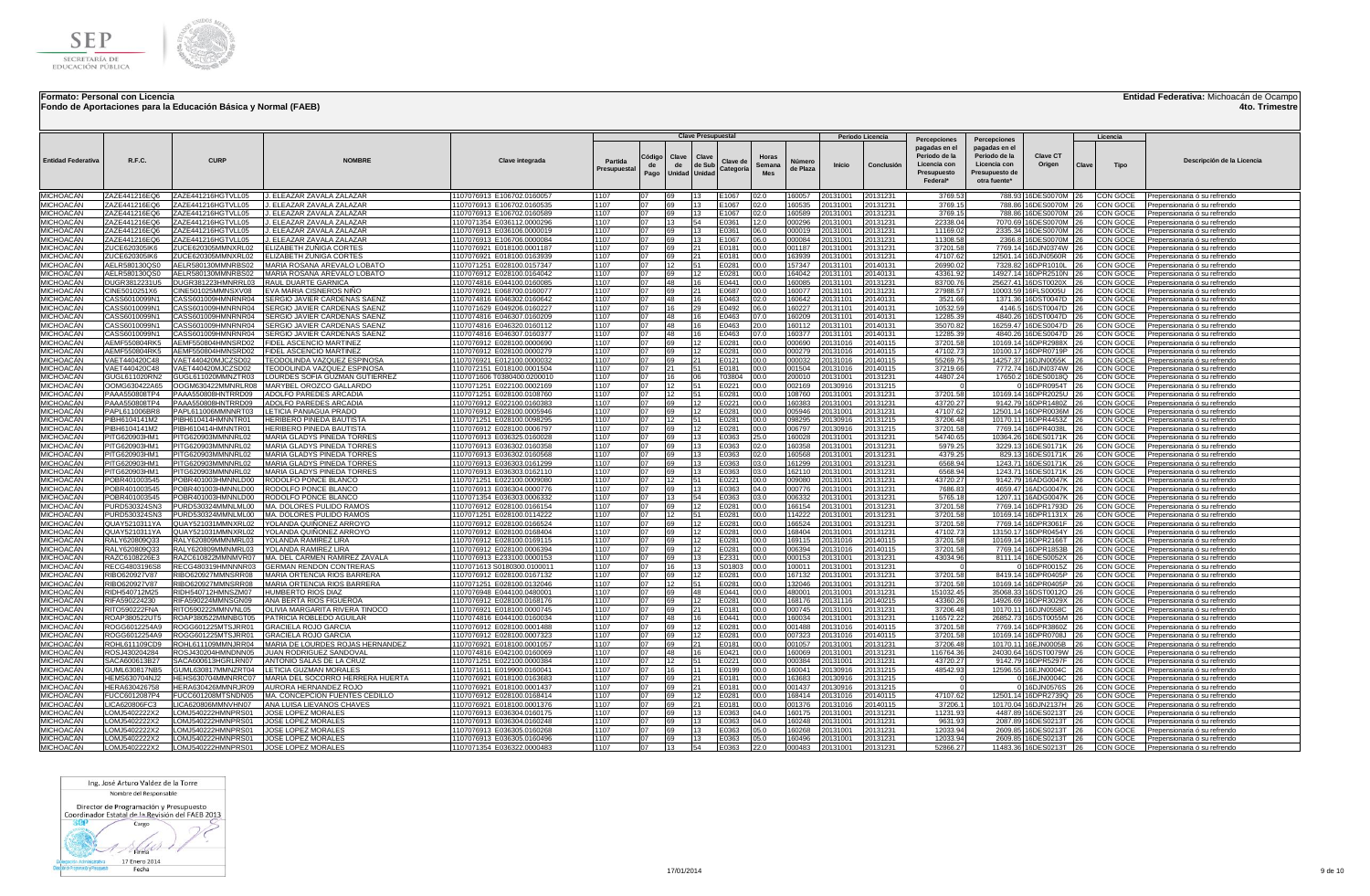

**Fondo de Aportaciones para la Educación Básica y Normal (FAEB)**

## **Entidad Federativa:** Michoacán de Ocampo

**4to. Trimestre**

|                                      |                                |                                          |                                                               |                                                          |                        |                      | <b>Clave Presupuestal</b>                                 |                       |                               |                    |                      | Periodo Licencia     |                                                                                           |                                                                                                  |                                                 |              | Licencia             |                                                              |
|--------------------------------------|--------------------------------|------------------------------------------|---------------------------------------------------------------|----------------------------------------------------------|------------------------|----------------------|-----------------------------------------------------------|-----------------------|-------------------------------|--------------------|----------------------|----------------------|-------------------------------------------------------------------------------------------|--------------------------------------------------------------------------------------------------|-------------------------------------------------|--------------|----------------------|--------------------------------------------------------------|
| <b>Entidad Federativa</b>            | R.F.C.                         | <b>CURP</b>                              | <b>NOMRRF</b>                                                 | Clave integrada                                          | Partida<br>Presupuesta | Código<br>de<br>Pago | Clave<br>Clave<br>de Sub<br>de<br>Unidad<br><b>Unidad</b> | Clave de<br>Categoría | Horas<br>Semana<br><b>Mes</b> | Número<br>de Plaza | <b>Inicio</b>        | Conclusión           | Percepciones<br>pagadas en el<br>Periodo de la<br>Licencia con<br>Presupuesto<br>Federal* | Percepciones<br>pagadas en el<br>Periodo de la<br>Licencia con<br>Presupuesto de<br>otra fuente* | Clave CT<br>Origen                              | Clave        | <b>Tipo</b>          | Descripción de la Licencia                                   |
| MICHOACÁN                            | ZAZE441216EQ6                  | ZAZE441216HGTVLL05                       | J. ELEAZAR ZAVALA ZALAZAR                                     | 1107076913 E106702.0160057                               | 1107                   | n7                   | 69                                                        | E1067                 | 02.0                          | 160057             | 20131001             | 20131231             | 3769.53                                                                                   |                                                                                                  | 788.93 16DES0070M 26                            |              | CON GOCE             | Prepensionaria ó su refrendo                                 |
| <b>MICHOACAN</b>                     | ZAZE441216EQ6                  | ZAZE441216HGTVLL05                       | J. ELEAZAR ZAVALA ZALAZAR                                     | 1107076913 E106702.0160535                               | 1107                   | 07                   | 69<br>13                                                  | E1067                 | 02.0                          | 160535             | 20131001             | 20131231             | 3769.15                                                                                   |                                                                                                  | 788.86 16DES0070M 26                            |              | CON GOCE             | Prepensionaria ó su refrendo                                 |
| <b>MICHOACÁN</b>                     | ZAZE441216EQ6                  | ZAZE441216HGTVLL05                       | . ELEAZAR ZAVALA ZALAZAR                                      | 1107076913 E106702.0160589                               | 1107                   | 07                   | 69<br>13                                                  | E1067                 | 02.0                          | 160589             | 20131001             | 20131231             | 3769.15                                                                                   |                                                                                                  | 788.86 16DES0070M 26                            |              | CON GOCE             | Prepensionaria ó su refrendo                                 |
| <b>MICHOACÁN</b><br><b>MICHOACÁN</b> | ZAZE441216EQ6<br>ZAZE441216EQ6 | ZAZE441216HGTVLL05<br>ZAZE441216HGTVLL05 | J. ELEAZAR ZAVALA ZALAZAR<br>. ELEAZAR ZAVALA ZALAZAR         | 1107071354 E036112.0000296<br>1107076913 E036106.0000019 | 1107<br>1107           | 07<br>07             | 13<br>54<br>69<br>13                                      | E0361<br>E0361        | 12.0<br>06.0                  | 000296<br>000019   | 20131001<br>20131001 | 20131231<br>20131231 | 22338.04<br>11169.02                                                                      |                                                                                                  | 7070.69 16DES0070M 26<br>2335.34 16DES0070M 26  |              | CON GOCE<br>CON GOCE | Prepensionaria ó su refrendo<br>Prepensionaria ó su refrendo |
| <b>MICHOACÁN</b>                     | ZAZE441216EQ6                  | ZAZE441216HGTVLL05                       | ELEAZAR ZAVALA ZALAZAR                                        | 1107076913 E106706.0000084                               | 1107                   | 07                   | 69                                                        | E1067                 | 06.0                          | 000084             | 0131001              | 20131231             | 11308.58                                                                                  |                                                                                                  | 2366.8 16DES0070M 26                            |              | CON GOCE             | Prepensionaria ó su refrendo                                 |
| MICHOACÁN                            | ZUCE620305IK6                  | ZUCE620305MMNXRL02                       | LIZABETH ZUÑIGA CORTES                                        | 1107076921 E018100.0001187                               | 1107                   | ገ7                   | 69<br>21                                                  | E0181                 | 00.0                          | 001187             | 0131001              | 20131231             | 37201.58                                                                                  |                                                                                                  | 7769.14 16DJN0374W                              | 26           | CON GOCE             | Prepensionaria ó su refrendo                                 |
| <b>MICHOACÁN</b>                     | ZUCE620305IK6                  | ZUCE620305MMNXRL02                       | ELIZABETH ZUNIGA CORTES                                       | 1107076921 E018100.0163939                               | 1107                   | 07                   | 169<br>21.                                                | E0181                 | 00.0                          | 163939             | 20131001             | 20131231             | 47107.62                                                                                  |                                                                                                  | 12501.14 16DJN0560R 26                          |              | CON GOCE             | Prepensionaria ó su refrendo                                 |
| <b>MICHOACÁN</b>                     | AELR580130QS0                  | AELR580130MMNRBS02                       | MARIA ROSANA AREVALO LOBATO                                   | 1107071251 E028100.0157347                               | 1107                   | 07                   | $ 12\rangle$<br>51                                        | E0281                 | 00.0                          | 157347             | 20131101             | 20140131             | 26990.02                                                                                  |                                                                                                  | 7328.82 16DPR1010L                              | 126          | CON GOCE             | Prepensionaria ó su refrendo                                 |
| <b>MICHOACÁN</b><br>MICHOACÁN        | AELR580130QS<br>DUGR3812231U5  | AELR580130MMNRBS02<br>DUGR381223HMNRRL03 | MARIA ROSANA AREVALO LOBATO<br><b>RAUL DUARTE GARNICA</b>     | 1107076912 E028100.0164042<br>1107074816 E044100.0160085 | 1107<br>1107           | 07<br>07             | 69<br>48<br>16                                            | E0281<br>E0441        | 00.0<br>00.0                  | 164042<br>160085   | 20131101<br>20131101 | 20140131<br>20131231 | 43361.92                                                                                  |                                                                                                  | 14927.14 16DPR2510N<br>25627.41 16DST0020X      | <b>26</b>    | CON GOCE<br>CON GOCE | Prepensionaria ó su refrendo<br>Prepensionaria ó su refrendo |
| <b>MICHOACÁN</b>                     | CINE5010251X6                  | CINE501025MMNSXV08                       | EVA MARIA CISNEROS NIÑO                                       | 1107076921 E068700.0160077                               | 1107                   | 07                   | 69<br>21                                                  | E0687                 | 00.0                          | 160077             | 20131101             | 20131231             | 83700.76<br>27988.57                                                                      |                                                                                                  | 10003.59 16FLS0005U                             |              | CON GOCE             | Prepensionaria ó su refrendo                                 |
| <b>MICHOACÁN</b>                     | CASS6010099N                   | CASS601009HMNRNR04                       | SERGIO JAVIER CARDENAS SAENZ                                  | 1107074816 E046302.0160642                               | 1107                   | 07                   | 48                                                        | E0463                 | 02.0                          | 160642             | 20131101             | 20140131             | 3521.66                                                                                   | 1371.36                                                                                          | 16DST0047D                                      | 26           | CON GOCE             | Prepensionaria ó su refrendo                                 |
| <b>MICHOACAN</b>                     | CASS6010099N1                  | CASS601009HMNRNR04                       | SERGIO JAVIER CARDENAS SAENZ                                  | 1107071629 E049206.0160227                               | 1107                   | 07                   | 16<br>29                                                  | E0492                 | 06.0                          | 160227             | 20131101             | 20140131             | 10532.59                                                                                  | 4146.5                                                                                           | 16DST0047D                                      | <b>26</b>    | CON GOCE             | Prepensionaria ó su refrendo                                 |
| <b>MICHOACÁN</b>                     | CASS6010099N1                  | CASS601009HMNRNR04                       | SERGIO JAVIER CARDENAS SAENZ                                  | 1107074816 E046307.0160209                               | 1107                   | 07                   | 48<br>16                                                  | E0463                 | 07.0                          | 160209             | 20131101             | 20140131             | 12285.39                                                                                  | 4840.26                                                                                          | 16DST0047D                                      |              | CON GOCE             | Prepensionaria ó su refrendo                                 |
| <b>MICHOACÁN</b>                     | CASS6010099N1                  | CASS601009HMNRNR04                       | <b>SERGIO JAVIER CARDENAS SAENZ</b>                           | 1107074816 E046320.0160112                               | 1107                   | 07                   | 48<br>16                                                  | E0463                 | 20.0                          | 160112             | 20131101             | 20140131             | 35070.82                                                                                  |                                                                                                  | 16259.47 16DES0047D                             | 126          | CON GOCE             | Prepensionaria ó su refrendo                                 |
| <b>MICHOACÁN</b><br><b>MICHOACÁN</b> | CASS6010099N1<br>AEMF550804RK5 | CASS601009HMNRNR04<br>AEMF550804HMNSRD02 | SERGIO JAVIER CARDENAS SAENZ<br>FIDEL ASCENCIO MARTINEZ       | 1107074816 E046307.0160377<br>1107076912 E028100.0000690 | 1107<br>1107           | 07<br>07             | 48<br>69                                                  | E0463<br>E0281        | 07.0<br>00.0                  | 160377<br>000690   | 20131101<br>20131016 | 20140131<br>20140115 | 12285.39                                                                                  |                                                                                                  | 4840.26 16DES0047D<br>10169.14 16DPR2988X       | 126.         | CON GOCE<br>CON GOCE | Prepensionaria ó su refrend<br>Prepensionaria ó su refrendo  |
| MICHOACÁN                            | AEMF550804RK5                  | AEMF550804HMNSRD02                       | FIDEL ASCENCIO MARTINEZ                                       | 1107076912 E028100.0000279                               | 1107                   | 07                   | 69                                                        | E0281                 | 00.0                          | 000279             | 20131016             | 20140115             | 37201.58<br>47102.73                                                                      |                                                                                                  | 10100.17 16DPR0719P                             |              | CON GOCE             | Prepensionaria ó su refrendo                                 |
| MICHOACÁN                            | VAET440420C48                  | VAET440420MJCZSD02                       | EODOLINDA VAZQUEZ ESPINOSA                                    | 1107076921 E012100.0000032                               | 1107                   | 07                   | 69                                                        | E0121                 | 00.0                          | 000032             | 20131016             | 20140115             | 55269.75                                                                                  |                                                                                                  | 14257.37 16DJN0055K                             | 26           | CON GOCE             | Prepensionaria ó su refrendo                                 |
| <b>MICHOACÁN</b>                     | VAET440420C48                  | VAET440420MJCZSD02                       | <b>FEODOLINDA VAZQUEZ ESPINOSA</b>                            | 1107072151 E018100.0001504                               | 1107                   |                      | 121                                                       | E0181                 | 00.0                          | 001504             | 20131016             | 20140115             | 37219.66                                                                                  |                                                                                                  | 7772.74 16DJN0374W 26                           |              | CON GOCE             | Prepensionaria ó su refrendo                                 |
| MICHOACÁN                            | 3UGL611020RN2                  | GUGL611020MMNZTR03                       | OURDES SOFIA GUZMAN GUTIERREZ                                 | 1107071606 T0380400.0200010                              | 1107                   |                      | 16                                                        | T03804                | 00.0                          | 200010             | 20131001             | 20131231             | 44807.24                                                                                  |                                                                                                  | 17650.2 16DES0018Q 26                           |              | CON GOCE             | Prepensionaria ó su refrendo                                 |
| MICHOACÁN                            | OOMG630422A65                  | OOGM630422MMNRLR08                       | MARYBEL OROZCO GALLARDO                                       | 1107071251 E022100.0002169                               | 1107                   |                      | 12                                                        | E0221                 | 00.0                          | 002169             | 0130916              | 20131215             |                                                                                           |                                                                                                  | 0 16DPR0954T 26                                 |              | CON GOCE             | Prepensionaria ó su refrendo                                 |
| MICHOACÁN<br><b>MICHOACÁN</b>        | PAAA550808TP4<br>PAAA550808TP4 | PAAA550808HNTRRD09<br>PAAA550808HNTRRD09 | ADOLFO PAREDES ARCADIA<br>ADOLFO PAREDES ARCADIA              | 1107071251 E028100.0108760                               | 1107                   | ገ7                   | 12<br>51                                                  | E0281                 | 00.0                          | 108760             | 20131001             | 20131231             | 37201.58                                                                                  |                                                                                                  | 10169.14 16DPR2025U 26<br>9142.79 16DPR1480Z 26 |              | CON GOCE             | Prepensionaria ó su refrendo                                 |
| MICHOACÁN                            | PAPL611006BR8                  | PAPL611006MMNNRT03                       | ETICIA PANIAGUA PRADO                                         | 1107076912 E022100.0160383<br>1107076912 E028100.0005946 | 1107<br>1107           | 07                   | 69<br>69<br>12                                            | E0221<br>E0281        | 00.0<br>00.0                  | 160383<br>005946   | 20131001<br>20131001 | 20131231<br>20131231 | 43720.2<br>47107.62                                                                       |                                                                                                  | 12501.14 16DPR0036M 26                          |              | CON GOCE<br>CON GOCE | Prepensionaria ó su refrendo<br>Prepensionaria ó su refrendo |
| <b>MICHOACÁN</b>                     | PIBH6104141M2                  | PIBH610414HMNNTR01                       | HERIBERO PINEDA BAUTISTA                                      | 1107071251 E028100.0098295                               | 1107                   | 07                   | 12<br>51                                                  | E0281                 | 00.0                          | 098295             | 20130916             | 20131215             | 37206.48                                                                                  |                                                                                                  | 10170.11 16DPR4453Z 26                          |              | CON GOCE             | Prepensionaria ó su refrendo                                 |
| <b>MICHOACÁN</b>                     | PIBH6104141M2                  | PIBH610414HMNNTR01                       | HERIBERO PINEDA BAUTISTA                                      | 1107076912 E028100.0006797                               | 1107                   | 07                   | 69<br>12                                                  | E0281                 | 00.0                          | 006797             | 20130916             | 20131215             | 37201.58                                                                                  |                                                                                                  | 7769.14 16DPR4038L                              | 126          | CON GOCE             | Prepensionaria ó su refrendo                                 |
| <b>MICHOACÁN</b>                     | PITG620903HM1                  | PITG620903MMNNRL02                       | MARIA GLADYS PINEDA TORRE                                     | 1107076913 E036325.0160028                               | 1107                   | 07                   | 69<br>13                                                  | E0363                 | 25.0                          | 160028             | 20131001             | 20131231             | 54740.65                                                                                  |                                                                                                  | 10364.26 16DES0171K                             |              | <b>CON GOCE</b>      | Prepensionaria ó su refrendo                                 |
| <b>MICHOACÁN</b>                     | PITG620903HM1                  | PITG620903MMNNRL02                       | MARIA GLADYS PINEDA TORRE:                                    | 1107076913 E036302.0160358                               | 1107                   | 07                   | 69<br>13                                                  | E0363                 | 02.0                          | 160358             | 20131001             | 20131231             | 5979.25                                                                                   |                                                                                                  | 3229.13 16DES0171K                              | 126          | CON GOCE             | Prepensionaria ó su refrendo                                 |
| <b>MICHOACÁN</b><br>MICHOACÁN        | PITG620903HM1                  | PITG620903MMNNRL02<br>PITG620903MMNNRL02 | MARIA GLADYS PINEDA TORRES<br>MARIA GLADYS PINEDA TORRES      | 1107076913 E036302.0160568<br>1107076913 E036303.0161299 | 1107<br>1107           | 07<br>07             | 69<br>69                                                  | E0363<br>E0363        | 02.0<br>03.0                  | 160568<br>161299   | 20131001<br>20131001 | 20131231<br>20131231 | 4379.25<br>6568.94                                                                        |                                                                                                  | 829.13 16DES0171K                               | 26           | CON GOCE<br>CON GOCE | Prepensionaria ó su refrendo                                 |
| MICHOACÁN                            | PITG620903HM1<br>PITG620903HM1 | PITG620903MMNNRL02                       | MARIA GLADYS PINEDA TORRES                                    | 1107076913 E036303.0162110                               | 1107                   | 07                   | 69                                                        | E0363                 | 03.0                          | 162110             | 20131001             | 20131231             | 6568.94                                                                                   |                                                                                                  | 1243.71 16DES0171K<br>1243.71 16DES0171K        | 26           | CON GOCE             | Prepensionaria ó su refrendo<br>Prepensionaria ó su refrendo |
| MICHOACÁN                            | POBR401003545                  | POBR401003HMNNLD00                       | RODOLFO PONCE BLANCO                                          | 1107071251 E022100.0009080                               | 1107                   | 07                   | 12<br>51                                                  | E0221                 | 00.0                          | 009080             | 20131001             | 20131231             | 43720.27                                                                                  |                                                                                                  | 9142.79 16ADG0047K 26                           |              | CON GOCE             | Prepensionaria ó su refrendo                                 |
| <b>MICHOACÁN</b>                     | POBR401003545                  | POBR401003HMNNLD00                       | RODOLFO PONCE BLANCO                                          | 1107076913 E036304.0000776                               | 1107                   | 07                   | 69<br>13                                                  | E0363                 | 04.0                          | 000776             | 20131001             | 20131231             | 7686.83                                                                                   |                                                                                                  | 4659.47 16ADG0047K 26                           |              | CON GOCE             | Prepensionaria ó su refrendo                                 |
| <b>MICHOACÁN</b>                     | POBR401003545                  | POBR401003HMNNLD00                       | RODOLFO PONCE BLANCO                                          | 1107071354 E036303.0006332                               | 1107                   | 07                   | 13<br>54                                                  | E0363                 | 03.0                          | 006332             | 20131001             | 20131231             | 5765.18                                                                                   |                                                                                                  | 1207.11 16ADG0047K 26                           |              | CON GOCE             | Prepensionaria ó su refrendo                                 |
| <b>MICHOACÁN</b>                     | PURD530324SN3                  | PURD530324MMNLML00                       | MA. DOLORES PULIDO RAMOS                                      | 1107076912 E028100.0166154                               | 1107                   | 07                   | 69                                                        | E0281                 | 00.0                          | 166154             | 20131001             | 20131231             | 37201.58                                                                                  |                                                                                                  | 7769.14 16DPR1793D 26                           |              | <b>CON GOCE</b>      | Prepensionaria ó su refrendo                                 |
| MICHOACÁN<br><b>MICHOACÁN</b>        | PURD530324SN3<br>QUAY5210311YA | PURD530324MMNLML00<br>QUAY521031MMNXRL02 | <b>MA. DOLORES PULIDO RAMOS</b><br>YOLANDA QUIÑONEZ ARROYO    | 1107071251 E028100.0114222<br>1107076912 E028100.0166524 | 1107<br>1107           | 07<br>07             | 12<br>51<br>69<br>12                                      | E0281<br>E0281        | 00.0<br>00.0                  | 114222<br>166524   | 20131001<br>20131001 | 20131231<br>20131231 | 37201.58<br>37201.58                                                                      |                                                                                                  | 10169.14 16DPR1131X 26<br>7769.14 16DPR3061F 26 |              | CON GOCE<br>CON GOCE | Prepensionaria ó su refrendo<br>Prepensionaria ó su refrendo |
| <b>MICHOACÁN</b>                     | QUAY5210311YA                  | QUAY521031MMNXRL02                       | 'OLANDA QUIÑONEZ ARROYO                                       | 1107076912 E028100.0168404                               | 1107                   | 07                   | 69                                                        | E0281                 | 00.0                          | 168404             | 20131001             | 20131231             | 47102.73                                                                                  | 13150.17                                                                                         | 16DPR0454Y 26                                   |              | CON GOCE             | Prepensionaria ó su refrendo                                 |
| <b>MICHOACÁN</b>                     | RALY620809Q33                  | RALY620809MMNMRL03                       | OLANDA RAMIREZ LIRA                                           | 1107076912 E028100.0169115                               | 1107                   | 07                   | 69<br>12                                                  | E0281                 | 00.0                          | 169115             | 20131016             | 20140115             | 37201.58                                                                                  |                                                                                                  | 10169.14 16DPR2166T 26                          |              | CON GOCE             | Prepensionaria ó su refrendo                                 |
| <b>MICHOACÁN</b>                     | RALY620809Q33                  | RALY620809MMNMRL03                       | YOLANDA RAMIREZ LIRA                                          | 1107076912 E028100.0006394                               | 1107                   | 07                   | 69                                                        | E0281                 | 00.0                          | 006394             | 20131016             | 20140115             | 37201.58                                                                                  |                                                                                                  | 7769.14 16DPR1853B                              | 26           | CON GOCE             | Prepensionaria ó su refrendo                                 |
| MICHOACÁN                            | RAZC6108226E3                  | RAZC610822MMNMVR07                       | MA. DEL CARMEN RAMIREZ ZAVALA                                 | 1107076913 E233100.0000153                               | 1107                   | ገ7                   | 69<br>13.                                                 | E2331                 | 00.0                          | 000153             | 20131001             | 20131231             | 43034.96                                                                                  |                                                                                                  | 8111.14 16DES0052X                              | 126          | CON GOCE             | Prepensionaria ó su refrendo                                 |
| <b>MICHOACÁN</b><br><b>MICHOACÁN</b> | RECG4803196S8<br>RIBO620927V87 | RECG480319HMNNNR03<br>RIBO620927MMNSRR08 | <b>GERMAN RENDON CONTRERAS</b><br>MARIA ORTENCIA RIOS BARRERA | 1107071613 S0180300.010001<br>1107076912 E028100.0167132 | 1107<br>1107           | ገ7<br>ገ7             | 16<br>13<br>69<br>12                                      | S01803<br>E0281       | 00.0<br>00.0                  | 100011<br>167132   | 20131001<br>20131001 | 20131231<br>20131231 | 37201.58                                                                                  |                                                                                                  | 16DPR0015Z<br>8419.14 16DPR0405P                | 26<br>26     | CON GOCE<br>CON GOCE | Prepensionaria ó su refrendo<br>Prepensionaria ó su refrendo |
| <b>MICHOACÁN</b>                     | RIBO620927V87                  | RIBO620927MMNSRR08                       | MARIA ORTENCIA RIOS BARRERA                                   | 1107071251 E028100.0132046                               | 1107                   | 07                   | 12<br>51                                                  | E0281                 | 00.0                          | 132046             | 20131001             | 20131231             | 37201.58                                                                                  |                                                                                                  | 10169.14 16DPR0405P 26                          |              | CON GOCE             | Prepensionaria ó su refrendo                                 |
| <b>MICHOACÁN</b>                     | RIDH540712M25                  | RIDH540712HMNSZM07                       | HUMBERTO RIOS DIAZ                                            | 1107076948 E044100.0480001                               | 1107                   | 07                   | 69<br>48                                                  | E0441                 | 00.0                          | 480001             | 20131001             | 20131231             | 151032.45                                                                                 |                                                                                                  | 35068.33 16DST0012O                             |              | CON GOCE             | Prepensionaria ó su refrendo                                 |
| <b>MICHOACÁN</b>                     | RIFA590224230                  | RIFA590224MMNSGN09                       | ANA BERTA RIOS FIGUEROA                                       | 1107076912 E028100.0168176                               | 1107                   | 07                   | 69                                                        | E0281                 | 00.0                          | 168176             | 20131116             | 20140215             | 43360.26                                                                                  | 14926.69                                                                                         | 16DPR3029X                                      |              | CON GOCE             | Prepensionaria ó su refrendo                                 |
| <b>MICHOACÁN</b>                     | RITO590222FNA                  | RITO590222MMNVNL05                       | OLIVIA MARGARITA RIVERA TINOCO                                | 1107076921 E018100.0000745                               | 1107                   | 07                   | 69<br>21                                                  | E0181                 | 00.0                          | 000745             | 20131001             | 20131231             | 37206.48                                                                                  |                                                                                                  | 10170.11 16DJN0558C                             |              | CON GOCE             | Prepensionaria ó su refrendo                                 |
| <b>MICHOACÁN</b>                     | ROAP380522UT5                  | ROAP380522MMNBGT05                       | PATRICIA ROBLEDO AGUILAR                                      | 1107074816 E044100.0160034                               | 1107                   | 07                   | 48                                                        | E0441                 | 00.0                          | 160034             | 20131001             | 20131231             | 116572.22                                                                                 | 26852.73                                                                                         | 16DST0055M                                      |              | CON GOCE             | Prepensionaria ó su refrendo                                 |
| MICHOACÁN<br><b>MICHOACÁN</b>        | ROGG6012254A9<br>ROGG6012254A9 | ROGG601225MTSJRR01<br>ROGG601225MTSJRR01 | GRACIELA ROJO GARCIA<br>GRACIELA ROJO GARCIA                  | 1107076912 E028100.0001488<br>1107076912 E028100.0007323 | 1107<br>1107           | 07<br>07             | 69<br>69<br>12                                            | E0281<br>E0281        | 00.0<br>00.0                  | 001488<br>007323   | 20131016<br>20131016 | 20140115<br>20140115 | 37201.58<br>37201.58                                                                      | 7769.14                                                                                          | 16DPR3860Z<br>10169.14 16DPR0708J               |              | CON GOCE<br>CON GOCE | Prepensionaria ó su refrendo                                 |
| <b>MICHOACÁN</b>                     | ROHL611109CD9                  | ROHL611109MMNJRR04                       | MARIA DE LOURDES ROJAS HERNANDEZ                              | 1107076921 E018100.0001057                               | 1107                   | 07                   | 69<br>21                                                  | E0181                 | 00.0                          | 001057             | 20131001             | 20131231             | 37206.48                                                                                  |                                                                                                  | 10170.11 16EJN0005B                             |              | CON GOCE             | Prepensionaria ó su refrendo<br>Prepensionaria ó su refrendo |
| <b>MICHOACÁN</b>                     | ROSJ430204284                  | ROSJ430204HMNDNN05                       | JUAN RODRIGUEZ SANDOVAL                                       | 1107074816 E042100.0160069                               | 1107                   | 07                   | 48<br>16                                                  | E0421                 | 00.0                          | 160069             | 20131001             | 20131231             | 116764.36                                                                                 |                                                                                                  | 24030.64 16DST0079W 26                          |              | CON GOCE             | Prepensionaria ó su refrendo                                 |
| <b>MICHOACÁN</b>                     | SACA600613B27                  | SACA600613HGRLRN07                       | ANTONIO SALAS DE LA CRUZ                                      | 1107071251 E022100.0000384                               | 1107                   |                      | 12                                                        | E0221                 | 00.0                          | 000384             | 20131001             | 20131231             | 43720.27                                                                                  |                                                                                                  | 9142.79 16DPR5297F 26                           |              | CON GOCE             | Prepensionaria ó su refrendo                                 |
| MICHOACÁN                            | <b>GUML630817NB5</b>           | GUML630817MMNZRT04                       | <b>ETICIA GUZMAN MORALES</b>                                  | 1107071611 E019900.0160041                               | 1107                   |                      | 16                                                        | E0199                 | 00.0                          | 60041              | 20130916             | 20131215             | 48542.93                                                                                  |                                                                                                  | 12596.55 16EJN0004C                             | $ 26\rangle$ | CON GOCE             | Prepensionaria ó su refrendo                                 |
| MICHOACÁN                            | HEMS630704NJ2                  | HEHS630704MMNRRC07                       | MARIA DEL SOCORRO HERRERA HUERTA                              | 1107076921 E018100.0163683                               | 1107                   |                      | 69                                                        | E0181                 | 00.0                          | 63683              | 20130916             | 20131215             |                                                                                           |                                                                                                  | 0 16EJN0004C 26                                 |              | CON GOCE             | Prepensionaria ó su refrendo                                 |
| MICHOACÁN<br>MICHOACÁN               | HERA630426758<br>FUCC6012087P4 | HERA630426MMNRJR09<br>FUCC601208MTSNDN05 | AURORA HERNANDEZ ROJO<br>MA. CONCEPCION FUENTES CEDILLO       | 1107076921 E018100.0001437<br>1107076912 E028100.0168414 | 1107<br>1107           | ገ7<br>07             | 69<br>21<br>69                                            | E0181<br>E0281        | 00.0<br>00.0                  | 001437<br>168414   | 20130916<br>20131016 | 20131215<br>20140115 | 47107.62                                                                                  |                                                                                                  | 0 16DJN0576S 26<br>12501.14 16DPR2739Q 26       |              | CON GOCE<br>CON GOCE | Prepensionaria ó su refrendo<br>Prepensionaria ó su refrendo |
| <b>MICHOACÁN</b>                     | <b>ICA620806FC3</b>            | LICA620806MMNVHN07                       | ANA LUISA LIEVANOS CHAVES                                     | 1107076921 E018100.0001376                               | 1107                   | 07                   | 69<br>21                                                  | E0181                 | 00.0                          | 001376             | 20131016             | 20140115             | 37206.                                                                                    |                                                                                                  | 10170.04 16DJN2137H 26                          |              | CON GOCE             | Prepensionaria ó su refrendo                                 |
| <b>MICHOACÁN</b>                     | OMJ5402222X2                   | LOMJ540222HMNPRS01                       | JOSE LOPEZ MORALES                                            | 1107076913 E036304.0160175                               | 1107                   | 07                   | 69<br>13                                                  | E0363                 | 04.0                          | 160175             | 20131001             | 20131231             | 11231.93                                                                                  |                                                                                                  | 4487.89 16DES0213T                              |              | CON GOCE             | Prepensionaria ó su refrendo                                 |
| <b>MICHOACÁN</b>                     | OMJ5402222X2                   | OMJ540222HMNPRS01                        | JOSE LOPEZ MORALES                                            | 1107076913 E036304.0160248                               | 1107                   | 07                   | 69<br>13                                                  | E0363                 | 04.0                          | 160248             | 20131001             | 20131231             | 9631.93                                                                                   |                                                                                                  | 2087.89 16DES0213T                              |              | CON GOCE             | Prepensionaria ó su refrendo                                 |
| <b>MICHOACÁN</b>                     | OMJ5402222X2                   | OMJ540222HMNPRS01                        | <b>JOSE LOPEZ MORALES</b>                                     | 1107076913 E036305.0160268                               | 1107                   | ሰ7                   | 69                                                        | E0363                 | 05.0                          | 160268             | 20131001             | 20131231             | 12033.94                                                                                  | 2609.85                                                                                          | 16DES0213T                                      |              | CON GOCE             | Prepensionaria ó su refrendo                                 |
| MICHOACÁN<br><b>MICHOACÁN</b>        | OMJ5402222X2<br>LOMJ5402222X2  | LOMJ540222HMNPRS01<br>LOMJ540222HMNPRS01 | JOSE LOPEZ MORALES<br>JOSE LOPEZ MORALES                      | 1107076913 E036305.0160496<br>1107071354 E036322.0000483 | 1107<br>1107           | 07<br>07             | 69<br>13<br>13<br>54                                      | E0363<br>E0363        | 05.0<br>22.0                  | 160496<br>000483   | 20131001<br>20131001 | 20131231<br>20131231 | 12033.94<br>52866.27                                                                      | 2609.85                                                                                          | 16DES0213T<br>11483.36 16DES0213T 26            | 26           | CON GOCE<br>CON GOCE | Prepensionaria ó su refrendo<br>Prepensionaria ó su refrendo |
|                                      |                                |                                          |                                                               |                                                          |                        |                      |                                                           |                       |                               |                    |                      |                      |                                                                                           |                                                                                                  |                                                 |              |                      |                                                              |

Ing. José Arturo Valdez de la Torre Nombre del Responsable

Director de Programación y Presupuesto<br>Coordinador Estatal de la Revisión del FAEB 2013

 $800$ Cargo